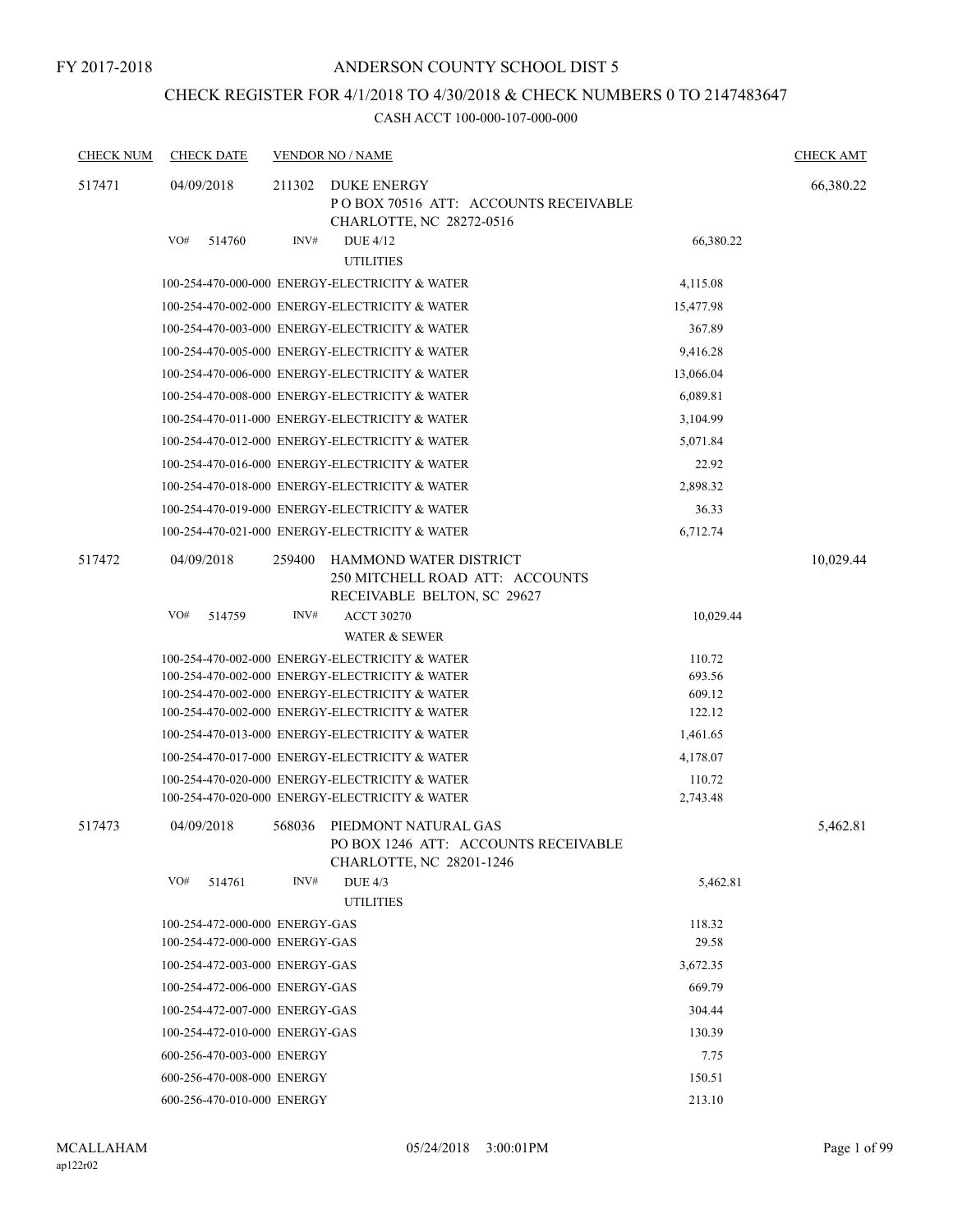FY 2017-2018

### ANDERSON COUNTY SCHOOL DIST 5

## CHECK REGISTER FOR 4/1/2018 TO 4/30/2018 & CHECK NUMBERS 0 TO 2147483647

| <b>CHECK NUM</b> | <b>CHECK DATE</b>              |        | <b>VENDOR NO / NAME</b>                                                                          |                    | <b>CHECK AMT</b> |
|------------------|--------------------------------|--------|--------------------------------------------------------------------------------------------------|--------------------|------------------|
| 517471           | 04/09/2018                     | 211302 | DUKE ENERGY<br>POBOX 70516 ATT: ACCOUNTS RECEIVABLE<br>CHARLOTTE, NC 28272-0516                  |                    | 66,380.22        |
|                  | VO#<br>514760                  | INV#   | DUE 4/12<br><b>UTILITIES</b>                                                                     | 66,380.22          |                  |
|                  |                                |        | 100-254-470-000-000 ENERGY-ELECTRICITY & WATER                                                   | 4,115.08           |                  |
|                  |                                |        | 100-254-470-002-000 ENERGY-ELECTRICITY & WATER                                                   | 15,477.98          |                  |
|                  |                                |        | 100-254-470-003-000 ENERGY-ELECTRICITY & WATER                                                   | 367.89             |                  |
|                  |                                |        | 100-254-470-005-000 ENERGY-ELECTRICITY & WATER                                                   | 9,416.28           |                  |
|                  |                                |        | 100-254-470-006-000 ENERGY-ELECTRICITY & WATER                                                   | 13,066.04          |                  |
|                  |                                |        | 100-254-470-008-000 ENERGY-ELECTRICITY & WATER                                                   | 6,089.81           |                  |
|                  |                                |        | 100-254-470-011-000 ENERGY-ELECTRICITY & WATER                                                   | 3,104.99           |                  |
|                  |                                |        | 100-254-470-012-000 ENERGY-ELECTRICITY & WATER                                                   | 5,071.84           |                  |
|                  |                                |        | 100-254-470-016-000 ENERGY-ELECTRICITY & WATER                                                   | 22.92              |                  |
|                  |                                |        | 100-254-470-018-000 ENERGY-ELECTRICITY & WATER                                                   | 2,898.32           |                  |
|                  |                                |        | 100-254-470-019-000 ENERGY-ELECTRICITY & WATER                                                   | 36.33              |                  |
|                  |                                |        | 100-254-470-021-000 ENERGY-ELECTRICITY & WATER                                                   | 6,712.74           |                  |
| 517472           | 04/09/2018                     | 259400 | HAMMOND WATER DISTRICT<br>250 MITCHELL ROAD ATT: ACCOUNTS<br>RECEIVABLE BELTON, SC 29627         |                    | 10,029.44        |
|                  | VO#<br>514759                  | INV#   | <b>ACCT 30270</b><br><b>WATER &amp; SEWER</b>                                                    | 10,029.44          |                  |
|                  |                                |        | 100-254-470-002-000 ENERGY-ELECTRICITY & WATER                                                   | 110.72             |                  |
|                  |                                |        | 100-254-470-002-000 ENERGY-ELECTRICITY & WATER                                                   | 693.56             |                  |
|                  |                                |        | 100-254-470-002-000 ENERGY-ELECTRICITY & WATER                                                   | 609.12             |                  |
|                  |                                |        | 100-254-470-002-000 ENERGY-ELECTRICITY & WATER                                                   | 122.12             |                  |
|                  |                                |        | 100-254-470-013-000 ENERGY-ELECTRICITY & WATER                                                   | 1,461.65           |                  |
|                  |                                |        | 100-254-470-017-000 ENERGY-ELECTRICITY & WATER                                                   | 4,178.07           |                  |
|                  |                                |        | 100-254-470-020-000 ENERGY-ELECTRICITY & WATER<br>100-254-470-020-000 ENERGY-ELECTRICITY & WATER | 110.72<br>2,743.48 |                  |
| 517473           | 04/09/2018                     | 568036 | PIEDMONT NATURAL GAS<br>PO BOX 1246 ATT: ACCOUNTS RECEIVABLE<br>CHARLOTTE, NC 28201-1246         |                    | 5,462.81         |
|                  | VO#<br>514761                  | INV#   | <b>DUE 4/3</b><br><b>UTILITIES</b>                                                               | 5,462.81           |                  |
|                  | 100-254-472-000-000 ENERGY-GAS |        |                                                                                                  | 118.32             |                  |
|                  | 100-254-472-000-000 ENERGY-GAS |        |                                                                                                  | 29.58              |                  |
|                  | 100-254-472-003-000 ENERGY-GAS |        |                                                                                                  | 3,672.35           |                  |
|                  | 100-254-472-006-000 ENERGY-GAS |        |                                                                                                  | 669.79             |                  |
|                  | 100-254-472-007-000 ENERGY-GAS |        |                                                                                                  | 304.44             |                  |
|                  | 100-254-472-010-000 ENERGY-GAS |        |                                                                                                  | 130.39             |                  |
|                  | 600-256-470-003-000 ENERGY     |        |                                                                                                  | 7.75               |                  |
|                  | 600-256-470-008-000 ENERGY     |        |                                                                                                  | 150.51             |                  |
|                  | 600-256-470-010-000 ENERGY     |        |                                                                                                  | 213.10             |                  |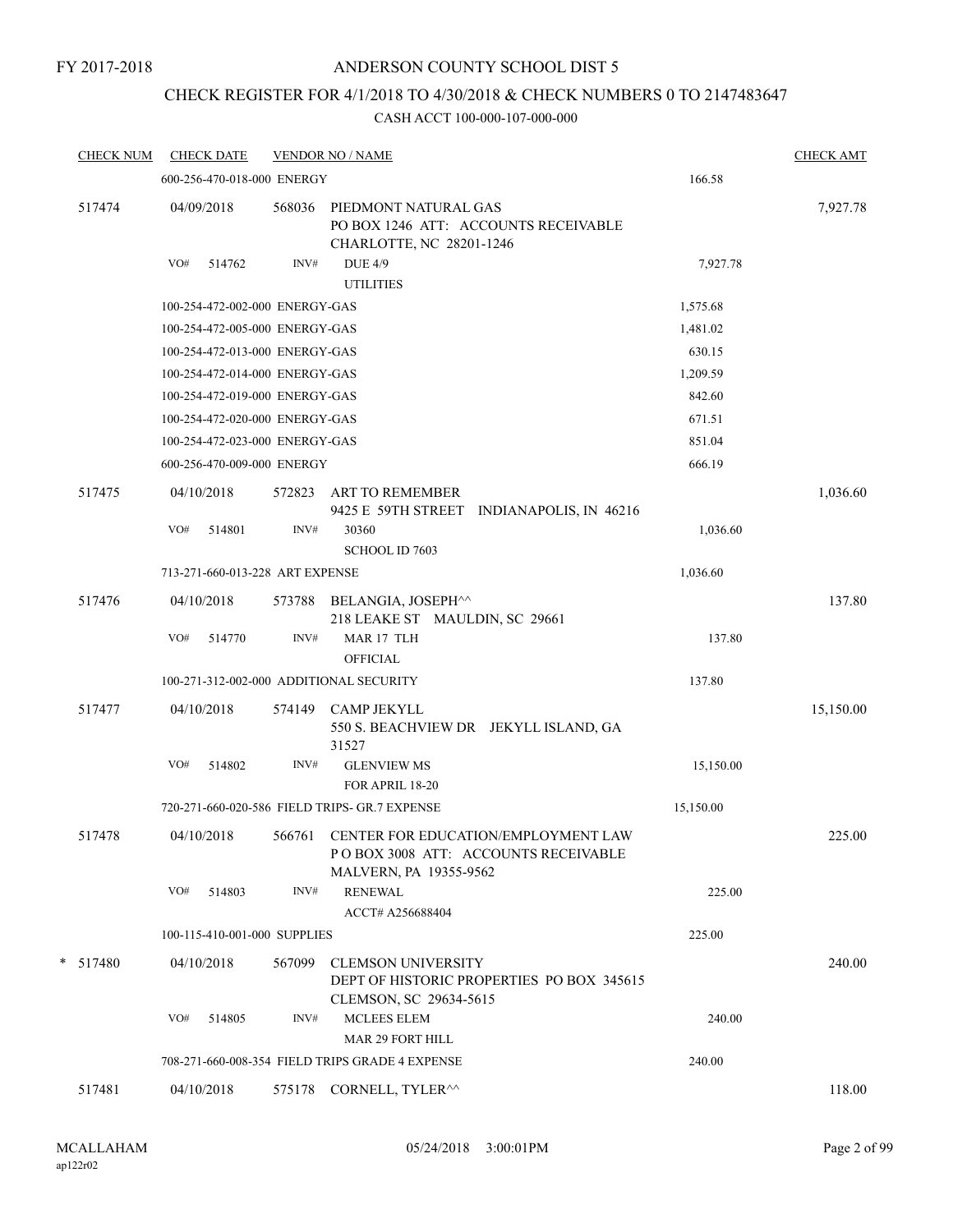FY 2017-2018

### ANDERSON COUNTY SCHOOL DIST 5

### CHECK REGISTER FOR 4/1/2018 TO 4/30/2018 & CHECK NUMBERS 0 TO 2147483647

| <b>CHECK NUM</b> | <b>CHECK DATE</b> |                                 |        | <b>VENDOR NO / NAME</b>                                                                               |           | <b>CHECK AMT</b> |
|------------------|-------------------|---------------------------------|--------|-------------------------------------------------------------------------------------------------------|-----------|------------------|
|                  |                   | 600-256-470-018-000 ENERGY      |        |                                                                                                       | 166.58    |                  |
| 517474           | 04/09/2018        |                                 | 568036 | PIEDMONT NATURAL GAS<br>PO BOX 1246 ATT: ACCOUNTS RECEIVABLE<br>CHARLOTTE, NC 28201-1246              |           | 7,927.78         |
|                  | VO#               | 514762                          | INV#   | <b>DUE 4/9</b><br><b>UTILITIES</b>                                                                    | 7,927.78  |                  |
|                  |                   | 100-254-472-002-000 ENERGY-GAS  |        |                                                                                                       | 1,575.68  |                  |
|                  |                   | 100-254-472-005-000 ENERGY-GAS  |        |                                                                                                       | 1,481.02  |                  |
|                  |                   | 100-254-472-013-000 ENERGY-GAS  |        |                                                                                                       | 630.15    |                  |
|                  |                   | 100-254-472-014-000 ENERGY-GAS  |        |                                                                                                       | 1,209.59  |                  |
|                  |                   | 100-254-472-019-000 ENERGY-GAS  |        |                                                                                                       | 842.60    |                  |
|                  |                   | 100-254-472-020-000 ENERGY-GAS  |        |                                                                                                       | 671.51    |                  |
|                  |                   | 100-254-472-023-000 ENERGY-GAS  |        |                                                                                                       | 851.04    |                  |
|                  |                   | 600-256-470-009-000 ENERGY      |        |                                                                                                       | 666.19    |                  |
| 517475           | 04/10/2018        |                                 | 572823 | <b>ART TO REMEMBER</b><br>9425 E 59TH STREET INDIANAPOLIS, IN 46216                                   |           | 1,036.60         |
|                  | VO#               | 514801                          | INV#   | 30360<br><b>SCHOOL ID 7603</b>                                                                        | 1,036.60  |                  |
|                  |                   | 713-271-660-013-228 ART EXPENSE |        |                                                                                                       | 1,036.60  |                  |
| 517476           | 04/10/2018        |                                 | 573788 | BELANGIA, JOSEPH^^<br>218 LEAKE ST MAULDIN, SC 29661                                                  |           | 137.80           |
|                  | VO#               | 514770                          | INV#   | MAR 17 TLH<br><b>OFFICIAL</b>                                                                         | 137.80    |                  |
|                  |                   |                                 |        | 100-271-312-002-000 ADDITIONAL SECURITY                                                               | 137.80    |                  |
| 517477           | 04/10/2018        |                                 | 574149 | <b>CAMP JEKYLL</b><br>550 S. BEACHVIEW DR JEKYLL ISLAND, GA<br>31527                                  |           | 15,150.00        |
|                  | VO#               | 514802                          | INV#   | <b>GLENVIEW MS</b><br>FOR APRIL 18-20                                                                 | 15,150.00 |                  |
|                  |                   |                                 |        | 720-271-660-020-586 FIELD TRIPS- GR.7 EXPENSE                                                         | 15,150.00 |                  |
| 517478           | 04/10/2018        |                                 | 566761 | CENTER FOR EDUCATION/EMPLOYMENT LAW<br>PO BOX 3008 ATT: ACCOUNTS RECEIVABLE<br>MALVERN, PA 19355-9562 |           | 225.00           |
|                  | VO#               | 514803                          | INV#   | <b>RENEWAL</b><br>ACCT# A256688404                                                                    | 225.00    |                  |
|                  |                   | 100-115-410-001-000 SUPPLIES    |        |                                                                                                       | 225.00    |                  |
| $*$ 517480       | 04/10/2018        |                                 | 567099 | <b>CLEMSON UNIVERSITY</b><br>DEPT OF HISTORIC PROPERTIES PO BOX 345615<br>CLEMSON, SC 29634-5615      |           | 240.00           |
|                  | VO#               | 514805                          | INV#   | <b>MCLEES ELEM</b><br><b>MAR 29 FORT HILL</b>                                                         | 240.00    |                  |
|                  |                   |                                 |        | 708-271-660-008-354 FIELD TRIPS GRADE 4 EXPENSE                                                       | 240.00    |                  |
| 517481           | 04/10/2018        |                                 |        | 575178 CORNELL, TYLER <sup>^^</sup>                                                                   |           | 118.00           |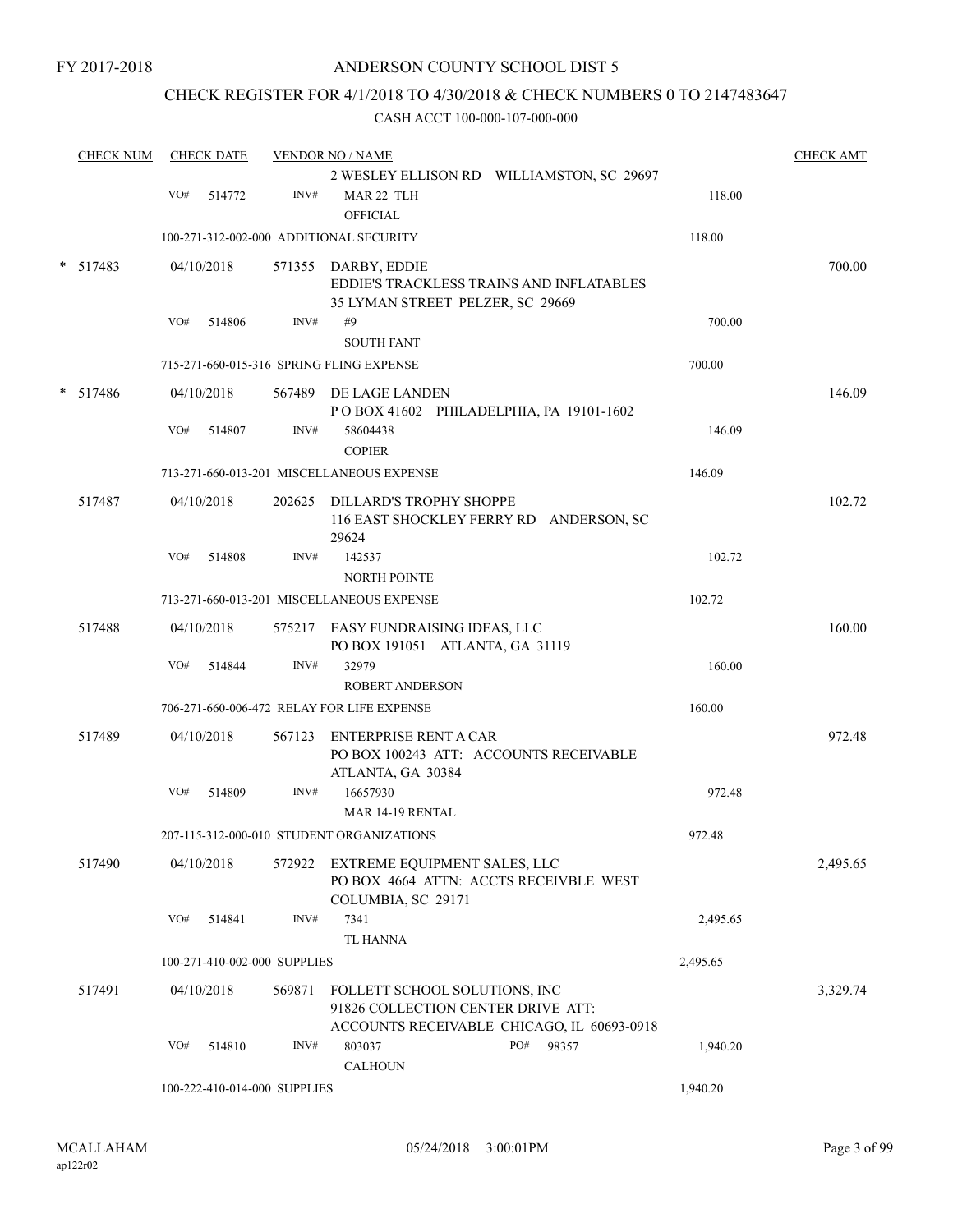### CHECK REGISTER FOR 4/1/2018 TO 4/30/2018 & CHECK NUMBERS 0 TO 2147483647

|        | <b>CHECK NUM</b> |     | <b>CHECK DATE</b> |                              | <b>VENDOR NO / NAME</b>                                                                                           |              |          | <b>CHECK AMT</b> |
|--------|------------------|-----|-------------------|------------------------------|-------------------------------------------------------------------------------------------------------------------|--------------|----------|------------------|
|        |                  | VO# | 514772            | INV#                         | 2 WESLEY ELLISON RD WILLIAMSTON, SC 29697<br>MAR 22 TLH<br><b>OFFICIAL</b>                                        |              | 118.00   |                  |
|        |                  |     |                   |                              | 100-271-312-002-000 ADDITIONAL SECURITY                                                                           |              | 118.00   |                  |
| $\ast$ | 517483           |     | 04/10/2018        |                              | 571355 DARBY, EDDIE<br>EDDIE'S TRACKLESS TRAINS AND INFLATABLES<br>35 LYMAN STREET PELZER, SC 29669               |              |          | 700.00           |
|        |                  | VO# | 514806            | INV#                         | #9<br><b>SOUTH FANT</b>                                                                                           |              | 700.00   |                  |
|        |                  |     |                   |                              | 715-271-660-015-316 SPRING FLING EXPENSE                                                                          |              | 700.00   |                  |
|        | * 517486         |     | 04/10/2018        |                              | 567489 DE LAGE LANDEN<br>POBOX 41602 PHILADELPHIA, PA 19101-1602                                                  |              |          | 146.09           |
|        |                  | VO# | 514807            | INV#                         | 58604438<br><b>COPIER</b>                                                                                         |              | 146.09   |                  |
|        |                  |     |                   |                              | 713-271-660-013-201 MISCELLANEOUS EXPENSE                                                                         |              | 146.09   |                  |
|        | 517487           |     | 04/10/2018        |                              | 202625 DILLARD'S TROPHY SHOPPE<br>116 EAST SHOCKLEY FERRY RD ANDERSON, SC<br>29624                                |              |          | 102.72           |
|        |                  | VO# | 514808            | INV#                         | 142537<br><b>NORTH POINTE</b>                                                                                     |              | 102.72   |                  |
|        |                  |     |                   |                              | 713-271-660-013-201 MISCELLANEOUS EXPENSE                                                                         |              | 102.72   |                  |
|        | 517488           |     | 04/10/2018        |                              | 575217 EASY FUNDRAISING IDEAS, LLC<br>PO BOX 191051 ATLANTA, GA 31119                                             |              |          | 160.00           |
|        |                  | VO# | 514844            | INV#                         | 32979                                                                                                             |              | 160.00   |                  |
|        |                  |     |                   |                              | <b>ROBERT ANDERSON</b><br>706-271-660-006-472 RELAY FOR LIFE EXPENSE                                              |              | 160.00   |                  |
|        | 517489           |     | 04/10/2018        | 567123                       | ENTERPRISE RENT A CAR<br>PO BOX 100243 ATT: ACCOUNTS RECEIVABLE<br>ATLANTA, GA 30384                              |              |          | 972.48           |
|        |                  | VO# | 514809            | INV#                         | 16657930<br><b>MAR 14-19 RENTAL</b>                                                                               |              | 972.48   |                  |
|        |                  |     |                   |                              | 207-115-312-000-010 STUDENT ORGANIZATIONS                                                                         |              | 972.48   |                  |
|        | 517490           |     | 04/10/2018        | 572922                       | EXTREME EQUIPMENT SALES, LLC<br>PO BOX 4664 ATTN: ACCTS RECEIVBLE WEST<br>COLUMBIA, SC 29171                      |              |          | 2,495.65         |
|        |                  | VO# | 514841            | INV#                         | 7341<br><b>TL HANNA</b>                                                                                           |              | 2,495.65 |                  |
|        |                  |     |                   | 100-271-410-002-000 SUPPLIES |                                                                                                                   |              | 2,495.65 |                  |
|        | 517491           |     | 04/10/2018        | 569871                       | FOLLETT SCHOOL SOLUTIONS, INC<br>91826 COLLECTION CENTER DRIVE ATT:<br>ACCOUNTS RECEIVABLE CHICAGO, IL 60693-0918 |              |          | 3,329.74         |
|        |                  | VO# | 514810            | INV#                         | 803037<br><b>CALHOUN</b>                                                                                          | PO#<br>98357 | 1,940.20 |                  |
|        |                  |     |                   | 100-222-410-014-000 SUPPLIES |                                                                                                                   |              | 1,940.20 |                  |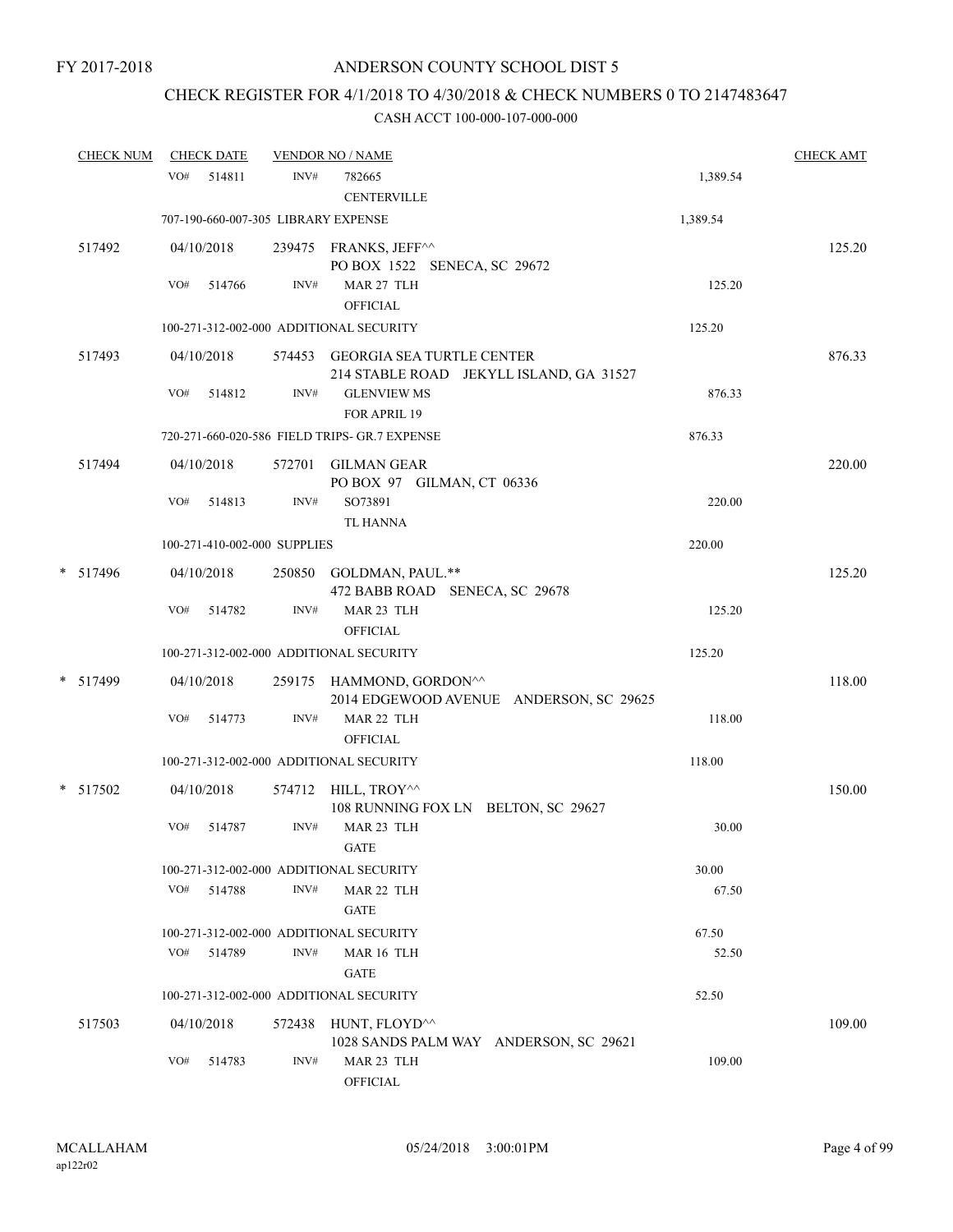# CHECK REGISTER FOR 4/1/2018 TO 4/30/2018 & CHECK NUMBERS 0 TO 2147483647

| <b>CHECK NUM</b> |     | <b>CHECK DATE</b> |                              | <b>VENDOR NO / NAME</b>                                                         |          | <b>CHECK AMT</b> |
|------------------|-----|-------------------|------------------------------|---------------------------------------------------------------------------------|----------|------------------|
|                  | VO# | 514811            | INV#                         | 782665<br><b>CENTERVILLE</b>                                                    | 1,389.54 |                  |
|                  |     |                   |                              | 707-190-660-007-305 LIBRARY EXPENSE                                             | 1,389.54 |                  |
| 517492           |     | 04/10/2018        |                              | 239475 FRANKS, JEFF^^<br>PO BOX 1522 SENECA, SC 29672                           |          | 125.20           |
|                  | VO# | 514766            | INV#                         | MAR 27 TLH<br><b>OFFICIAL</b>                                                   | 125.20   |                  |
|                  |     |                   |                              | 100-271-312-002-000 ADDITIONAL SECURITY                                         | 125.20   |                  |
| 517493           |     | 04/10/2018        |                              | 574453 GEORGIA SEA TURTLE CENTER<br>214 STABLE ROAD JEKYLL ISLAND, GA 31527     |          | 876.33           |
|                  | VO# | 514812            | INV#                         | <b>GLENVIEW MS</b><br>FOR APRIL 19                                              | 876.33   |                  |
|                  |     |                   |                              | 720-271-660-020-586 FIELD TRIPS- GR.7 EXPENSE                                   | 876.33   |                  |
| 517494           |     | 04/10/2018        |                              | 572701 GILMAN GEAR<br>PO BOX 97 GILMAN, CT 06336                                |          | 220.00           |
|                  | VO# | 514813            | INV#                         | SO73891<br><b>TL HANNA</b>                                                      | 220.00   |                  |
|                  |     |                   | 100-271-410-002-000 SUPPLIES |                                                                                 | 220.00   |                  |
| $*$ 517496       |     | 04/10/2018        |                              | 250850 GOLDMAN, PAUL.**<br>472 BABB ROAD SENECA, SC 29678                       |          | 125.20           |
|                  | VO# | 514782            | INV#                         | MAR 23 TLH<br><b>OFFICIAL</b>                                                   | 125.20   |                  |
|                  |     |                   |                              | 100-271-312-002-000 ADDITIONAL SECURITY                                         | 125.20   |                  |
| * 517499         |     | 04/10/2018        |                              | 259175 HAMMOND, GORDON <sup>^^</sup><br>2014 EDGEWOOD AVENUE ANDERSON, SC 29625 |          | 118.00           |
|                  | VO# | 514773            | INV#                         | MAR 22 TLH<br><b>OFFICIAL</b>                                                   | 118.00   |                  |
|                  |     |                   |                              | 100-271-312-002-000 ADDITIONAL SECURITY                                         | 118.00   |                  |
| * 517502         |     | 04/10/2018        |                              | 574712 HILL, TROY <sup>^^</sup><br>108 RUNNING FOX LN BELTON, SC 29627          |          | 150.00           |
|                  | VO# | 514787            | INV#                         | MAR 23 TLH<br>$\operatorname{GATE}$                                             | 30.00    |                  |
|                  |     |                   |                              | 100-271-312-002-000 ADDITIONAL SECURITY                                         | 30.00    |                  |
|                  | VO# | 514788            | INV#                         | MAR 22 TLH<br><b>GATE</b>                                                       | 67.50    |                  |
|                  |     |                   |                              | 100-271-312-002-000 ADDITIONAL SECURITY                                         | 67.50    |                  |
|                  | VO# | 514789            | INV#                         | MAR 16 TLH<br><b>GATE</b>                                                       | 52.50    |                  |
|                  |     |                   |                              | 100-271-312-002-000 ADDITIONAL SECURITY                                         | 52.50    |                  |
| 517503           |     | 04/10/2018        | 572438                       | HUNT, FLOYD^^<br>1028 SANDS PALM WAY ANDERSON, SC 29621                         |          | 109.00           |
|                  | VO# | 514783            | INV#                         | MAR 23 TLH<br>OFFICIAL                                                          | 109.00   |                  |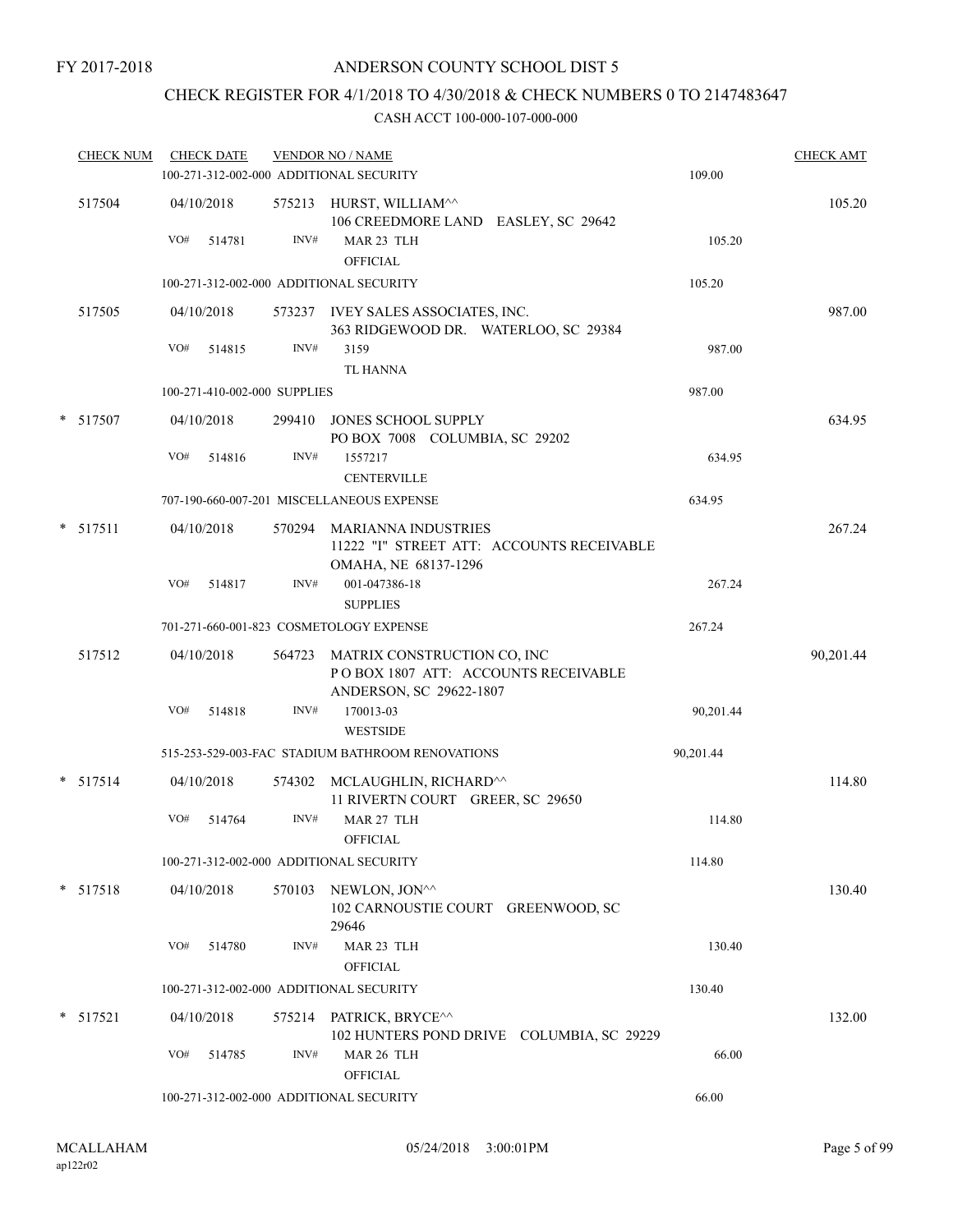### CHECK REGISTER FOR 4/1/2018 TO 4/30/2018 & CHECK NUMBERS 0 TO 2147483647

| <b>CHECK NUM</b> |     | <b>CHECK DATE</b>            |        | <b>VENDOR NO / NAME</b><br>100-271-312-002-000 ADDITIONAL SECURITY                              | 109.00    | <b>CHECK AMT</b> |
|------------------|-----|------------------------------|--------|-------------------------------------------------------------------------------------------------|-----------|------------------|
| 517504           | VO# | 04/10/2018<br>514781         | INV#   | 575213 HURST, WILLIAM^^<br>106 CREEDMORE LAND EASLEY, SC 29642<br>MAR 23 TLH<br><b>OFFICIAL</b> | 105.20    | 105.20           |
|                  |     |                              |        | 100-271-312-002-000 ADDITIONAL SECURITY                                                         | 105.20    |                  |
| 517505           |     | 04/10/2018                   |        | 573237 IVEY SALES ASSOCIATES, INC.<br>363 RIDGEWOOD DR. WATERLOO, SC 29384                      |           | 987.00           |
|                  | VO# | 514815                       | INV#   | 3159<br><b>TL HANNA</b>                                                                         | 987.00    |                  |
|                  |     | 100-271-410-002-000 SUPPLIES |        |                                                                                                 | 987.00    |                  |
| * 517507         |     | 04/10/2018                   |        | 299410 JONES SCHOOL SUPPLY<br>PO BOX 7008 COLUMBIA, SC 29202                                    |           | 634.95           |
|                  | VO# | 514816                       | INV#   | 1557217<br><b>CENTERVILLE</b>                                                                   | 634.95    |                  |
|                  |     |                              |        | 707-190-660-007-201 MISCELLANEOUS EXPENSE                                                       | 634.95    |                  |
| $*$ 517511       |     | 04/10/2018                   | 570294 | <b>MARIANNA INDUSTRIES</b><br>11222 "I" STREET ATT: ACCOUNTS RECEIVABLE<br>OMAHA, NE 68137-1296 |           | 267.24           |
|                  | VO# | 514817                       | INV#   | 001-047386-18<br><b>SUPPLIES</b>                                                                | 267.24    |                  |
|                  |     |                              |        | 701-271-660-001-823 COSMETOLOGY EXPENSE                                                         | 267.24    |                  |
| 517512           |     | 04/10/2018                   | 564723 | MATRIX CONSTRUCTION CO, INC<br>POBOX 1807 ATT: ACCOUNTS RECEIVABLE<br>ANDERSON, SC 29622-1807   |           | 90,201.44        |
|                  | VO# | 514818                       | INV#   | 170013-03<br><b>WESTSIDE</b>                                                                    | 90,201.44 |                  |
|                  |     |                              |        | 515-253-529-003-FAC STADIUM BATHROOM RENOVATIONS                                                | 90,201.44 |                  |
| $* 517514$       |     | 04/10/2018                   | 574302 | MCLAUGHLIN, RICHARD^^<br>11 RIVERTN COURT GREER, SC 29650                                       |           | 114.80           |
|                  | VO# | 514764                       | INV#   | MAR 27 TLH<br>OFFICIAL                                                                          | 114.80    |                  |
|                  |     |                              |        | 100-271-312-002-000 ADDITIONAL SECURITY                                                         | 114.80    |                  |
| $*$ 517518       |     | 04/10/2018                   |        | 570103 NEWLON, JON^^<br>102 CARNOUSTIE COURT GREENWOOD, SC<br>29646                             |           | 130.40           |
|                  | VO# | 514780                       | INV#   | MAR 23 TLH<br><b>OFFICIAL</b>                                                                   | 130.40    |                  |
|                  |     |                              |        | 100-271-312-002-000 ADDITIONAL SECURITY                                                         | 130.40    |                  |
| $*$ 517521       |     | 04/10/2018                   |        | 575214 PATRICK, BRYCE^^<br>102 HUNTERS POND DRIVE COLUMBIA, SC 29229                            |           | 132.00           |
|                  | VO# | 514785                       | INV#   | MAR 26 TLH<br>OFFICIAL                                                                          | 66.00     |                  |
|                  |     |                              |        | 100-271-312-002-000 ADDITIONAL SECURITY                                                         | 66.00     |                  |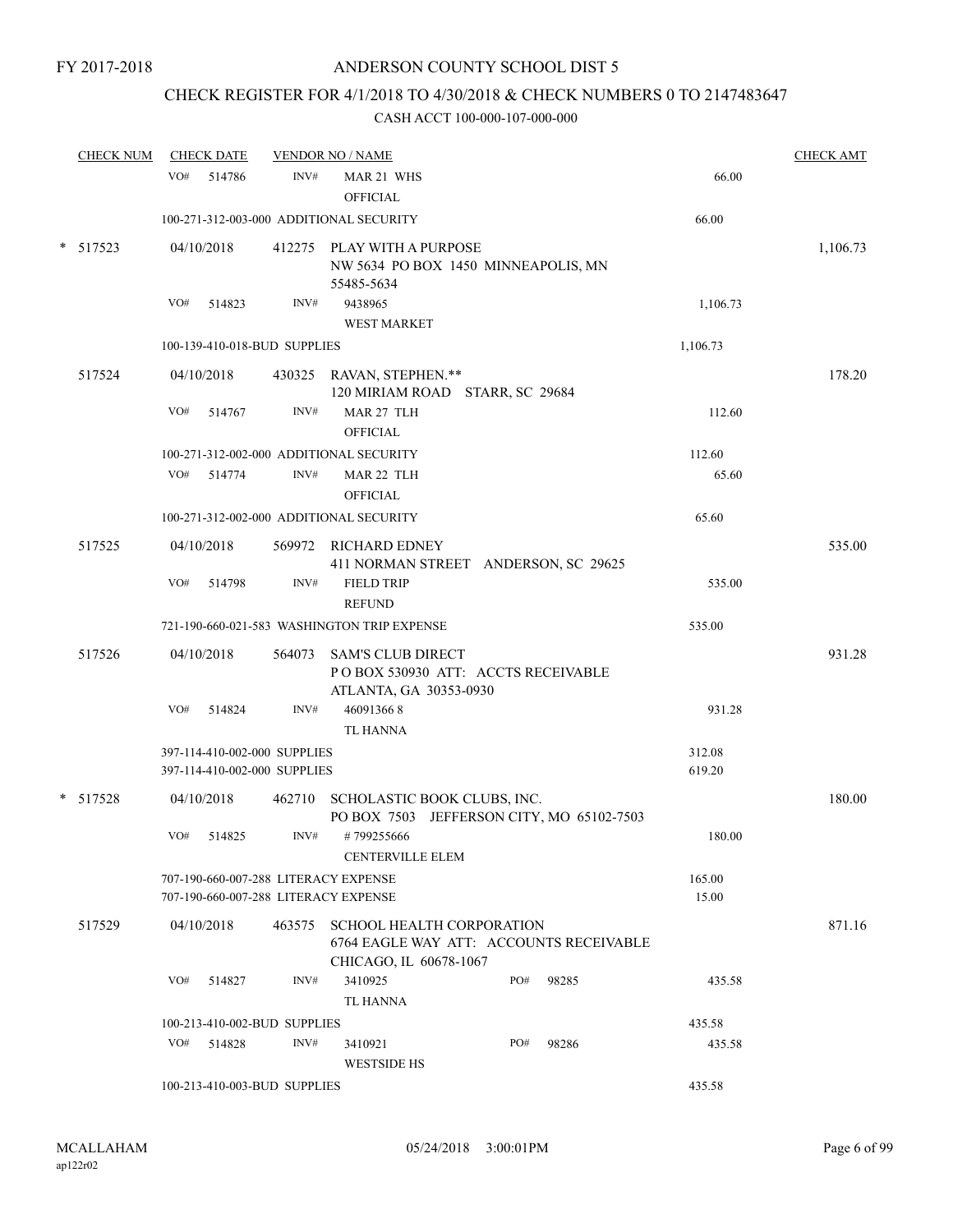## CHECK REGISTER FOR 4/1/2018 TO 4/30/2018 & CHECK NUMBERS 0 TO 2147483647

| <b>CHECK NUM</b> | <b>CHECK DATE</b> |            |                                                              | <b>VENDOR NO / NAME</b>                                                                               |     | <b>CHECK AMT</b> |                  |          |
|------------------|-------------------|------------|--------------------------------------------------------------|-------------------------------------------------------------------------------------------------------|-----|------------------|------------------|----------|
|                  | VO#               | 514786     | INV#                                                         | MAR 21 WHS<br><b>OFFICIAL</b>                                                                         |     |                  | 66.00            |          |
|                  |                   |            |                                                              | 100-271-312-003-000 ADDITIONAL SECURITY                                                               |     |                  | 66.00            |          |
| $* 517523$       |                   | 04/10/2018 |                                                              | 412275 PLAY WITH A PURPOSE<br>NW 5634 PO BOX 1450 MINNEAPOLIS, MN<br>55485-5634                       |     |                  |                  | 1,106.73 |
|                  | VO#               | 514823     | INV#                                                         | 9438965<br><b>WEST MARKET</b>                                                                         |     |                  | 1,106.73         |          |
|                  |                   |            | 100-139-410-018-BUD SUPPLIES                                 |                                                                                                       |     |                  | 1,106.73         |          |
| 517524           |                   | 04/10/2018 |                                                              | 430325 RAVAN, STEPHEN.**<br>120 MIRIAM ROAD STARR, SC 29684                                           |     |                  |                  | 178.20   |
|                  | VO#               | 514767     | INV#                                                         | MAR 27 TLH<br><b>OFFICIAL</b>                                                                         |     |                  | 112.60           |          |
|                  |                   |            |                                                              | 100-271-312-002-000 ADDITIONAL SECURITY                                                               |     |                  | 112.60           |          |
|                  | VO#               | 514774     | INV#                                                         | MAR 22 TLH<br><b>OFFICIAL</b>                                                                         |     |                  | 65.60            |          |
|                  |                   |            |                                                              | 100-271-312-002-000 ADDITIONAL SECURITY                                                               |     |                  | 65.60            |          |
| 517525           |                   | 04/10/2018 |                                                              | 569972 RICHARD EDNEY<br>411 NORMAN STREET ANDERSON, SC 29625                                          |     |                  |                  | 535.00   |
|                  | VO#               | 514798     | INV#                                                         | <b>FIELD TRIP</b><br><b>REFUND</b>                                                                    |     |                  | 535.00           |          |
|                  |                   |            |                                                              | 721-190-660-021-583 WASHINGTON TRIP EXPENSE                                                           |     |                  | 535.00           |          |
| 517526           |                   | 04/10/2018 |                                                              | 564073 SAM'S CLUB DIRECT<br>POBOX 530930 ATT: ACCTS RECEIVABLE<br>ATLANTA, GA 30353-0930              |     |                  |                  | 931.28   |
|                  | VO#               | 514824     | INV#                                                         | 460913668<br><b>TL HANNA</b>                                                                          |     |                  | 931.28           |          |
|                  |                   |            | 397-114-410-002-000 SUPPLIES<br>397-114-410-002-000 SUPPLIES |                                                                                                       |     |                  | 312.08<br>619.20 |          |
| $* 517528$       |                   | 04/10/2018 |                                                              | 462710 SCHOLASTIC BOOK CLUBS, INC.<br>PO BOX 7503 JEFFERSON CITY, MO 65102-7503                       |     |                  |                  | 180.00   |
|                  | VO#               | 514825     | INV#                                                         | #799255666<br><b>CENTERVILLE ELEM</b>                                                                 |     |                  | 180.00           |          |
|                  |                   |            |                                                              | 707-190-660-007-288 LITERACY EXPENSE<br>707-190-660-007-288 LITERACY EXPENSE                          |     |                  | 165.00<br>15.00  |          |
| 517529           |                   | 04/10/2018 |                                                              | 463575 SCHOOL HEALTH CORPORATION<br>6764 EAGLE WAY ATT: ACCOUNTS RECEIVABLE<br>CHICAGO, IL 60678-1067 |     |                  |                  | 871.16   |
|                  | VO#               | 514827     | INV#                                                         | 3410925<br><b>TL HANNA</b>                                                                            | PO# | 98285            | 435.58           |          |
|                  |                   |            | 100-213-410-002-BUD SUPPLIES                                 |                                                                                                       |     |                  | 435.58           |          |
|                  | VO#               | 514828     | INV#                                                         | 3410921<br><b>WESTSIDE HS</b>                                                                         | PO# | 98286            | 435.58           |          |
|                  |                   |            | 100-213-410-003-BUD SUPPLIES                                 |                                                                                                       |     |                  | 435.58           |          |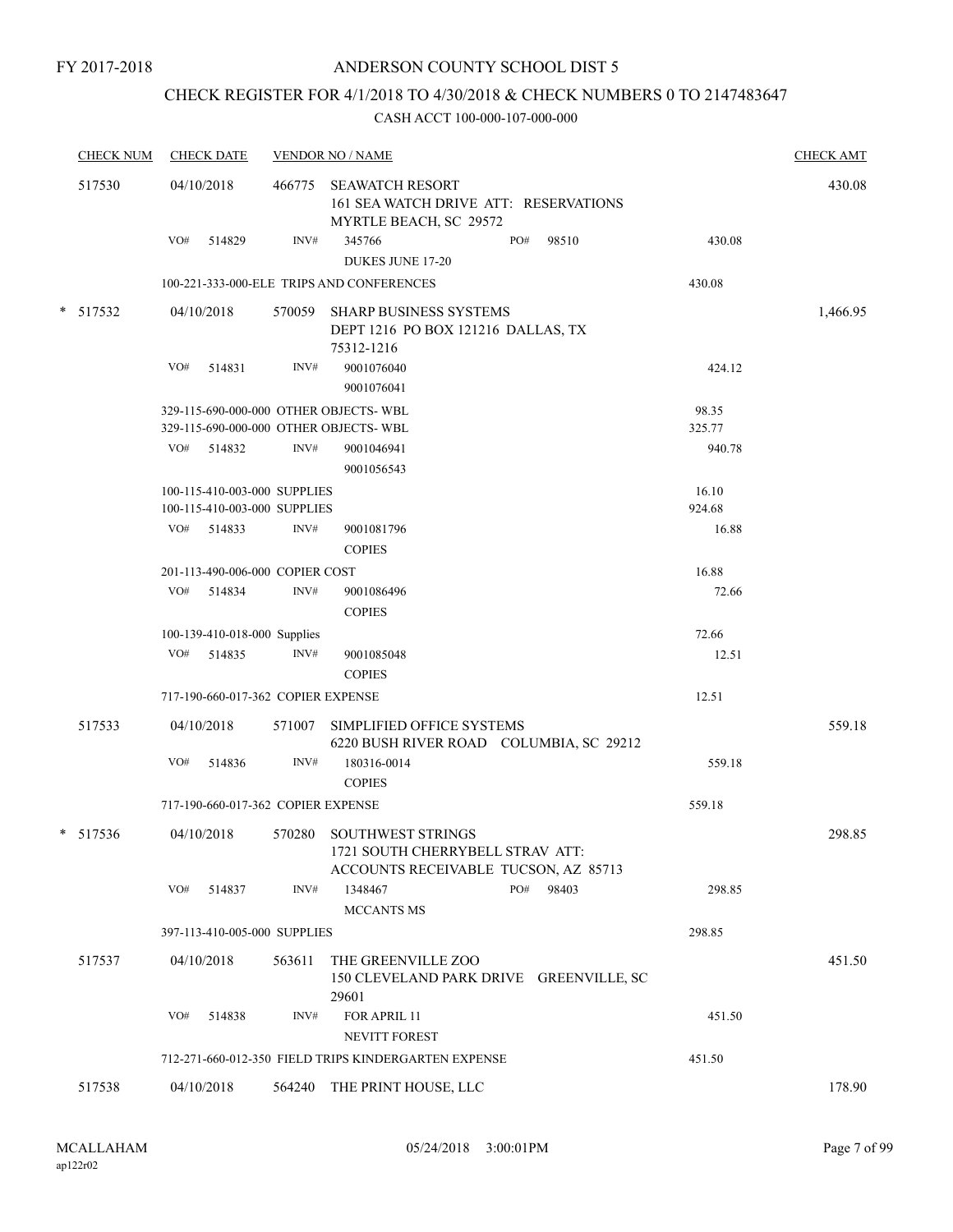FY 2017-2018

### ANDERSON COUNTY SCHOOL DIST 5

### CHECK REGISTER FOR 4/1/2018 TO 4/30/2018 & CHECK NUMBERS 0 TO 2147483647

| <b>CHECK NUM</b> |     | <b>CHECK DATE</b>                                            |        | <b>VENDOR NO / NAME</b>                                                                              |     |       |                 | <b>CHECK AMT</b> |
|------------------|-----|--------------------------------------------------------------|--------|------------------------------------------------------------------------------------------------------|-----|-------|-----------------|------------------|
| 517530           |     | 04/10/2018                                                   |        | 466775 SEAWATCH RESORT<br>161 SEA WATCH DRIVE ATT: RESERVATIONS<br>MYRTLE BEACH, SC 29572            |     |       |                 | 430.08           |
|                  | VO# | 514829                                                       | INV#   | 345766<br><b>DUKES JUNE 17-20</b>                                                                    | PO# | 98510 | 430.08          |                  |
|                  |     |                                                              |        | 100-221-333-000-ELE TRIPS AND CONFERENCES                                                            |     |       | 430.08          |                  |
| * 517532         |     | 04/10/2018                                                   |        | 570059 SHARP BUSINESS SYSTEMS<br>DEPT 1216 PO BOX 121216 DALLAS, TX<br>75312-1216                    |     |       |                 | 1,466.95         |
|                  | VO# | 514831                                                       | INV#   | 9001076040<br>9001076041                                                                             |     |       | 424.12          |                  |
|                  |     |                                                              |        | 329-115-690-000-000 OTHER OBJECTS-WBL<br>329-115-690-000-000 OTHER OBJECTS- WBL                      |     |       | 98.35<br>325.77 |                  |
|                  | VO# | 514832                                                       | INV#   | 9001046941<br>9001056543                                                                             |     |       | 940.78          |                  |
|                  |     | 100-115-410-003-000 SUPPLIES<br>100-115-410-003-000 SUPPLIES |        |                                                                                                      |     |       | 16.10<br>924.68 |                  |
|                  |     | VO# 514833                                                   | INV#   | 9001081796<br><b>COPIES</b>                                                                          |     |       | 16.88           |                  |
|                  |     | 201-113-490-006-000 COPIER COST                              |        |                                                                                                      |     |       | 16.88           |                  |
|                  | VO# | 514834                                                       | INV#   | 9001086496<br><b>COPIES</b>                                                                          |     |       | 72.66           |                  |
|                  |     | 100-139-410-018-000 Supplies                                 |        |                                                                                                      |     |       | 72.66           |                  |
|                  | VO# | 514835                                                       | INV#   | 9001085048<br><b>COPIES</b>                                                                          |     |       | 12.51           |                  |
|                  |     | 717-190-660-017-362 COPIER EXPENSE                           |        |                                                                                                      |     |       | 12.51           |                  |
| 517533           |     | 04/10/2018                                                   |        | 571007 SIMPLIFIED OFFICE SYSTEMS<br>6220 BUSH RIVER ROAD COLUMBIA, SC 29212                          |     |       |                 | 559.18           |
|                  | VO# | 514836                                                       | INV#   | 180316-0014<br><b>COPIES</b>                                                                         |     |       | 559.18          |                  |
|                  |     | 717-190-660-017-362 COPIER EXPENSE                           |        |                                                                                                      |     |       | 559.18          |                  |
| $*$ 517536       |     | 04/10/2018                                                   |        | 570280 SOUTHWEST STRINGS<br>1721 SOUTH CHERRYBELL STRAV ATT:<br>ACCOUNTS RECEIVABLE TUCSON, AZ 85713 |     |       |                 | 298.85           |
|                  | VO# | 514837                                                       | INV#   | 1348467<br><b>MCCANTS MS</b>                                                                         | PO# | 98403 | 298.85          |                  |
|                  |     | 397-113-410-005-000 SUPPLIES                                 |        |                                                                                                      |     |       | 298.85          |                  |
| 517537           |     | 04/10/2018                                                   | 563611 | THE GREENVILLE ZOO<br>150 CLEVELAND PARK DRIVE GREENVILLE, SC<br>29601                               |     |       |                 | 451.50           |
|                  | VO# | 514838                                                       | INV#   | FOR APRIL 11<br>NEVITT FOREST                                                                        |     |       | 451.50          |                  |
|                  |     |                                                              |        | 712-271-660-012-350 FIELD TRIPS KINDERGARTEN EXPENSE                                                 |     |       | 451.50          |                  |
| 517538           |     | 04/10/2018                                                   |        | 564240 THE PRINT HOUSE, LLC                                                                          |     |       |                 | 178.90           |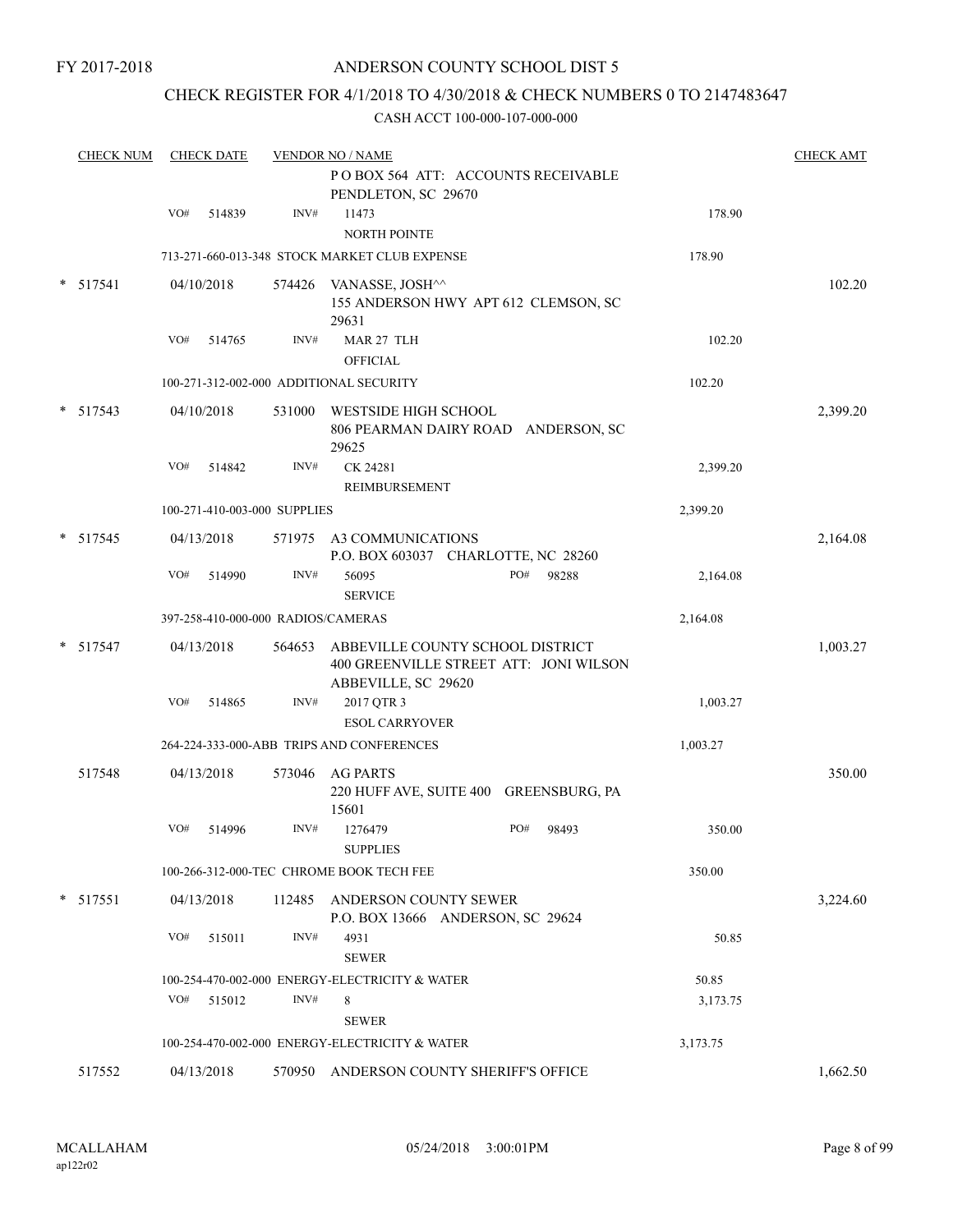FY 2017-2018

### ANDERSON COUNTY SCHOOL DIST 5

### CHECK REGISTER FOR 4/1/2018 TO 4/30/2018 & CHECK NUMBERS 0 TO 2147483647

|        | <b>CHECK NUM</b> |     | <b>CHECK DATE</b> |                                    | <b>VENDOR NO / NAME</b>                                                                           |          | <b>CHECK AMT</b> |
|--------|------------------|-----|-------------------|------------------------------------|---------------------------------------------------------------------------------------------------|----------|------------------|
|        |                  |     |                   |                                    | POBOX 564 ATT: ACCOUNTS RECEIVABLE<br>PENDLETON, SC 29670                                         |          |                  |
|        |                  | VO# | 514839            | INV#                               | 11473<br><b>NORTH POINTE</b>                                                                      | 178.90   |                  |
|        |                  |     |                   |                                    | 713-271-660-013-348 STOCK MARKET CLUB EXPENSE                                                     | 178.90   |                  |
|        | $*$ 517541       |     | 04/10/2018        |                                    | 574426 VANASSE, JOSH^^<br>155 ANDERSON HWY APT 612 CLEMSON, SC<br>29631                           |          | 102.20           |
|        |                  | VO# | 514765            | INV#                               | MAR 27 TLH                                                                                        | 102.20   |                  |
|        |                  |     |                   |                                    | <b>OFFICIAL</b>                                                                                   |          |                  |
|        |                  |     |                   |                                    | 100-271-312-002-000 ADDITIONAL SECURITY                                                           | 102.20   |                  |
| *      | 517543           |     | 04/10/2018        | 531000                             | WESTSIDE HIGH SCHOOL<br>806 PEARMAN DAIRY ROAD ANDERSON, SC<br>29625                              |          | 2,399.20         |
|        |                  | VO# | 514842            | INV#                               | CK 24281<br>REIMBURSEMENT                                                                         | 2,399.20 |                  |
|        |                  |     |                   | 100-271-410-003-000 SUPPLIES       |                                                                                                   | 2,399.20 |                  |
| $\ast$ | 517545           |     | 04/13/2018        |                                    | 571975 A3 COMMUNICATIONS<br>P.O. BOX 603037 CHARLOTTE, NC 28260                                   |          | 2,164.08         |
|        |                  | VO# | 514990            | INV#                               | PO#<br>56095<br>98288<br><b>SERVICE</b>                                                           | 2,164.08 |                  |
|        |                  |     |                   | 397-258-410-000-000 RADIOS/CAMERAS |                                                                                                   | 2,164.08 |                  |
|        | $*$ 517547       |     | 04/13/2018        | 564653                             | ABBEVILLE COUNTY SCHOOL DISTRICT<br>400 GREENVILLE STREET ATT: JONI WILSON<br>ABBEVILLE, SC 29620 |          | 1,003.27         |
|        |                  | VO# | 514865            | INV#                               | 2017 QTR 3<br><b>ESOL CARRYOVER</b>                                                               | 1,003.27 |                  |
|        |                  |     |                   |                                    | 264-224-333-000-ABB TRIPS AND CONFERENCES                                                         | 1,003.27 |                  |
|        | 517548           |     | 04/13/2018        | 573046                             | AG PARTS<br>220 HUFF AVE, SUITE 400 GREENSBURG, PA<br>15601                                       |          | 350.00           |
|        |                  | VO# | 514996            | INV#                               | 1276479<br>PO#<br>98493<br><b>SUPPLIES</b>                                                        | 350.00   |                  |
|        |                  |     |                   |                                    | 100-266-312-000-TEC CHROME BOOK TECH FEE                                                          | 350.00   |                  |
|        | $*$ 517551       |     | 04/13/2018        | 112485                             | ANDERSON COUNTY SEWER<br>P.O. BOX 13666 ANDERSON, SC 29624                                        |          | 3,224.60         |
|        |                  | VO# | 515011            | INV#                               | 4931<br><b>SEWER</b>                                                                              | 50.85    |                  |
|        |                  |     |                   |                                    | 100-254-470-002-000 ENERGY-ELECTRICITY & WATER                                                    | 50.85    |                  |
|        |                  | VO# | 515012            | INV#                               | 8<br><b>SEWER</b>                                                                                 | 3,173.75 |                  |
|        |                  |     |                   |                                    | 100-254-470-002-000 ENERGY-ELECTRICITY & WATER                                                    | 3,173.75 |                  |
|        | 517552           |     | 04/13/2018        |                                    | 570950 ANDERSON COUNTY SHERIFF'S OFFICE                                                           |          | 1,662.50         |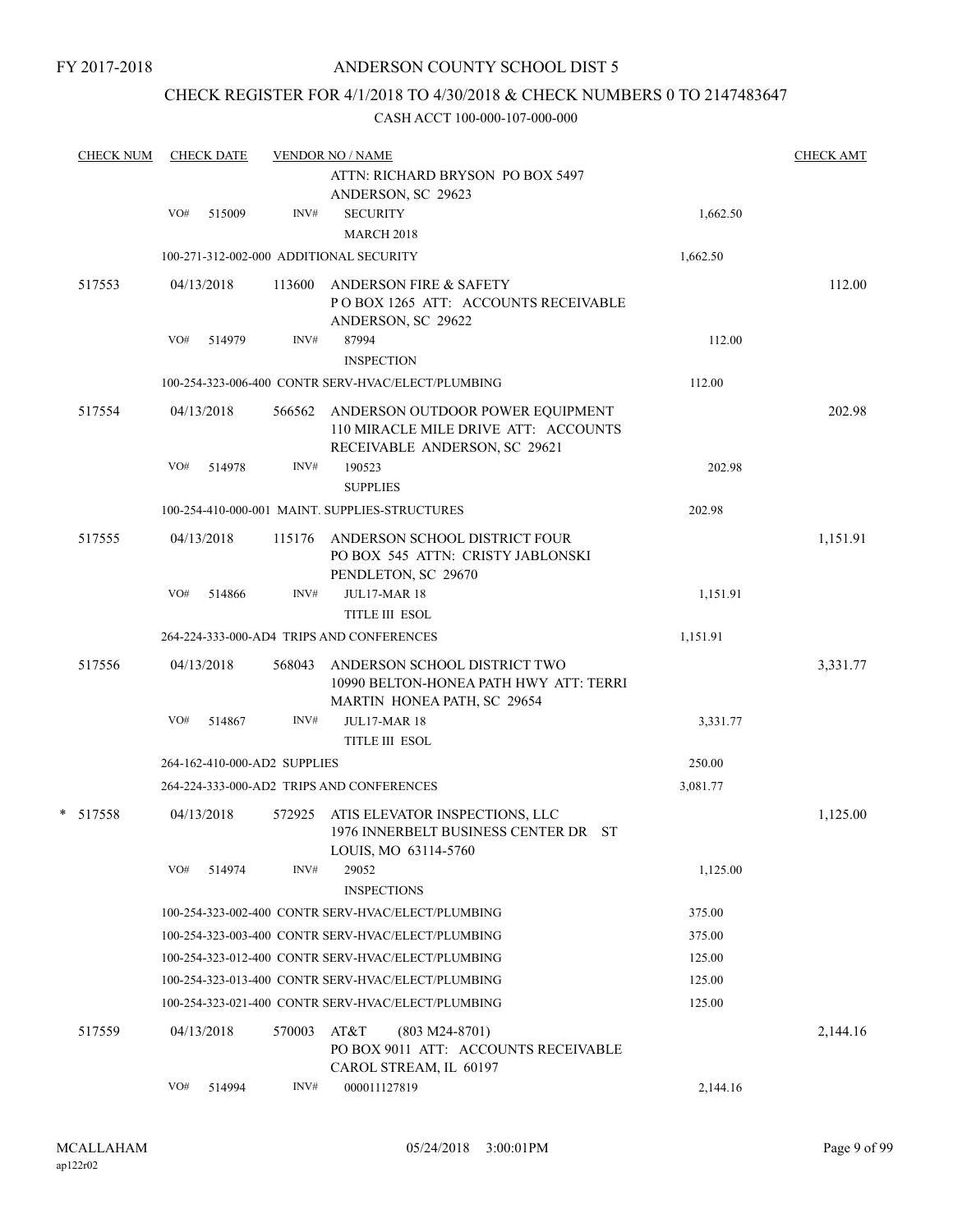## CHECK REGISTER FOR 4/1/2018 TO 4/30/2018 & CHECK NUMBERS 0 TO 2147483647

| <b>CHECK NUM</b> | <b>CHECK DATE</b>            |        | <b>VENDOR NO / NAME</b>                                                                                   | <b>CHECK AMT</b> |          |
|------------------|------------------------------|--------|-----------------------------------------------------------------------------------------------------------|------------------|----------|
|                  |                              |        | ATTN: RICHARD BRYSON PO BOX 5497<br>ANDERSON, SC 29623                                                    |                  |          |
|                  | VO#<br>515009                | INV#   | <b>SECURITY</b><br><b>MARCH 2018</b>                                                                      | 1,662.50         |          |
|                  |                              |        | 100-271-312-002-000 ADDITIONAL SECURITY                                                                   | 1,662.50         |          |
| 517553           | 04/13/2018                   | 113600 | ANDERSON FIRE & SAFETY<br>POBOX 1265 ATT: ACCOUNTS RECEIVABLE<br>ANDERSON, SC 29622                       |                  | 112.00   |
|                  | VO#<br>514979                | INV#   | 87994                                                                                                     | 112.00           |          |
|                  |                              |        | <b>INSPECTION</b>                                                                                         |                  |          |
|                  |                              |        | 100-254-323-006-400 CONTR SERV-HVAC/ELECT/PLUMBING                                                        | 112.00           |          |
| 517554           | 04/13/2018                   | 566562 | ANDERSON OUTDOOR POWER EQUIPMENT<br>110 MIRACLE MILE DRIVE ATT: ACCOUNTS<br>RECEIVABLE ANDERSON, SC 29621 |                  | 202.98   |
|                  | VO#<br>514978                | INV#   | 190523<br><b>SUPPLIES</b>                                                                                 | 202.98           |          |
|                  |                              |        | 100-254-410-000-001 MAINT. SUPPLIES-STRUCTURES                                                            | 202.98           |          |
| 517555           | 04/13/2018                   |        | 115176 ANDERSON SCHOOL DISTRICT FOUR<br>PO BOX 545 ATTN: CRISTY JABLONSKI<br>PENDLETON, SC 29670          |                  | 1,151.91 |
|                  | VO#<br>514866                | INV#   | <b>JUL17-MAR 18</b><br><b>TITLE III ESOL</b>                                                              | 1,151.91         |          |
|                  |                              |        | 264-224-333-000-AD4 TRIPS AND CONFERENCES                                                                 | 1,151.91         |          |
| 517556           | 04/13/2018                   | 568043 | ANDERSON SCHOOL DISTRICT TWO<br>10990 BELTON-HONEA PATH HWY ATT: TERRI<br>MARTIN HONEA PATH, SC 29654     |                  | 3,331.77 |
|                  | VO#<br>514867                | INV#   | <b>JUL17-MAR 18</b>                                                                                       | 3,331.77         |          |
|                  |                              |        | <b>TITLE III ESOL</b>                                                                                     |                  |          |
|                  | 264-162-410-000-AD2 SUPPLIES |        |                                                                                                           | 250.00           |          |
|                  |                              |        | 264-224-333-000-AD2 TRIPS AND CONFERENCES                                                                 | 3,081.77         |          |
| * 517558         | 04/13/2018                   | 572925 | ATIS ELEVATOR INSPECTIONS, LLC<br>1976 INNERBELT BUSINESS CENTER DR ST<br>LOUIS, MO 63114-5760            |                  | 1,125.00 |
|                  | VO#<br>514974                | INV#   | 29052<br><b>INSPECTIONS</b>                                                                               | 1,125.00         |          |
|                  |                              |        | 100-254-323-002-400 CONTR SERV-HVAC/ELECT/PLUMBING                                                        | 375.00           |          |
|                  |                              |        | 100-254-323-003-400 CONTR SERV-HVAC/ELECT/PLUMBING                                                        | 375.00           |          |
|                  |                              |        | 100-254-323-012-400 CONTR SERV-HVAC/ELECT/PLUMBING                                                        | 125.00           |          |
|                  |                              |        | 100-254-323-013-400 CONTR SERV-HVAC/ELECT/PLUMBING                                                        | 125.00           |          |
|                  |                              |        | 100-254-323-021-400 CONTR SERV-HVAC/ELECT/PLUMBING                                                        | 125.00           |          |
| 517559           | 04/13/2018                   | 570003 | AT&T<br>$(803 M24-8701)$<br>PO BOX 9011 ATT: ACCOUNTS RECEIVABLE<br>CAROL STREAM, IL 60197                |                  | 2,144.16 |
|                  | VO#<br>514994                | INV#   | 000011127819                                                                                              | 2,144.16         |          |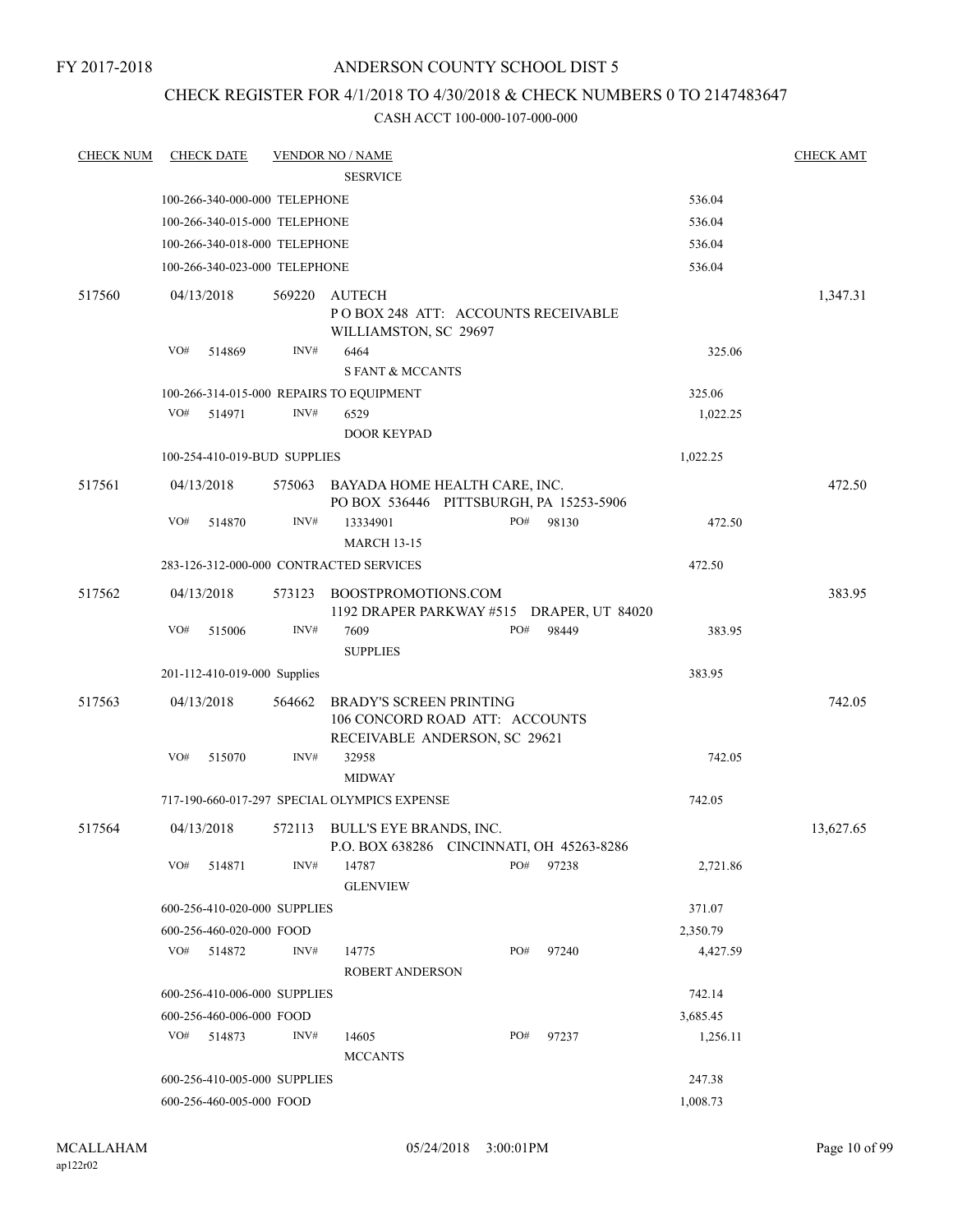### CHECK REGISTER FOR 4/1/2018 TO 4/30/2018 & CHECK NUMBERS 0 TO 2147483647

| <b>CHECK NUM</b> |     | <b>CHECK DATE</b>             |        | <b>VENDOR NO / NAME</b>                                                                           |     |       |          | <b>CHECK AMT</b> |
|------------------|-----|-------------------------------|--------|---------------------------------------------------------------------------------------------------|-----|-------|----------|------------------|
|                  |     |                               |        | <b>SESRVICE</b>                                                                                   |     |       |          |                  |
|                  |     | 100-266-340-000-000 TELEPHONE |        |                                                                                                   |     |       | 536.04   |                  |
|                  |     | 100-266-340-015-000 TELEPHONE |        |                                                                                                   |     |       | 536.04   |                  |
|                  |     | 100-266-340-018-000 TELEPHONE |        |                                                                                                   |     |       | 536.04   |                  |
|                  |     | 100-266-340-023-000 TELEPHONE |        |                                                                                                   |     |       | 536.04   |                  |
| 517560           |     | 04/13/2018                    | 569220 | AUTECH<br>PO BOX 248 ATT: ACCOUNTS RECEIVABLE<br>WILLIAMSTON, SC 29697                            |     |       |          | 1,347.31         |
|                  | VO# | 514869                        | INV#   | 6464<br><b>S FANT &amp; MCCANTS</b>                                                               |     |       | 325.06   |                  |
|                  |     |                               |        | 100-266-314-015-000 REPAIRS TO EQUIPMENT                                                          |     |       | 325.06   |                  |
|                  | VO# | 514971                        | INV#   | 6529<br><b>DOOR KEYPAD</b>                                                                        |     |       | 1,022.25 |                  |
|                  |     | 100-254-410-019-BUD SUPPLIES  |        |                                                                                                   |     |       | 1,022.25 |                  |
| 517561           |     | 04/13/2018                    |        | 575063 BAYADA HOME HEALTH CARE, INC.<br>PO BOX 536446 PITTSBURGH, PA 15253-5906                   |     |       |          | 472.50           |
|                  | VO# | 514870                        | INV#   | 13334901<br><b>MARCH 13-15</b>                                                                    | PO# | 98130 | 472.50   |                  |
|                  |     |                               |        | 283-126-312-000-000 CONTRACTED SERVICES                                                           |     |       | 472.50   |                  |
| 517562           |     | 04/13/2018                    | 573123 | BOOSTPROMOTIONS.COM<br>1192 DRAPER PARKWAY #515 DRAPER, UT 84020                                  |     |       |          | 383.95           |
|                  | VO# | 515006                        | INV#   | 7609<br><b>SUPPLIES</b>                                                                           | PO# | 98449 | 383.95   |                  |
|                  |     | 201-112-410-019-000 Supplies  |        |                                                                                                   |     |       | 383.95   |                  |
| 517563           |     | 04/13/2018                    | 564662 | <b>BRADY'S SCREEN PRINTING</b><br>106 CONCORD ROAD ATT: ACCOUNTS<br>RECEIVABLE ANDERSON, SC 29621 |     |       |          | 742.05           |
|                  | VO# | 515070                        | INV#   | 32958<br><b>MIDWAY</b>                                                                            |     |       | 742.05   |                  |
|                  |     |                               |        | 717-190-660-017-297 SPECIAL OLYMPICS EXPENSE                                                      |     |       | 742.05   |                  |
| 517564           |     | 04/13/2018                    |        | 572113 BULL'S EYE BRANDS, INC.<br>P.O. BOX 638286 CINCINNATI, OH 45263-8286                       |     |       |          | 13,627.65        |
|                  | VO# | 514871                        | INV#   | 14787<br><b>GLENVIEW</b>                                                                          | PO# | 97238 | 2,721.86 |                  |
|                  |     | 600-256-410-020-000 SUPPLIES  |        |                                                                                                   |     |       | 371.07   |                  |
|                  |     | 600-256-460-020-000 FOOD      |        |                                                                                                   |     |       | 2,350.79 |                  |
|                  | VO# | 514872                        | INV#   | 14775<br><b>ROBERT ANDERSON</b>                                                                   | PO# | 97240 | 4,427.59 |                  |
|                  |     | 600-256-410-006-000 SUPPLIES  |        |                                                                                                   |     |       | 742.14   |                  |
|                  |     | 600-256-460-006-000 FOOD      |        |                                                                                                   |     |       | 3,685.45 |                  |
|                  | VO# | 514873                        | INV#   | 14605<br><b>MCCANTS</b>                                                                           | PO# | 97237 | 1,256.11 |                  |
|                  |     | 600-256-410-005-000 SUPPLIES  |        |                                                                                                   |     |       | 247.38   |                  |
|                  |     | 600-256-460-005-000 FOOD      |        |                                                                                                   |     |       | 1,008.73 |                  |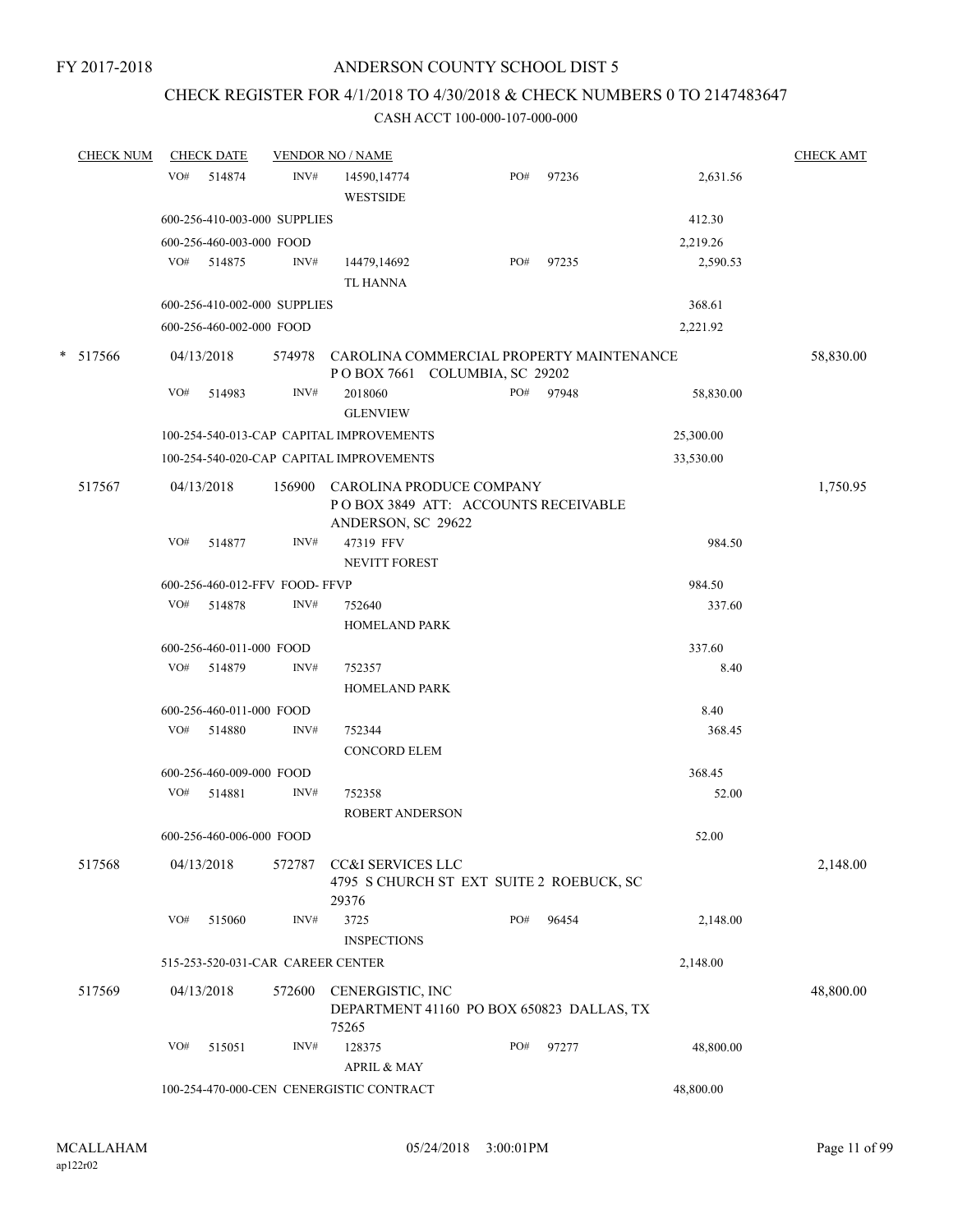## CHECK REGISTER FOR 4/1/2018 TO 4/30/2018 & CHECK NUMBERS 0 TO 2147483647

|        | <b>CHECK NUM</b> |     | <b>CHECK DATE</b>        |                                   | <b>VENDOR NO / NAME</b>                                                               |     |           |           | <b>CHECK AMT</b> |
|--------|------------------|-----|--------------------------|-----------------------------------|---------------------------------------------------------------------------------------|-----|-----------|-----------|------------------|
|        |                  | VO# | 514874                   | INV#                              | 14590,14774<br><b>WESTSIDE</b>                                                        | PO# | 97236     | 2,631.56  |                  |
|        |                  |     |                          | 600-256-410-003-000 SUPPLIES      |                                                                                       |     |           | 412.30    |                  |
|        |                  |     | 600-256-460-003-000 FOOD |                                   |                                                                                       |     |           | 2,219.26  |                  |
|        |                  | VO# | 514875                   | INV#                              | 14479,14692<br><b>TL HANNA</b>                                                        | PO# | 97235     | 2,590.53  |                  |
|        |                  |     |                          | 600-256-410-002-000 SUPPLIES      |                                                                                       |     |           | 368.61    |                  |
|        |                  |     | 600-256-460-002-000 FOOD |                                   |                                                                                       |     |           | 2,221.92  |                  |
| $\ast$ | 517566           |     | 04/13/2018               | 574978                            | CAROLINA COMMERCIAL PROPERTY MAINTENANCE<br>POBOX 7661 COLUMBIA, SC 29202             |     |           |           | 58,830.00        |
|        |                  | VO# | 514983                   | INV#                              | 2018060<br><b>GLENVIEW</b>                                                            |     | PO# 97948 | 58,830.00 |                  |
|        |                  |     |                          |                                   | 100-254-540-013-CAP CAPITAL IMPROVEMENTS                                              |     |           | 25,300.00 |                  |
|        |                  |     |                          |                                   | 100-254-540-020-CAP CAPITAL IMPROVEMENTS                                              |     |           | 33,530.00 |                  |
|        | 517567           |     | 04/13/2018               | 156900                            | CAROLINA PRODUCE COMPANY<br>POBOX 3849 ATT: ACCOUNTS RECEIVABLE<br>ANDERSON, SC 29622 |     |           |           | 1,750.95         |
|        |                  | VO# | 514877                   | INV#                              | 47319 FFV<br>NEVITT FOREST                                                            |     |           | 984.50    |                  |
|        |                  |     |                          | 600-256-460-012-FFV FOOD-FFVP     |                                                                                       |     |           | 984.50    |                  |
|        |                  |     | VO# 514878               | INV#                              | 752640<br><b>HOMELAND PARK</b>                                                        |     |           | 337.60    |                  |
|        |                  |     | 600-256-460-011-000 FOOD |                                   |                                                                                       |     |           | 337.60    |                  |
|        |                  | VO# | 514879                   | INV#                              | 752357<br><b>HOMELAND PARK</b>                                                        |     |           | 8.40      |                  |
|        |                  |     | 600-256-460-011-000 FOOD |                                   |                                                                                       |     |           | 8.40      |                  |
|        |                  |     | VO# 514880               | INV#                              | 752344<br><b>CONCORD ELEM</b>                                                         |     |           | 368.45    |                  |
|        |                  |     | 600-256-460-009-000 FOOD |                                   |                                                                                       |     |           | 368.45    |                  |
|        |                  |     | VO# 514881               | INV#                              | 752358<br><b>ROBERT ANDERSON</b>                                                      |     |           | 52.00     |                  |
|        |                  |     | 600-256-460-006-000 FOOD |                                   |                                                                                       |     |           | 52.00     |                  |
|        | 517568           |     | 04/13/2018               | 572787                            | CC&I SERVICES LLC<br>4795 S CHURCH ST EXT SUITE 2 ROEBUCK, SC<br>29376                |     |           |           | 2,148.00         |
|        |                  | VO# | 515060                   | INV#                              | 3725<br><b>INSPECTIONS</b>                                                            | PO# | 96454     | 2,148.00  |                  |
|        |                  |     |                          | 515-253-520-031-CAR CAREER CENTER |                                                                                       |     |           | 2,148.00  |                  |
|        | 517569           |     | 04/13/2018               | 572600                            | CENERGISTIC, INC<br>DEPARTMENT 41160 PO BOX 650823 DALLAS, TX<br>75265                |     |           |           | 48,800.00        |
|        |                  | VO# | 515051                   | INV#                              | 128375<br>APRIL & MAY                                                                 | PO# | 97277     | 48,800.00 |                  |
|        |                  |     |                          |                                   | 100-254-470-000-CEN CENERGISTIC CONTRACT                                              |     |           | 48,800.00 |                  |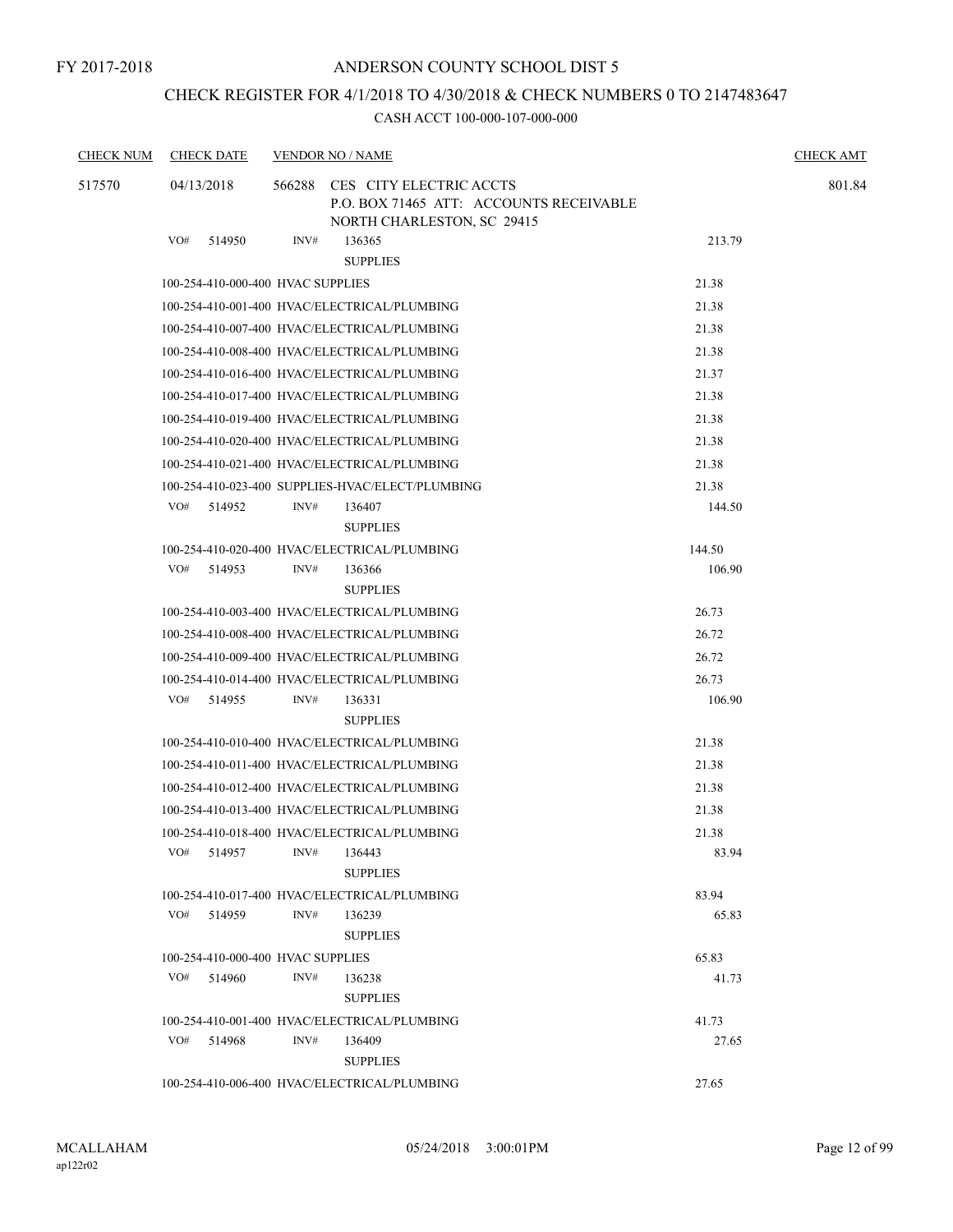### CHECK REGISTER FOR 4/1/2018 TO 4/30/2018 & CHECK NUMBERS 0 TO 2147483647

| <b>CHECK NUM</b> | <b>CHECK DATE</b>                 |        | <b>VENDOR NO / NAME</b>                                                                          |                 | <b>CHECK AMT</b> |
|------------------|-----------------------------------|--------|--------------------------------------------------------------------------------------------------|-----------------|------------------|
| 517570           | 04/13/2018                        | 566288 | CES CITY ELECTRIC ACCTS<br>P.O. BOX 71465 ATT: ACCOUNTS RECEIVABLE<br>NORTH CHARLESTON, SC 29415 |                 | 801.84           |
|                  | VO#<br>514950                     | INV#   | 136365<br><b>SUPPLIES</b>                                                                        | 213.79          |                  |
|                  | 100-254-410-000-400 HVAC SUPPLIES |        |                                                                                                  | 21.38           |                  |
|                  |                                   |        | 100-254-410-001-400 HVAC/ELECTRICAL/PLUMBING                                                     | 21.38           |                  |
|                  |                                   |        | 100-254-410-007-400 HVAC/ELECTRICAL/PLUMBING                                                     | 21.38           |                  |
|                  |                                   |        | 100-254-410-008-400 HVAC/ELECTRICAL/PLUMBING                                                     | 21.38           |                  |
|                  |                                   |        | 100-254-410-016-400 HVAC/ELECTRICAL/PLUMBING                                                     | 21.37           |                  |
|                  |                                   |        | 100-254-410-017-400 HVAC/ELECTRICAL/PLUMBING                                                     | 21.38           |                  |
|                  |                                   |        | 100-254-410-019-400 HVAC/ELECTRICAL/PLUMBING                                                     | 21.38           |                  |
|                  |                                   |        | 100-254-410-020-400 HVAC/ELECTRICAL/PLUMBING                                                     | 21.38           |                  |
|                  |                                   |        | 100-254-410-021-400 HVAC/ELECTRICAL/PLUMBING                                                     | 21.38           |                  |
|                  |                                   |        | 100-254-410-023-400 SUPPLIES-HVAC/ELECT/PLUMBING                                                 | 21.38           |                  |
|                  | VO#<br>514952                     | INV#   | 136407<br><b>SUPPLIES</b>                                                                        | 144.50          |                  |
|                  |                                   |        | 100-254-410-020-400 HVAC/ELECTRICAL/PLUMBING                                                     | 144.50          |                  |
|                  | VO#<br>514953                     | INV#   | 136366<br><b>SUPPLIES</b>                                                                        | 106.90          |                  |
|                  |                                   |        | 100-254-410-003-400 HVAC/ELECTRICAL/PLUMBING                                                     | 26.73           |                  |
|                  |                                   |        | 100-254-410-008-400 HVAC/ELECTRICAL/PLUMBING                                                     | 26.72           |                  |
|                  |                                   |        | 100-254-410-009-400 HVAC/ELECTRICAL/PLUMBING                                                     | 26.72           |                  |
|                  | VO# 514955                        | INV#   | 100-254-410-014-400 HVAC/ELECTRICAL/PLUMBING<br>136331<br><b>SUPPLIES</b>                        | 26.73<br>106.90 |                  |
|                  |                                   |        | 100-254-410-010-400 HVAC/ELECTRICAL/PLUMBING                                                     | 21.38           |                  |
|                  |                                   |        | 100-254-410-011-400 HVAC/ELECTRICAL/PLUMBING                                                     | 21.38           |                  |
|                  |                                   |        | 100-254-410-012-400 HVAC/ELECTRICAL/PLUMBING                                                     | 21.38           |                  |
|                  |                                   |        | 100-254-410-013-400 HVAC/ELECTRICAL/PLUMBING                                                     | 21.38           |                  |
|                  |                                   |        | 100-254-410-018-400 HVAC/ELECTRICAL/PLUMBING                                                     | 21.38           |                  |
|                  | VO#<br>514957                     | INV#   | 136443<br><b>SUPPLIES</b>                                                                        | 83.94           |                  |
|                  |                                   |        | 100-254-410-017-400 HVAC/ELECTRICAL/PLUMBING                                                     | 83.94           |                  |
|                  | VO# 514959                        | INV#   | 136239<br><b>SUPPLIES</b>                                                                        | 65.83           |                  |
|                  | 100-254-410-000-400 HVAC SUPPLIES |        |                                                                                                  | 65.83           |                  |
|                  | VO#<br>514960                     | INV#   | 136238<br><b>SUPPLIES</b>                                                                        | 41.73           |                  |
|                  |                                   |        | 100-254-410-001-400 HVAC/ELECTRICAL/PLUMBING                                                     | 41.73           |                  |
|                  | VO#<br>514968                     | INV#   | 136409<br><b>SUPPLIES</b>                                                                        | 27.65           |                  |
|                  |                                   |        | 100-254-410-006-400 HVAC/ELECTRICAL/PLUMBING                                                     | 27.65           |                  |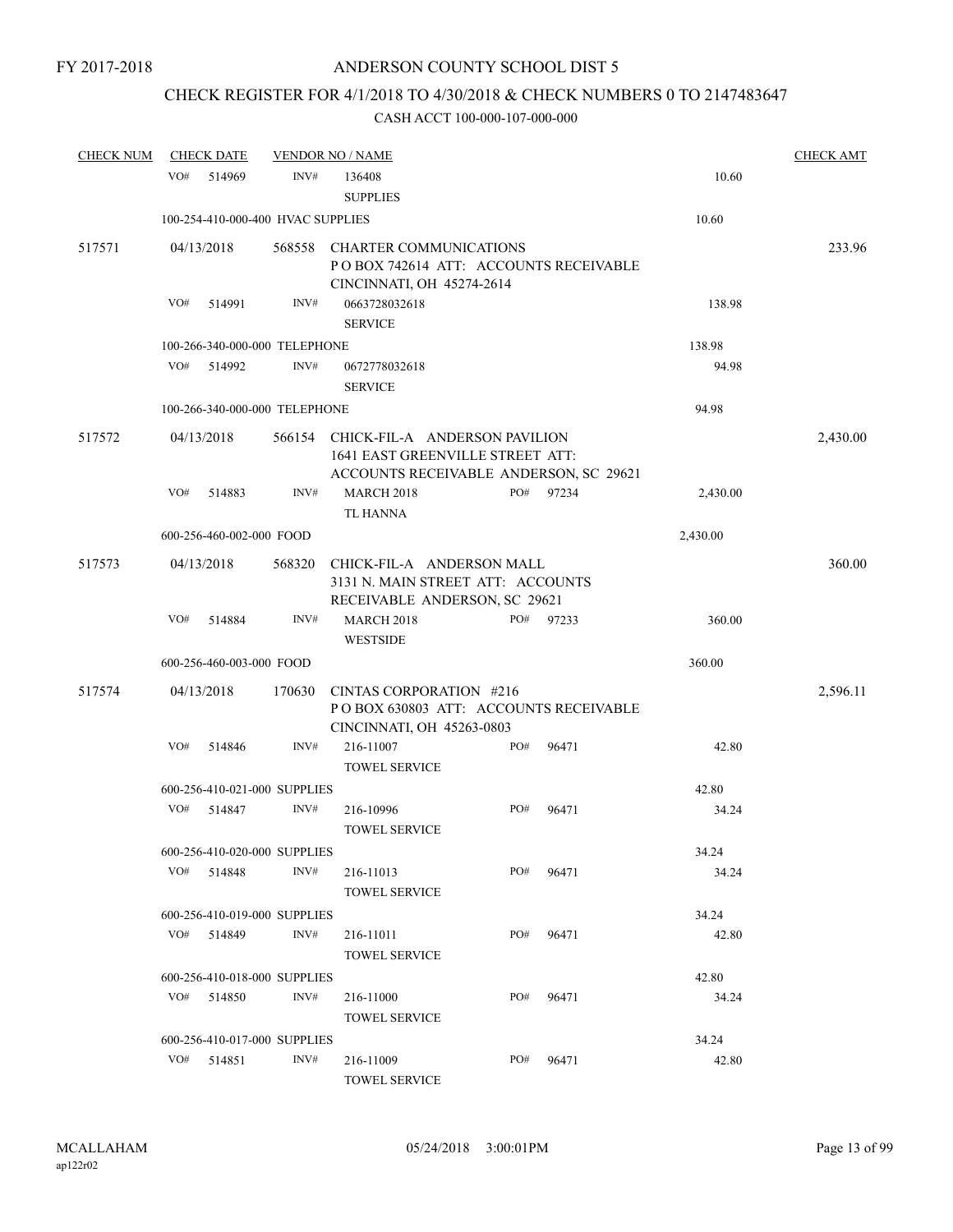### CHECK REGISTER FOR 4/1/2018 TO 4/30/2018 & CHECK NUMBERS 0 TO 2147483647

| <b>CHECK NUM</b> |     | <b>CHECK DATE</b>                 |        | <b>VENDOR NO / NAME</b>                                                                                     |     |       |          | <b>CHECK AMT</b> |
|------------------|-----|-----------------------------------|--------|-------------------------------------------------------------------------------------------------------------|-----|-------|----------|------------------|
|                  | VO# | 514969                            | INV#   | 136408<br><b>SUPPLIES</b>                                                                                   |     |       | 10.60    |                  |
|                  |     | 100-254-410-000-400 HVAC SUPPLIES |        |                                                                                                             |     |       | 10.60    |                  |
| 517571           |     | 04/13/2018                        |        | 568558 CHARTER COMMUNICATIONS<br>PO BOX 742614 ATT: ACCOUNTS RECEIVABLE<br>CINCINNATI, OH 45274-2614        |     |       |          | 233.96           |
|                  | VO# | 514991                            | INV#   | 0663728032618<br><b>SERVICE</b>                                                                             |     |       | 138.98   |                  |
|                  |     | 100-266-340-000-000 TELEPHONE     |        |                                                                                                             |     |       | 138.98   |                  |
|                  | VO# | 514992                            | INV#   | 0672778032618<br><b>SERVICE</b>                                                                             |     |       | 94.98    |                  |
|                  |     | 100-266-340-000-000 TELEPHONE     |        |                                                                                                             |     |       | 94.98    |                  |
| 517572           |     | 04/13/2018                        | 566154 | CHICK-FIL-A ANDERSON PAVILION<br>1641 EAST GREENVILLE STREET ATT:<br>ACCOUNTS RECEIVABLE ANDERSON, SC 29621 |     |       |          | 2,430.00         |
|                  | VO# | 514883                            | INV#   | <b>MARCH 2018</b><br><b>TL HANNA</b>                                                                        | PO# | 97234 | 2,430.00 |                  |
|                  |     | 600-256-460-002-000 FOOD          |        |                                                                                                             |     |       | 2,430.00 |                  |
| 517573           |     | 04/13/2018                        | 568320 | CHICK-FIL-A ANDERSON MALL<br>3131 N. MAIN STREET ATT: ACCOUNTS<br>RECEIVABLE ANDERSON, SC 29621             |     |       |          | 360.00           |
|                  | VO# | 514884                            | INV#   | <b>MARCH 2018</b><br><b>WESTSIDE</b>                                                                        | PO# | 97233 | 360.00   |                  |
|                  |     | 600-256-460-003-000 FOOD          |        |                                                                                                             |     |       | 360.00   |                  |
| 517574           |     | 04/13/2018                        | 170630 | CINTAS CORPORATION #216                                                                                     |     |       |          | 2,596.11         |
|                  |     |                                   |        | POBOX 630803 ATT: ACCOUNTS RECEIVABLE<br>CINCINNATI, OH 45263-0803                                          |     |       |          |                  |
|                  | VO# | 514846                            | INV#   | 216-11007<br><b>TOWEL SERVICE</b>                                                                           | PO# | 96471 | 42.80    |                  |
|                  |     | 600-256-410-021-000 SUPPLIES      |        |                                                                                                             |     |       | 42.80    |                  |
|                  | VO# | 514847                            | INV#   | 216-10996<br><b>TOWEL SERVICE</b>                                                                           | PO# | 96471 | 34.24    |                  |
|                  |     | 600-256-410-020-000 SUPPLIES      |        |                                                                                                             |     |       | 34.24    |                  |
|                  | VO# | 514848                            | INV#   | 216-11013<br><b>TOWEL SERVICE</b>                                                                           | PO# | 96471 | 34.24    |                  |
|                  |     | 600-256-410-019-000 SUPPLIES      |        |                                                                                                             |     |       | 34.24    |                  |
|                  | VO# | 514849                            | INV#   | 216-11011<br><b>TOWEL SERVICE</b>                                                                           | PO# | 96471 | 42.80    |                  |
|                  |     | 600-256-410-018-000 SUPPLIES      |        |                                                                                                             |     |       | 42.80    |                  |
|                  | VO# | 514850                            | INV#   | 216-11000<br><b>TOWEL SERVICE</b>                                                                           | PO# | 96471 | 34.24    |                  |
|                  |     | 600-256-410-017-000 SUPPLIES      |        |                                                                                                             |     |       | 34.24    |                  |
|                  |     | VO# 514851                        | INV#   | 216-11009<br><b>TOWEL SERVICE</b>                                                                           | PO# | 96471 | 42.80    |                  |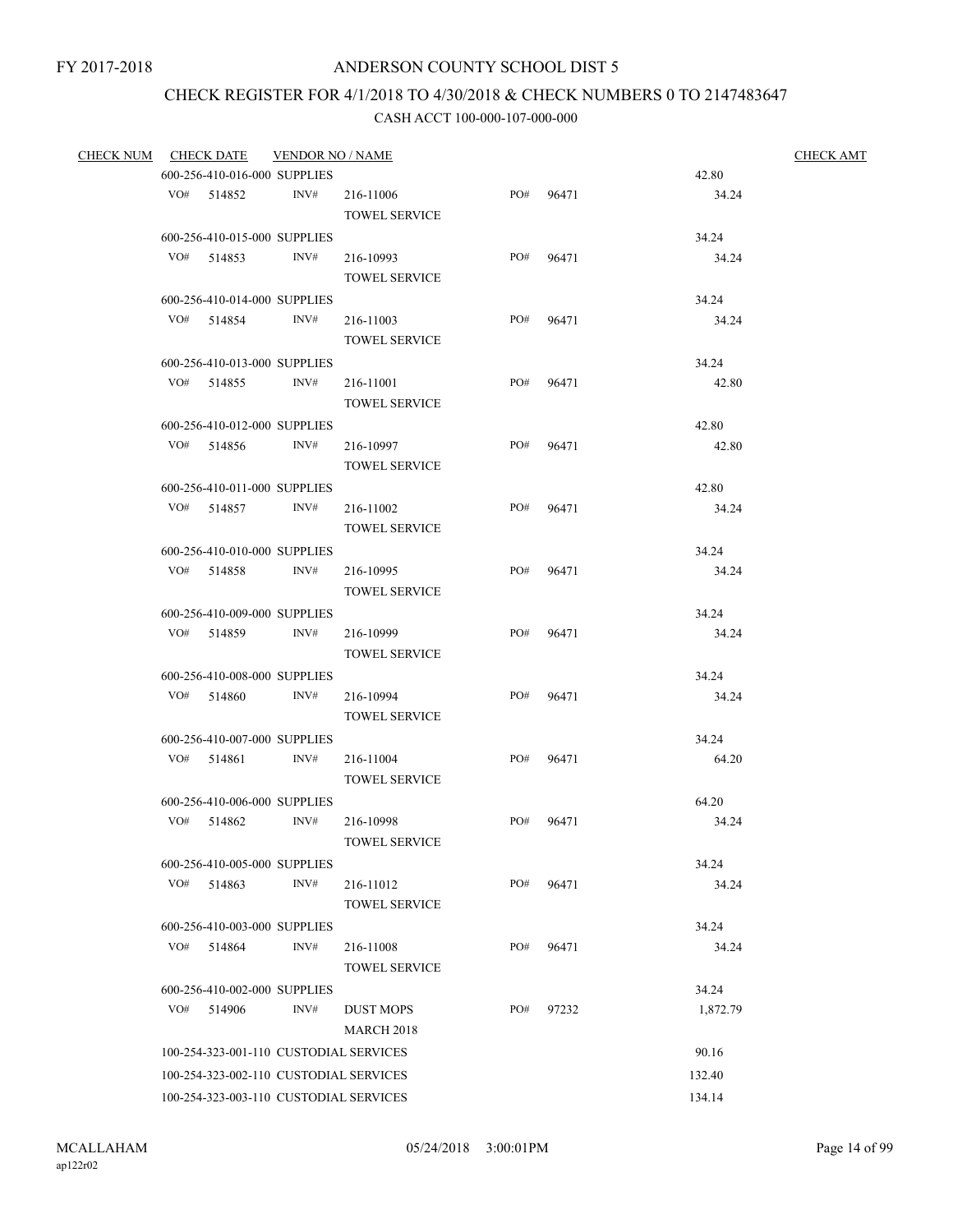## CHECK REGISTER FOR 4/1/2018 TO 4/30/2018 & CHECK NUMBERS 0 TO 2147483647

| <b>CHECK NUM</b> |     | <b>CHECK DATE</b>                          | <b>VENDOR NO / NAME</b> |                                        |     |       |                | <b>CHECK AMT</b> |
|------------------|-----|--------------------------------------------|-------------------------|----------------------------------------|-----|-------|----------------|------------------|
|                  |     | 600-256-410-016-000 SUPPLIES               |                         |                                        |     |       | 42.80          |                  |
|                  |     | VO# 514852                                 | INV#                    | 216-11006                              | PO# | 96471 | 34.24          |                  |
|                  |     |                                            |                         | <b>TOWEL SERVICE</b>                   |     |       |                |                  |
|                  |     | 600-256-410-015-000 SUPPLIES               |                         |                                        |     |       | 34.24          |                  |
|                  |     | VO# 514853                                 | INV#                    | 216-10993                              | PO# | 96471 | 34.24          |                  |
|                  |     |                                            |                         | TOWEL SERVICE                          |     |       |                |                  |
|                  |     | 600-256-410-014-000 SUPPLIES               |                         |                                        |     |       | 34.24          |                  |
|                  |     | VO# 514854                                 | INV#                    | 216-11003                              | PO# | 96471 | 34.24          |                  |
|                  |     |                                            |                         | <b>TOWEL SERVICE</b>                   |     |       |                |                  |
|                  |     | 600-256-410-013-000 SUPPLIES               |                         |                                        |     |       | 34.24          |                  |
|                  |     | VO# 514855                                 | INV#                    | 216-11001                              | PO# | 96471 | 42.80          |                  |
|                  |     |                                            |                         | <b>TOWEL SERVICE</b>                   |     |       |                |                  |
|                  |     | 600-256-410-012-000 SUPPLIES               |                         |                                        |     |       | 42.80          |                  |
|                  |     | VO# 514856                                 | INV#                    | 216-10997                              | PO# | 96471 | 42.80          |                  |
|                  |     |                                            |                         | <b>TOWEL SERVICE</b>                   |     |       |                |                  |
|                  |     | 600-256-410-011-000 SUPPLIES               |                         |                                        |     |       | 42.80          |                  |
|                  |     | VO# 514857                                 | INV#                    | 216-11002                              | PO# | 96471 | 34.24          |                  |
|                  |     |                                            |                         | <b>TOWEL SERVICE</b>                   |     |       |                |                  |
|                  |     | 600-256-410-010-000 SUPPLIES               |                         |                                        |     |       | 34.24          |                  |
|                  |     | VO# 514858                                 | INV#                    | 216-10995                              | PO# | 96471 | 34.24          |                  |
|                  |     |                                            |                         | <b>TOWEL SERVICE</b>                   |     |       |                |                  |
|                  |     | 600-256-410-009-000 SUPPLIES               |                         |                                        |     |       | 34.24          |                  |
|                  |     | VO# 514859                                 | INV#                    | 216-10999                              | PO# | 96471 | 34.24          |                  |
|                  |     |                                            |                         | <b>TOWEL SERVICE</b>                   |     |       |                |                  |
|                  |     | 600-256-410-008-000 SUPPLIES               |                         |                                        |     |       | 34.24          |                  |
|                  |     | $VO#$ 514860                               | INV#                    | 216-10994                              | PO# | 96471 | 34.24          |                  |
|                  |     |                                            |                         | <b>TOWEL SERVICE</b>                   |     |       |                |                  |
|                  |     | 600-256-410-007-000 SUPPLIES               |                         |                                        |     |       | 34.24          |                  |
|                  |     | VO# 514861                                 | INV#                    | 216-11004                              | PO# | 96471 | 64.20          |                  |
|                  |     |                                            |                         | <b>TOWEL SERVICE</b>                   |     |       |                |                  |
|                  |     | 600-256-410-006-000 SUPPLIES               |                         |                                        |     |       | 64.20          |                  |
|                  | VO# | 514862                                     | INV#                    | 216-10998                              | PO# | 96471 | 34.24          |                  |
|                  |     |                                            |                         | TOWEL SERVICE                          |     |       |                |                  |
|                  |     | 600-256-410-005-000 SUPPLIES               |                         |                                        |     |       | 34.24          |                  |
|                  | VO# | 514863                                     | INV#                    | 216-11012                              | PO# | 96471 | 34.24          |                  |
|                  |     |                                            |                         | <b>TOWEL SERVICE</b>                   |     |       |                |                  |
|                  |     |                                            |                         |                                        |     |       |                |                  |
|                  |     | 600-256-410-003-000 SUPPLIES<br>VO# 514864 | INV#                    | 216-11008                              | PO# | 96471 | 34.24<br>34.24 |                  |
|                  |     |                                            |                         |                                        |     |       |                |                  |
|                  |     |                                            |                         | <b>TOWEL SERVICE</b>                   |     |       |                |                  |
|                  |     | 600-256-410-002-000 SUPPLIES               |                         |                                        |     |       | 34.24          |                  |
|                  | VO# | 514906                                     | INV#                    | <b>DUST MOPS</b>                       | PO# | 97232 | 1,872.79       |                  |
|                  |     |                                            |                         | <b>MARCH 2018</b>                      |     |       |                |                  |
|                  |     |                                            |                         | 100-254-323-001-110 CUSTODIAL SERVICES |     |       | 90.16          |                  |
|                  |     |                                            |                         | 100-254-323-002-110 CUSTODIAL SERVICES |     |       | 132.40         |                  |
|                  |     |                                            |                         | 100-254-323-003-110 CUSTODIAL SERVICES |     |       | 134.14         |                  |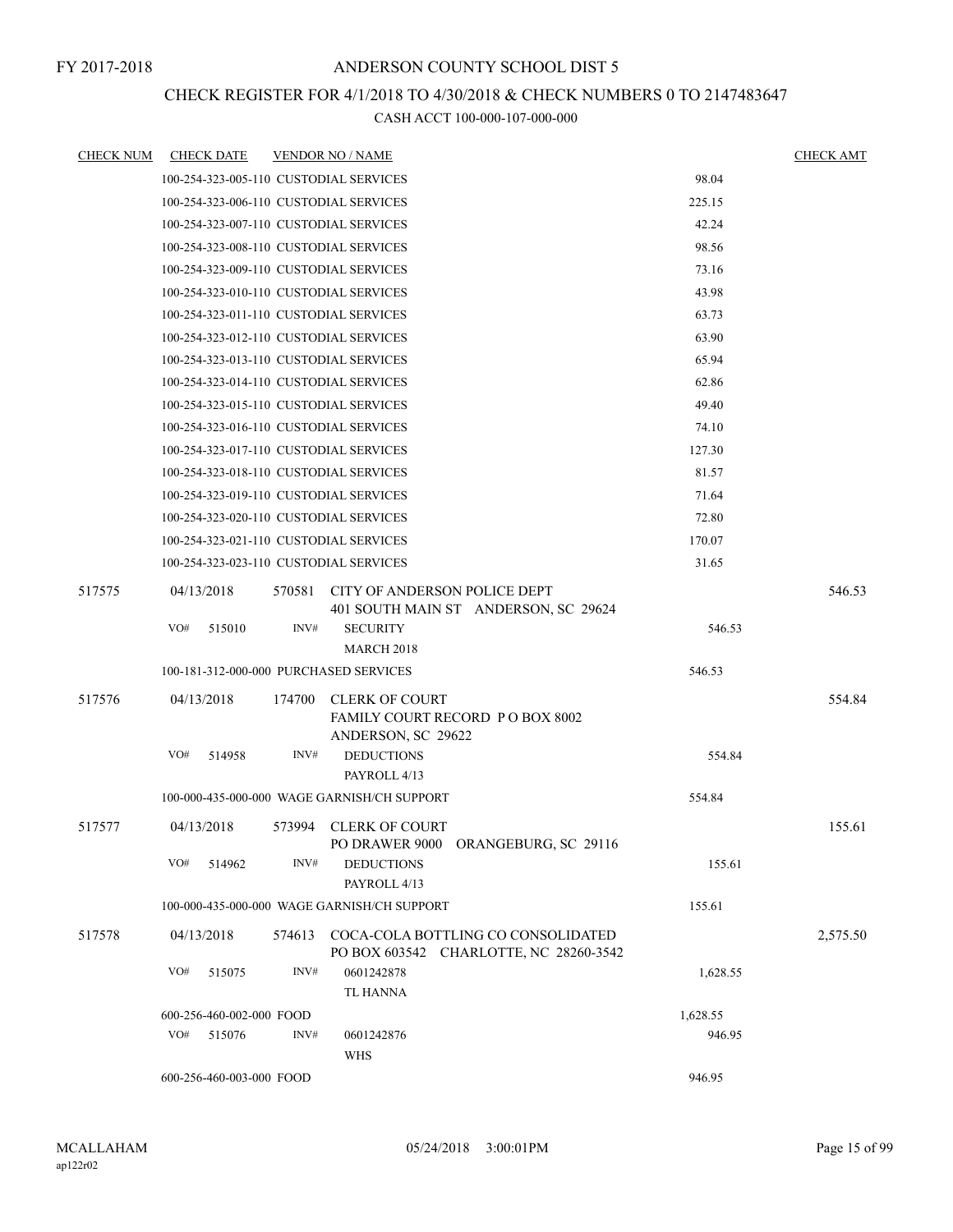### CHECK REGISTER FOR 4/1/2018 TO 4/30/2018 & CHECK NUMBERS 0 TO 2147483647

| <b>CHECK NUM</b> | <b>CHECK DATE</b>                      |        | <b>VENDOR NO / NAME</b>                                     |          | <b>CHECK AMT</b> |
|------------------|----------------------------------------|--------|-------------------------------------------------------------|----------|------------------|
|                  | 100-254-323-005-110 CUSTODIAL SERVICES |        |                                                             | 98.04    |                  |
|                  | 100-254-323-006-110 CUSTODIAL SERVICES |        |                                                             | 225.15   |                  |
|                  | 100-254-323-007-110 CUSTODIAL SERVICES |        |                                                             | 42.24    |                  |
|                  | 100-254-323-008-110 CUSTODIAL SERVICES |        |                                                             | 98.56    |                  |
|                  | 100-254-323-009-110 CUSTODIAL SERVICES |        |                                                             | 73.16    |                  |
|                  | 100-254-323-010-110 CUSTODIAL SERVICES |        |                                                             | 43.98    |                  |
|                  | 100-254-323-011-110 CUSTODIAL SERVICES |        |                                                             | 63.73    |                  |
|                  | 100-254-323-012-110 CUSTODIAL SERVICES |        |                                                             | 63.90    |                  |
|                  | 100-254-323-013-110 CUSTODIAL SERVICES |        |                                                             | 65.94    |                  |
|                  | 100-254-323-014-110 CUSTODIAL SERVICES |        |                                                             | 62.86    |                  |
|                  | 100-254-323-015-110 CUSTODIAL SERVICES |        |                                                             | 49.40    |                  |
|                  | 100-254-323-016-110 CUSTODIAL SERVICES |        |                                                             | 74.10    |                  |
|                  | 100-254-323-017-110 CUSTODIAL SERVICES |        |                                                             | 127.30   |                  |
|                  | 100-254-323-018-110 CUSTODIAL SERVICES |        |                                                             | 81.57    |                  |
|                  | 100-254-323-019-110 CUSTODIAL SERVICES |        |                                                             | 71.64    |                  |
|                  | 100-254-323-020-110 CUSTODIAL SERVICES |        |                                                             | 72.80    |                  |
|                  | 100-254-323-021-110 CUSTODIAL SERVICES |        |                                                             | 170.07   |                  |
|                  | 100-254-323-023-110 CUSTODIAL SERVICES |        |                                                             | 31.65    |                  |
| 517575           | 04/13/2018                             | 570581 | <b>CITY OF ANDERSON POLICE DEPT</b>                         |          | 546.53           |
|                  |                                        |        | 401 SOUTH MAIN ST ANDERSON, SC 29624                        |          |                  |
|                  | VO#<br>515010                          | INV#   | <b>SECURITY</b>                                             | 546.53   |                  |
|                  |                                        |        | <b>MARCH 2018</b>                                           |          |                  |
|                  | 100-181-312-000-000 PURCHASED SERVICES |        |                                                             | 546.53   |                  |
| 517576           | 04/13/2018                             | 174700 | CLERK OF COURT                                              |          | 554.84           |
|                  |                                        |        | FAMILY COURT RECORD P O BOX 8002<br>ANDERSON, SC 29622      |          |                  |
|                  | VO#<br>514958                          | INV#   | <b>DEDUCTIONS</b>                                           | 554.84   |                  |
|                  |                                        |        | PAYROLL 4/13                                                |          |                  |
|                  |                                        |        | 100-000-435-000-000 WAGE GARNISH/CH SUPPORT                 | 554.84   |                  |
| 517577           | 04/13/2018                             |        | 573994 CLERK OF COURT                                       |          | 155.61           |
|                  |                                        |        | PO DRAWER 9000 ORANGEBURG, SC 29116                         |          |                  |
|                  | VO#<br>514962                          | INV#   | <b>DEDUCTIONS</b>                                           | 155.61   |                  |
|                  |                                        |        | PAYROLL 4/13<br>100-000-435-000-000 WAGE GARNISH/CH SUPPORT |          |                  |
|                  |                                        |        |                                                             | 155.61   |                  |
| 517578           | 04/13/2018                             | 574613 | COCA-COLA BOTTLING CO CONSOLIDATED                          |          | 2,575.50         |
|                  | VO#<br>515075                          | INV#   | PO BOX 603542 CHARLOTTE, NC 28260-3542<br>0601242878        | 1,628.55 |                  |
|                  |                                        |        | <b>TL HANNA</b>                                             |          |                  |
|                  | 600-256-460-002-000 FOOD               |        |                                                             | 1,628.55 |                  |
|                  | VO#<br>515076                          | INV#   | 0601242876                                                  | 946.95   |                  |
|                  |                                        |        | <b>WHS</b>                                                  |          |                  |
|                  | 600-256-460-003-000 FOOD               |        |                                                             | 946.95   |                  |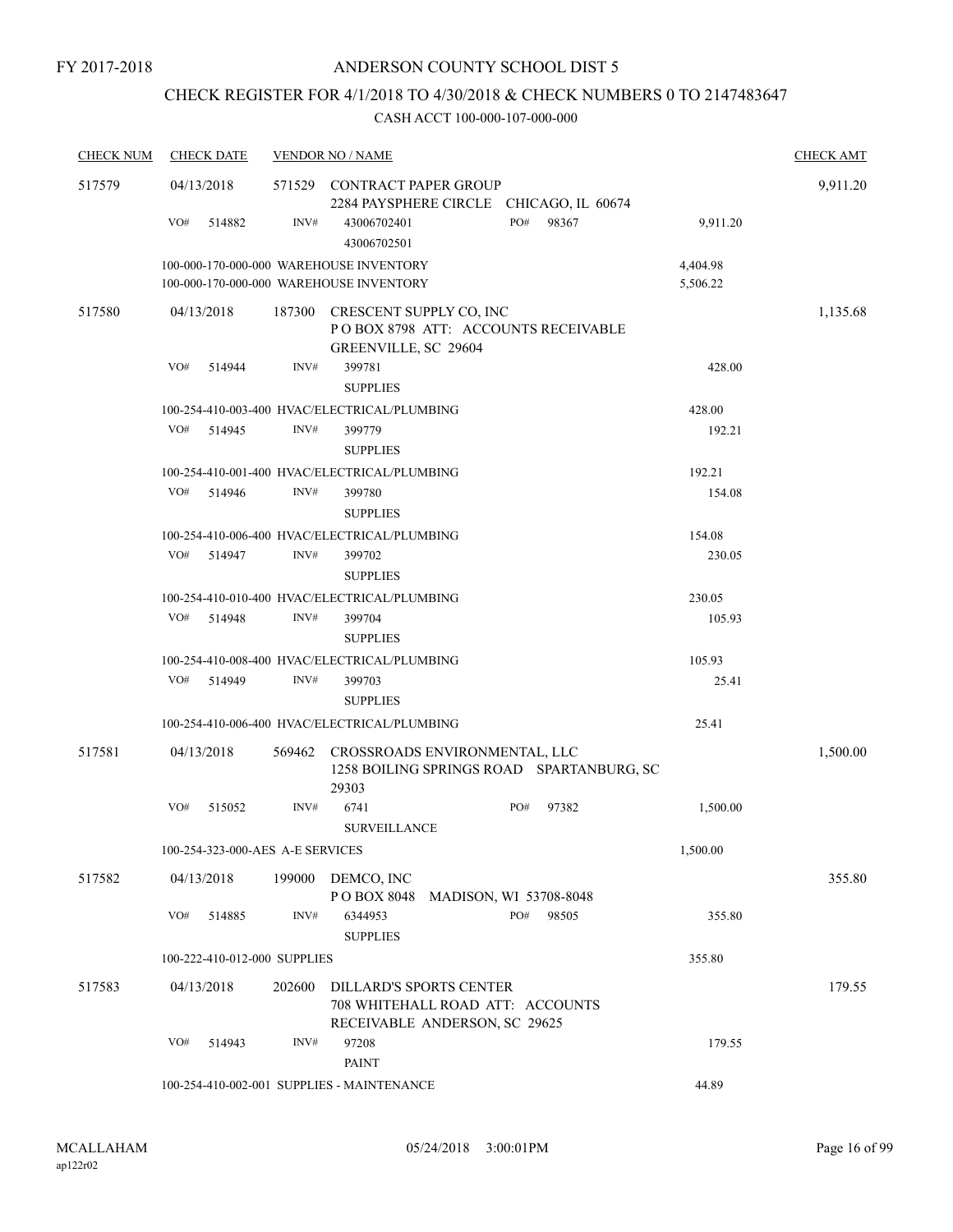### CHECK REGISTER FOR 4/1/2018 TO 4/30/2018 & CHECK NUMBERS 0 TO 2147483647

| <b>CHECK NUM</b> | <b>CHECK DATE</b>                |        | <b>VENDOR NO / NAME</b>                                                                             |              |                      | <b>CHECK AMT</b> |
|------------------|----------------------------------|--------|-----------------------------------------------------------------------------------------------------|--------------|----------------------|------------------|
| 517579           | 04/13/2018                       |        | 571529 CONTRACT PAPER GROUP<br>2284 PAYSPHERE CIRCLE CHICAGO, IL 60674                              |              |                      | 9,911.20         |
|                  | VO#<br>514882                    | INV#   | 43006702401<br>43006702501                                                                          | PO#<br>98367 | 9,911.20             |                  |
|                  |                                  |        | 100-000-170-000-000 WAREHOUSE INVENTORY<br>100-000-170-000-000 WAREHOUSE INVENTORY                  |              | 4,404.98<br>5,506.22 |                  |
| 517580           | 04/13/2018                       | 187300 | CRESCENT SUPPLY CO, INC<br>POBOX 8798 ATT: ACCOUNTS RECEIVABLE<br>GREENVILLE, SC 29604              |              |                      | 1,135.68         |
|                  | VO#<br>514944                    | INV#   | 399781<br><b>SUPPLIES</b>                                                                           |              | 428.00               |                  |
|                  |                                  |        | 100-254-410-003-400 HVAC/ELECTRICAL/PLUMBING                                                        |              | 428.00               |                  |
|                  | VO#<br>514945                    | INV#   | 399779<br><b>SUPPLIES</b>                                                                           |              | 192.21               |                  |
|                  |                                  |        | 100-254-410-001-400 HVAC/ELECTRICAL/PLUMBING                                                        |              | 192.21               |                  |
|                  | VO#<br>514946                    | INV#   | 399780<br><b>SUPPLIES</b>                                                                           |              | 154.08               |                  |
|                  |                                  |        | 100-254-410-006-400 HVAC/ELECTRICAL/PLUMBING                                                        |              | 154.08               |                  |
|                  | VO#<br>514947                    | INV#   | 399702<br><b>SUPPLIES</b>                                                                           |              | 230.05               |                  |
|                  |                                  |        | 100-254-410-010-400 HVAC/ELECTRICAL/PLUMBING                                                        |              | 230.05               |                  |
|                  | VO#<br>514948                    | INV#   | 399704<br><b>SUPPLIES</b>                                                                           |              | 105.93               |                  |
|                  |                                  |        | 100-254-410-008-400 HVAC/ELECTRICAL/PLUMBING                                                        |              | 105.93               |                  |
|                  | VO#<br>514949                    | INV#   | 399703<br><b>SUPPLIES</b>                                                                           |              | 25.41                |                  |
|                  |                                  |        | 100-254-410-006-400 HVAC/ELECTRICAL/PLUMBING                                                        |              | 25.41                |                  |
| 517581           | 04/13/2018                       | 569462 | CROSSROADS ENVIRONMENTAL, LLC<br>1258 BOILING SPRINGS ROAD SPARTANBURG, SC<br>29303                 |              |                      | 1,500.00         |
|                  | VO#<br>515052                    | INV#   | 6741<br><b>SURVEILLANCE</b>                                                                         | PO#<br>97382 | 1,500.00             |                  |
|                  | 100-254-323-000-AES A-E SERVICES |        |                                                                                                     |              | 1,500.00             |                  |
| 517582           | 04/13/2018                       | 199000 | DEMCO, INC<br>POBOX 8048 MADISON, WI 53708-8048                                                     |              |                      | 355.80           |
|                  | VO#<br>514885                    | INV#   | 6344953<br><b>SUPPLIES</b>                                                                          | PO#<br>98505 | 355.80               |                  |
|                  | 100-222-410-012-000 SUPPLIES     |        |                                                                                                     |              | 355.80               |                  |
| 517583           | 04/13/2018                       | 202600 | <b>DILLARD'S SPORTS CENTER</b><br>708 WHITEHALL ROAD ATT: ACCOUNTS<br>RECEIVABLE ANDERSON, SC 29625 |              |                      | 179.55           |
|                  | VO#<br>514943                    | INV#   | 97208<br><b>PAINT</b>                                                                               |              | 179.55               |                  |
|                  |                                  |        | 100-254-410-002-001 SUPPLIES - MAINTENANCE                                                          |              | 44.89                |                  |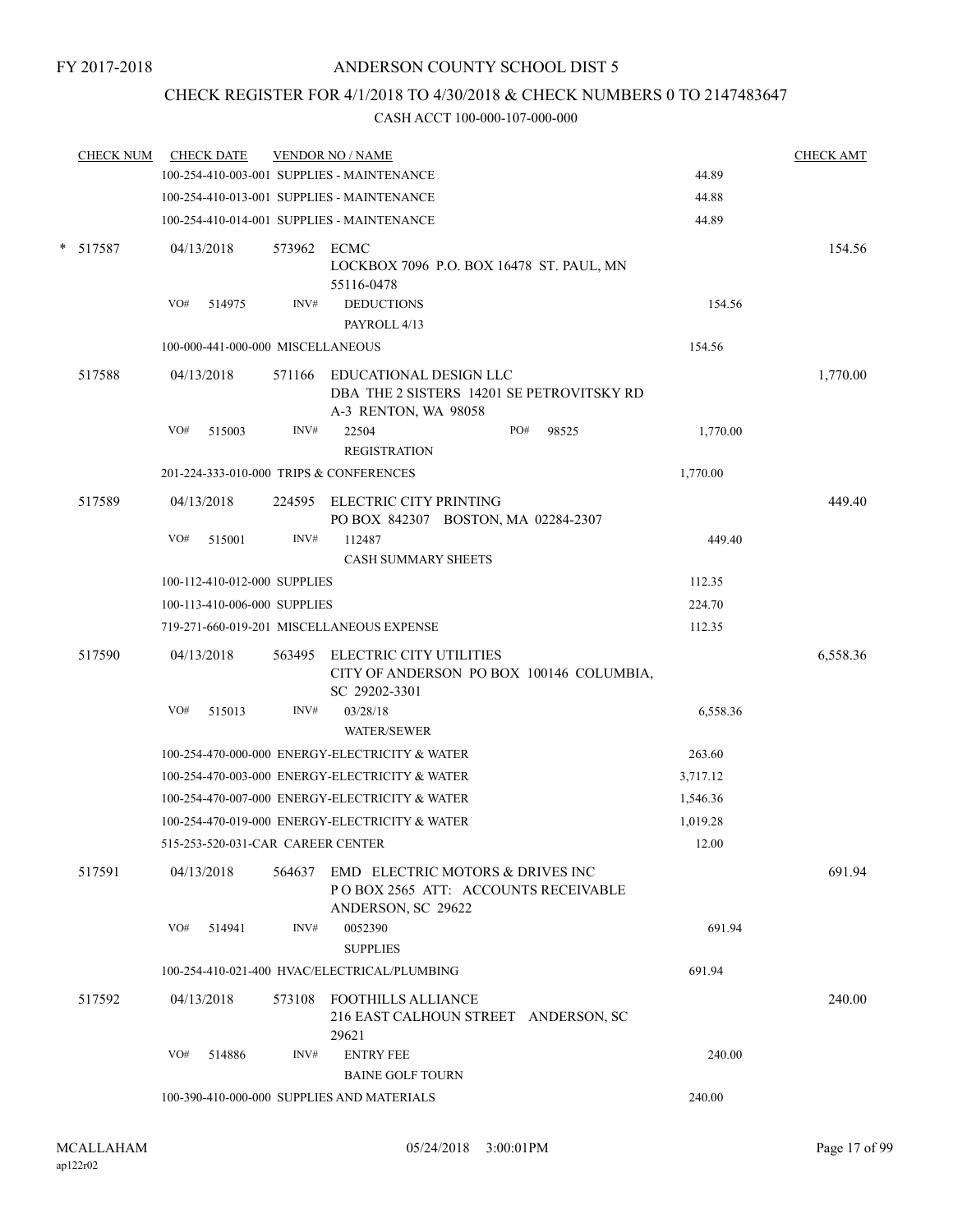### CHECK REGISTER FOR 4/1/2018 TO 4/30/2018 & CHECK NUMBERS 0 TO 2147483647

| <b>CHECK NUM</b> | <b>CHECK DATE</b>                 |        |             | <b>VENDOR NO / NAME</b>                                                                       |     |       |          | <b>CHECK AMT</b> |
|------------------|-----------------------------------|--------|-------------|-----------------------------------------------------------------------------------------------|-----|-------|----------|------------------|
|                  |                                   |        |             | 100-254-410-003-001 SUPPLIES - MAINTENANCE                                                    |     |       | 44.89    |                  |
|                  |                                   |        |             | 100-254-410-013-001 SUPPLIES - MAINTENANCE                                                    |     |       | 44.88    |                  |
|                  |                                   |        |             | 100-254-410-014-001 SUPPLIES - MAINTENANCE                                                    |     |       | 44.89    |                  |
| * 517587         | 04/13/2018                        |        | 573962 ECMC | LOCKBOX 7096 P.O. BOX 16478 ST. PAUL, MN<br>55116-0478                                        |     |       |          | 154.56           |
|                  | VO#                               | 514975 | INV#        | <b>DEDUCTIONS</b><br>PAYROLL 4/13                                                             |     |       | 154.56   |                  |
|                  | 100-000-441-000-000 MISCELLANEOUS |        |             |                                                                                               |     |       | 154.56   |                  |
| 517588           | 04/13/2018                        |        | 571166      | EDUCATIONAL DESIGN LLC                                                                        |     |       |          | 1,770.00         |
|                  |                                   |        |             | DBA THE 2 SISTERS 14201 SE PETROVITSKY RD<br>A-3 RENTON, WA 98058                             |     |       |          |                  |
|                  | VO#                               | 515003 | INV#        | 22504<br><b>REGISTRATION</b>                                                                  | PO# | 98525 | 1,770.00 |                  |
|                  |                                   |        |             | 201-224-333-010-000 TRIPS & CONFERENCES                                                       |     |       | 1,770.00 |                  |
| 517589           | 04/13/2018                        |        |             | 224595 ELECTRIC CITY PRINTING<br>PO BOX 842307 BOSTON, MA 02284-2307                          |     |       |          | 449.40           |
|                  | VO#                               | 515001 | INV#        | 112487                                                                                        |     |       | 449.40   |                  |
|                  |                                   |        |             | <b>CASH SUMMARY SHEETS</b>                                                                    |     |       |          |                  |
|                  | 100-112-410-012-000 SUPPLIES      |        |             |                                                                                               |     |       | 112.35   |                  |
|                  | 100-113-410-006-000 SUPPLIES      |        |             |                                                                                               |     |       | 224.70   |                  |
|                  |                                   |        |             | 719-271-660-019-201 MISCELLANEOUS EXPENSE                                                     |     |       | 112.35   |                  |
| 517590           | 04/13/2018                        |        | 563495      | ELECTRIC CITY UTILITIES<br>CITY OF ANDERSON PO BOX 100146 COLUMBIA,<br>SC 29202-3301          |     |       |          | 6,558.36         |
|                  | VO#                               | 515013 | INV#        | 03/28/18<br><b>WATER/SEWER</b>                                                                |     |       | 6,558.36 |                  |
|                  |                                   |        |             | 100-254-470-000-000 ENERGY-ELECTRICITY & WATER                                                |     |       | 263.60   |                  |
|                  |                                   |        |             | 100-254-470-003-000 ENERGY-ELECTRICITY & WATER                                                |     |       | 3,717.12 |                  |
|                  |                                   |        |             | 100-254-470-007-000 ENERGY-ELECTRICITY & WATER                                                |     |       | 1,546.36 |                  |
|                  |                                   |        |             | 100-254-470-019-000 ENERGY-ELECTRICITY & WATER                                                |     |       | 1,019.28 |                  |
|                  |                                   |        |             | 515-253-520-031-CAR CAREER CENTER                                                             |     |       | 12.00    |                  |
| 517591           | 04/13/2018                        |        | 564637      | EMD ELECTRIC MOTORS & DRIVES INC<br>POBOX 2565 ATT: ACCOUNTS RECEIVABLE<br>ANDERSON, SC 29622 |     |       |          | 691.94           |
|                  | VO#                               | 514941 | INV#        | 0052390<br><b>SUPPLIES</b>                                                                    |     |       | 691.94   |                  |
|                  |                                   |        |             | 100-254-410-021-400 HVAC/ELECTRICAL/PLUMBING                                                  |     |       | 691.94   |                  |
| 517592           | 04/13/2018                        |        |             | 573108 FOOTHILLS ALLIANCE<br>216 EAST CALHOUN STREET ANDERSON, SC<br>29621                    |     |       |          | 240.00           |
|                  | VO#                               | 514886 | INV#        | <b>ENTRY FEE</b><br><b>BAINE GOLF TOURN</b>                                                   |     |       | 240.00   |                  |
|                  |                                   |        |             | 100-390-410-000-000 SUPPLIES AND MATERIALS                                                    |     |       | 240.00   |                  |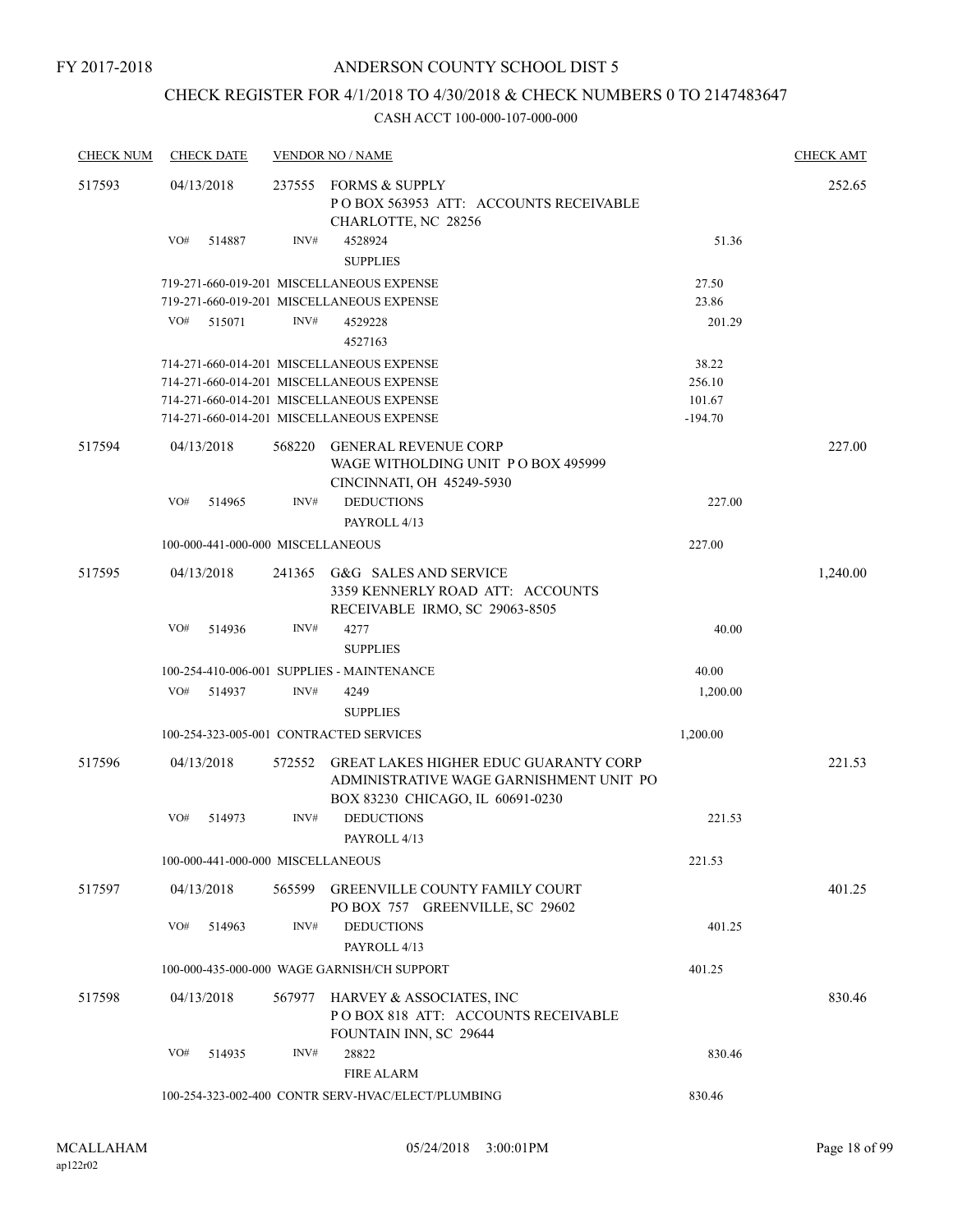### CHECK REGISTER FOR 4/1/2018 TO 4/30/2018 & CHECK NUMBERS 0 TO 2147483647

| <b>CHECK NUM</b> | <b>CHECK DATE</b>                 |        | <b>VENDOR NO / NAME</b>                                                                                              |           | <b>CHECK AMT</b> |
|------------------|-----------------------------------|--------|----------------------------------------------------------------------------------------------------------------------|-----------|------------------|
| 517593           | 04/13/2018                        |        | 237555 FORMS & SUPPLY<br>POBOX 563953 ATT: ACCOUNTS RECEIVABLE<br>CHARLOTTE, NC 28256                                |           | 252.65           |
|                  | VO#<br>514887                     | INV#   | 4528924<br><b>SUPPLIES</b>                                                                                           | 51.36     |                  |
|                  |                                   |        | 719-271-660-019-201 MISCELLANEOUS EXPENSE                                                                            | 27.50     |                  |
|                  |                                   |        | 719-271-660-019-201 MISCELLANEOUS EXPENSE                                                                            | 23.86     |                  |
|                  | VO#<br>515071                     | INV#   | 4529228<br>4527163                                                                                                   | 201.29    |                  |
|                  |                                   |        | 714-271-660-014-201 MISCELLANEOUS EXPENSE                                                                            | 38.22     |                  |
|                  |                                   |        | 714-271-660-014-201 MISCELLANEOUS EXPENSE                                                                            | 256.10    |                  |
|                  |                                   |        | 714-271-660-014-201 MISCELLANEOUS EXPENSE                                                                            | 101.67    |                  |
|                  |                                   |        | 714-271-660-014-201 MISCELLANEOUS EXPENSE                                                                            | $-194.70$ |                  |
| 517594           | 04/13/2018                        | 568220 | <b>GENERAL REVENUE CORP</b><br>WAGE WITHOLDING UNIT PO BOX 495999<br>CINCINNATI, OH 45249-5930                       |           | 227.00           |
|                  | VO#<br>514965                     | INV#   | <b>DEDUCTIONS</b><br>PAYROLL 4/13                                                                                    | 227.00    |                  |
|                  | 100-000-441-000-000 MISCELLANEOUS |        |                                                                                                                      | 227.00    |                  |
| 517595           | 04/13/2018                        |        | 241365 G&G SALES AND SERVICE<br>3359 KENNERLY ROAD ATT: ACCOUNTS<br>RECEIVABLE IRMO, SC 29063-8505                   |           | 1,240.00         |
|                  | VO#<br>514936                     | INV#   | 4277<br><b>SUPPLIES</b>                                                                                              | 40.00     |                  |
|                  |                                   |        | 100-254-410-006-001 SUPPLIES - MAINTENANCE                                                                           | 40.00     |                  |
|                  | VO#<br>514937                     | INV#   | 4249                                                                                                                 | 1,200.00  |                  |
|                  |                                   |        | <b>SUPPLIES</b>                                                                                                      |           |                  |
|                  |                                   |        | 100-254-323-005-001 CONTRACTED SERVICES                                                                              | 1,200.00  |                  |
| 517596           | 04/13/2018                        | 572552 | GREAT LAKES HIGHER EDUC GUARANTY CORP<br>ADMINISTRATIVE WAGE GARNISHMENT UNIT PO<br>BOX 83230 CHICAGO, IL 60691-0230 |           | 221.53           |
|                  | VO#<br>514973                     | INV#   | <b>DEDUCTIONS</b><br>PAYROLL 4/13                                                                                    | 221.53    |                  |
|                  | 100-000-441-000-000 MISCELLANEOUS |        |                                                                                                                      | 221.53    |                  |
| 517597           | 04/13/2018                        | 565599 | <b>GREENVILLE COUNTY FAMILY COURT</b><br>PO BOX 757 GREENVILLE, SC 29602                                             |           | 401.25           |
|                  | VO#<br>514963                     | INV#   | <b>DEDUCTIONS</b><br>PAYROLL 4/13                                                                                    | 401.25    |                  |
|                  |                                   |        | 100-000-435-000-000 WAGE GARNISH/CH SUPPORT                                                                          | 401.25    |                  |
| 517598           | 04/13/2018                        | 567977 | HARVEY & ASSOCIATES, INC<br>POBOX 818 ATT: ACCOUNTS RECEIVABLE<br>FOUNTAIN INN, SC 29644                             |           | 830.46           |
|                  | VO#<br>514935                     | INV#   | 28822<br><b>FIRE ALARM</b>                                                                                           | 830.46    |                  |
|                  |                                   |        | 100-254-323-002-400 CONTR SERV-HVAC/ELECT/PLUMBING                                                                   | 830.46    |                  |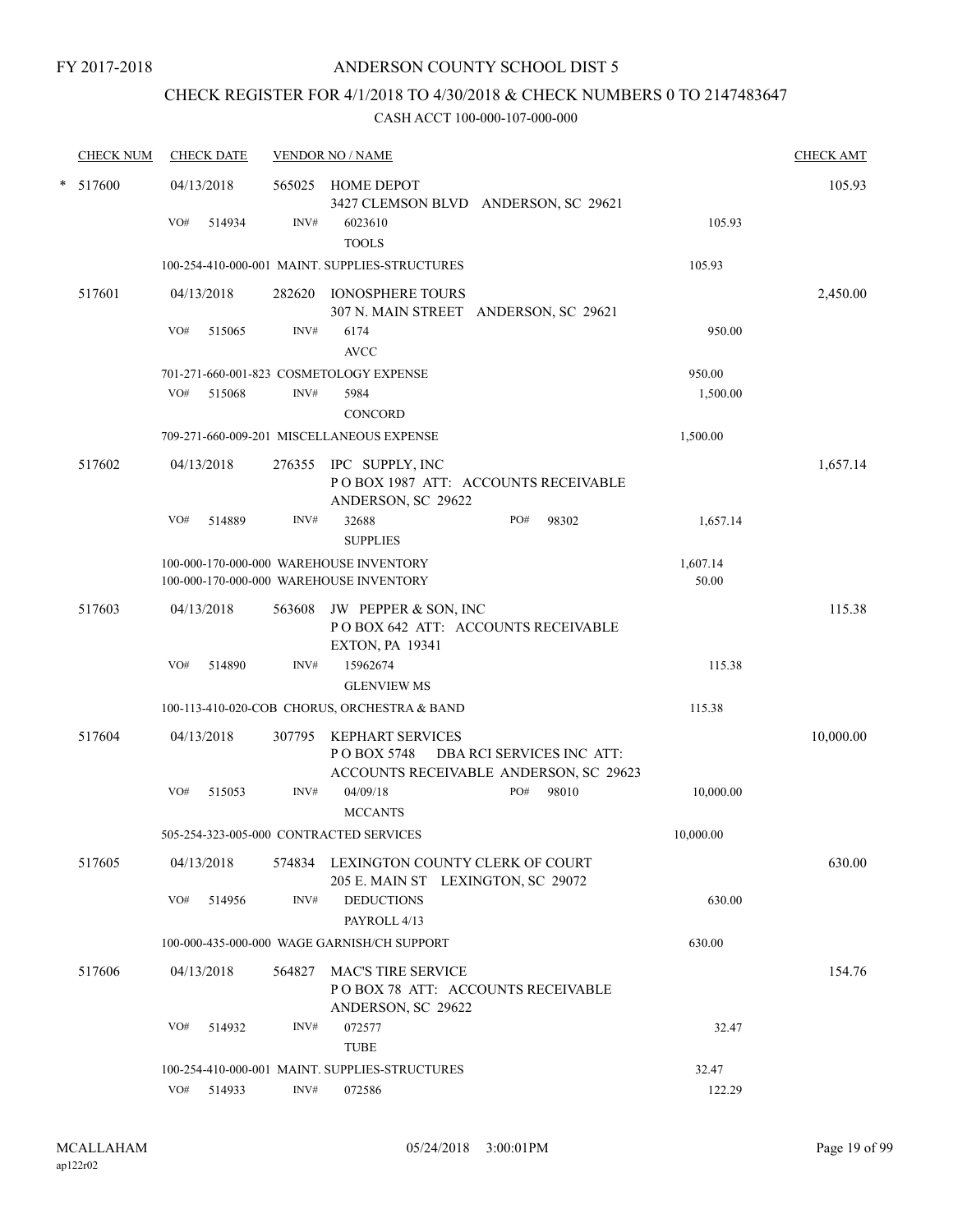### CHECK REGISTER FOR 4/1/2018 TO 4/30/2018 & CHECK NUMBERS 0 TO 2147483647

| <b>CHECK NUM</b> | <b>CHECK DATE</b>                       |        | <b>VENDOR NO / NAME</b>                                                                               |                   | <b>CHECK AMT</b> |
|------------------|-----------------------------------------|--------|-------------------------------------------------------------------------------------------------------|-------------------|------------------|
| * 517600         | 04/13/2018<br>VO#<br>514934             | INV#   | 565025 HOME DEPOT<br>3427 CLEMSON BLVD ANDERSON, SC 29621<br>6023610<br><b>TOOLS</b>                  | 105.93            | 105.93           |
|                  |                                         |        | 100-254-410-000-001 MAINT, SUPPLIES-STRUCTURES                                                        | 105.93            |                  |
| 517601           | 04/13/2018                              |        | 282620 IONOSPHERE TOURS<br>307 N. MAIN STREET ANDERSON, SC 29621                                      |                   | 2,450.00         |
|                  | VO#<br>515065                           | INV#   | 6174<br><b>AVCC</b>                                                                                   | 950.00            |                  |
|                  |                                         |        | 701-271-660-001-823 COSMETOLOGY EXPENSE                                                               | 950.00            |                  |
|                  | VO#<br>515068                           | INV#   | 5984<br><b>CONCORD</b>                                                                                | 1,500.00          |                  |
|                  |                                         |        | 709-271-660-009-201 MISCELLANEOUS EXPENSE                                                             | 1,500.00          |                  |
| 517602           | 04/13/2018                              |        | 276355 IPC SUPPLY, INC<br>POBOX 1987 ATT: ACCOUNTS RECEIVABLE<br>ANDERSON, SC 29622                   |                   | 1,657.14         |
|                  | VO#<br>514889                           | INV#   | 32688<br>PO#<br>98302<br><b>SUPPLIES</b>                                                              | 1,657.14          |                  |
|                  |                                         |        | 100-000-170-000-000 WAREHOUSE INVENTORY<br>100-000-170-000-000 WAREHOUSE INVENTORY                    | 1,607.14<br>50.00 |                  |
| 517603           | 04/13/2018                              | 563608 | JW PEPPER & SON, INC<br>POBOX 642 ATT: ACCOUNTS RECEIVABLE<br><b>EXTON, PA 19341</b>                  |                   | 115.38           |
|                  | VO#<br>514890                           | INV#   | 15962674<br><b>GLENVIEW MS</b>                                                                        | 115.38            |                  |
|                  |                                         |        | 100-113-410-020-COB CHORUS, ORCHESTRA & BAND                                                          | 115.38            |                  |
| 517604           | 04/13/2018                              | 307795 | KEPHART SERVICES<br>DBA RCI SERVICES INC ATT:<br>POBOX 5748<br>ACCOUNTS RECEIVABLE ANDERSON, SC 29623 |                   | 10,000.00        |
|                  | VO#<br>515053                           | INV#   | 04/09/18<br>PO#<br>98010<br><b>MCCANTS</b>                                                            | 10,000.00         |                  |
|                  | 505-254-323-005-000 CONTRACTED SERVICES |        |                                                                                                       | 10,000.00         |                  |
| 517605           | 04/13/2018                              |        | 574834 LEXINGTON COUNTY CLERK OF COURT<br>205 E. MAIN ST LEXINGTON, SC 29072                          |                   | 630.00           |
|                  | VO#<br>514956                           | INV#   | <b>DEDUCTIONS</b><br>PAYROLL 4/13                                                                     | 630.00            |                  |
|                  |                                         |        | 100-000-435-000-000 WAGE GARNISH/CH SUPPORT                                                           | 630.00            |                  |
| 517606           | 04/13/2018                              | 564827 | <b>MAC'S TIRE SERVICE</b><br>POBOX 78 ATT: ACCOUNTS RECEIVABLE<br>ANDERSON, SC 29622                  |                   | 154.76           |
|                  | VO#<br>514932                           | INV#   | 072577<br><b>TUBE</b>                                                                                 | 32.47             |                  |
|                  |                                         |        | 100-254-410-000-001 MAINT. SUPPLIES-STRUCTURES                                                        | 32.47             |                  |
|                  | VO# 514933                              | INV#   | 072586                                                                                                | 122.29            |                  |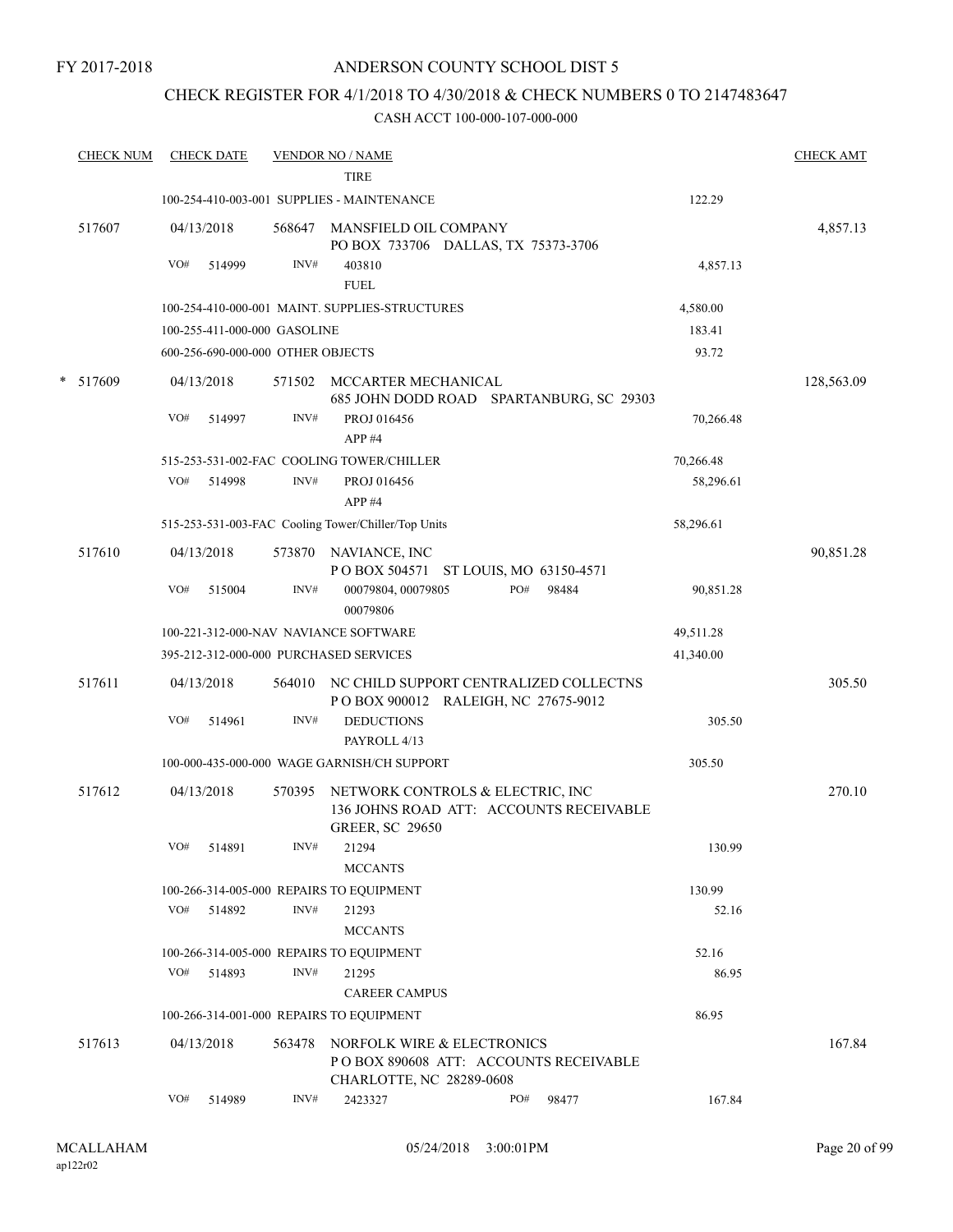#### FY 2017-2018

### ANDERSON COUNTY SCHOOL DIST 5

### CHECK REGISTER FOR 4/1/2018 TO 4/30/2018 & CHECK NUMBERS 0 TO 2147483647

| <b>CHECK NUM</b> |     | <b>CHECK DATE</b> |                                   | <b>VENDOR NO / NAME</b><br><b>TIRE</b>                                                                |     |       |           | <b>CHECK AMT</b> |
|------------------|-----|-------------------|-----------------------------------|-------------------------------------------------------------------------------------------------------|-----|-------|-----------|------------------|
|                  |     |                   |                                   | 100-254-410-003-001 SUPPLIES - MAINTENANCE                                                            |     |       | 122.29    |                  |
|                  |     |                   |                                   |                                                                                                       |     |       |           |                  |
| 517607           |     | 04/13/2018        | 568647                            | MANSFIELD OIL COMPANY<br>PO BOX 733706 DALLAS, TX 75373-3706                                          |     |       |           | 4,857.13         |
|                  | VO# | 514999            | INV#                              | 403810                                                                                                |     |       | 4,857.13  |                  |
|                  |     |                   |                                   | <b>FUEL</b>                                                                                           |     |       |           |                  |
|                  |     |                   |                                   | 100-254-410-000-001 MAINT. SUPPLIES-STRUCTURES                                                        |     |       | 4,580.00  |                  |
|                  |     |                   | 100-255-411-000-000 GASOLINE      |                                                                                                       |     |       | 183.41    |                  |
|                  |     |                   | 600-256-690-000-000 OTHER OBJECTS |                                                                                                       |     |       | 93.72     |                  |
| * 517609         |     | 04/13/2018        | 571502                            | MCCARTER MECHANICAL<br>685 JOHN DODD ROAD SPARTANBURG, SC 29303                                       |     |       |           | 128,563.09       |
|                  | VO# | 514997            | INV#                              | PROJ 016456<br>APP#4                                                                                  |     |       | 70,266.48 |                  |
|                  |     |                   |                                   | 515-253-531-002-FAC COOLING TOWER/CHILLER                                                             |     |       | 70,266.48 |                  |
|                  | VO# | 514998            | INV#                              | PROJ 016456<br>APP#4                                                                                  |     |       | 58,296.61 |                  |
|                  |     |                   |                                   | 515-253-531-003-FAC Cooling Tower/Chiller/Top Units                                                   |     |       | 58,296.61 |                  |
| 517610           |     | 04/13/2018        |                                   | 573870 NAVIANCE, INC<br>POBOX 504571 ST LOUIS, MO 63150-4571                                          |     |       |           | 90,851.28        |
|                  | VO# | 515004            | INV#                              | 00079804, 00079805<br>00079806                                                                        | PO# | 98484 | 90,851.28 |                  |
|                  |     |                   |                                   | 100-221-312-000-NAV NAVIANCE SOFTWARE                                                                 |     |       | 49,511.28 |                  |
|                  |     |                   |                                   | 395-212-312-000-000 PURCHASED SERVICES                                                                |     |       | 41,340.00 |                  |
| 517611           |     | 04/13/2018        |                                   | 564010 NC CHILD SUPPORT CENTRALIZED COLLECTNS<br>POBOX 900012 RALEIGH, NC 27675-9012                  |     |       |           | 305.50           |
|                  | VO# | 514961            | INV#                              | <b>DEDUCTIONS</b><br>PAYROLL 4/13                                                                     |     |       | 305.50    |                  |
|                  |     |                   |                                   | 100-000-435-000-000 WAGE GARNISH/CH SUPPORT                                                           |     |       | 305.50    |                  |
| 517612           |     | 04/13/2018        | 570395                            | NETWORK CONTROLS & ELECTRIC, INC<br>136 JOHNS ROAD ATT: ACCOUNTS RECEIVABLE<br><b>GREER, SC 29650</b> |     |       |           | 270.10           |
|                  | VO# | 514891            | INV#                              | 21294<br><b>MCCANTS</b>                                                                               |     |       | 130.99    |                  |
|                  |     |                   |                                   | 100-266-314-005-000 REPAIRS TO EQUIPMENT                                                              |     |       | 130.99    |                  |
|                  |     | VO# 514892        | INV#                              | 21293                                                                                                 |     |       | 52.16     |                  |
|                  |     |                   |                                   | <b>MCCANTS</b>                                                                                        |     |       |           |                  |
|                  |     |                   |                                   | 100-266-314-005-000 REPAIRS TO EQUIPMENT                                                              |     |       | 52.16     |                  |
|                  | VO# | 514893            | INV#                              | 21295<br><b>CAREER CAMPUS</b>                                                                         |     |       | 86.95     |                  |
|                  |     |                   |                                   | 100-266-314-001-000 REPAIRS TO EQUIPMENT                                                              |     |       | 86.95     |                  |
| 517613           |     | 04/13/2018        | 563478                            | NORFOLK WIRE & ELECTRONICS                                                                            |     |       |           | 167.84           |
|                  |     |                   |                                   | PO BOX 890608 ATT: ACCOUNTS RECEIVABLE<br>CHARLOTTE, NC 28289-0608                                    |     |       |           |                  |
|                  | VO# | 514989            | INV#                              | 2423327                                                                                               | PO# | 98477 | 167.84    |                  |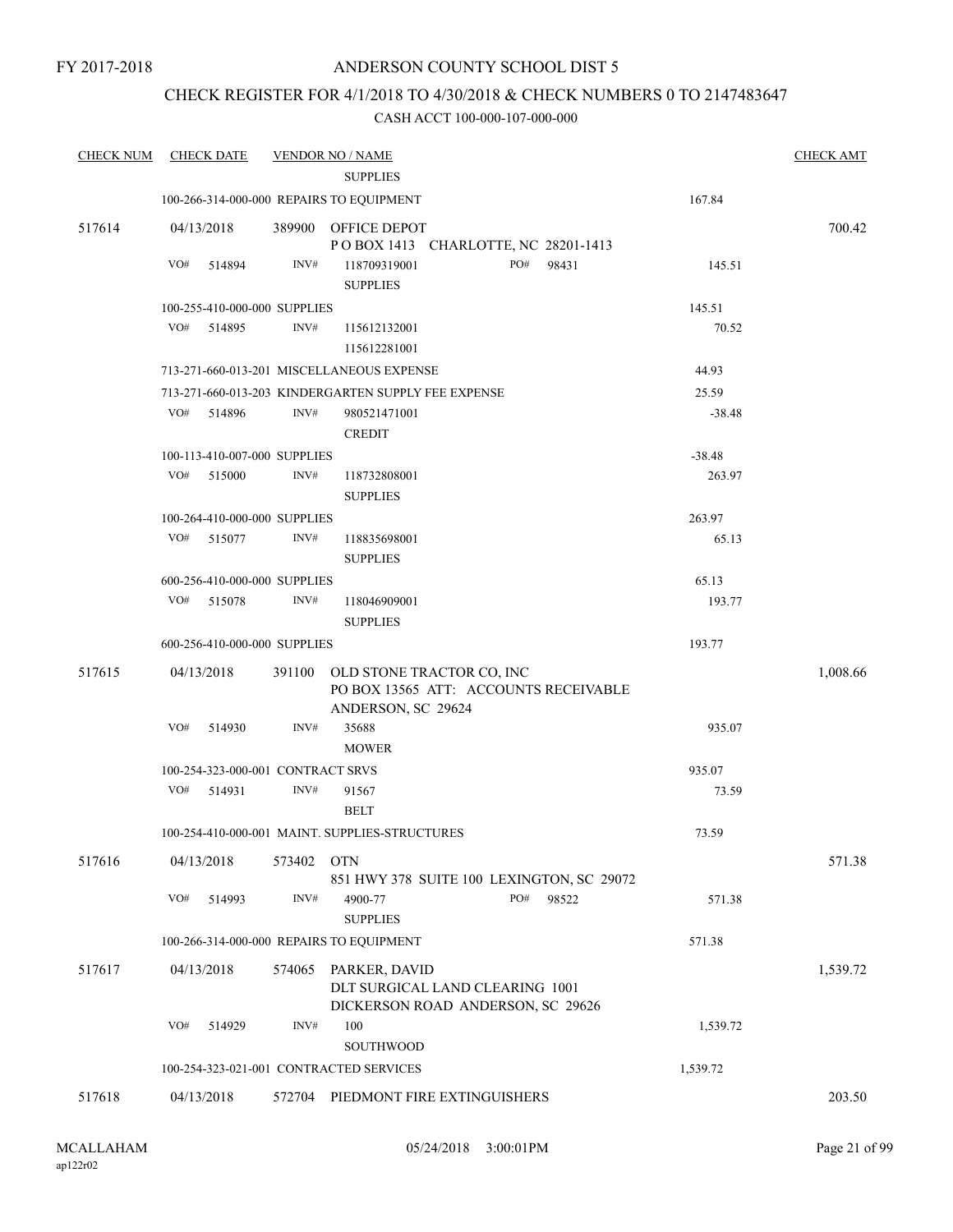### CHECK REGISTER FOR 4/1/2018 TO 4/30/2018 & CHECK NUMBERS 0 TO 2147483647

| <b>CHECK NUM</b> | <b>CHECK DATE</b>                                   |        | <b>VENDOR NO / NAME</b>                                                                  |     |       |          | <b>CHECK AMT</b> |
|------------------|-----------------------------------------------------|--------|------------------------------------------------------------------------------------------|-----|-------|----------|------------------|
|                  |                                                     |        | <b>SUPPLIES</b>                                                                          |     |       |          |                  |
|                  | 100-266-314-000-000 REPAIRS TO EQUIPMENT            |        |                                                                                          |     |       | 167.84   |                  |
| 517614           | 04/13/2018                                          |        | 389900 OFFICE DEPOT<br>POBOX 1413 CHARLOTTE, NC 28201-1413                               |     |       |          | 700.42           |
|                  | VO#<br>514894                                       | INV#   | 118709319001                                                                             | PO# | 98431 | 145.51   |                  |
|                  |                                                     |        | <b>SUPPLIES</b>                                                                          |     |       |          |                  |
|                  | 100-255-410-000-000 SUPPLIES                        |        |                                                                                          |     |       | 145.51   |                  |
|                  | VO#<br>514895                                       | INV#   | 115612132001<br>115612281001                                                             |     |       | 70.52    |                  |
|                  | 713-271-660-013-201 MISCELLANEOUS EXPENSE           |        |                                                                                          |     |       | 44.93    |                  |
|                  | 713-271-660-013-203 KINDERGARTEN SUPPLY FEE EXPENSE |        |                                                                                          |     |       | 25.59    |                  |
|                  | VO#<br>514896                                       | INV#   | 980521471001                                                                             |     |       | $-38.48$ |                  |
|                  |                                                     |        | <b>CREDIT</b>                                                                            |     |       |          |                  |
|                  | 100-113-410-007-000 SUPPLIES                        |        |                                                                                          |     |       | $-38.48$ |                  |
|                  | VO#<br>515000                                       | INV#   | 118732808001                                                                             |     |       | 263.97   |                  |
|                  |                                                     |        | <b>SUPPLIES</b>                                                                          |     |       |          |                  |
|                  | 100-264-410-000-000 SUPPLIES                        |        |                                                                                          |     |       | 263.97   |                  |
|                  | VO#<br>515077                                       | INV#   | 118835698001<br><b>SUPPLIES</b>                                                          |     |       | 65.13    |                  |
|                  | 600-256-410-000-000 SUPPLIES                        |        |                                                                                          |     |       | 65.13    |                  |
|                  | VO# 515078                                          | INV#   | 118046909001                                                                             |     |       | 193.77   |                  |
|                  |                                                     |        | <b>SUPPLIES</b>                                                                          |     |       |          |                  |
|                  | 600-256-410-000-000 SUPPLIES                        |        |                                                                                          |     |       | 193.77   |                  |
| 517615           | 04/13/2018                                          | 391100 | OLD STONE TRACTOR CO, INC<br>PO BOX 13565 ATT: ACCOUNTS RECEIVABLE<br>ANDERSON, SC 29624 |     |       |          | 1,008.66         |
|                  | VO#<br>514930                                       | INV#   | 35688<br><b>MOWER</b>                                                                    |     |       | 935.07   |                  |
|                  | 100-254-323-000-001 CONTRACT SRVS                   |        |                                                                                          |     |       | 935.07   |                  |
|                  | VO#<br>514931                                       | INV#   | 91567                                                                                    |     |       | 73.59    |                  |
|                  |                                                     |        | <b>BELT</b>                                                                              |     |       |          |                  |
|                  | 100-254-410-000-001 MAINT, SUPPLIES-STRUCTURES      |        |                                                                                          |     |       | 73.59    |                  |
| 517616           | 04/13/2018                                          | 573402 | <b>OTN</b>                                                                               |     |       |          | 571.38           |
|                  | VO#<br>514993                                       | INV#   | 851 HWY 378 SUITE 100 LEXINGTON, SC 29072<br>4900-77<br><b>SUPPLIES</b>                  | PO# | 98522 | 571.38   |                  |
|                  | 100-266-314-000-000 REPAIRS TO EQUIPMENT            |        |                                                                                          |     |       | 571.38   |                  |
| 517617           | 04/13/2018                                          | 574065 | PARKER, DAVID<br>DLT SURGICAL LAND CLEARING 1001<br>DICKERSON ROAD ANDERSON, SC 29626    |     |       |          | 1,539.72         |
|                  | VO#<br>514929                                       | INV#   | 100<br>SOUTHWOOD                                                                         |     |       | 1,539.72 |                  |
|                  | 100-254-323-021-001 CONTRACTED SERVICES             |        |                                                                                          |     |       | 1,539.72 |                  |
| 517618           | 04/13/2018                                          | 572704 | PIEDMONT FIRE EXTINGUISHERS                                                              |     |       |          | 203.50           |
|                  |                                                     |        |                                                                                          |     |       |          |                  |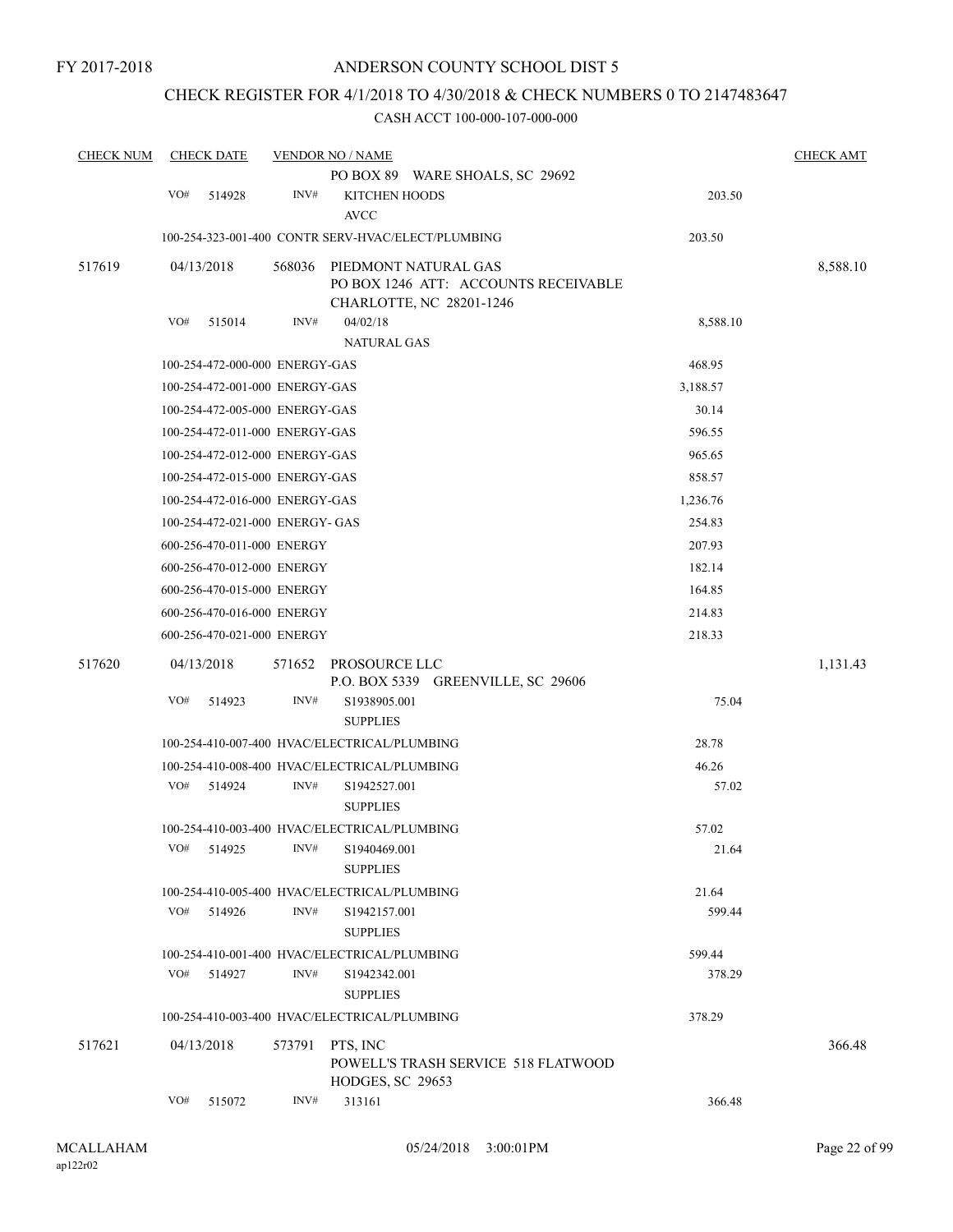### CHECK REGISTER FOR 4/1/2018 TO 4/30/2018 & CHECK NUMBERS 0 TO 2147483647

| <b>CHECK NUM</b> | <b>CHECK DATE</b>               |        | <b>VENDOR NO / NAME</b>                                                                  |          | <b>CHECK AMT</b> |
|------------------|---------------------------------|--------|------------------------------------------------------------------------------------------|----------|------------------|
|                  |                                 |        | PO BOX 89 WARE SHOALS, SC 29692                                                          |          |                  |
|                  | VO#<br>514928                   | INV#   | <b>KITCHEN HOODS</b><br><b>AVCC</b>                                                      | 203.50   |                  |
|                  |                                 |        | 100-254-323-001-400 CONTR SERV-HVAC/ELECT/PLUMBING                                       | 203.50   |                  |
| 517619           | 04/13/2018                      | 568036 | PIEDMONT NATURAL GAS<br>PO BOX 1246 ATT: ACCOUNTS RECEIVABLE<br>CHARLOTTE, NC 28201-1246 |          | 8,588.10         |
|                  | VO#<br>515014                   | INV#   | 04/02/18<br><b>NATURAL GAS</b>                                                           | 8,588.10 |                  |
|                  | 100-254-472-000-000 ENERGY-GAS  |        |                                                                                          | 468.95   |                  |
|                  | 100-254-472-001-000 ENERGY-GAS  |        |                                                                                          | 3,188.57 |                  |
|                  | 100-254-472-005-000 ENERGY-GAS  |        |                                                                                          | 30.14    |                  |
|                  | 100-254-472-011-000 ENERGY-GAS  |        |                                                                                          | 596.55   |                  |
|                  | 100-254-472-012-000 ENERGY-GAS  |        |                                                                                          | 965.65   |                  |
|                  | 100-254-472-015-000 ENERGY-GAS  |        |                                                                                          | 858.57   |                  |
|                  | 100-254-472-016-000 ENERGY-GAS  |        |                                                                                          | 1,236.76 |                  |
|                  | 100-254-472-021-000 ENERGY- GAS |        |                                                                                          | 254.83   |                  |
|                  | 600-256-470-011-000 ENERGY      |        |                                                                                          | 207.93   |                  |
|                  | 600-256-470-012-000 ENERGY      |        |                                                                                          | 182.14   |                  |
|                  | 600-256-470-015-000 ENERGY      |        |                                                                                          | 164.85   |                  |
|                  | 600-256-470-016-000 ENERGY      |        |                                                                                          | 214.83   |                  |
|                  | 600-256-470-021-000 ENERGY      |        |                                                                                          | 218.33   |                  |
| 517620           | 04/13/2018                      |        | 571652 PROSOURCE LLC<br>P.O. BOX 5339 GREENVILLE, SC 29606                               |          | 1,131.43         |
|                  | VO#<br>514923                   | INV#   | S1938905.001<br><b>SUPPLIES</b>                                                          | 75.04    |                  |
|                  |                                 |        | 100-254-410-007-400 HVAC/ELECTRICAL/PLUMBING                                             | 28.78    |                  |
|                  |                                 |        | 100-254-410-008-400 HVAC/ELECTRICAL/PLUMBING                                             | 46.26    |                  |
|                  | VO#<br>514924                   | INV#   | S1942527.001<br><b>SUPPLIES</b>                                                          | 57.02    |                  |
|                  |                                 |        | 100-254-410-003-400 HVAC/ELECTRICAL/PLUMBING                                             | 57.02    |                  |
|                  | VO# 514925                      |        | INV# S1940469.001<br><b>SUPPLIES</b>                                                     | 21.64    |                  |
|                  |                                 |        | 100-254-410-005-400 HVAC/ELECTRICAL/PLUMBING                                             | 21.64    |                  |
|                  | VO#<br>514926                   | INV#   | S1942157.001<br><b>SUPPLIES</b>                                                          | 599.44   |                  |
|                  |                                 |        | 100-254-410-001-400 HVAC/ELECTRICAL/PLUMBING                                             | 599.44   |                  |
|                  | VO#<br>514927                   | INV#   | S1942342.001<br><b>SUPPLIES</b>                                                          | 378.29   |                  |
|                  |                                 |        | 100-254-410-003-400 HVAC/ELECTRICAL/PLUMBING                                             | 378.29   |                  |
| 517621           | 04/13/2018                      | 573791 | PTS, INC<br>POWELL'S TRASH SERVICE 518 FLATWOOD<br>HODGES, SC 29653                      |          | 366.48           |
|                  | VO#<br>515072                   | INV#   | 313161                                                                                   | 366.48   |                  |
|                  |                                 |        |                                                                                          |          |                  |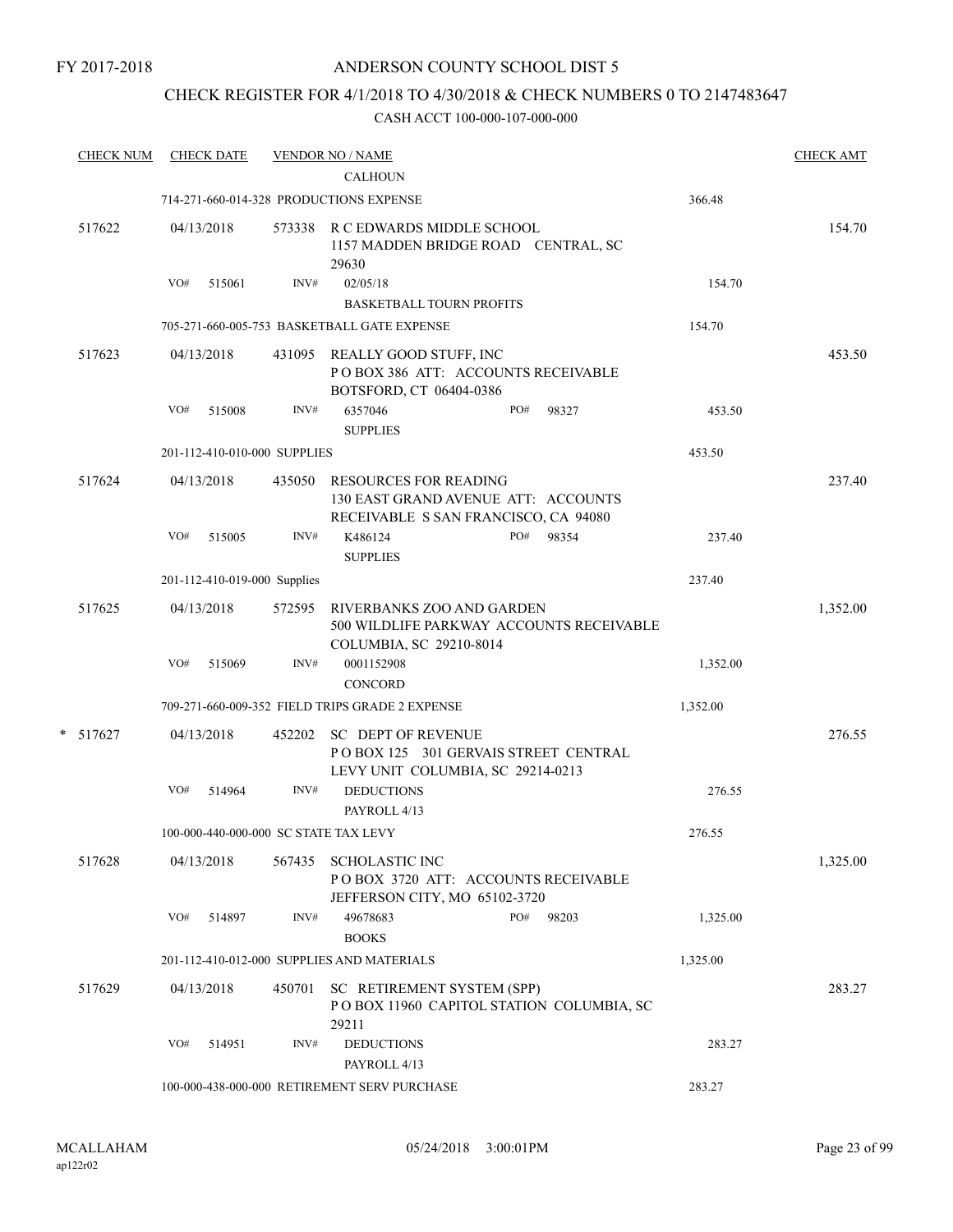### CHECK REGISTER FOR 4/1/2018 TO 4/30/2018 & CHECK NUMBERS 0 TO 2147483647

| <b>CHECK NUM</b> |     | <b>CHECK DATE</b> |                              | <b>VENDOR NO / NAME</b>                                                                                     |     |       |          | <b>CHECK AMT</b> |
|------------------|-----|-------------------|------------------------------|-------------------------------------------------------------------------------------------------------------|-----|-------|----------|------------------|
|                  |     |                   |                              | <b>CALHOUN</b>                                                                                              |     |       |          |                  |
|                  |     |                   |                              | 714-271-660-014-328 PRODUCTIONS EXPENSE                                                                     |     |       | 366.48   |                  |
| 517622           |     | 04/13/2018        |                              | 573338 R C EDWARDS MIDDLE SCHOOL<br>1157 MADDEN BRIDGE ROAD CENTRAL, SC<br>29630                            |     |       |          | 154.70           |
|                  | VO# | 515061            | INV#                         | 02/05/18                                                                                                    |     |       | 154.70   |                  |
|                  |     |                   |                              | <b>BASKETBALL TOURN PROFITS</b>                                                                             |     |       |          |                  |
|                  |     |                   |                              | 705-271-660-005-753 BASKETBALL GATE EXPENSE                                                                 |     |       | 154.70   |                  |
| 517623           |     | 04/13/2018        |                              | 431095 REALLY GOOD STUFF, INC<br>POBOX 386 ATT: ACCOUNTS RECEIVABLE<br>BOTSFORD, CT 06404-0386              |     |       |          | 453.50           |
|                  | VO# | 515008            | INV#                         | 6357046<br><b>SUPPLIES</b>                                                                                  | PO# | 98327 | 453.50   |                  |
|                  |     |                   | 201-112-410-010-000 SUPPLIES |                                                                                                             |     |       | 453.50   |                  |
| 517624           |     | 04/13/2018        | 435050                       | <b>RESOURCES FOR READING</b><br>130 EAST GRAND AVENUE ATT: ACCOUNTS<br>RECEIVABLE S SAN FRANCISCO, CA 94080 |     |       |          | 237.40           |
|                  | VO# | 515005            | INV#                         | K486124                                                                                                     | PO# | 98354 | 237.40   |                  |
|                  |     |                   |                              | <b>SUPPLIES</b>                                                                                             |     |       |          |                  |
|                  |     |                   | 201-112-410-019-000 Supplies |                                                                                                             |     |       | 237.40   |                  |
| 517625           |     | 04/13/2018        | 572595                       | RIVERBANKS ZOO AND GARDEN<br>500 WILDLIFE PARKWAY ACCOUNTS RECEIVABLE<br>COLUMBIA, SC 29210-8014            |     |       |          | 1,352.00         |
|                  | VO# | 515069            | INV#                         | 0001152908                                                                                                  |     |       | 1,352.00 |                  |
|                  |     |                   |                              | <b>CONCORD</b>                                                                                              |     |       |          |                  |
|                  |     |                   |                              | 709-271-660-009-352 FIELD TRIPS GRADE 2 EXPENSE                                                             |     |       | 1,352.00 |                  |
| $* 517627$       |     | 04/13/2018        |                              | 452202 SC DEPT OF REVENUE<br>POBOX 125 301 GERVAIS STREET CENTRAL<br>LEVY UNIT COLUMBIA, SC 29214-0213      |     |       |          | 276.55           |
|                  | VO# | 514964            | INV#                         | <b>DEDUCTIONS</b><br>PAYROLL 4/13                                                                           |     |       | 276.55   |                  |
|                  |     |                   |                              | 100-000-440-000-000 SC STATE TAX LEVY                                                                       |     |       | 276.55   |                  |
| 517628           |     | 04/13/2018        | 567435                       | <b>SCHOLASTIC INC</b><br>POBOX 3720 ATT: ACCOUNTS RECEIVABLE<br>JEFFERSON CITY, MO 65102-3720               |     |       |          | 1,325.00         |
|                  | VO# | 514897            | INV#                         | 49678683<br><b>BOOKS</b>                                                                                    | PO# | 98203 | 1,325.00 |                  |
|                  |     |                   |                              | 201-112-410-012-000 SUPPLIES AND MATERIALS                                                                  |     |       | 1,325.00 |                  |
| 517629           |     | 04/13/2018        | 450701                       | SC RETIREMENT SYSTEM (SPP)<br>POBOX 11960 CAPITOL STATION COLUMBIA, SC<br>29211                             |     |       |          | 283.27           |
|                  | VO# | 514951            | INV#                         | <b>DEDUCTIONS</b><br>PAYROLL 4/13                                                                           |     |       | 283.27   |                  |
|                  |     |                   |                              | 100-000-438-000-000 RETIREMENT SERV PURCHASE                                                                |     |       | 283.27   |                  |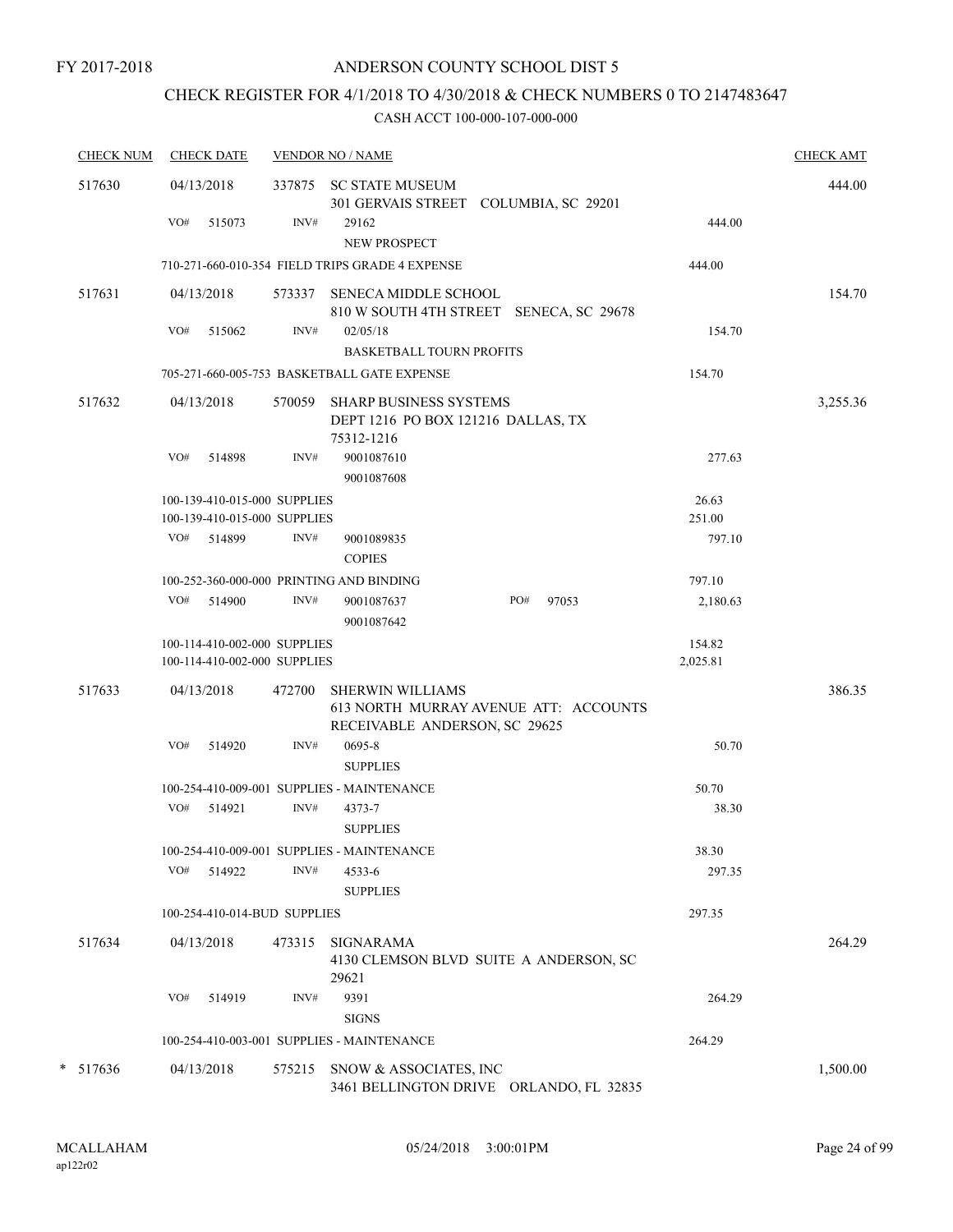### CHECK REGISTER FOR 4/1/2018 TO 4/30/2018 & CHECK NUMBERS 0 TO 2147483647

| <b>CHECK NUM</b> | <b>CHECK DATE</b>                                            |        | <b>VENDOR NO / NAME</b>                                                                           |                    | <b>CHECK AMT</b> |
|------------------|--------------------------------------------------------------|--------|---------------------------------------------------------------------------------------------------|--------------------|------------------|
| 517630           | 04/13/2018                                                   |        | 337875 SC STATE MUSEUM<br>301 GERVAIS STREET COLUMBIA, SC 29201                                   |                    | 444.00           |
|                  | VO#<br>515073                                                | INV#   | 29162<br><b>NEW PROSPECT</b>                                                                      | 444.00             |                  |
|                  |                                                              |        | 710-271-660-010-354 FIELD TRIPS GRADE 4 EXPENSE                                                   | 444.00             |                  |
| 517631           | 04/13/2018                                                   | 573337 | <b>SENECA MIDDLE SCHOOL</b><br>810 W SOUTH 4TH STREET SENECA, SC 29678                            |                    | 154.70           |
|                  | VO#<br>515062                                                | INV#   | 02/05/18<br><b>BASKETBALL TOURN PROFITS</b>                                                       | 154.70             |                  |
|                  |                                                              |        | 705-271-660-005-753 BASKETBALL GATE EXPENSE                                                       | 154.70             |                  |
| 517632           | 04/13/2018                                                   | 570059 | <b>SHARP BUSINESS SYSTEMS</b><br>DEPT 1216 PO BOX 121216 DALLAS, TX<br>75312-1216                 |                    | 3,255.36         |
|                  | VO#<br>514898                                                | INV#   | 9001087610<br>9001087608                                                                          | 277.63             |                  |
|                  | 100-139-410-015-000 SUPPLIES                                 |        |                                                                                                   | 26.63              |                  |
|                  | 100-139-410-015-000 SUPPLIES                                 |        |                                                                                                   | 251.00             |                  |
|                  | VO# 514899                                                   | INV#   | 9001089835<br><b>COPIES</b>                                                                       | 797.10             |                  |
|                  | 100-252-360-000-000 PRINTING AND BINDING                     |        |                                                                                                   | 797.10             |                  |
|                  | VO# 514900                                                   | INV#   | PO#<br>9001087637<br>97053<br>9001087642                                                          | 2,180.63           |                  |
|                  | 100-114-410-002-000 SUPPLIES<br>100-114-410-002-000 SUPPLIES |        |                                                                                                   | 154.82<br>2,025.81 |                  |
| 517633           | 04/13/2018                                                   | 472700 | <b>SHERWIN WILLIAMS</b><br>613 NORTH MURRAY AVENUE ATT: ACCOUNTS<br>RECEIVABLE ANDERSON, SC 29625 |                    | 386.35           |
|                  | VO#<br>514920                                                | INV#   | 0695-8<br><b>SUPPLIES</b>                                                                         | 50.70              |                  |
|                  |                                                              |        | 100-254-410-009-001 SUPPLIES - MAINTENANCE                                                        | 50.70              |                  |
|                  | VO# 514921                                                   | INV#   | 4373-7<br><b>SUPPLIES</b>                                                                         | 38.30              |                  |
|                  |                                                              |        | 100-254-410-009-001 SUPPLIES - MAINTENANCE                                                        | 38.30              |                  |
|                  | VO#<br>514922                                                | INV#   | 4533-6<br><b>SUPPLIES</b>                                                                         | 297.35             |                  |
|                  | 100-254-410-014-BUD SUPPLIES                                 |        |                                                                                                   | 297.35             |                  |
| 517634           | 04/13/2018                                                   | 473315 | SIGNARAMA<br>4130 CLEMSON BLVD SUITE A ANDERSON, SC<br>29621                                      |                    | 264.29           |
|                  | VO#<br>514919                                                | INV#   | 9391<br><b>SIGNS</b>                                                                              | 264.29             |                  |
|                  |                                                              |        | 100-254-410-003-001 SUPPLIES - MAINTENANCE                                                        | 264.29             |                  |
| $* 517636$       | 04/13/2018                                                   | 575215 | SNOW & ASSOCIATES, INC<br>3461 BELLINGTON DRIVE ORLANDO, FL 32835                                 |                    | 1,500.00         |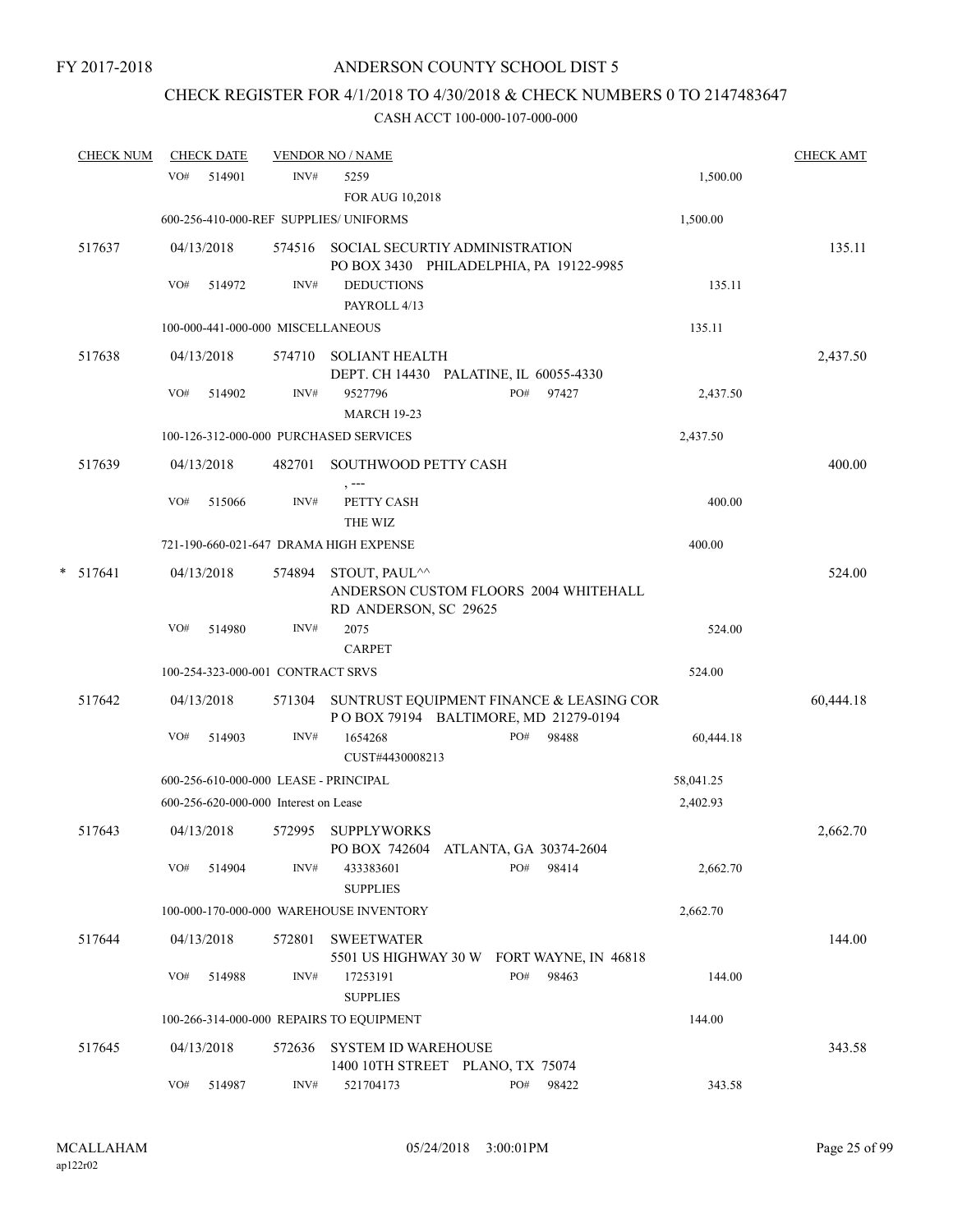### CHECK REGISTER FOR 4/1/2018 TO 4/30/2018 & CHECK NUMBERS 0 TO 2147483647

|   | <b>CHECK NUM</b> | <b>CHECK DATE</b> |                                       |                | <b>VENDOR NO / NAME</b>                                                          |     |       |           | <b>CHECK AMT</b> |
|---|------------------|-------------------|---------------------------------------|----------------|----------------------------------------------------------------------------------|-----|-------|-----------|------------------|
|   |                  | VO#               | 514901                                | INV#           | 5259<br>FOR AUG 10,2018                                                          |     |       | 1,500.00  |                  |
|   |                  |                   |                                       |                | 600-256-410-000-REF SUPPLIES/ UNIFORMS                                           |     |       | 1,500.00  |                  |
|   | 517637           | 04/13/2018        |                                       |                | 574516 SOCIAL SECURTIY ADMINISTRATION<br>PO BOX 3430 PHILADELPHIA, PA 19122-9985 |     |       |           | 135.11           |
|   |                  | VO#               | 514972                                | INV#           | <b>DEDUCTIONS</b><br>PAYROLL 4/13                                                |     |       | 135.11    |                  |
|   |                  |                   | 100-000-441-000-000 MISCELLANEOUS     |                |                                                                                  |     |       | 135.11    |                  |
|   | 517638           | 04/13/2018        |                                       | 574710         | <b>SOLIANT HEALTH</b><br>DEPT. CH 14430 PALATINE, IL 60055-4330                  |     |       |           | 2,437.50         |
|   |                  | VO#               | 514902                                | INV#           | 9527796<br><b>MARCH 19-23</b>                                                    | PO# | 97427 | 2,437.50  |                  |
|   |                  |                   |                                       |                | 100-126-312-000-000 PURCHASED SERVICES                                           |     |       | 2,437.50  |                  |
|   | 517639           | 04/13/2018        |                                       | 482701         | SOUTHWOOD PETTY CASH<br>, ---                                                    |     |       |           | 400.00           |
|   |                  | VO#               | 515066                                | INV#           | PETTY CASH<br>THE WIZ                                                            |     |       | 400.00    |                  |
|   |                  |                   |                                       |                | 721-190-660-021-647 DRAMA HIGH EXPENSE                                           |     |       | 400.00    |                  |
| * | 517641           | 04/13/2018        |                                       | 574894         | STOUT, PAUL^^<br>ANDERSON CUSTOM FLOORS 2004 WHITEHALL<br>RD ANDERSON, SC 29625  |     |       |           | 524.00           |
|   |                  | VO#               | 514980                                | INV#           | 2075<br><b>CARPET</b>                                                            |     |       | 524.00    |                  |
|   |                  |                   | 100-254-323-000-001 CONTRACT SRVS     |                |                                                                                  |     |       | 524.00    |                  |
|   | 517642           | 04/13/2018        |                                       | 571304         | SUNTRUST EQUIPMENT FINANCE & LEASING COR<br>POBOX 79194 BALTIMORE, MD 21279-0194 |     |       |           | 60,444.18        |
|   |                  | VO#               | 514903                                | INV#           | 1654268<br>CUST#4430008213                                                       | PO# | 98488 | 60,444.18 |                  |
|   |                  |                   |                                       |                | 600-256-610-000-000 LEASE - PRINCIPAL                                            |     |       | 58,041.25 |                  |
|   |                  |                   | 600-256-620-000-000 Interest on Lease |                |                                                                                  |     |       | 2,402.93  |                  |
|   | 517643           | 04/13/2018        |                                       | 572995         | <b>SUPPLYWORKS</b><br>PO BOX 742604 ATLANTA, GA 30374-2604                       |     |       |           | 2,662.70         |
|   |                  | VO#               | 514904                                | INV#           | 433383601<br><b>SUPPLIES</b>                                                     | PO# | 98414 | 2,662.70  |                  |
|   |                  |                   |                                       |                | 100-000-170-000-000 WAREHOUSE INVENTORY                                          |     |       | 2,662.70  |                  |
|   | 517644           | 04/13/2018        |                                       | 572801         | <b>SWEETWATER</b><br>5501 US HIGHWAY 30 W FORT WAYNE, IN 46818                   |     |       |           | 144.00           |
|   |                  | VO#               | 514988                                | INV#           | 17253191<br><b>SUPPLIES</b>                                                      | PO# | 98463 | 144.00    |                  |
|   |                  |                   |                                       |                | 100-266-314-000-000 REPAIRS TO EQUIPMENT                                         |     |       | 144.00    |                  |
|   | 517645           | 04/13/2018        |                                       | 572636         | SYSTEM ID WAREHOUSE<br>1400 10TH STREET PLANO, TX 75074                          |     |       |           | 343.58           |
|   |                  | VO#               | 514987                                | $\text{INV}\#$ | 521704173                                                                        | PO# | 98422 | 343.58    |                  |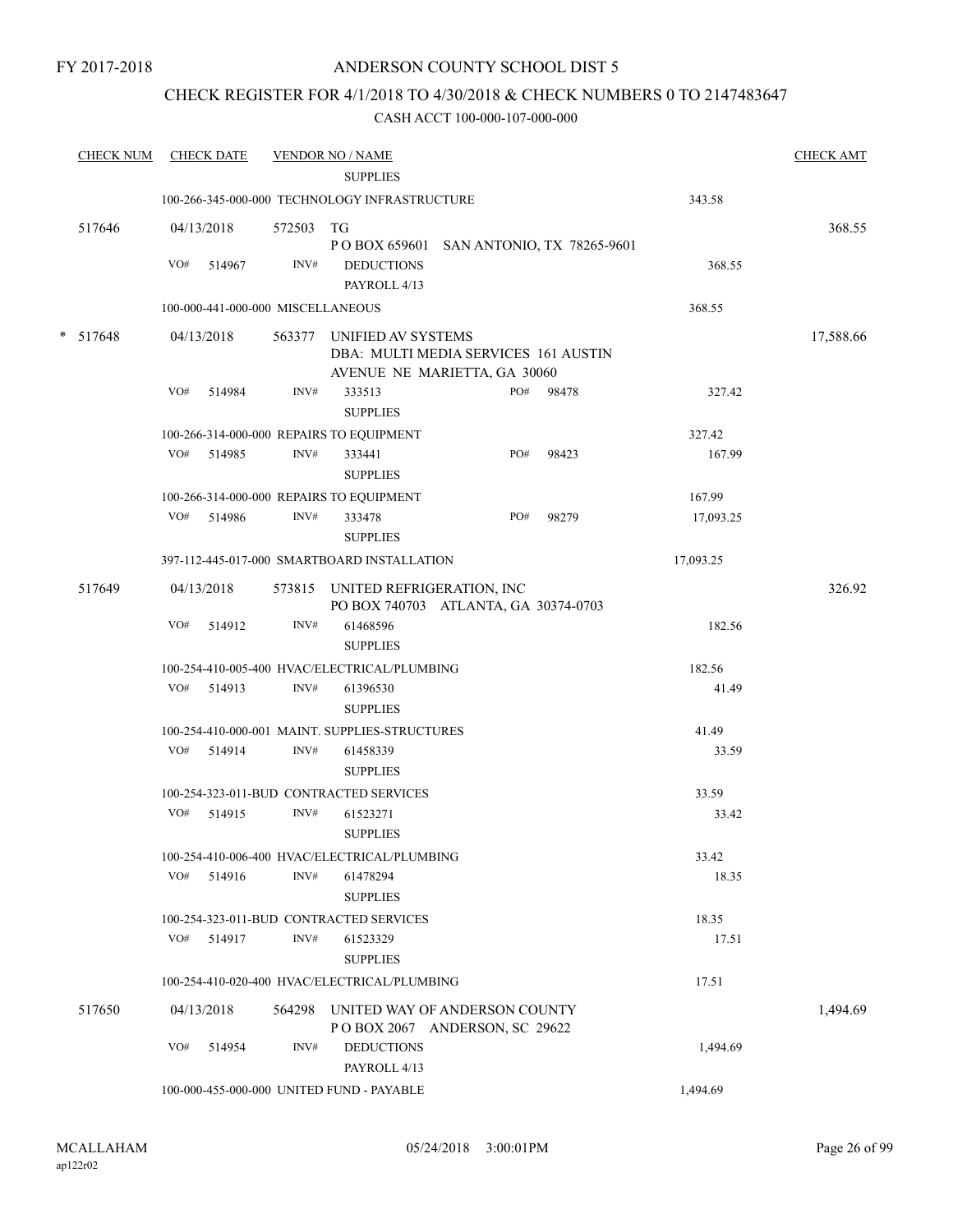FY 2017-2018

### ANDERSON COUNTY SCHOOL DIST 5

### CHECK REGISTER FOR 4/1/2018 TO 4/30/2018 & CHECK NUMBERS 0 TO 2147483647

| <b>CHECK NUM</b> |     | <b>CHECK DATE</b> |                                   | <b>VENDOR NO / NAME</b><br><b>SUPPLIES</b>     |                                                                |       |           | <b>CHECK AMT</b> |
|------------------|-----|-------------------|-----------------------------------|------------------------------------------------|----------------------------------------------------------------|-------|-----------|------------------|
|                  |     |                   |                                   | 100-266-345-000-000 TECHNOLOGY INFRASTRUCTURE  |                                                                |       | 343.58    |                  |
| 517646           |     | 04/13/2018        | 572503 TG                         |                                                | POBOX 659601 SAN ANTONIO, TX 78265-9601                        |       |           | 368.55           |
|                  | VO# | 514967            | INV#                              | <b>DEDUCTIONS</b><br>PAYROLL 4/13              |                                                                |       | 368.55    |                  |
|                  |     |                   | 100-000-441-000-000 MISCELLANEOUS |                                                |                                                                |       | 368.55    |                  |
| * 517648         |     | 04/13/2018        | 563377                            | UNIFIED AV SYSTEMS                             | DBA: MULTI MEDIA SERVICES 161 AUSTIN                           |       |           | 17,588.66        |
|                  |     |                   |                                   |                                                | AVENUE NE MARIETTA, GA 30060                                   |       |           |                  |
|                  | VO# | 514984            | INV#                              | 333513<br><b>SUPPLIES</b>                      | PO#                                                            | 98478 | 327.42    |                  |
|                  |     |                   |                                   | 100-266-314-000-000 REPAIRS TO EQUIPMENT       |                                                                |       | 327.42    |                  |
|                  |     | VO# 514985        | INV#                              | 333441<br><b>SUPPLIES</b>                      | PO#                                                            | 98423 | 167.99    |                  |
|                  |     |                   |                                   | 100-266-314-000-000 REPAIRS TO EQUIPMENT       |                                                                |       | 167.99    |                  |
|                  | VO# | 514986            | INV#                              | 333478<br><b>SUPPLIES</b>                      | PO#                                                            | 98279 | 17,093.25 |                  |
|                  |     |                   |                                   | 397-112-445-017-000 SMARTBOARD INSTALLATION    |                                                                |       | 17,093.25 |                  |
| 517649           |     | 04/13/2018        |                                   | 573815 UNITED REFRIGERATION, INC               | PO BOX 740703 ATLANTA, GA 30374-0703                           |       |           | 326.92           |
|                  | VO# | 514912            | INV#                              | 61468596<br><b>SUPPLIES</b>                    |                                                                |       | 182.56    |                  |
|                  |     |                   |                                   | 100-254-410-005-400 HVAC/ELECTRICAL/PLUMBING   |                                                                |       | 182.56    |                  |
|                  | VO# | 514913            | INV#                              | 61396530<br><b>SUPPLIES</b>                    |                                                                |       | 41.49     |                  |
|                  |     |                   |                                   | 100-254-410-000-001 MAINT. SUPPLIES-STRUCTURES |                                                                |       | 41.49     |                  |
|                  |     | VO# 514914        | INV#                              | 61458339<br><b>SUPPLIES</b>                    |                                                                |       | 33.59     |                  |
|                  |     |                   |                                   | 100-254-323-011-BUD CONTRACTED SERVICES        |                                                                |       | 33.59     |                  |
|                  | VO# | 514915            | $\text{INV}\#$                    | 61523271<br><b>SUPPLIES</b>                    |                                                                |       | 33.42     |                  |
|                  |     |                   |                                   | 100-254-410-006-400 HVAC/ELECTRICAL/PLUMBING   |                                                                |       | 33.42     |                  |
|                  | VO# | 514916            | INV#                              | 61478294<br><b>SUPPLIES</b>                    |                                                                |       | 18.35     |                  |
|                  |     |                   |                                   | 100-254-323-011-BUD CONTRACTED SERVICES        |                                                                |       | 18.35     |                  |
|                  | VO# | 514917            | INV#                              | 61523329<br><b>SUPPLIES</b>                    |                                                                |       | 17.51     |                  |
|                  |     |                   |                                   | 100-254-410-020-400 HVAC/ELECTRICAL/PLUMBING   |                                                                |       | 17.51     |                  |
| 517650           |     | 04/13/2018        | 564298                            |                                                | UNITED WAY OF ANDERSON COUNTY<br>POBOX 2067 ANDERSON, SC 29622 |       |           | 1,494.69         |
|                  | VO# | 514954            | INV#                              | <b>DEDUCTIONS</b><br>PAYROLL 4/13              |                                                                |       | 1,494.69  |                  |
|                  |     |                   |                                   | 100-000-455-000-000 UNITED FUND - PAYABLE      |                                                                |       | 1,494.69  |                  |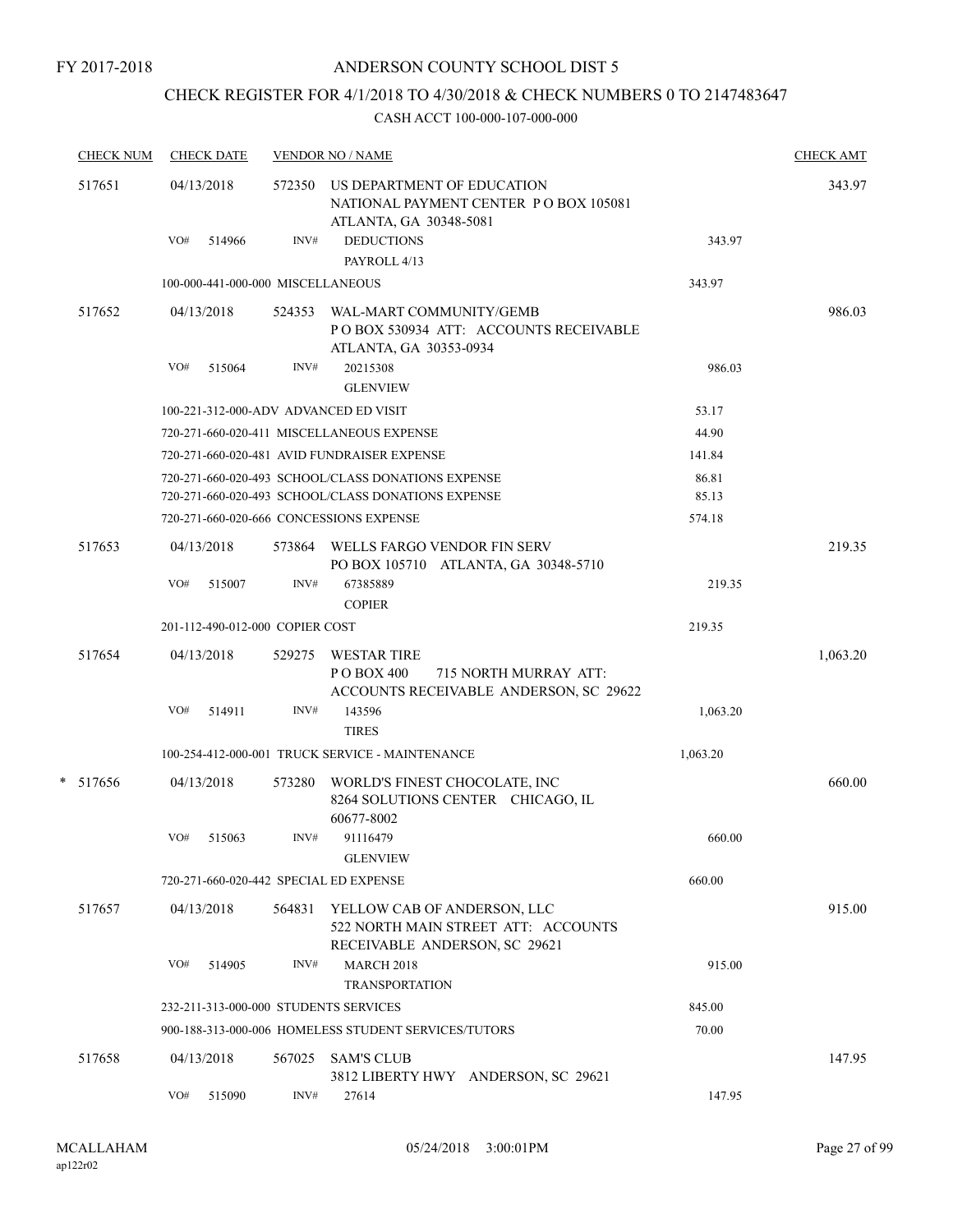FY 2017-2018

### ANDERSON COUNTY SCHOOL DIST 5

### CHECK REGISTER FOR 4/1/2018 TO 4/30/2018 & CHECK NUMBERS 0 TO 2147483647

|        | <b>CHECK NUM</b> |            | <b>CHECK DATE</b>                 |        | <b>VENDOR NO / NAME</b>                                                                                    |                 | <b>CHECK AMT</b> |
|--------|------------------|------------|-----------------------------------|--------|------------------------------------------------------------------------------------------------------------|-----------------|------------------|
| 517651 |                  | 04/13/2018 |                                   | 572350 | US DEPARTMENT OF EDUCATION<br>NATIONAL PAYMENT CENTER PO BOX 105081<br>ATLANTA, GA 30348-5081              |                 | 343.97           |
|        |                  | VO#        | 514966                            | INV#   | <b>DEDUCTIONS</b><br>PAYROLL 4/13                                                                          | 343.97          |                  |
|        |                  |            | 100-000-441-000-000 MISCELLANEOUS |        |                                                                                                            | 343.97          |                  |
|        | 517652           |            | 04/13/2018                        | 524353 | WAL-MART COMMUNITY/GEMB<br>PO BOX 530934 ATT: ACCOUNTS RECEIVABLE<br>ATLANTA, GA 30353-0934                |                 | 986.03           |
|        |                  | VO#        | 515064                            | INV#   | 20215308                                                                                                   | 986.03          |                  |
|        |                  |            |                                   |        | <b>GLENVIEW</b>                                                                                            |                 |                  |
|        |                  |            |                                   |        | 100-221-312-000-ADV ADVANCED ED VISIT                                                                      | 53.17           |                  |
|        |                  |            |                                   |        | 720-271-660-020-411 MISCELLANEOUS EXPENSE                                                                  | 44.90           |                  |
|        |                  |            |                                   |        | 720-271-660-020-481 AVID FUNDRAISER EXPENSE                                                                | 141.84          |                  |
|        |                  |            |                                   |        | 720-271-660-020-493 SCHOOL/CLASS DONATIONS EXPENSE                                                         | 86.81           |                  |
|        |                  |            |                                   |        | 720-271-660-020-493 SCHOOL/CLASS DONATIONS EXPENSE<br>720-271-660-020-666 CONCESSIONS EXPENSE              | 85.13<br>574.18 |                  |
|        |                  |            |                                   |        |                                                                                                            |                 |                  |
|        | 517653           |            | 04/13/2018                        |        | 573864 WELLS FARGO VENDOR FIN SERV<br>PO BOX 105710 ATLANTA, GA 30348-5710                                 |                 | 219.35           |
|        |                  | VO#        | 515007                            | INV#   | 67385889<br><b>COPIER</b>                                                                                  | 219.35          |                  |
|        |                  |            | 201-112-490-012-000 COPIER COST   |        |                                                                                                            | 219.35          |                  |
|        | 517654           |            | 04/13/2018                        | 529275 | <b>WESTAR TIRE</b><br>P O BOX 400<br>715 NORTH MURRAY ATT:<br>ACCOUNTS RECEIVABLE ANDERSON, SC 29622       |                 | 1,063.20         |
|        |                  | VO#        | 514911                            | INV#   | 143596<br><b>TIRES</b>                                                                                     | 1,063.20        |                  |
|        |                  |            |                                   |        | 100-254-412-000-001 TRUCK SERVICE - MAINTENANCE                                                            | 1,063.20        |                  |
|        | * 517656         |            | 04/13/2018                        | 573280 | WORLD'S FINEST CHOCOLATE, INC<br>8264 SOLUTIONS CENTER CHICAGO, IL<br>60677-8002                           |                 | 660.00           |
|        |                  | VO#        | 515063                            | INV#   | 91116479<br><b>GLENVIEW</b>                                                                                | 660.00          |                  |
|        |                  |            |                                   |        | 720-271-660-020-442 SPECIAL ED EXPENSE                                                                     | 660.00          |                  |
|        | 517657           |            | 04/13/2018                        |        | 564831 YELLOW CAB OF ANDERSON, LLC<br>522 NORTH MAIN STREET ATT: ACCOUNTS<br>RECEIVABLE ANDERSON, SC 29621 |                 | 915.00           |
|        |                  | VO#        | 514905                            | INV#   | <b>MARCH 2018</b><br><b>TRANSPORTATION</b>                                                                 | 915.00          |                  |
|        |                  |            |                                   |        | 232-211-313-000-000 STUDENTS SERVICES                                                                      | 845.00          |                  |
|        |                  |            |                                   |        | 900-188-313-000-006 HOMELESS STUDENT SERVICES/TUTORS                                                       | 70.00           |                  |
|        | 517658           |            | 04/13/2018                        |        | 567025 SAM'S CLUB<br>3812 LIBERTY HWY ANDERSON, SC 29621                                                   |                 | 147.95           |
|        |                  | VO#        | 515090                            | INV#   | 27614                                                                                                      | 147.95          |                  |
|        |                  |            |                                   |        |                                                                                                            |                 |                  |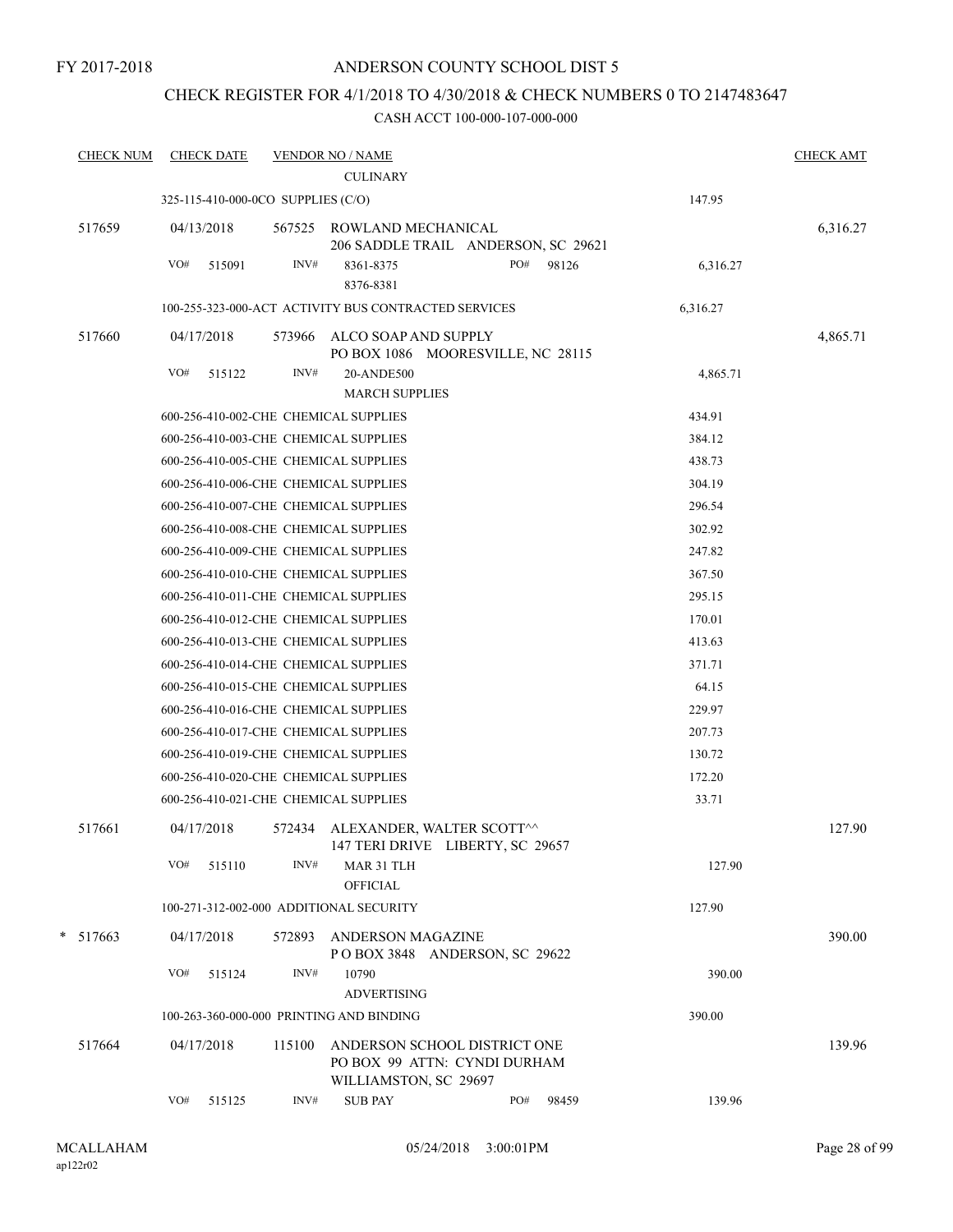### CHECK REGISTER FOR 4/1/2018 TO 4/30/2018 & CHECK NUMBERS 0 TO 2147483647

| <b>CHECK NUM</b> |     | <b>CHECK DATE</b> |                                    | <b>VENDOR NO / NAME</b>                                                               |     |       |          | <b>CHECK AMT</b> |
|------------------|-----|-------------------|------------------------------------|---------------------------------------------------------------------------------------|-----|-------|----------|------------------|
|                  |     |                   |                                    | <b>CULINARY</b>                                                                       |     |       |          |                  |
|                  |     |                   | 325-115-410-000-0CO SUPPLIES (C/O) |                                                                                       |     |       | 147.95   |                  |
| 517659           |     | 04/13/2018        | 567525                             | ROWLAND MECHANICAL<br>206 SADDLE TRAIL ANDERSON, SC 29621                             |     |       |          | 6,316.27         |
|                  | VO# | 515091            | INV#                               | 8361-8375<br>8376-8381                                                                | PO# | 98126 | 6,316.27 |                  |
|                  |     |                   |                                    | 100-255-323-000-ACT ACTIVITY BUS CONTRACTED SERVICES                                  |     |       | 6,316.27 |                  |
| 517660           |     | 04/17/2018        | 573966                             | ALCO SOAP AND SUPPLY<br>PO BOX 1086 MOORESVILLE, NC 28115                             |     |       |          | 4,865.71         |
|                  | VO# | 515122            | INV#                               | 20-ANDE500<br><b>MARCH SUPPLIES</b>                                                   |     |       | 4,865.71 |                  |
|                  |     |                   |                                    | 600-256-410-002-CHE CHEMICAL SUPPLIES                                                 |     |       | 434.91   |                  |
|                  |     |                   |                                    | 600-256-410-003-CHE CHEMICAL SUPPLIES                                                 |     |       | 384.12   |                  |
|                  |     |                   |                                    | 600-256-410-005-CHE CHEMICAL SUPPLIES                                                 |     |       | 438.73   |                  |
|                  |     |                   |                                    | 600-256-410-006-CHE CHEMICAL SUPPLIES                                                 |     |       | 304.19   |                  |
|                  |     |                   |                                    | 600-256-410-007-CHE CHEMICAL SUPPLIES                                                 |     |       | 296.54   |                  |
|                  |     |                   |                                    | 600-256-410-008-CHE CHEMICAL SUPPLIES                                                 |     |       | 302.92   |                  |
|                  |     |                   |                                    | 600-256-410-009-CHE CHEMICAL SUPPLIES                                                 |     |       | 247.82   |                  |
|                  |     |                   |                                    | 600-256-410-010-CHE CHEMICAL SUPPLIES                                                 |     |       | 367.50   |                  |
|                  |     |                   |                                    | 600-256-410-011-CHE CHEMICAL SUPPLIES                                                 |     |       | 295.15   |                  |
|                  |     |                   |                                    | 600-256-410-012-CHE CHEMICAL SUPPLIES                                                 |     |       | 170.01   |                  |
|                  |     |                   |                                    | 600-256-410-013-CHE CHEMICAL SUPPLIES                                                 |     |       | 413.63   |                  |
|                  |     |                   |                                    | 600-256-410-014-CHE CHEMICAL SUPPLIES                                                 |     |       | 371.71   |                  |
|                  |     |                   |                                    | 600-256-410-015-CHE CHEMICAL SUPPLIES                                                 |     |       | 64.15    |                  |
|                  |     |                   |                                    | 600-256-410-016-CHE CHEMICAL SUPPLIES                                                 |     |       | 229.97   |                  |
|                  |     |                   |                                    | 600-256-410-017-CHE CHEMICAL SUPPLIES                                                 |     |       | 207.73   |                  |
|                  |     |                   |                                    | 600-256-410-019-CHE CHEMICAL SUPPLIES                                                 |     |       | 130.72   |                  |
|                  |     |                   |                                    | 600-256-410-020-CHE CHEMICAL SUPPLIES                                                 |     |       | 172.20   |                  |
|                  |     |                   |                                    | 600-256-410-021-CHE CHEMICAL SUPPLIES                                                 |     |       | 33.71    |                  |
| 517661           |     | 04/17/2018        | 572434                             | ALEXANDER, WALTER SCOTT^^<br>147 TERI DRIVE LIBERTY, SC 29657                         |     |       |          | 127.90           |
|                  | VO# | 515110            | INV#                               | MAR 31 TLH<br><b>OFFICIAL</b>                                                         |     |       | 127.90   |                  |
|                  |     |                   |                                    | 100-271-312-002-000 ADDITIONAL SECURITY                                               |     |       | 127.90   |                  |
| $* 517663$       |     | 04/17/2018        | 572893                             | ANDERSON MAGAZINE<br>POBOX 3848 ANDERSON, SC 29622                                    |     |       |          | 390.00           |
|                  | VO# | 515124            | INV#                               | 10790<br><b>ADVERTISING</b>                                                           |     |       | 390.00   |                  |
|                  |     |                   |                                    | 100-263-360-000-000 PRINTING AND BINDING                                              |     |       | 390.00   |                  |
| 517664           |     | 04/17/2018        | 115100                             | ANDERSON SCHOOL DISTRICT ONE<br>PO BOX 99 ATTN: CYNDI DURHAM<br>WILLIAMSTON, SC 29697 |     |       |          | 139.96           |
|                  | VO# | 515125            | INV#                               | <b>SUB PAY</b>                                                                        | PO# | 98459 | 139.96   |                  |
|                  |     |                   |                                    |                                                                                       |     |       |          |                  |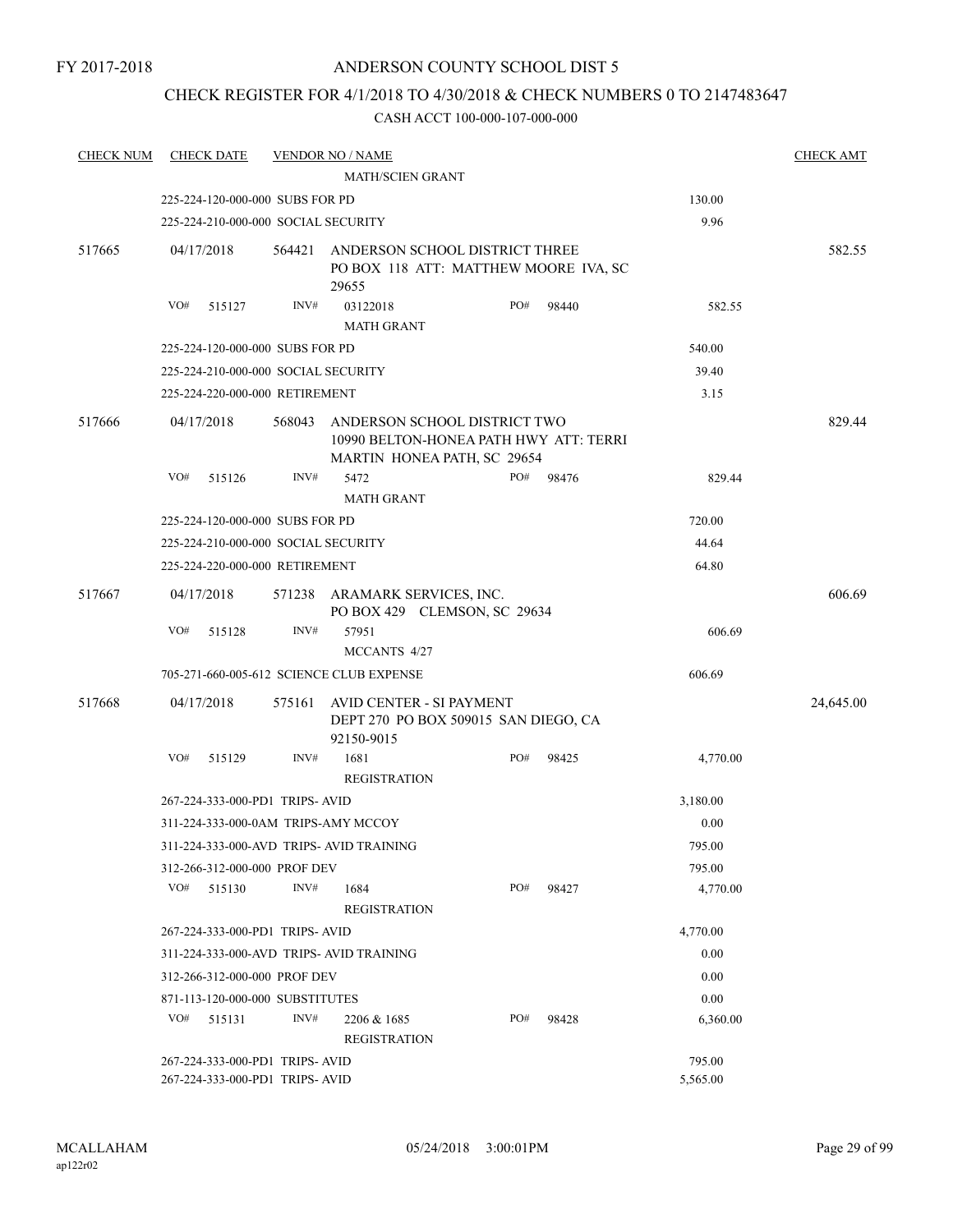### CHECK REGISTER FOR 4/1/2018 TO 4/30/2018 & CHECK NUMBERS 0 TO 2147483647

| <b>CHECK NUM</b> | <b>CHECK DATE</b>                   |        | <b>VENDOR NO / NAME</b>                                                                                      |     |           |          | <b>CHECK AMT</b> |
|------------------|-------------------------------------|--------|--------------------------------------------------------------------------------------------------------------|-----|-----------|----------|------------------|
|                  |                                     |        | <b>MATH/SCIEN GRANT</b>                                                                                      |     |           |          |                  |
|                  | 225-224-120-000-000 SUBS FOR PD     |        |                                                                                                              |     |           | 130.00   |                  |
|                  | 225-224-210-000-000 SOCIAL SECURITY |        |                                                                                                              |     |           | 9.96     |                  |
| 517665           | 04/17/2018                          |        | 564421 ANDERSON SCHOOL DISTRICT THREE<br>PO BOX 118 ATT: MATTHEW MOORE IVA, SC<br>29655                      |     |           | 582.55   |                  |
|                  | VO#<br>515127                       | INV#   | 03122018<br><b>MATH GRANT</b>                                                                                | PO# | 98440     | 582.55   |                  |
|                  | 225-224-120-000-000 SUBS FOR PD     |        |                                                                                                              |     |           | 540.00   |                  |
|                  | 225-224-210-000-000 SOCIAL SECURITY |        |                                                                                                              |     |           | 39.40    |                  |
|                  | 225-224-220-000-000 RETIREMENT      |        |                                                                                                              |     |           | 3.15     |                  |
| 517666           | 04/17/2018                          |        | 568043 ANDERSON SCHOOL DISTRICT TWO<br>10990 BELTON-HONEA PATH HWY ATT: TERRI<br>MARTIN HONEA PATH, SC 29654 |     |           |          | 829.44           |
|                  | VO#<br>515126                       | INV#   | 5472<br><b>MATH GRANT</b>                                                                                    |     | PO# 98476 | 829.44   |                  |
|                  | 225-224-120-000-000 SUBS FOR PD     |        | 720.00                                                                                                       |     |           |          |                  |
|                  | 225-224-210-000-000 SOCIAL SECURITY |        |                                                                                                              |     |           | 44.64    |                  |
|                  | 225-224-220-000-000 RETIREMENT      |        |                                                                                                              |     |           | 64.80    |                  |
| 517667           | 04/17/2018                          |        | 571238 ARAMARK SERVICES, INC.                                                                                |     |           |          | 606.69           |
|                  | VO#<br>515128                       | INV#   | PO BOX 429 CLEMSON, SC 29634<br>57951                                                                        |     |           | 606.69   |                  |
|                  |                                     |        | MCCANTS 4/27                                                                                                 |     |           |          |                  |
|                  |                                     |        | 705-271-660-005-612 SCIENCE CLUB EXPENSE                                                                     |     |           | 606.69   |                  |
| 517668           | 04/17/2018                          | 575161 | AVID CENTER - SI PAYMENT<br>DEPT 270 PO BOX 509015 SAN DIEGO, CA<br>92150-9015                               |     |           |          | 24,645.00        |
|                  | VO#<br>515129                       | INV#   | 1681<br><b>REGISTRATION</b>                                                                                  | PO# | 98425     | 4,770.00 |                  |
|                  | 267-224-333-000-PD1 TRIPS-AVID      |        |                                                                                                              |     |           | 3,180.00 |                  |
|                  | 311-224-333-000-0AM TRIPS-AMY MCCOY |        |                                                                                                              |     |           | 0.00     |                  |
|                  |                                     |        | 311-224-333-000-AVD TRIPS- AVID TRAINING                                                                     |     |           | 795.00   |                  |
|                  | 312-266-312-000-000 PROF DEV        |        |                                                                                                              |     |           | 795.00   |                  |
|                  | VO#<br>515130                       | INV#   | 1684<br><b>REGISTRATION</b>                                                                                  | PO# | 98427     | 4,770.00 |                  |
|                  | 267-224-333-000-PD1 TRIPS-AVID      |        |                                                                                                              |     |           | 4,770.00 |                  |
|                  |                                     |        | 311-224-333-000-AVD TRIPS- AVID TRAINING                                                                     |     |           | 0.00     |                  |
|                  | 312-266-312-000-000 PROF DEV        |        |                                                                                                              |     |           | 0.00     |                  |
|                  | 871-113-120-000-000 SUBSTITUTES     |        |                                                                                                              |     |           | 0.00     |                  |
|                  | VO#<br>515131                       | INV#   | 2206 & 1685<br><b>REGISTRATION</b>                                                                           | PO# | 98428     | 6,360.00 |                  |
|                  | 267-224-333-000-PD1 TRIPS-AVID      |        |                                                                                                              |     | 795.00    |          |                  |
|                  | 267-224-333-000-PD1 TRIPS- AVID     |        | 5,565.00                                                                                                     |     |           |          |                  |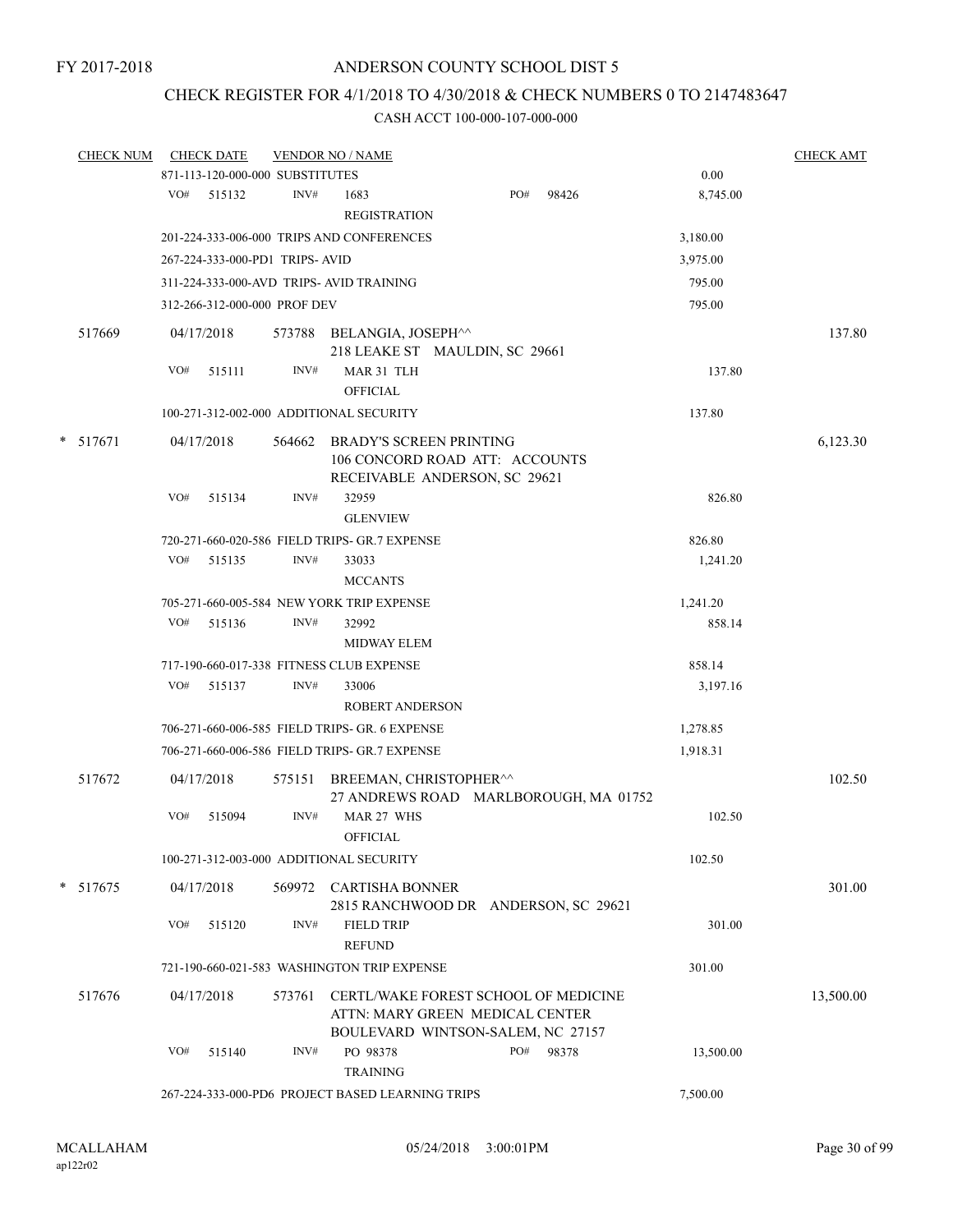### CHECK REGISTER FOR 4/1/2018 TO 4/30/2018 & CHECK NUMBERS 0 TO 2147483647

|  | <b>CHECK NUM</b> |     | <b>CHECK DATE</b>               |        | <b>VENDOR NO / NAME</b>                          |                                                                                                              |       |           | <b>CHECK AMT</b> |
|--|------------------|-----|---------------------------------|--------|--------------------------------------------------|--------------------------------------------------------------------------------------------------------------|-------|-----------|------------------|
|  |                  |     | 871-113-120-000-000 SUBSTITUTES |        |                                                  |                                                                                                              |       | 0.00      |                  |
|  |                  |     | VO# 515132                      | INV#   | 1683<br><b>REGISTRATION</b>                      | PO#                                                                                                          | 98426 | 8,745.00  |                  |
|  |                  |     |                                 |        | 201-224-333-006-000 TRIPS AND CONFERENCES        |                                                                                                              |       | 3,180.00  |                  |
|  |                  |     |                                 |        |                                                  |                                                                                                              |       |           |                  |
|  |                  |     | 267-224-333-000-PD1 TRIPS-AVID  |        |                                                  |                                                                                                              |       | 3,975.00  |                  |
|  |                  |     |                                 |        | 311-224-333-000-AVD TRIPS- AVID TRAINING         |                                                                                                              |       | 795.00    |                  |
|  |                  |     | 312-266-312-000-000 PROF DEV    |        |                                                  |                                                                                                              |       | 795.00    |                  |
|  | 517669           |     | 04/17/2018                      |        | 573788 BELANGIA, JOSEPH^^                        | 218 LEAKE ST MAULDIN, SC 29661                                                                               |       |           | 137.80           |
|  |                  | VO# | 515111                          | INV#   | MAR 31 TLH<br><b>OFFICIAL</b>                    |                                                                                                              |       | 137.80    |                  |
|  |                  |     |                                 |        | 100-271-312-002-000 ADDITIONAL SECURITY          |                                                                                                              |       | 137.80    |                  |
|  | $*$ 517671       |     | 04/17/2018                      | 564662 |                                                  | <b>BRADY'S SCREEN PRINTING</b><br>106 CONCORD ROAD ATT: ACCOUNTS<br>RECEIVABLE ANDERSON, SC 29621            |       |           | 6,123.30         |
|  |                  | VO# | 515134                          | INV#   | 32959<br><b>GLENVIEW</b>                         |                                                                                                              |       | 826.80    |                  |
|  |                  |     |                                 |        | 720-271-660-020-586 FIELD TRIPS- GR.7 EXPENSE    |                                                                                                              |       | 826.80    |                  |
|  |                  | VO# | 515135                          | INV#   | 33033<br><b>MCCANTS</b>                          |                                                                                                              |       | 1,241.20  |                  |
|  |                  |     |                                 |        | 705-271-660-005-584 NEW YORK TRIP EXPENSE        |                                                                                                              |       | 1,241.20  |                  |
|  |                  |     | VO# 515136                      | INV#   | 32992<br><b>MIDWAY ELEM</b>                      |                                                                                                              |       | 858.14    |                  |
|  |                  |     |                                 |        | 717-190-660-017-338 FITNESS CLUB EXPENSE         |                                                                                                              |       | 858.14    |                  |
|  |                  | VO# | 515137                          | INV#   | 33006                                            |                                                                                                              |       | 3,197.16  |                  |
|  |                  |     |                                 |        | <b>ROBERT ANDERSON</b>                           |                                                                                                              |       |           |                  |
|  |                  |     |                                 |        | 706-271-660-006-585 FIELD TRIPS- GR. 6 EXPENSE   |                                                                                                              |       | 1,278.85  |                  |
|  |                  |     |                                 |        | 706-271-660-006-586 FIELD TRIPS- GR.7 EXPENSE    |                                                                                                              |       | 1,918.31  |                  |
|  | 517672           |     | 04/17/2018                      | 575151 |                                                  | BREEMAN, CHRISTOPHER^^<br>27 ANDREWS ROAD MARLBOROUGH, MA 01752                                              |       |           | 102.50           |
|  |                  | VO# | 515094                          | INV#   | MAR 27 WHS<br><b>OFFICIAL</b>                    |                                                                                                              |       | 102.50    |                  |
|  |                  |     |                                 |        | 100-271-312-003-000 ADDITIONAL SECURITY          |                                                                                                              |       | 102.50    |                  |
|  | * 517675         |     | 04/17/2018                      | 569972 | CARTISHA BONNER                                  | 2815 RANCHWOOD DR ANDERSON, SC 29621                                                                         |       |           | 301.00           |
|  |                  | VO# | 515120                          | INV#   | <b>FIELD TRIP</b><br><b>REFUND</b>               |                                                                                                              |       | 301.00    |                  |
|  |                  |     |                                 |        | 721-190-660-021-583 WASHINGTON TRIP EXPENSE      |                                                                                                              |       | 301.00    |                  |
|  | 517676           |     | 04/17/2018                      | 573761 |                                                  | CERTL/WAKE FOREST SCHOOL OF MEDICINE<br>ATTN: MARY GREEN MEDICAL CENTER<br>BOULEVARD WINTSON-SALEM, NC 27157 |       |           | 13,500.00        |
|  |                  | VO# | 515140                          | INV#   | PO 98378<br><b>TRAINING</b>                      | PO#                                                                                                          | 98378 | 13,500.00 |                  |
|  |                  |     |                                 |        | 267-224-333-000-PD6 PROJECT BASED LEARNING TRIPS |                                                                                                              |       | 7,500.00  |                  |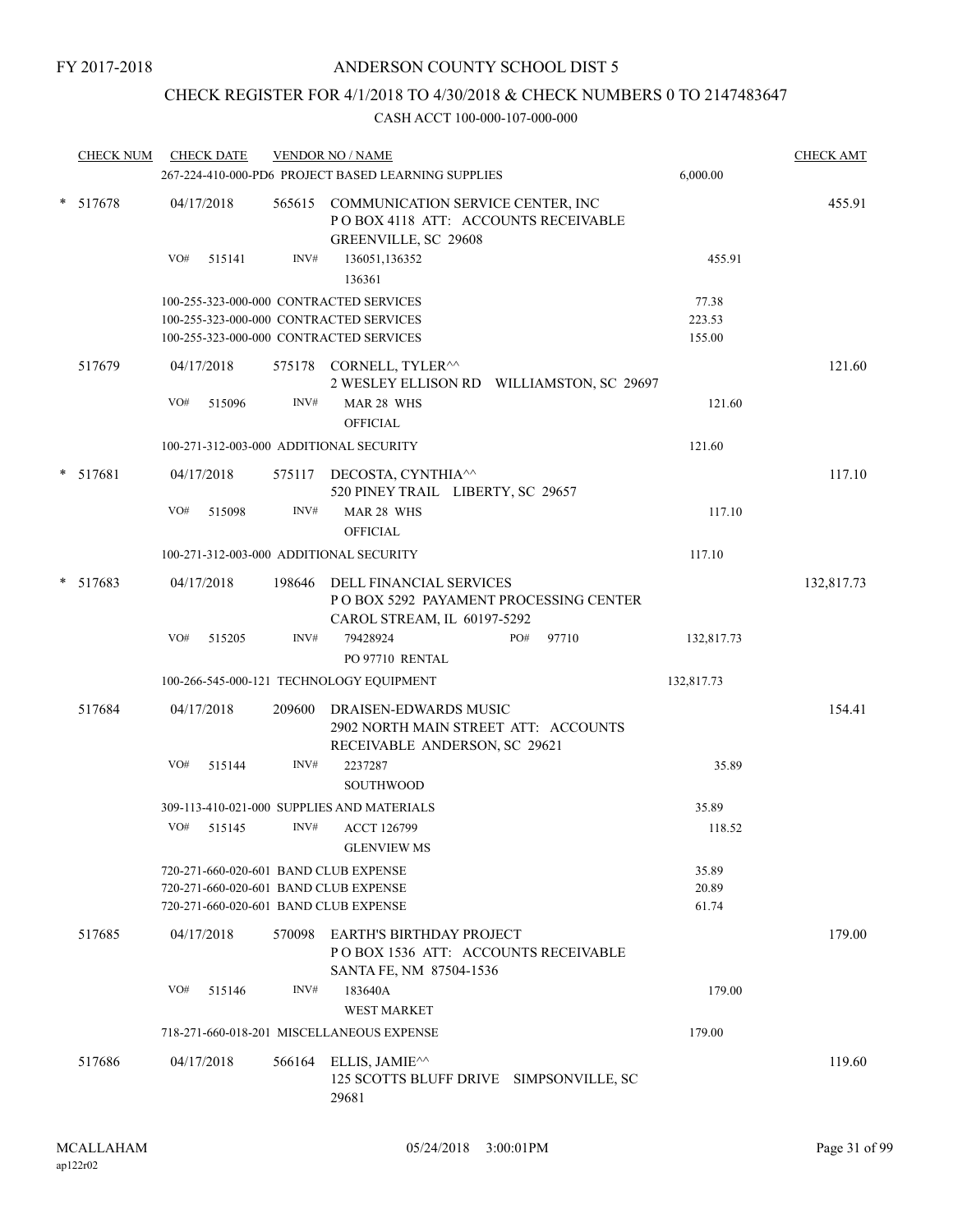### CHECK REGISTER FOR 4/1/2018 TO 4/30/2018 & CHECK NUMBERS 0 TO 2147483647

| <b>CHECK NUM</b> |     | <b>CHECK DATE</b> |        | <b>VENDOR NO / NAME</b>                                                                                 |     |       |            | <b>CHECK AMT</b> |
|------------------|-----|-------------------|--------|---------------------------------------------------------------------------------------------------------|-----|-------|------------|------------------|
|                  |     |                   |        | 267-224-410-000-PD6 PROJECT BASED LEARNING SUPPLIES                                                     |     |       | 6,000.00   |                  |
| * 517678         |     | 04/17/2018        |        | 565615 COMMUNICATION SERVICE CENTER, INC<br>POBOX 4118 ATT: ACCOUNTS RECEIVABLE<br>GREENVILLE, SC 29608 |     |       |            | 455.91           |
|                  | VO# | 515141            | INV#   | 136051,136352<br>136361                                                                                 |     |       | 455.91     |                  |
|                  |     |                   |        | 100-255-323-000-000 CONTRACTED SERVICES                                                                 |     |       | 77.38      |                  |
|                  |     |                   |        | 100-255-323-000-000 CONTRACTED SERVICES                                                                 |     |       | 223.53     |                  |
|                  |     |                   |        | 100-255-323-000-000 CONTRACTED SERVICES                                                                 |     |       | 155.00     |                  |
| 517679           |     | 04/17/2018        |        | 575178 CORNELL, TYLER <sup>^^</sup><br>2 WESLEY ELLISON RD WILLIAMSTON, SC 29697                        |     |       |            | 121.60           |
|                  | VO# | 515096            | INV#   | MAR 28 WHS<br><b>OFFICIAL</b>                                                                           |     |       | 121.60     |                  |
|                  |     |                   |        | 100-271-312-003-000 ADDITIONAL SECURITY                                                                 |     |       | 121.60     |                  |
| $* 517681$       |     | 04/17/2018        |        | 575117 DECOSTA, CYNTHIA <sup>^^</sup><br>520 PINEY TRAIL LIBERTY, SC 29657                              |     |       |            | 117.10           |
|                  | VO# | 515098            | INV#   | MAR 28 WHS<br><b>OFFICIAL</b>                                                                           |     |       | 117.10     |                  |
|                  |     |                   |        | 100-271-312-003-000 ADDITIONAL SECURITY                                                                 |     |       | 117.10     |                  |
| $* 517683$       |     | 04/17/2018        | 198646 | DELL FINANCIAL SERVICES<br>PO BOX 5292 PAYAMENT PROCESSING CENTER<br>CAROL STREAM, IL 60197-5292        |     |       |            | 132,817.73       |
|                  | VO# | 515205            | INV#   | 79428924<br>PO 97710 RENTAL                                                                             | PO# | 97710 | 132,817.73 |                  |
|                  |     |                   |        | 100-266-545-000-121 TECHNOLOGY EQUIPMENT                                                                |     |       | 132,817.73 |                  |
| 517684           |     | 04/17/2018        | 209600 | DRAISEN-EDWARDS MUSIC<br>2902 NORTH MAIN STREET ATT: ACCOUNTS<br>RECEIVABLE ANDERSON, SC 29621          |     |       |            | 154.41           |
|                  | VO# | 515144            | INV#   | 2237287<br><b>SOUTHWOOD</b>                                                                             |     |       | 35.89      |                  |
|                  |     |                   |        | 309-113-410-021-000 SUPPLIES AND MATERIALS                                                              |     |       | 35.89      |                  |
|                  | VO# | 515145            | INV#   | <b>ACCT 126799</b><br><b>GLENVIEW MS</b>                                                                |     |       | 118.52     |                  |
|                  |     |                   |        | 720-271-660-020-601 BAND CLUB EXPENSE                                                                   |     |       | 35.89      |                  |
|                  |     |                   |        | 720-271-660-020-601 BAND CLUB EXPENSE                                                                   |     |       | 20.89      |                  |
|                  |     |                   |        | 720-271-660-020-601 BAND CLUB EXPENSE                                                                   |     |       | 61.74      |                  |
| 517685           |     | 04/17/2018        | 570098 | <b>EARTH'S BIRTHDAY PROJECT</b><br>POBOX 1536 ATT: ACCOUNTS RECEIVABLE<br>SANTA FE, NM 87504-1536       |     |       |            | 179.00           |
|                  | VO# | 515146            | INV#   | 183640A                                                                                                 |     |       | 179.00     |                  |
|                  |     |                   |        | <b>WEST MARKET</b>                                                                                      |     |       |            |                  |
|                  |     |                   |        | 718-271-660-018-201 MISCELLANEOUS EXPENSE                                                               |     |       | 179.00     |                  |
| 517686           |     | 04/17/2018        | 566164 | ELLIS, JAMIE <sup><math>\wedge\wedge</math></sup><br>125 SCOTTS BLUFF DRIVE SIMPSONVILLE, SC            |     |       |            | 119.60           |
|                  |     |                   |        | 29681                                                                                                   |     |       |            |                  |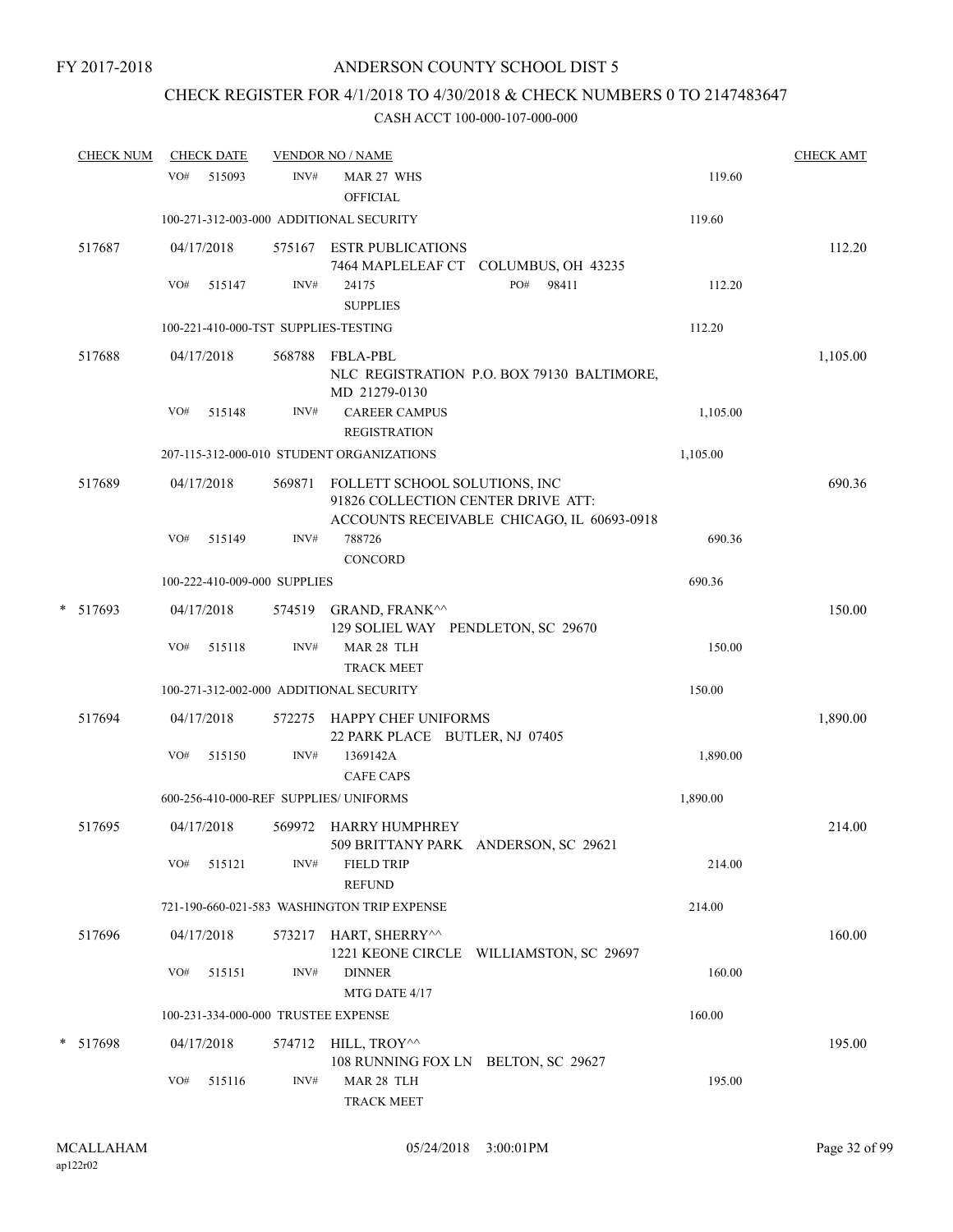### CHECK REGISTER FOR 4/1/2018 TO 4/30/2018 & CHECK NUMBERS 0 TO 2147483647

| <b>CHECK NUM</b> |     | <b>CHECK DATE</b>    |                              | <b>VENDOR NO / NAME</b>                                                  |                                            |          | <b>CHECK AMT</b> |
|------------------|-----|----------------------|------------------------------|--------------------------------------------------------------------------|--------------------------------------------|----------|------------------|
|                  | VO# | 515093               | INV#                         | MAR 27 WHS<br><b>OFFICIAL</b>                                            |                                            | 119.60   |                  |
|                  |     |                      |                              | 100-271-312-003-000 ADDITIONAL SECURITY                                  |                                            | 119.60   |                  |
| 517687           |     | 04/17/2018           | 575167                       | <b>ESTR PUBLICATIONS</b>                                                 | 7464 MAPLELEAF CT COLUMBUS, OH 43235       |          | 112.20           |
|                  | VO# | 515147               | INV#                         | 24175<br><b>SUPPLIES</b>                                                 | PO#<br>98411                               | 112.20   |                  |
|                  |     |                      |                              | 100-221-410-000-TST SUPPLIES-TESTING                                     |                                            | 112.20   |                  |
| 517688           |     | 04/17/2018           | 568788                       | <b>FBLA-PBL</b><br>MD 21279-0130                                         | NLC REGISTRATION P.O. BOX 79130 BALTIMORE, |          | 1,105.00         |
|                  | VO# | 515148               | INV#                         | <b>CAREER CAMPUS</b><br><b>REGISTRATION</b>                              |                                            | 1,105.00 |                  |
|                  |     |                      |                              | 207-115-312-000-010 STUDENT ORGANIZATIONS                                |                                            | 1,105.00 |                  |
| 517689           |     | 04/17/2018           | 569871                       | FOLLETT SCHOOL SOLUTIONS, INC<br>91826 COLLECTION CENTER DRIVE ATT:      | ACCOUNTS RECEIVABLE CHICAGO, IL 60693-0918 |          | 690.36           |
|                  | VO# | 515149               | INV#                         | 788726<br><b>CONCORD</b>                                                 |                                            | 690.36   |                  |
|                  |     |                      | 100-222-410-009-000 SUPPLIES |                                                                          |                                            | 690.36   |                  |
| * 517693         |     | 04/17/2018           |                              | 574519 GRAND, FRANK <sup>^^</sup><br>129 SOLIEL WAY PENDLETON, SC 29670  |                                            |          | 150.00           |
|                  | VO# | 515118               | INV#                         | MAR 28 TLH<br><b>TRACK MEET</b>                                          |                                            | 150.00   |                  |
|                  |     |                      |                              | 100-271-312-002-000 ADDITIONAL SECURITY                                  |                                            | 150.00   |                  |
| 517694           |     | 04/17/2018           | 572275                       | HAPPY CHEF UNIFORMS<br>22 PARK PLACE BUTLER, NJ 07405                    |                                            |          | 1,890.00         |
|                  | VO# | 515150               | INV#                         | 1369142A<br><b>CAFE CAPS</b>                                             |                                            | 1,890.00 |                  |
|                  |     |                      |                              | 600-256-410-000-REF SUPPLIES/ UNIFORMS                                   |                                            | 1,890.00 |                  |
| 517695           |     | 04/17/2018           | 569972                       | HARRY HUMPHREY                                                           | 509 BRITTANY PARK ANDERSON, SC 29621       |          | 214.00           |
|                  | VO# | 515121               | INV#                         | <b>FIELD TRIP</b><br><b>REFUND</b>                                       |                                            | 214.00   |                  |
|                  |     |                      |                              | 721-190-660-021-583 WASHINGTON TRIP EXPENSE                              |                                            | 214.00   |                  |
| 517696           |     | 04/17/2018           | 573217                       | HART, SHERRY^^                                                           | 1221 KEONE CIRCLE WILLIAMSTON, SC 29697    |          | 160.00           |
|                  | VO# | 515151               | INV#                         | <b>DINNER</b><br>MTG DATE 4/17                                           |                                            | 160.00   |                  |
|                  |     |                      |                              | 100-231-334-000-000 TRUSTEE EXPENSE                                      |                                            | 160.00   |                  |
| $*$ 517698       | VO# | 04/17/2018<br>515116 | INV#                         | 574712 HILL, TROY^^<br>108 RUNNING FOX LN BELTON, SC 29627<br>MAR 28 TLH |                                            | 195.00   | 195.00           |
|                  |     |                      |                              | TRACK MEET                                                               |                                            |          |                  |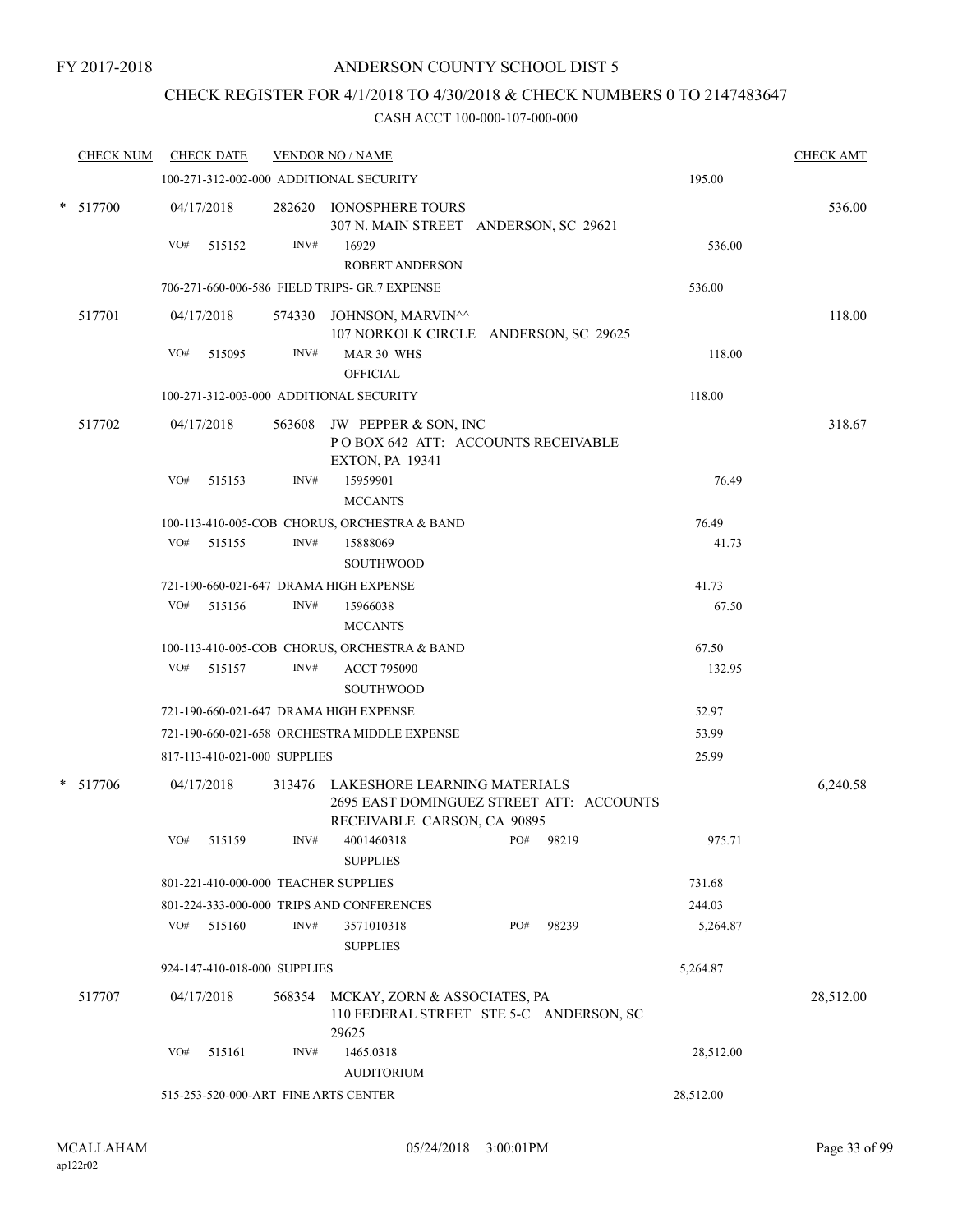### CHECK REGISTER FOR 4/1/2018 TO 4/30/2018 & CHECK NUMBERS 0 TO 2147483647

| <b>CHECK NUM</b> | <b>CHECK DATE</b>                                 |                                               |        | <b>VENDOR NO / NAME</b>                                                                                        |     |           |           | <b>CHECK AMT</b> |  |
|------------------|---------------------------------------------------|-----------------------------------------------|--------|----------------------------------------------------------------------------------------------------------------|-----|-----------|-----------|------------------|--|
|                  |                                                   |                                               |        | 100-271-312-002-000 ADDITIONAL SECURITY                                                                        |     |           | 195.00    |                  |  |
| * 517700         | 04/17/2018                                        |                                               |        | 282620 IONOSPHERE TOURS<br>307 N. MAIN STREET ANDERSON, SC 29621                                               |     |           |           | 536.00           |  |
|                  | VO#                                               | 515152                                        | INV#   | 16929                                                                                                          |     |           | 536.00    |                  |  |
|                  |                                                   |                                               |        | <b>ROBERT ANDERSON</b>                                                                                         |     |           |           |                  |  |
|                  |                                                   | 706-271-660-006-586 FIELD TRIPS- GR.7 EXPENSE |        | 536.00                                                                                                         |     |           |           |                  |  |
| 517701           | 04/17/2018                                        |                                               |        | 574330 JOHNSON, MARVIN <sup>^^</sup><br>107 NORKOLK CIRCLE ANDERSON, SC 29625<br>MAR 30 WHS<br><b>OFFICIAL</b> |     |           |           | 118.00           |  |
|                  | VO#                                               | 515095                                        | INV#   |                                                                                                                |     |           | 118.00    |                  |  |
|                  | 118.00<br>100-271-312-003-000 ADDITIONAL SECURITY |                                               |        |                                                                                                                |     |           |           |                  |  |
| 517702           | 04/17/2018                                        |                                               |        | 563608 JW PEPPER & SON, INC<br>POBOX 642 ATT: ACCOUNTS RECEIVABLE<br><b>EXTON, PA 19341</b>                    |     |           |           | 318.67           |  |
|                  | VO#                                               | 515153                                        | INV#   | 15959901<br><b>MCCANTS</b>                                                                                     |     |           | 76.49     |                  |  |
|                  |                                                   |                                               |        | 100-113-410-005-COB CHORUS, ORCHESTRA & BAND                                                                   |     |           | 76.49     |                  |  |
|                  | VO#                                               | 515155                                        | INV#   | 15888069<br><b>SOUTHWOOD</b>                                                                                   |     |           | 41.73     |                  |  |
|                  |                                                   |                                               |        | 721-190-660-021-647 DRAMA HIGH EXPENSE                                                                         |     |           | 41.73     |                  |  |
|                  | VO#                                               | 515156                                        | INV#   | 15966038<br><b>MCCANTS</b>                                                                                     |     |           | 67.50     |                  |  |
|                  |                                                   |                                               |        | 100-113-410-005-COB CHORUS, ORCHESTRA & BAND                                                                   |     |           | 67.50     |                  |  |
|                  | VO#                                               | 515157                                        | INV#   | <b>ACCT 795090</b><br><b>SOUTHWOOD</b>                                                                         |     |           | 132.95    |                  |  |
|                  |                                                   | 721-190-660-021-647 DRAMA HIGH EXPENSE        |        | 52.97                                                                                                          |     |           |           |                  |  |
|                  |                                                   |                                               |        | 721-190-660-021-658 ORCHESTRA MIDDLE EXPENSE                                                                   |     |           | 53.99     |                  |  |
|                  |                                                   | 817-113-410-021-000 SUPPLIES                  |        |                                                                                                                |     |           | 25.99     |                  |  |
| * 517706         | 04/17/2018                                        |                                               |        | 313476 LAKESHORE LEARNING MATERIALS<br>2695 EAST DOMINGUEZ STREET ATT: ACCOUNTS<br>RECEIVABLE CARSON, CA 90895 |     |           |           | 6,240.58         |  |
|                  | VO# 515159                                        |                                               | INV#   | 4001460318<br><b>SUPPLIES</b>                                                                                  |     | PO# 98219 | 975.71    |                  |  |
|                  |                                                   |                                               |        | 801-221-410-000-000 TEACHER SUPPLIES                                                                           |     |           | 731.68    |                  |  |
|                  |                                                   |                                               |        | 801-224-333-000-000 TRIPS AND CONFERENCES                                                                      |     |           | 244.03    |                  |  |
|                  | $VO#$ 515160                                      |                                               | INV#   | 3571010318<br><b>SUPPLIES</b>                                                                                  | PO# | 98239     | 5,264.87  |                  |  |
|                  |                                                   | 924-147-410-018-000 SUPPLIES                  |        |                                                                                                                |     |           | 5,264.87  |                  |  |
| 517707           | 04/17/2018                                        |                                               | 568354 | MCKAY, ZORN & ASSOCIATES, PA<br>110 FEDERAL STREET STE 5-C ANDERSON, SC<br>29625                               |     |           |           | 28,512.00        |  |
|                  | VO#                                               | 515161                                        | INV#   | 1465.0318<br><b>AUDITORIUM</b>                                                                                 |     |           | 28,512.00 |                  |  |
|                  |                                                   |                                               |        | 515-253-520-000-ART FINE ARTS CENTER                                                                           |     |           | 28,512.00 |                  |  |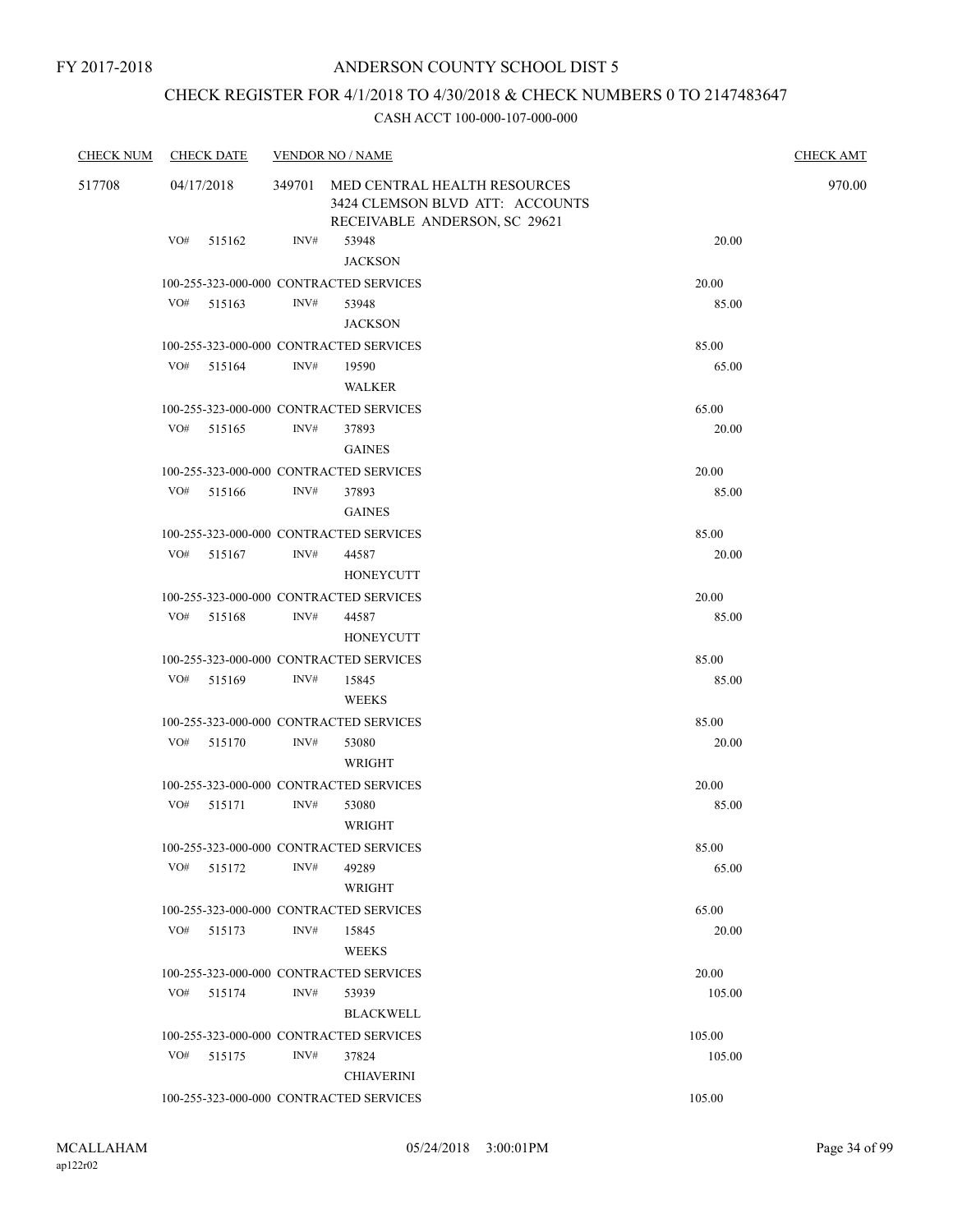### CHECK REGISTER FOR 4/1/2018 TO 4/30/2018 & CHECK NUMBERS 0 TO 2147483647

| <b>CHECK NUM</b> | <b>CHECK DATE</b> |        |      | <b>VENDOR NO / NAME</b>                                                                                 |                | <b>CHECK AMT</b> |  |  |
|------------------|-------------------|--------|------|---------------------------------------------------------------------------------------------------------|----------------|------------------|--|--|
| 517708           | 04/17/2018        |        |      | 349701 MED CENTRAL HEALTH RESOURCES<br>3424 CLEMSON BLVD ATT: ACCOUNTS<br>RECEIVABLE ANDERSON, SC 29621 |                |                  |  |  |
|                  | VO#               | 515162 | INV# | 53948<br><b>JACKSON</b>                                                                                 | 20.00          |                  |  |  |
|                  |                   |        |      | 100-255-323-000-000 CONTRACTED SERVICES                                                                 | 20.00          |                  |  |  |
|                  | VO#               | 515163 | INV# | 53948                                                                                                   | 85.00          |                  |  |  |
|                  |                   |        |      | <b>JACKSON</b>                                                                                          |                |                  |  |  |
|                  |                   |        |      | 100-255-323-000-000 CONTRACTED SERVICES                                                                 | 85.00          |                  |  |  |
|                  | VO#               | 515164 | INV# | 19590                                                                                                   | 65.00          |                  |  |  |
|                  |                   |        |      | WALKER                                                                                                  |                |                  |  |  |
|                  | VO#               | 515165 | INV# | 100-255-323-000-000 CONTRACTED SERVICES<br>37893                                                        | 65.00<br>20.00 |                  |  |  |
|                  |                   |        |      | <b>GAINES</b>                                                                                           |                |                  |  |  |
|                  |                   |        |      | 100-255-323-000-000 CONTRACTED SERVICES                                                                 | 20.00          |                  |  |  |
|                  | VO# 515166        |        | INV# | 37893                                                                                                   | 85.00          |                  |  |  |
|                  |                   |        |      | <b>GAINES</b>                                                                                           |                |                  |  |  |
|                  |                   |        |      | 100-255-323-000-000 CONTRACTED SERVICES                                                                 | 85.00          |                  |  |  |
|                  | VO#               | 515167 | INV# | 44587                                                                                                   | 20.00          |                  |  |  |
|                  |                   |        |      | HONEYCUTT                                                                                               |                |                  |  |  |
|                  |                   |        |      | 100-255-323-000-000 CONTRACTED SERVICES                                                                 | 20.00          |                  |  |  |
|                  | VO#               | 515168 | INV# | 44587                                                                                                   | 85.00          |                  |  |  |
|                  |                   |        |      | HONEYCUTT                                                                                               |                |                  |  |  |
|                  |                   |        |      | 100-255-323-000-000 CONTRACTED SERVICES                                                                 | 85.00          |                  |  |  |
|                  | VO# 515169        |        | INV# | 15845<br><b>WEEKS</b>                                                                                   | 85.00          |                  |  |  |
|                  |                   |        |      | 100-255-323-000-000 CONTRACTED SERVICES                                                                 | 85.00          |                  |  |  |
|                  | VO#               | 515170 | INV# | 53080<br>WRIGHT                                                                                         | 20.00          |                  |  |  |
|                  |                   |        |      | 100-255-323-000-000 CONTRACTED SERVICES                                                                 | 20.00          |                  |  |  |
|                  | VO#               | 515171 | INV# | 53080<br>WRIGHT                                                                                         | 85.00          |                  |  |  |
|                  |                   |        |      | 100-255-323-000-000 CONTRACTED SERVICES                                                                 | 85.00          |                  |  |  |
|                  | VO#               | 515172 | INV# | 49289<br>WRIGHT                                                                                         | 65.00          |                  |  |  |
|                  |                   |        |      | 100-255-323-000-000 CONTRACTED SERVICES                                                                 | 65.00          |                  |  |  |
|                  | VO# 515173        |        | INV# | 15845<br><b>WEEKS</b>                                                                                   | 20.00          |                  |  |  |
|                  |                   |        |      | 100-255-323-000-000 CONTRACTED SERVICES                                                                 | 20.00          |                  |  |  |
|                  | VO# 515174        |        | INV# | 53939                                                                                                   | 105.00         |                  |  |  |
|                  |                   |        |      | <b>BLACKWELL</b>                                                                                        |                |                  |  |  |
|                  |                   |        |      | 100-255-323-000-000 CONTRACTED SERVICES                                                                 | 105.00         |                  |  |  |
|                  | VO#               | 515175 | INV# | 37824                                                                                                   | 105.00         |                  |  |  |
|                  |                   |        |      | <b>CHIAVERINI</b>                                                                                       |                |                  |  |  |
|                  |                   |        |      | 100-255-323-000-000 CONTRACTED SERVICES                                                                 | 105.00         |                  |  |  |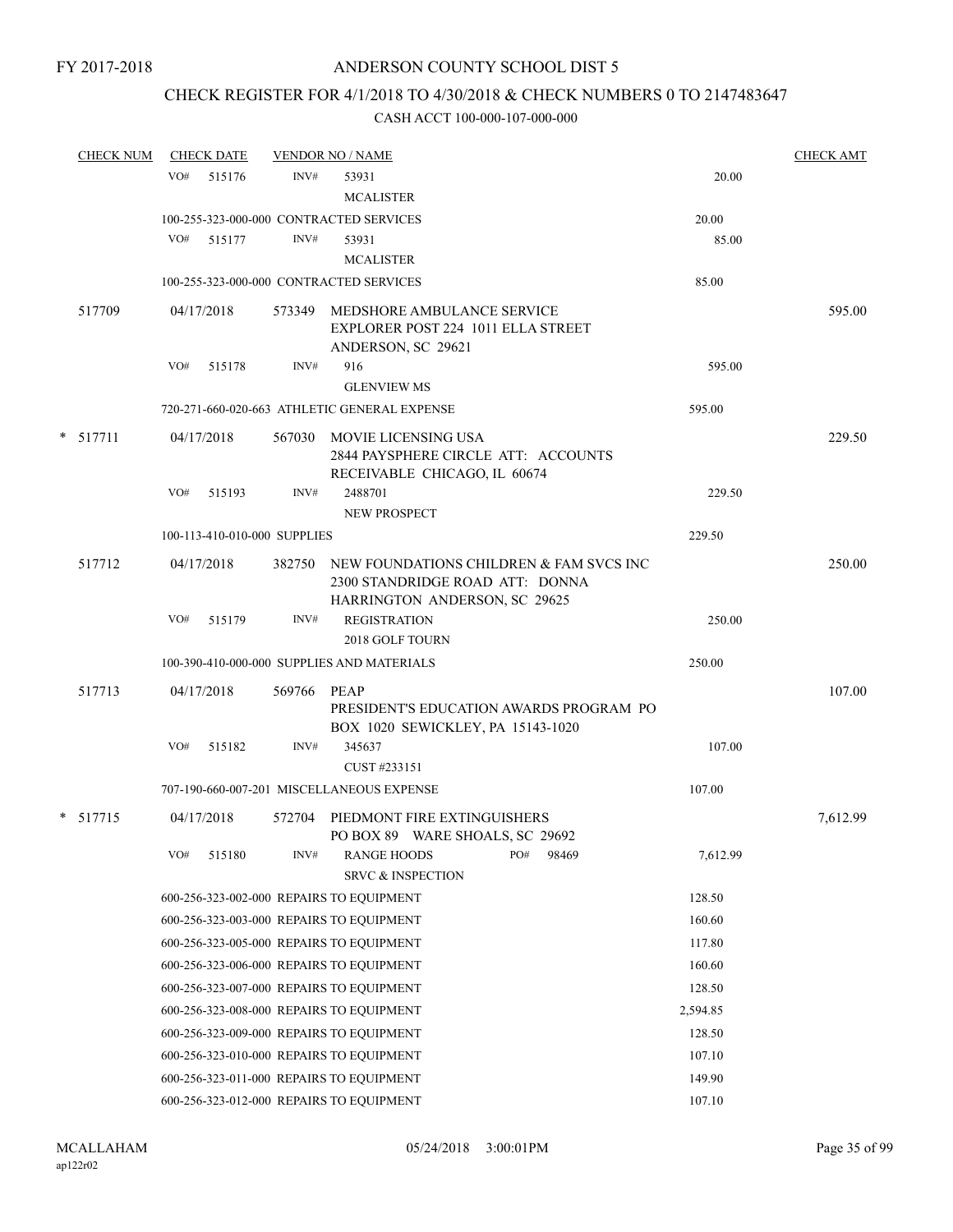### CHECK REGISTER FOR 4/1/2018 TO 4/30/2018 & CHECK NUMBERS 0 TO 2147483647

|  | <b>CHECK NUM</b> |     | <b>CHECK DATE</b>            |             | <b>VENDOR NO / NAME</b>                                                                           |          | <b>CHECK AMT</b> |
|--|------------------|-----|------------------------------|-------------|---------------------------------------------------------------------------------------------------|----------|------------------|
|  |                  | VO# | 515176                       | INV#        | 53931                                                                                             | 20.00    |                  |
|  |                  |     |                              |             | <b>MCALISTER</b>                                                                                  |          |                  |
|  |                  |     |                              |             | 100-255-323-000-000 CONTRACTED SERVICES                                                           | 20.00    |                  |
|  |                  | VO# | 515177                       | INV#        | 53931                                                                                             | 85.00    |                  |
|  |                  |     |                              |             | <b>MCALISTER</b>                                                                                  |          |                  |
|  |                  |     |                              |             | 100-255-323-000-000 CONTRACTED SERVICES                                                           | 85.00    |                  |
|  | 517709           |     | 04/17/2018                   | 573349      | MEDSHORE AMBULANCE SERVICE<br>EXPLORER POST 224 1011 ELLA STREET                                  |          | 595.00           |
|  |                  |     |                              |             | ANDERSON, SC 29621                                                                                |          |                  |
|  |                  | VO# | 515178                       | INV#        | 916                                                                                               | 595.00   |                  |
|  |                  |     |                              |             | <b>GLENVIEW MS</b>                                                                                |          |                  |
|  |                  |     |                              |             | 720-271-660-020-663 ATHLETIC GENERAL EXPENSE                                                      | 595.00   |                  |
|  | $*$ 517711       |     | 04/17/2018                   |             | 567030 MOVIE LICENSING USA<br>2844 PAYSPHERE CIRCLE ATT: ACCOUNTS<br>RECEIVABLE CHICAGO, IL 60674 |          | 229.50           |
|  |                  | VO# | 515193                       | INV#        | 2488701<br>NEW PROSPECT                                                                           | 229.50   |                  |
|  |                  |     | 100-113-410-010-000 SUPPLIES |             |                                                                                                   | 229.50   |                  |
|  | 517712           |     | 04/17/2018                   |             | 382750 NEW FOUNDATIONS CHILDREN & FAM SVCS INC<br>2300 STANDRIDGE ROAD ATT: DONNA                 |          | 250.00           |
|  |                  | VO# | 515179                       | INV#        | HARRINGTON ANDERSON, SC 29625<br><b>REGISTRATION</b>                                              | 250.00   |                  |
|  |                  |     |                              |             | 2018 GOLF TOURN                                                                                   |          |                  |
|  |                  |     |                              |             | 100-390-410-000-000 SUPPLIES AND MATERIALS                                                        | 250.00   |                  |
|  | 517713           |     | 04/17/2018                   | 569766 PEAP | PRESIDENT'S EDUCATION AWARDS PROGRAM PO<br>BOX 1020 SEWICKLEY, PA 15143-1020                      |          | 107.00           |
|  |                  | VO# | 515182                       | INV#        | 345637<br>CUST #233151                                                                            | 107.00   |                  |
|  |                  |     |                              |             | 707-190-660-007-201 MISCELLANEOUS EXPENSE                                                         | 107.00   |                  |
|  | $* 517715$       |     | 04/17/2018                   | 572704      | PIEDMONT FIRE EXTINGUISHERS<br>PO BOX 89 WARE SHOALS, SC 29692                                    |          | 7,612.99         |
|  |                  | VO# | 515180                       | INV#        | PO#<br><b>RANGE HOODS</b><br>98469<br><b>SRVC &amp; INSPECTION</b>                                | 7,612.99 |                  |
|  |                  |     |                              |             | 600-256-323-002-000 REPAIRS TO EQUIPMENT                                                          | 128.50   |                  |
|  |                  |     |                              |             | 600-256-323-003-000 REPAIRS TO EQUIPMENT                                                          | 160.60   |                  |
|  |                  |     |                              |             | 600-256-323-005-000 REPAIRS TO EQUIPMENT                                                          | 117.80   |                  |
|  |                  |     |                              |             | 600-256-323-006-000 REPAIRS TO EQUIPMENT                                                          | 160.60   |                  |
|  |                  |     |                              |             | 600-256-323-007-000 REPAIRS TO EQUIPMENT                                                          | 128.50   |                  |
|  |                  |     |                              |             | 600-256-323-008-000 REPAIRS TO EQUIPMENT                                                          | 2,594.85 |                  |
|  |                  |     |                              |             | 600-256-323-009-000 REPAIRS TO EQUIPMENT                                                          | 128.50   |                  |
|  |                  |     |                              |             |                                                                                                   |          |                  |
|  |                  |     |                              |             | 600-256-323-010-000 REPAIRS TO EQUIPMENT                                                          | 107.10   |                  |
|  |                  |     |                              |             | 600-256-323-011-000 REPAIRS TO EQUIPMENT                                                          | 149.90   |                  |
|  |                  |     |                              |             | 600-256-323-012-000 REPAIRS TO EQUIPMENT                                                          | 107.10   |                  |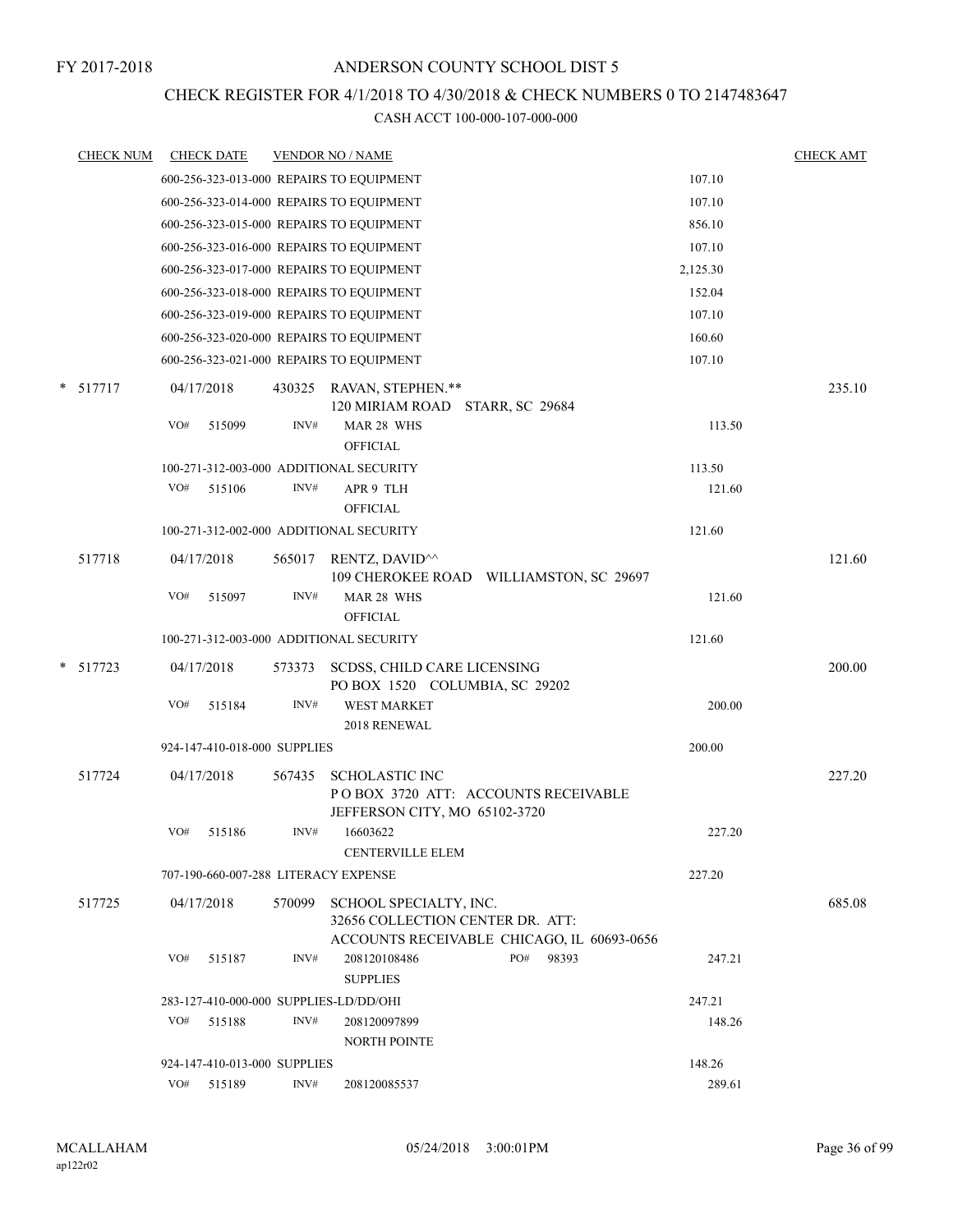### CHECK REGISTER FOR 4/1/2018 TO 4/30/2018 & CHECK NUMBERS 0 TO 2147483647

| <b>CHECK NUM</b> |     | <b>CHECK DATE</b>            |        | <b>VENDOR NO / NAME</b>                                                                       |          | <b>CHECK AMT</b> |
|------------------|-----|------------------------------|--------|-----------------------------------------------------------------------------------------------|----------|------------------|
|                  |     |                              |        | 600-256-323-013-000 REPAIRS TO EQUIPMENT                                                      | 107.10   |                  |
|                  |     |                              |        | 600-256-323-014-000 REPAIRS TO EQUIPMENT                                                      | 107.10   |                  |
|                  |     |                              |        | 600-256-323-015-000 REPAIRS TO EQUIPMENT                                                      | 856.10   |                  |
|                  |     |                              |        | 600-256-323-016-000 REPAIRS TO EQUIPMENT                                                      | 107.10   |                  |
|                  |     |                              |        | 600-256-323-017-000 REPAIRS TO EQUIPMENT                                                      | 2,125.30 |                  |
|                  |     |                              |        | 600-256-323-018-000 REPAIRS TO EQUIPMENT                                                      | 152.04   |                  |
|                  |     |                              |        | 600-256-323-019-000 REPAIRS TO EQUIPMENT                                                      | 107.10   |                  |
|                  |     |                              |        | 600-256-323-020-000 REPAIRS TO EQUIPMENT                                                      | 160.60   |                  |
|                  |     |                              |        | 600-256-323-021-000 REPAIRS TO EQUIPMENT                                                      | 107.10   |                  |
| $* 517717$       |     | 04/17/2018                   |        | 430325 RAVAN, STEPHEN.**<br>120 MIRIAM ROAD STARR, SC 29684                                   |          | 235.10           |
|                  | VO# | 515099                       | INV#   | MAR 28 WHS<br><b>OFFICIAL</b>                                                                 | 113.50   |                  |
|                  |     |                              |        | 100-271-312-003-000 ADDITIONAL SECURITY                                                       | 113.50   |                  |
|                  | VO# | 515106                       | INV#   | APR 9 TLH<br><b>OFFICIAL</b>                                                                  | 121.60   |                  |
|                  |     |                              |        | 100-271-312-002-000 ADDITIONAL SECURITY                                                       | 121.60   |                  |
| 517718           |     | 04/17/2018                   | 565017 | RENTZ, DAVID <sup>^^</sup><br>109 CHEROKEE ROAD WILLIAMSTON, SC 29697                         |          | 121.60           |
|                  | VO# | 515097                       | INV#   | MAR 28 WHS<br><b>OFFICIAL</b>                                                                 | 121.60   |                  |
|                  |     |                              |        | 100-271-312-003-000 ADDITIONAL SECURITY                                                       | 121.60   |                  |
| $*$ 517723       |     | 04/17/2018                   | 573373 | SCDSS, CHILD CARE LICENSING<br>PO BOX 1520 COLUMBIA, SC 29202                                 |          | 200.00           |
|                  | VO# | 515184                       | INV#   | <b>WEST MARKET</b><br>2018 RENEWAL                                                            | 200.00   |                  |
|                  |     | 924-147-410-018-000 SUPPLIES |        |                                                                                               | 200.00   |                  |
| 517724           |     | 04/17/2018                   | 567435 | <b>SCHOLASTIC INC</b><br>POBOX 3720 ATT: ACCOUNTS RECEIVABLE<br>JEFFERSON CITY, MO 65102-3720 |          | 227.20           |
|                  | VO# | 515186                       | INV#   | 16603622<br><b>CENTERVILLE ELEM</b>                                                           | 227.20   |                  |
|                  |     |                              |        | 707-190-660-007-288 LITERACY EXPENSE                                                          | 227.20   |                  |
| 517725           |     | 04/17/2018                   | 570099 | SCHOOL SPECIALTY, INC.<br>32656 COLLECTION CENTER DR. ATT:                                    |          | 685.08           |
|                  | VO# | 515187                       | INV#   | ACCOUNTS RECEIVABLE CHICAGO, IL 60693-0656<br>PO#<br>208120108486<br>98393<br><b>SUPPLIES</b> | 247.21   |                  |
|                  |     |                              |        | 283-127-410-000-000 SUPPLIES-LD/DD/OHI                                                        | 247.21   |                  |
|                  | VO# | 515188                       | INV#   | 208120097899<br><b>NORTH POINTE</b>                                                           | 148.26   |                  |
|                  |     | 924-147-410-013-000 SUPPLIES |        |                                                                                               | 148.26   |                  |
|                  | VO# | 515189                       | INV#   | 208120085537                                                                                  | 289.61   |                  |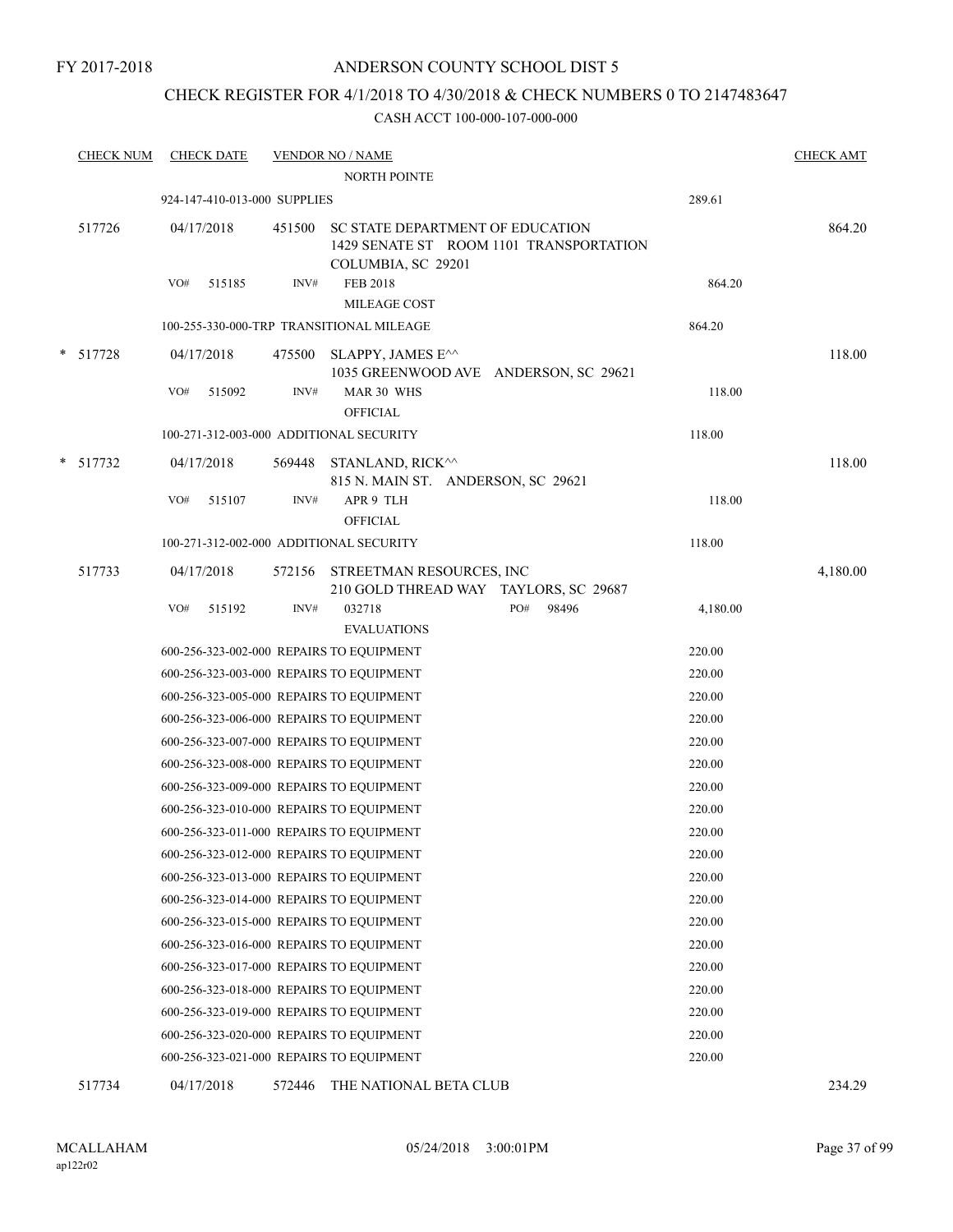#### ANDERSON COUNTY SCHOOL DIST 5

### CHECK REGISTER FOR 4/1/2018 TO 4/30/2018 & CHECK NUMBERS 0 TO 2147483647

#### CASH ACCT 100-000-107-000-000

| <b>CHECK NUM</b> | <b>CHECK DATE</b>                        |        | <b>VENDOR NO / NAME</b><br>NORTH POINTE                                                   |                                         |          | <b>CHECK AMT</b> |
|------------------|------------------------------------------|--------|-------------------------------------------------------------------------------------------|-----------------------------------------|----------|------------------|
|                  | 924-147-410-013-000 SUPPLIES             |        |                                                                                           |                                         | 289.61   |                  |
| 517726           | 04/17/2018                               | 451500 | SC STATE DEPARTMENT OF EDUCATION<br>COLUMBIA, SC 29201                                    | 1429 SENATE ST ROOM 1101 TRANSPORTATION |          | 864.20           |
|                  | VO#<br>515185                            | INV#   | <b>FEB 2018</b>                                                                           |                                         | 864.20   |                  |
|                  |                                          |        | MILEAGE COST                                                                              |                                         |          |                  |
|                  | 100-255-330-000-TRP TRANSITIONAL MILEAGE |        |                                                                                           |                                         | 864.20   |                  |
| * 517728         | 04/17/2018                               | 475500 | SLAPPY, JAMES E^^<br>1035 GREENWOOD AVE ANDERSON, SC 29621                                |                                         |          | 118.00           |
|                  | VO#<br>515092                            | INV#   | MAR 30 WHS<br><b>OFFICIAL</b>                                                             |                                         | 118.00   |                  |
|                  | 100-271-312-003-000 ADDITIONAL SECURITY  |        |                                                                                           |                                         | 118.00   |                  |
| * 517732         | 04/17/2018                               | 569448 | STANLAND, RICK <sup><math>\wedge\wedge</math></sup><br>815 N. MAIN ST. ANDERSON, SC 29621 |                                         |          | 118.00           |
|                  | VO#<br>515107                            | INV#   | APR 9 TLH<br><b>OFFICIAL</b>                                                              |                                         | 118.00   |                  |
|                  | 100-271-312-002-000 ADDITIONAL SECURITY  |        |                                                                                           |                                         | 118.00   |                  |
| 517733           | 04/17/2018                               |        | 572156 STREETMAN RESOURCES, INC<br>210 GOLD THREAD WAY TAYLORS, SC 29687                  |                                         |          | 4,180.00         |
|                  | VO#<br>515192                            | INV#   | 032718                                                                                    | PO#<br>98496                            | 4,180.00 |                  |
|                  |                                          |        | <b>EVALUATIONS</b>                                                                        |                                         |          |                  |
|                  | 600-256-323-002-000 REPAIRS TO EQUIPMENT |        |                                                                                           |                                         | 220.00   |                  |
|                  | 600-256-323-003-000 REPAIRS TO EQUIPMENT |        |                                                                                           |                                         | 220.00   |                  |
|                  | 600-256-323-005-000 REPAIRS TO EQUIPMENT |        |                                                                                           |                                         | 220.00   |                  |
|                  | 600-256-323-006-000 REPAIRS TO EQUIPMENT |        |                                                                                           |                                         | 220.00   |                  |
|                  | 600-256-323-007-000 REPAIRS TO EQUIPMENT |        |                                                                                           |                                         | 220.00   |                  |
|                  | 600-256-323-008-000 REPAIRS TO EQUIPMENT |        |                                                                                           |                                         | 220.00   |                  |
|                  | 600-256-323-009-000 REPAIRS TO EQUIPMENT |        |                                                                                           |                                         | 220.00   |                  |
|                  | 600-256-323-010-000 REPAIRS TO EQUIPMENT |        |                                                                                           |                                         | 220.00   |                  |
|                  | 600-256-323-011-000 REPAIRS TO EQUIPMENT |        |                                                                                           |                                         | 220.00   |                  |
|                  | 600-256-323-012-000 REPAIRS TO EQUIPMENT |        |                                                                                           |                                         | 220.00   |                  |
|                  | 600-256-323-013-000 REPAIRS TO EQUIPMENT |        |                                                                                           |                                         | 220.00   |                  |
|                  | 600-256-323-014-000 REPAIRS TO EQUIPMENT |        |                                                                                           |                                         | 220.00   |                  |
|                  | 600-256-323-015-000 REPAIRS TO EQUIPMENT |        |                                                                                           |                                         | 220.00   |                  |
|                  | 600-256-323-016-000 REPAIRS TO EQUIPMENT |        |                                                                                           |                                         | 220.00   |                  |
|                  | 600-256-323-017-000 REPAIRS TO EQUIPMENT |        |                                                                                           |                                         | 220.00   |                  |
|                  | 600-256-323-018-000 REPAIRS TO EQUIPMENT |        |                                                                                           |                                         | 220.00   |                  |
|                  | 600-256-323-019-000 REPAIRS TO EQUIPMENT |        |                                                                                           |                                         | 220.00   |                  |
|                  | 600-256-323-020-000 REPAIRS TO EQUIPMENT |        |                                                                                           |                                         | 220.00   |                  |
|                  | 600-256-323-021-000 REPAIRS TO EQUIPMENT |        |                                                                                           |                                         | 220.00   |                  |
|                  |                                          |        |                                                                                           |                                         |          |                  |

517734 04/17/2018 572446 THE NATIONAL BETA CLUB 234.29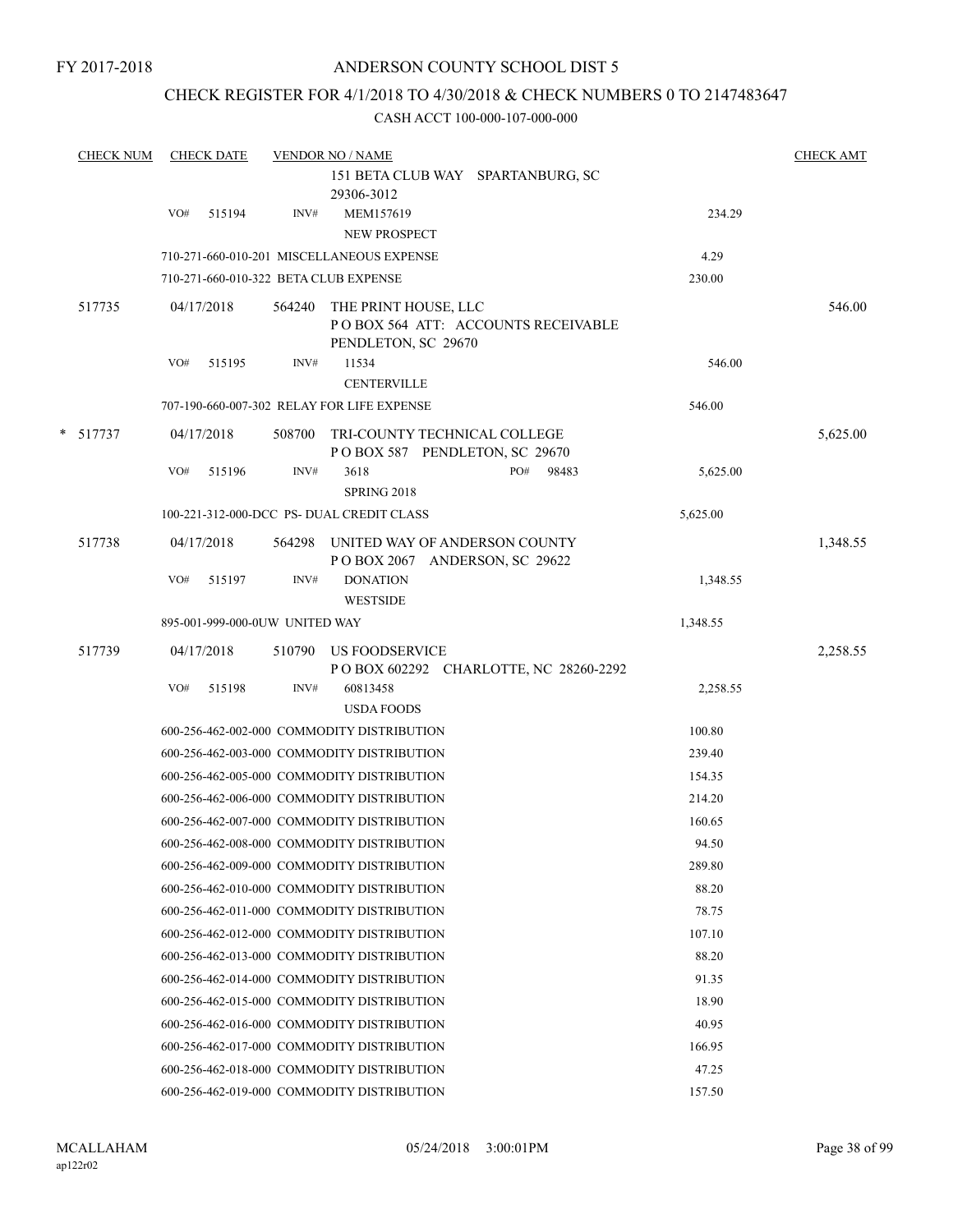### CHECK REGISTER FOR 4/1/2018 TO 4/30/2018 & CHECK NUMBERS 0 TO 2147483647

|   | <b>CHECK NUM</b> |     | <b>CHECK DATE</b> |                                | <b>VENDOR NO / NAME</b>                                               |                                         |          | <b>CHECK AMT</b> |
|---|------------------|-----|-------------------|--------------------------------|-----------------------------------------------------------------------|-----------------------------------------|----------|------------------|
|   |                  |     |                   |                                | 151 BETA CLUB WAY SPARTANBURG, SC                                     |                                         |          |                  |
|   |                  |     |                   |                                | 29306-3012                                                            |                                         |          |                  |
|   |                  | VO# | 515194            | INV#                           | MEM157619<br>NEW PROSPECT                                             |                                         | 234.29   |                  |
|   |                  |     |                   |                                | 710-271-660-010-201 MISCELLANEOUS EXPENSE                             |                                         | 4.29     |                  |
|   |                  |     |                   |                                | 710-271-660-010-322 BETA CLUB EXPENSE                                 |                                         | 230.00   |                  |
|   | 517735           |     | 04/17/2018        | 564240                         | THE PRINT HOUSE, LLC<br>PENDLETON, SC 29670                           | POBOX 564 ATT: ACCOUNTS RECEIVABLE      |          | 546.00           |
|   |                  | VO# | 515195            | INV#                           | 11534                                                                 |                                         | 546.00   |                  |
|   |                  |     |                   |                                | <b>CENTERVILLE</b>                                                    |                                         |          |                  |
|   |                  |     |                   |                                | 707-190-660-007-302 RELAY FOR LIFE EXPENSE                            |                                         | 546.00   |                  |
| * | 517737           |     | 04/17/2018        | 508700                         | TRI-COUNTY TECHNICAL COLLEGE<br>POBOX 587 PENDLETON, SC 29670         |                                         |          | 5,625.00         |
|   |                  | VO# | 515196            | INV#                           | 3618<br>SPRING 2018                                                   | PO#<br>98483                            | 5,625.00 |                  |
|   |                  |     |                   |                                | 100-221-312-000-DCC PS- DUAL CREDIT CLASS                             |                                         | 5,625.00 |                  |
|   | 517738           |     | 04/17/2018        |                                | 564298 UNITED WAY OF ANDERSON COUNTY<br>POBOX 2067 ANDERSON, SC 29622 |                                         |          | 1,348.55         |
|   |                  | VO# | 515197            | INV#                           | <b>DONATION</b><br><b>WESTSIDE</b>                                    |                                         | 1,348.55 |                  |
|   |                  |     |                   | 895-001-999-000-0UW UNITED WAY |                                                                       |                                         | 1,348.55 |                  |
|   | 517739           |     | 04/17/2018        |                                | 510790 US FOODSERVICE                                                 | P O BOX 602292 CHARLOTTE, NC 28260-2292 |          | 2,258.55         |
|   |                  | VO# | 515198            | INV#                           | 60813458<br><b>USDA FOODS</b>                                         |                                         | 2,258.55 |                  |
|   |                  |     |                   |                                | 600-256-462-002-000 COMMODITY DISTRIBUTION                            |                                         | 100.80   |                  |
|   |                  |     |                   |                                | 600-256-462-003-000 COMMODITY DISTRIBUTION                            |                                         | 239.40   |                  |
|   |                  |     |                   |                                | 600-256-462-005-000 COMMODITY DISTRIBUTION                            |                                         | 154.35   |                  |
|   |                  |     |                   |                                | 600-256-462-006-000 COMMODITY DISTRIBUTION                            |                                         | 214.20   |                  |
|   |                  |     |                   |                                | 600-256-462-007-000 COMMODITY DISTRIBUTION                            |                                         | 160.65   |                  |
|   |                  |     |                   |                                | 600-256-462-008-000 COMMODITY DISTRIBUTION                            |                                         | 94.50    |                  |
|   |                  |     |                   |                                | 600-256-462-009-000 COMMODITY DISTRIBUTION                            |                                         | 289.80   |                  |
|   |                  |     |                   |                                | 600-256-462-010-000 COMMODITY DISTRIBUTION                            |                                         | 88.20    |                  |
|   |                  |     |                   |                                | 600-256-462-011-000 COMMODITY DISTRIBUTION                            |                                         | 78.75    |                  |
|   |                  |     |                   |                                | 600-256-462-012-000 COMMODITY DISTRIBUTION                            |                                         | 107.10   |                  |
|   |                  |     |                   |                                | 600-256-462-013-000 COMMODITY DISTRIBUTION                            |                                         | 88.20    |                  |
|   |                  |     |                   |                                | 600-256-462-014-000 COMMODITY DISTRIBUTION                            |                                         | 91.35    |                  |
|   |                  |     |                   |                                | 600-256-462-015-000 COMMODITY DISTRIBUTION                            |                                         | 18.90    |                  |
|   |                  |     |                   |                                | 600-256-462-016-000 COMMODITY DISTRIBUTION                            |                                         | 40.95    |                  |
|   |                  |     |                   |                                | 600-256-462-017-000 COMMODITY DISTRIBUTION                            |                                         | 166.95   |                  |
|   |                  |     |                   |                                | 600-256-462-018-000 COMMODITY DISTRIBUTION                            |                                         | 47.25    |                  |
|   |                  |     |                   |                                | 600-256-462-019-000 COMMODITY DISTRIBUTION                            |                                         | 157.50   |                  |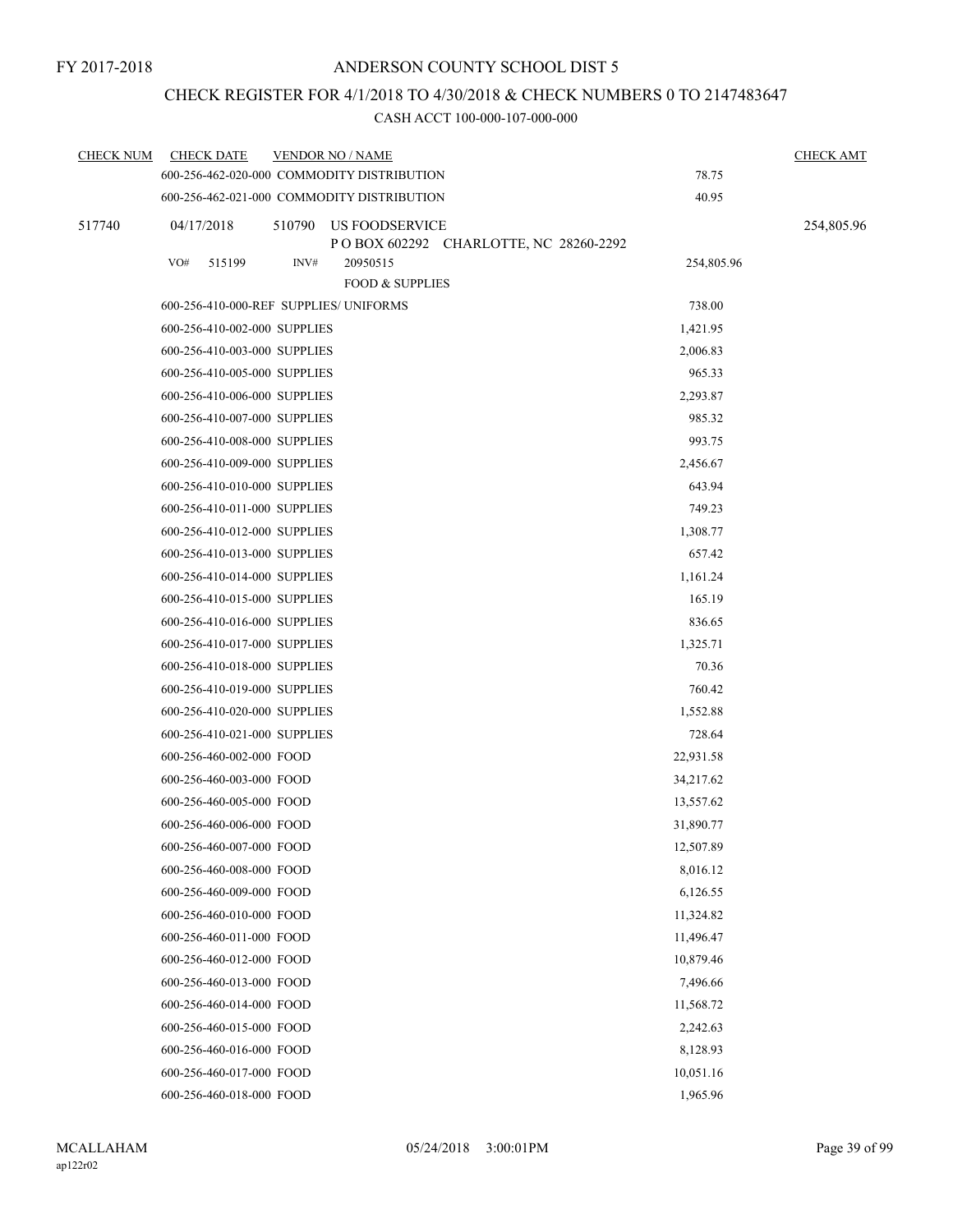### CHECK REGISTER FOR 4/1/2018 TO 4/30/2018 & CHECK NUMBERS 0 TO 2147483647

| <b>CHECK NUM</b> | <b>CHECK DATE</b>                      |        | <b>VENDOR NO / NAME</b>                                   |            | <b>CHECK AMT</b> |
|------------------|----------------------------------------|--------|-----------------------------------------------------------|------------|------------------|
|                  |                                        |        | 600-256-462-020-000 COMMODITY DISTRIBUTION                | 78.75      |                  |
|                  |                                        |        | 600-256-462-021-000 COMMODITY DISTRIBUTION                | 40.95      |                  |
| 517740           | 04/17/2018                             | 510790 | US FOODSERVICE<br>P O BOX 602292 CHARLOTTE, NC 28260-2292 |            | 254,805.96       |
|                  | VO#<br>515199                          | INV#   | 20950515<br><b>FOOD &amp; SUPPLIES</b>                    | 254,805.96 |                  |
|                  | 600-256-410-000-REF SUPPLIES/ UNIFORMS |        |                                                           | 738.00     |                  |
|                  | 600-256-410-002-000 SUPPLIES           |        |                                                           | 1,421.95   |                  |
|                  | 600-256-410-003-000 SUPPLIES           |        |                                                           | 2,006.83   |                  |
|                  | 600-256-410-005-000 SUPPLIES           |        |                                                           | 965.33     |                  |
|                  | 600-256-410-006-000 SUPPLIES           |        |                                                           | 2,293.87   |                  |
|                  | 600-256-410-007-000 SUPPLIES           |        |                                                           | 985.32     |                  |
|                  | 600-256-410-008-000 SUPPLIES           |        |                                                           | 993.75     |                  |
|                  | 600-256-410-009-000 SUPPLIES           |        |                                                           | 2,456.67   |                  |
|                  | 600-256-410-010-000 SUPPLIES           |        |                                                           | 643.94     |                  |
|                  | 600-256-410-011-000 SUPPLIES           |        |                                                           | 749.23     |                  |
|                  | 600-256-410-012-000 SUPPLIES           |        |                                                           | 1,308.77   |                  |
|                  | 600-256-410-013-000 SUPPLIES           |        |                                                           | 657.42     |                  |
|                  | 600-256-410-014-000 SUPPLIES           |        |                                                           | 1,161.24   |                  |
|                  | 600-256-410-015-000 SUPPLIES           |        |                                                           | 165.19     |                  |
|                  | 600-256-410-016-000 SUPPLIES           |        |                                                           | 836.65     |                  |
|                  | 600-256-410-017-000 SUPPLIES           |        |                                                           | 1,325.71   |                  |
|                  | 600-256-410-018-000 SUPPLIES           |        |                                                           | 70.36      |                  |
|                  | 600-256-410-019-000 SUPPLIES           |        |                                                           | 760.42     |                  |
|                  | 600-256-410-020-000 SUPPLIES           |        |                                                           | 1,552.88   |                  |
|                  | 600-256-410-021-000 SUPPLIES           |        |                                                           | 728.64     |                  |
|                  | 600-256-460-002-000 FOOD               |        |                                                           | 22,931.58  |                  |
|                  | 600-256-460-003-000 FOOD               |        |                                                           | 34,217.62  |                  |
|                  | 600-256-460-005-000 FOOD               |        |                                                           | 13,557.62  |                  |
|                  | 600-256-460-006-000 FOOD               |        |                                                           | 31,890.77  |                  |
|                  | 600-256-460-007-000 FOOD               |        |                                                           | 12,507.89  |                  |
|                  | 600-256-460-008-000 FOOD               |        |                                                           | 8,016.12   |                  |
|                  | 600-256-460-009-000 FOOD               |        |                                                           | 6,126.55   |                  |
|                  | 600-256-460-010-000 FOOD               |        |                                                           | 11,324.82  |                  |
|                  | 600-256-460-011-000 FOOD               |        |                                                           | 11,496.47  |                  |
|                  | 600-256-460-012-000 FOOD               |        |                                                           | 10,879.46  |                  |
|                  | 600-256-460-013-000 FOOD               |        |                                                           | 7,496.66   |                  |
|                  | 600-256-460-014-000 FOOD               |        |                                                           | 11,568.72  |                  |
|                  | 600-256-460-015-000 FOOD               |        |                                                           | 2,242.63   |                  |
|                  | 600-256-460-016-000 FOOD               |        |                                                           | 8,128.93   |                  |
|                  | 600-256-460-017-000 FOOD               |        |                                                           | 10,051.16  |                  |
|                  | 600-256-460-018-000 FOOD               |        |                                                           | 1,965.96   |                  |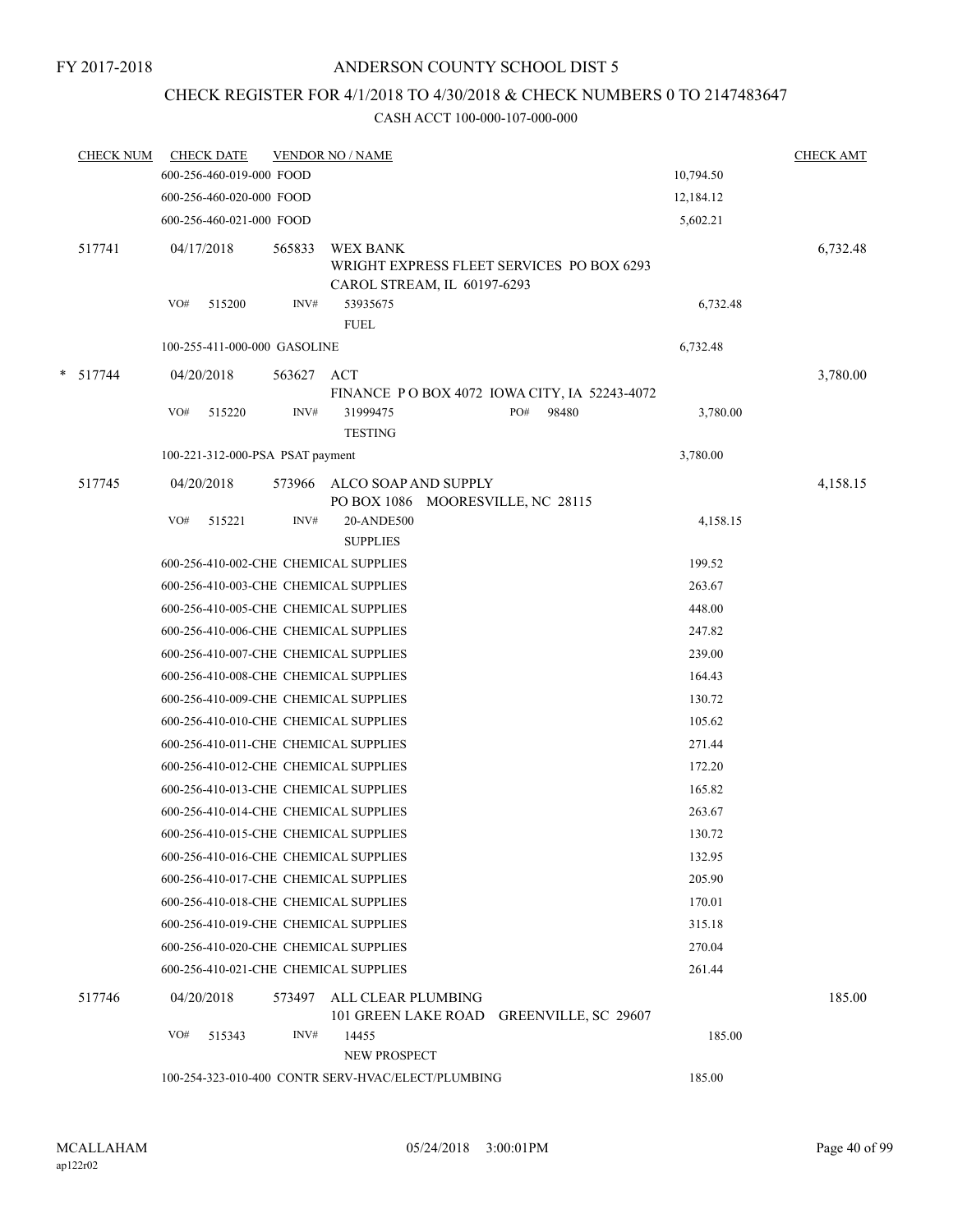# CHECK REGISTER FOR 4/1/2018 TO 4/30/2018 & CHECK NUMBERS 0 TO 2147483647

|   | <b>CHECK NUM</b> |     | <b>CHECK DATE</b><br>600-256-460-019-000 FOOD |        | <b>VENDOR NO / NAME</b>                            |                                              |       | 10,794.50 | <b>CHECK AMT</b> |
|---|------------------|-----|-----------------------------------------------|--------|----------------------------------------------------|----------------------------------------------|-------|-----------|------------------|
|   |                  |     | 600-256-460-020-000 FOOD                      |        |                                                    |                                              |       | 12,184.12 |                  |
|   |                  |     |                                               |        |                                                    |                                              |       | 5,602.21  |                  |
|   |                  |     | 600-256-460-021-000 FOOD                      |        |                                                    |                                              |       |           |                  |
|   | 517741           |     | 04/17/2018                                    | 565833 | <b>WEX BANK</b>                                    | WRIGHT EXPRESS FLEET SERVICES PO BOX 6293    |       |           | 6,732.48         |
|   |                  |     |                                               |        |                                                    | CAROL STREAM, IL 60197-6293                  |       |           |                  |
|   |                  | VO# | 515200                                        | INV#   | 53935675                                           |                                              |       | 6,732.48  |                  |
|   |                  |     |                                               |        | <b>FUEL</b>                                        |                                              |       |           |                  |
|   |                  |     | 100-255-411-000-000 GASOLINE                  |        |                                                    |                                              |       | 6,732.48  |                  |
| * | 517744           |     | 04/20/2018                                    | 563627 | ACT                                                |                                              |       |           | 3,780.00         |
|   |                  |     |                                               |        |                                                    | FINANCE PO BOX 4072 IOWA CITY, IA 52243-4072 |       |           |                  |
|   |                  | VO# | 515220                                        | INV#   | 31999475<br><b>TESTING</b>                         | PO#                                          | 98480 | 3,780.00  |                  |
|   |                  |     | 100-221-312-000-PSA PSAT payment              |        |                                                    |                                              |       | 3,780.00  |                  |
|   |                  |     |                                               |        |                                                    |                                              |       |           |                  |
|   | 517745           |     | 04/20/2018                                    |        | 573966 ALCO SOAP AND SUPPLY                        |                                              |       |           | 4,158.15         |
|   |                  | VO# | 515221                                        | INV#   | 20-ANDE500                                         | PO BOX 1086 MOORESVILLE, NC 28115            |       | 4,158.15  |                  |
|   |                  |     |                                               |        | <b>SUPPLIES</b>                                    |                                              |       |           |                  |
|   |                  |     |                                               |        | 600-256-410-002-CHE CHEMICAL SUPPLIES              |                                              |       | 199.52    |                  |
|   |                  |     |                                               |        | 600-256-410-003-CHE CHEMICAL SUPPLIES              |                                              |       | 263.67    |                  |
|   |                  |     |                                               |        | 600-256-410-005-CHE CHEMICAL SUPPLIES              |                                              |       | 448.00    |                  |
|   |                  |     |                                               |        | 600-256-410-006-CHE CHEMICAL SUPPLIES              |                                              |       | 247.82    |                  |
|   |                  |     |                                               |        | 600-256-410-007-CHE CHEMICAL SUPPLIES              |                                              |       | 239.00    |                  |
|   |                  |     |                                               |        | 600-256-410-008-CHE CHEMICAL SUPPLIES              |                                              |       | 164.43    |                  |
|   |                  |     |                                               |        | 600-256-410-009-CHE CHEMICAL SUPPLIES              |                                              |       | 130.72    |                  |
|   |                  |     |                                               |        | 600-256-410-010-CHE CHEMICAL SUPPLIES              |                                              |       | 105.62    |                  |
|   |                  |     |                                               |        | 600-256-410-011-CHE CHEMICAL SUPPLIES              |                                              |       | 271.44    |                  |
|   |                  |     |                                               |        | 600-256-410-012-CHE CHEMICAL SUPPLIES              |                                              |       | 172.20    |                  |
|   |                  |     |                                               |        | 600-256-410-013-CHE CHEMICAL SUPPLIES              |                                              |       | 165.82    |                  |
|   |                  |     |                                               |        | 600-256-410-014-CHE CHEMICAL SUPPLIES              |                                              |       | 263.67    |                  |
|   |                  |     |                                               |        | 600-256-410-015-CHE CHEMICAL SUPPLIES              |                                              |       | 130.72    |                  |
|   |                  |     |                                               |        | 600-256-410-016-CHE CHEMICAL SUPPLIES              |                                              |       | 132.95    |                  |
|   |                  |     |                                               |        | 600-256-410-017-CHE CHEMICAL SUPPLIES              |                                              |       | 205.90    |                  |
|   |                  |     |                                               |        | 600-256-410-018-CHE CHEMICAL SUPPLIES              |                                              |       | 170.01    |                  |
|   |                  |     |                                               |        | 600-256-410-019-CHE CHEMICAL SUPPLIES              |                                              |       | 315.18    |                  |
|   |                  |     |                                               |        | 600-256-410-020-CHE CHEMICAL SUPPLIES              |                                              |       | 270.04    |                  |
|   |                  |     |                                               |        | 600-256-410-021-CHE CHEMICAL SUPPLIES              |                                              |       | 261.44    |                  |
|   | 517746           |     | 04/20/2018                                    | 573497 | ALL CLEAR PLUMBING                                 |                                              |       |           | 185.00           |
|   |                  |     |                                               |        |                                                    | 101 GREEN LAKE ROAD GREENVILLE, SC 29607     |       |           |                  |
|   |                  | VO# | 515343                                        | INV#   | 14455                                              |                                              |       | 185.00    |                  |
|   |                  |     |                                               |        | NEW PROSPECT                                       |                                              |       |           |                  |
|   |                  |     |                                               |        | 100-254-323-010-400 CONTR SERV-HVAC/ELECT/PLUMBING |                                              |       | 185.00    |                  |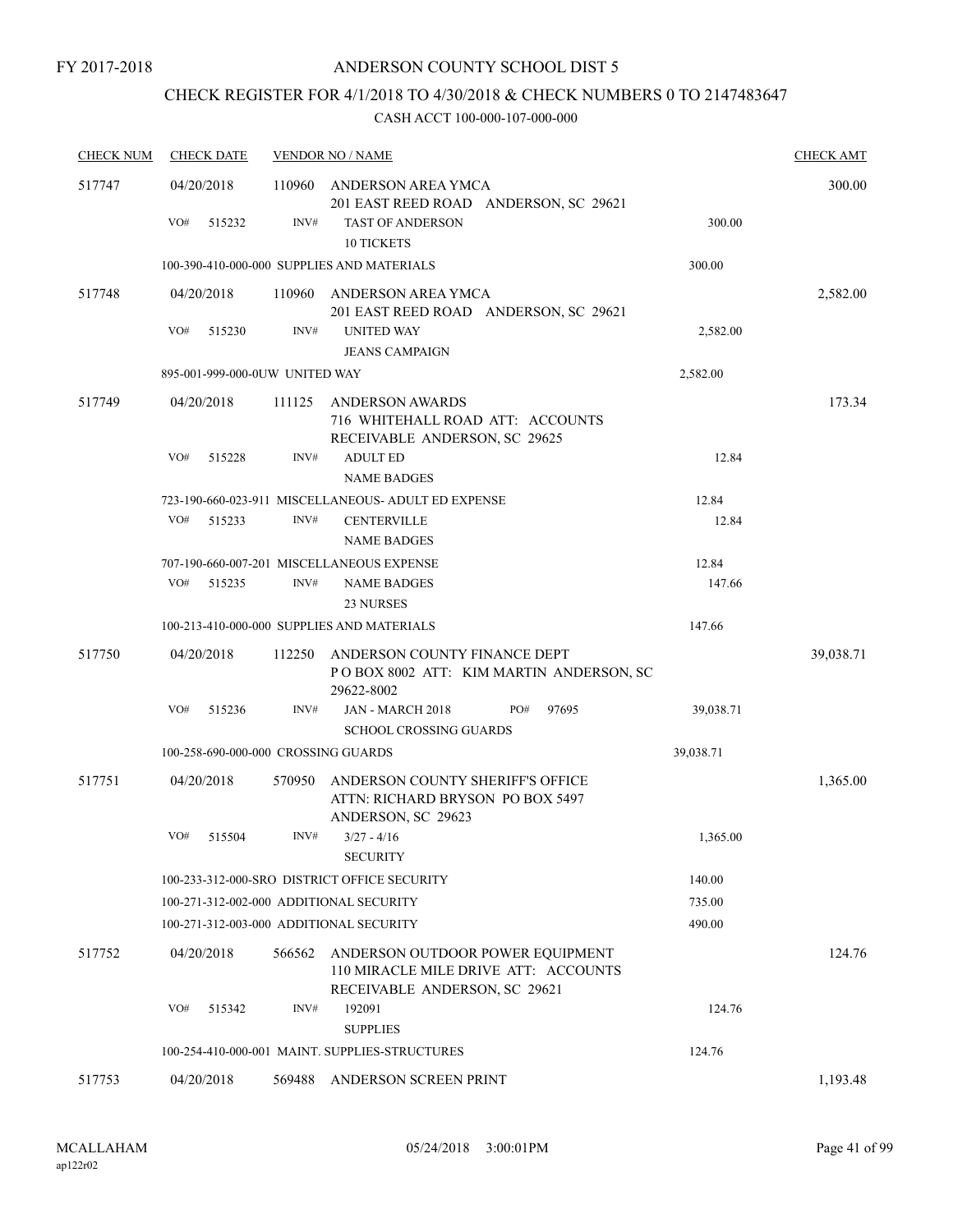# CHECK REGISTER FOR 4/1/2018 TO 4/30/2018 & CHECK NUMBERS 0 TO 2147483647

| <b>CHECK NUM</b> | <b>CHECK DATE</b>                       |        | <b>VENDOR NO / NAME</b>                                                                                   |           | <b>CHECK AMT</b> |
|------------------|-----------------------------------------|--------|-----------------------------------------------------------------------------------------------------------|-----------|------------------|
| 517747           | 04/20/2018                              | 110960 | ANDERSON AREA YMCA<br>201 EAST REED ROAD ANDERSON, SC 29621                                               |           | 300.00           |
|                  | VO#<br>515232                           | INV#   | <b>TAST OF ANDERSON</b><br><b>10 TICKETS</b>                                                              | 300.00    |                  |
|                  |                                         |        | 100-390-410-000-000 SUPPLIES AND MATERIALS                                                                | 300.00    |                  |
| 517748           | 04/20/2018                              | 110960 | ANDERSON AREA YMCA<br>201 EAST REED ROAD ANDERSON, SC 29621                                               |           | 2,582.00         |
|                  | VO#<br>515230                           | INV#   | <b>UNITED WAY</b><br><b>JEANS CAMPAIGN</b>                                                                | 2,582.00  |                  |
|                  | 895-001-999-000-0UW UNITED WAY          |        |                                                                                                           | 2,582.00  |                  |
| 517749           | 04/20/2018                              | 111125 | <b>ANDERSON AWARDS</b><br>716 WHITEHALL ROAD ATT: ACCOUNTS<br>RECEIVABLE ANDERSON, SC 29625               |           | 173.34           |
|                  | VO#<br>515228                           | INV#   | <b>ADULT ED</b><br><b>NAME BADGES</b>                                                                     | 12.84     |                  |
|                  |                                         |        | 723-190-660-023-911 MISCELLANEOUS- ADULT ED EXPENSE                                                       | 12.84     |                  |
|                  | VO#<br>515233                           | INV#   | <b>CENTERVILLE</b><br><b>NAME BADGES</b>                                                                  | 12.84     |                  |
|                  |                                         |        | 707-190-660-007-201 MISCELLANEOUS EXPENSE                                                                 | 12.84     |                  |
|                  | VO#<br>515235                           | INV#   | <b>NAME BADGES</b><br>23 NURSES                                                                           | 147.66    |                  |
|                  |                                         |        | 100-213-410-000-000 SUPPLIES AND MATERIALS                                                                | 147.66    |                  |
| 517750           | 04/20/2018                              | 112250 | ANDERSON COUNTY FINANCE DEPT<br>POBOX 8002 ATT: KIM MARTIN ANDERSON, SC<br>29622-8002                     |           | 39,038.71        |
|                  | VO#<br>515236                           | INV#   | JAN - MARCH 2018<br>PO#<br>97695<br><b>SCHOOL CROSSING GUARDS</b>                                         | 39,038.71 |                  |
|                  | 100-258-690-000-000 CROSSING GUARDS     |        |                                                                                                           | 39,038.71 |                  |
| 517751           | 04/20/2018                              | 570950 | ANDERSON COUNTY SHERIFF'S OFFICE<br>ATTN: RICHARD BRYSON PO BOX 5497<br>ANDERSON, SC 29623                |           | 1,365.00         |
|                  | VO#<br>515504                           | INV#   | $3/27 - 4/16$                                                                                             | 1,365.00  |                  |
|                  |                                         |        | <b>SECURITY</b>                                                                                           |           |                  |
|                  |                                         |        | 100-233-312-000-SRO DISTRICT OFFICE SECURITY                                                              | 140.00    |                  |
|                  | 100-271-312-002-000 ADDITIONAL SECURITY |        |                                                                                                           | 735.00    |                  |
|                  | 100-271-312-003-000 ADDITIONAL SECURITY |        |                                                                                                           | 490.00    |                  |
| 517752           | 04/20/2018                              | 566562 | ANDERSON OUTDOOR POWER EQUIPMENT<br>110 MIRACLE MILE DRIVE ATT: ACCOUNTS<br>RECEIVABLE ANDERSON, SC 29621 |           | 124.76           |
|                  | VO#<br>515342                           | INV#   | 192091<br><b>SUPPLIES</b>                                                                                 | 124.76    |                  |
|                  |                                         |        | 100-254-410-000-001 MAINT. SUPPLIES-STRUCTURES                                                            | 124.76    |                  |
| 517753           | 04/20/2018                              | 569488 | ANDERSON SCREEN PRINT                                                                                     |           | 1,193.48         |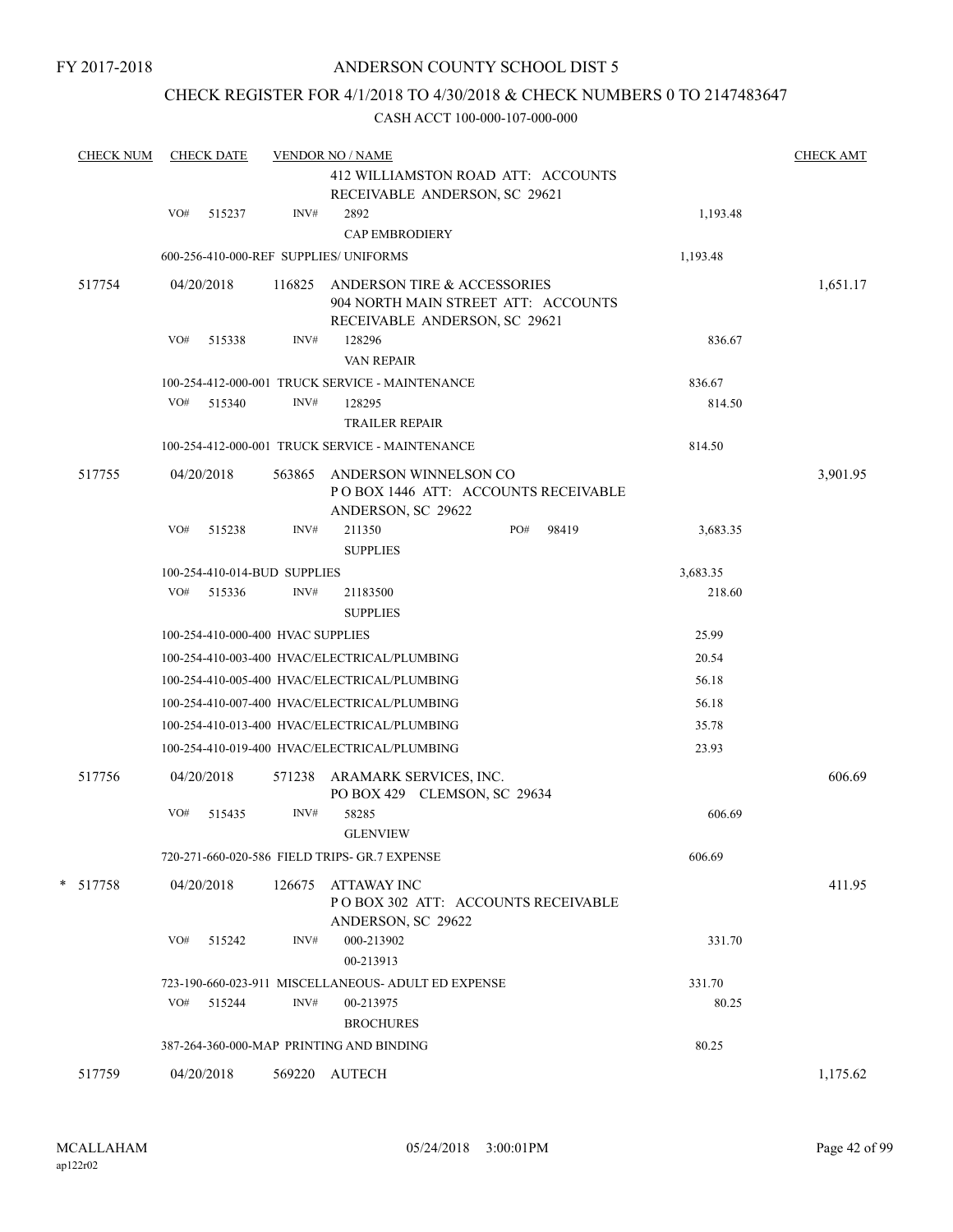### CHECK REGISTER FOR 4/1/2018 TO 4/30/2018 & CHECK NUMBERS 0 TO 2147483647

| <b>CHECK NUM</b> |     | <b>CHECK DATE</b>                 |        | <b>VENDOR NO / NAME</b><br>412 WILLIAMSTON ROAD ATT: ACCOUNTS<br>RECEIVABLE ANDERSON, SC 29621      |     |       |          | <b>CHECK AMT</b> |
|------------------|-----|-----------------------------------|--------|-----------------------------------------------------------------------------------------------------|-----|-------|----------|------------------|
|                  | VO# | 515237                            | INV#   | 2892<br><b>CAP EMBRODIERY</b>                                                                       |     |       | 1,193.48 |                  |
|                  |     |                                   |        | 600-256-410-000-REF SUPPLIES/ UNIFORMS                                                              |     |       | 1,193.48 |                  |
| 517754           |     | 04/20/2018                        | 116825 | ANDERSON TIRE & ACCESSORIES<br>904 NORTH MAIN STREET ATT: ACCOUNTS<br>RECEIVABLE ANDERSON, SC 29621 |     |       |          | 1,651.17         |
|                  | VO# | 515338                            | INV#   | 128296                                                                                              |     |       | 836.67   |                  |
|                  |     |                                   |        | <b>VAN REPAIR</b>                                                                                   |     |       |          |                  |
|                  |     |                                   |        | 100-254-412-000-001 TRUCK SERVICE - MAINTENANCE                                                     |     |       | 836.67   |                  |
|                  |     | VO# 515340                        | INV#   | 128295<br><b>TRAILER REPAIR</b>                                                                     |     |       | 814.50   |                  |
|                  |     |                                   |        | 100-254-412-000-001 TRUCK SERVICE - MAINTENANCE                                                     |     |       | 814.50   |                  |
| 517755           |     | 04/20/2018                        | 563865 | ANDERSON WINNELSON CO<br>POBOX 1446 ATT: ACCOUNTS RECEIVABLE<br>ANDERSON, SC 29622                  |     |       |          | 3,901.95         |
|                  | VO# | 515238                            | INV#   | 211350<br><b>SUPPLIES</b>                                                                           | PO# | 98419 | 3,683.35 |                  |
|                  |     | 100-254-410-014-BUD SUPPLIES      |        |                                                                                                     |     |       | 3,683.35 |                  |
|                  | VO# | 515336                            | INV#   | 21183500<br><b>SUPPLIES</b>                                                                         |     |       | 218.60   |                  |
|                  |     | 100-254-410-000-400 HVAC SUPPLIES |        |                                                                                                     |     |       | 25.99    |                  |
|                  |     |                                   |        | 100-254-410-003-400 HVAC/ELECTRICAL/PLUMBING                                                        |     |       | 20.54    |                  |
|                  |     |                                   |        | 100-254-410-005-400 HVAC/ELECTRICAL/PLUMBING                                                        |     |       | 56.18    |                  |
|                  |     |                                   |        | 100-254-410-007-400 HVAC/ELECTRICAL/PLUMBING                                                        |     |       | 56.18    |                  |
|                  |     |                                   |        | 100-254-410-013-400 HVAC/ELECTRICAL/PLUMBING                                                        |     |       | 35.78    |                  |
|                  |     |                                   |        | 100-254-410-019-400 HVAC/ELECTRICAL/PLUMBING                                                        |     |       | 23.93    |                  |
| 517756           |     | 04/20/2018                        | 571238 | ARAMARK SERVICES, INC.<br>PO BOX 429 CLEMSON, SC 29634                                              |     |       |          | 606.69           |
|                  | VO# | 515435                            | INV#   | 58285<br><b>GLENVIEW</b>                                                                            |     |       | 606.69   |                  |
|                  |     |                                   |        | 720-271-660-020-586 FIELD TRIPS- GR.7 EXPENSE                                                       |     |       | 606.69   |                  |
| $* 517758$       |     | 04/20/2018                        | 126675 | <b>ATTAWAY INC</b><br>POBOX 302 ATT: ACCOUNTS RECEIVABLE<br>ANDERSON, SC 29622                      |     |       |          | 411.95           |
|                  | VO# | 515242                            | INV#   | 000-213902<br>00-213913                                                                             |     |       | 331.70   |                  |
|                  |     |                                   |        | 723-190-660-023-911 MISCELLANEOUS- ADULT ED EXPENSE                                                 |     |       | 331.70   |                  |
|                  | VO# | 515244                            | INV#   | 00-213975<br><b>BROCHURES</b>                                                                       |     |       | 80.25    |                  |
|                  |     |                                   |        | 387-264-360-000-MAP PRINTING AND BINDING                                                            |     |       | 80.25    |                  |
| 517759           |     | 04/20/2018                        |        | 569220 AUTECH                                                                                       |     |       |          | 1,175.62         |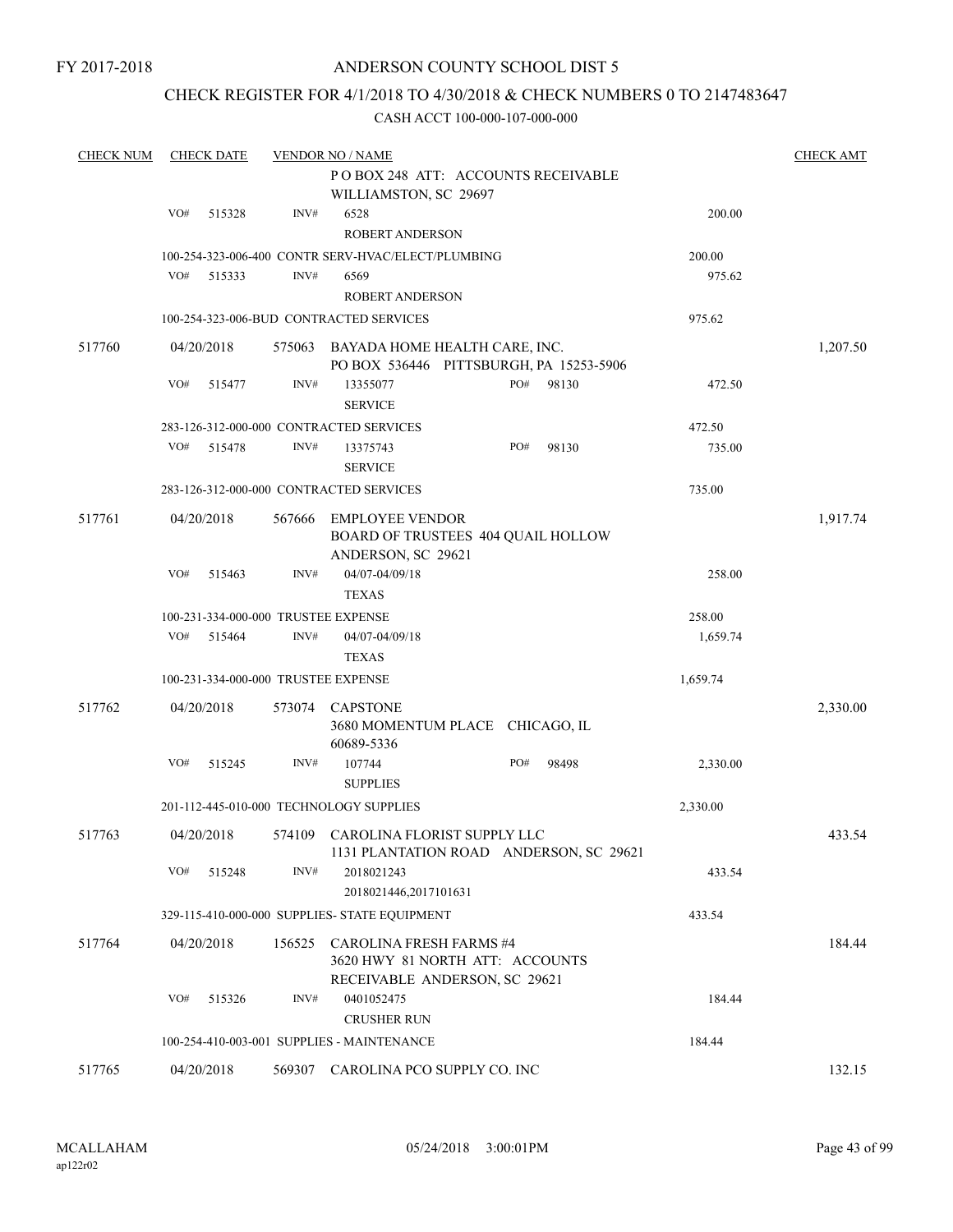### ANDERSON COUNTY SCHOOL DIST 5

### CHECK REGISTER FOR 4/1/2018 TO 4/30/2018 & CHECK NUMBERS 0 TO 2147483647

| <b>CHECK NUM</b> |     | <b>CHECK DATE</b> |        | <b>VENDOR NO / NAME</b>                                                                            |     |       |          | <b>CHECK AMT</b> |
|------------------|-----|-------------------|--------|----------------------------------------------------------------------------------------------------|-----|-------|----------|------------------|
|                  |     |                   |        | POBOX 248 ATT: ACCOUNTS RECEIVABLE<br>WILLIAMSTON, SC 29697                                        |     |       |          |                  |
|                  | VO# | 515328            | INV#   | 6528                                                                                               |     |       | 200.00   |                  |
|                  |     |                   |        | <b>ROBERT ANDERSON</b>                                                                             |     |       |          |                  |
|                  |     |                   |        | 100-254-323-006-400 CONTR SERV-HVAC/ELECT/PLUMBING                                                 |     |       | 200.00   |                  |
|                  | VO# | 515333            | INV#   | 6569                                                                                               |     |       | 975.62   |                  |
|                  |     |                   |        | <b>ROBERT ANDERSON</b>                                                                             |     |       |          |                  |
|                  |     |                   |        | 100-254-323-006-BUD CONTRACTED SERVICES                                                            |     |       | 975.62   |                  |
| 517760           |     | 04/20/2018        | 575063 | BAYADA HOME HEALTH CARE, INC.<br>PO BOX 536446 PITTSBURGH, PA 15253-5906                           |     |       |          | 1,207.50         |
|                  | VO# | 515477            | INV#   | 13355077<br><b>SERVICE</b>                                                                         | PO# | 98130 | 472.50   |                  |
|                  |     |                   |        | 283-126-312-000-000 CONTRACTED SERVICES                                                            |     |       | 472.50   |                  |
|                  | VO# | 515478            | INV#   | 13375743<br><b>SERVICE</b>                                                                         | PO# | 98130 | 735.00   |                  |
|                  |     |                   |        | 283-126-312-000-000 CONTRACTED SERVICES                                                            |     |       | 735.00   |                  |
| 517761           |     | 04/20/2018        | 567666 | <b>EMPLOYEE VENDOR</b><br>BOARD OF TRUSTEES 404 QUAIL HOLLOW<br>ANDERSON, SC 29621                 |     |       |          | 1,917.74         |
|                  | VO# | 515463            | INV#   | 04/07-04/09/18<br><b>TEXAS</b>                                                                     |     |       | 258.00   |                  |
|                  |     |                   |        | 100-231-334-000-000 TRUSTEE EXPENSE                                                                |     |       | 258.00   |                  |
|                  | VO# | 515464            | INV#   | 04/07-04/09/18                                                                                     |     |       | 1,659.74 |                  |
|                  |     |                   |        | <b>TEXAS</b>                                                                                       |     |       |          |                  |
|                  |     |                   |        | 100-231-334-000-000 TRUSTEE EXPENSE                                                                |     |       | 1,659.74 |                  |
| 517762           |     | 04/20/2018        | 573074 | <b>CAPSTONE</b><br>3680 MOMENTUM PLACE CHICAGO, IL<br>60689-5336                                   |     |       |          | 2,330.00         |
|                  | VO# | 515245            | INV#   | 107744<br><b>SUPPLIES</b>                                                                          | PO# | 98498 | 2,330.00 |                  |
|                  |     |                   |        | 201-112-445-010-000 TECHNOLOGY SUPPLIES                                                            |     |       | 2,330.00 |                  |
| 517763           |     | 04/20/2018        |        | 574109 CAROLINA FLORIST SUPPLY LLC<br>1131 PLANTATION ROAD ANDERSON, SC 29621                      |     |       |          | 433.54           |
|                  | VO# | 515248            | INV#   | 2018021243<br>2018021446,2017101631                                                                |     |       | 433.54   |                  |
|                  |     |                   |        | 329-115-410-000-000 SUPPLIES- STATE EQUIPMENT                                                      |     |       | 433.54   |                  |
| 517764           |     | 04/20/2018        | 156525 | <b>CAROLINA FRESH FARMS #4</b><br>3620 HWY 81 NORTH ATT: ACCOUNTS<br>RECEIVABLE ANDERSON, SC 29621 |     |       |          | 184.44           |
|                  | VO# | 515326            | INV#   | 0401052475<br><b>CRUSHER RUN</b>                                                                   |     |       | 184.44   |                  |
|                  |     |                   |        | 100-254-410-003-001 SUPPLIES - MAINTENANCE                                                         |     |       | 184.44   |                  |
| 517765           |     | 04/20/2018        | 569307 | CAROLINA PCO SUPPLY CO. INC                                                                        |     |       |          | 132.15           |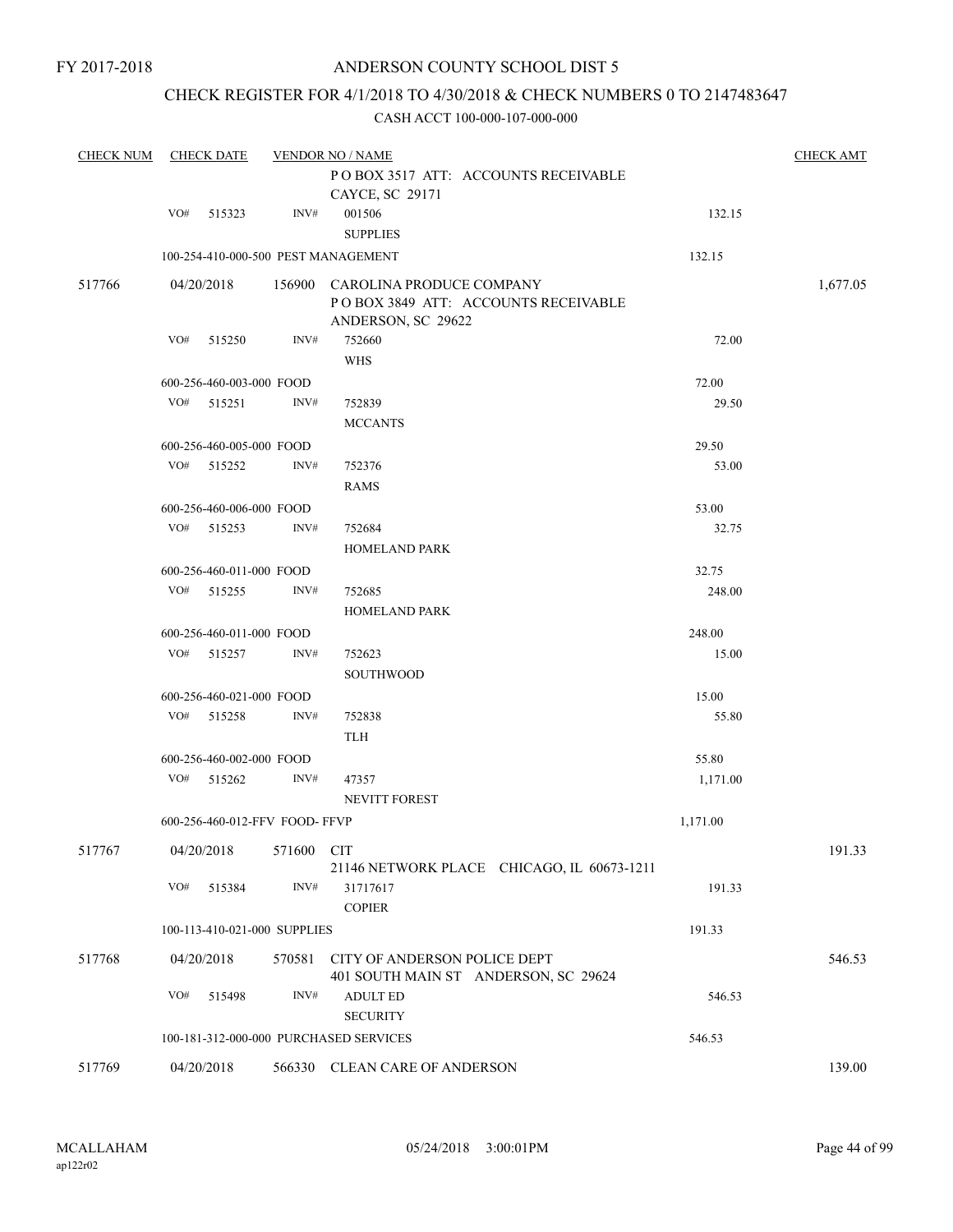### ANDERSON COUNTY SCHOOL DIST 5

### CHECK REGISTER FOR 4/1/2018 TO 4/30/2018 & CHECK NUMBERS 0 TO 2147483647

| <b>CHECK NUM</b> |     | <b>CHECK DATE</b>             |        | <b>VENDOR NO / NAME</b>                                                                      |          | <b>CHECK AMT</b> |
|------------------|-----|-------------------------------|--------|----------------------------------------------------------------------------------------------|----------|------------------|
|                  |     |                               |        | POBOX 3517 ATT: ACCOUNTS RECEIVABLE<br>CAYCE, SC 29171                                       |          |                  |
|                  | VO# | 515323                        | INV#   | 001506                                                                                       | 132.15   |                  |
|                  |     |                               |        | <b>SUPPLIES</b>                                                                              |          |                  |
|                  |     |                               |        | 100-254-410-000-500 PEST MANAGEMENT                                                          | 132.15   |                  |
| 517766           |     | 04/20/2018                    |        | 156900 CAROLINA PRODUCE COMPANY<br>POBOX 3849 ATT: ACCOUNTS RECEIVABLE<br>ANDERSON, SC 29622 |          | 1,677.05         |
|                  | VO# | 515250                        | INV#   | 752660                                                                                       | 72.00    |                  |
|                  |     |                               |        | <b>WHS</b>                                                                                   |          |                  |
|                  |     | 600-256-460-003-000 FOOD      |        |                                                                                              | 72.00    |                  |
|                  | VO# | 515251                        | INV#   | 752839                                                                                       | 29.50    |                  |
|                  |     |                               |        | <b>MCCANTS</b>                                                                               |          |                  |
|                  |     | 600-256-460-005-000 FOOD      |        |                                                                                              | 29.50    |                  |
|                  | VO# | 515252                        | INV#   | 752376                                                                                       | 53.00    |                  |
|                  |     |                               |        | <b>RAMS</b>                                                                                  |          |                  |
|                  |     | 600-256-460-006-000 FOOD      |        |                                                                                              | 53.00    |                  |
|                  | VO# | 515253                        | INV#   | 752684                                                                                       | 32.75    |                  |
|                  |     |                               |        | <b>HOMELAND PARK</b>                                                                         |          |                  |
|                  |     | 600-256-460-011-000 FOOD      |        |                                                                                              | 32.75    |                  |
|                  | VO# | 515255                        | INV#   | 752685                                                                                       | 248.00   |                  |
|                  |     |                               |        | <b>HOMELAND PARK</b>                                                                         |          |                  |
|                  |     | 600-256-460-011-000 FOOD      |        |                                                                                              | 248.00   |                  |
|                  | VO# | 515257                        | INV#   | 752623                                                                                       | 15.00    |                  |
|                  |     |                               |        | SOUTHWOOD                                                                                    |          |                  |
|                  |     | 600-256-460-021-000 FOOD      |        |                                                                                              | 15.00    |                  |
|                  |     | VO# 515258                    | INV#   | 752838<br><b>TLH</b>                                                                         | 55.80    |                  |
|                  |     | 600-256-460-002-000 FOOD      |        |                                                                                              | 55.80    |                  |
|                  | VO# | 515262                        | INV#   | 47357<br>NEVITT FOREST                                                                       | 1,171.00 |                  |
|                  |     | 600-256-460-012-FFV FOOD-FFVP |        |                                                                                              | 1,171.00 |                  |
|                  |     |                               |        |                                                                                              |          |                  |
| 517767           |     | 04/20/2018 571600 CIT         |        | 21146 NETWORK PLACE CHICAGO, IL 60673-1211                                                   |          | 191.33           |
|                  | VO# | 515384                        | INV#   | 31717617                                                                                     | 191.33   |                  |
|                  |     |                               |        | <b>COPIER</b>                                                                                |          |                  |
|                  |     | 100-113-410-021-000 SUPPLIES  |        |                                                                                              | 191.33   |                  |
| 517768           |     | 04/20/2018                    | 570581 | CITY OF ANDERSON POLICE DEPT<br>401 SOUTH MAIN ST ANDERSON, SC 29624                         |          | 546.53           |
|                  | VO# | 515498                        | INV#   | <b>ADULT ED</b><br><b>SECURITY</b>                                                           | 546.53   |                  |
|                  |     |                               |        | 100-181-312-000-000 PURCHASED SERVICES                                                       | 546.53   |                  |
| 517769           |     | 04/20/2018                    |        | 566330 CLEAN CARE OF ANDERSON                                                                |          | 139.00           |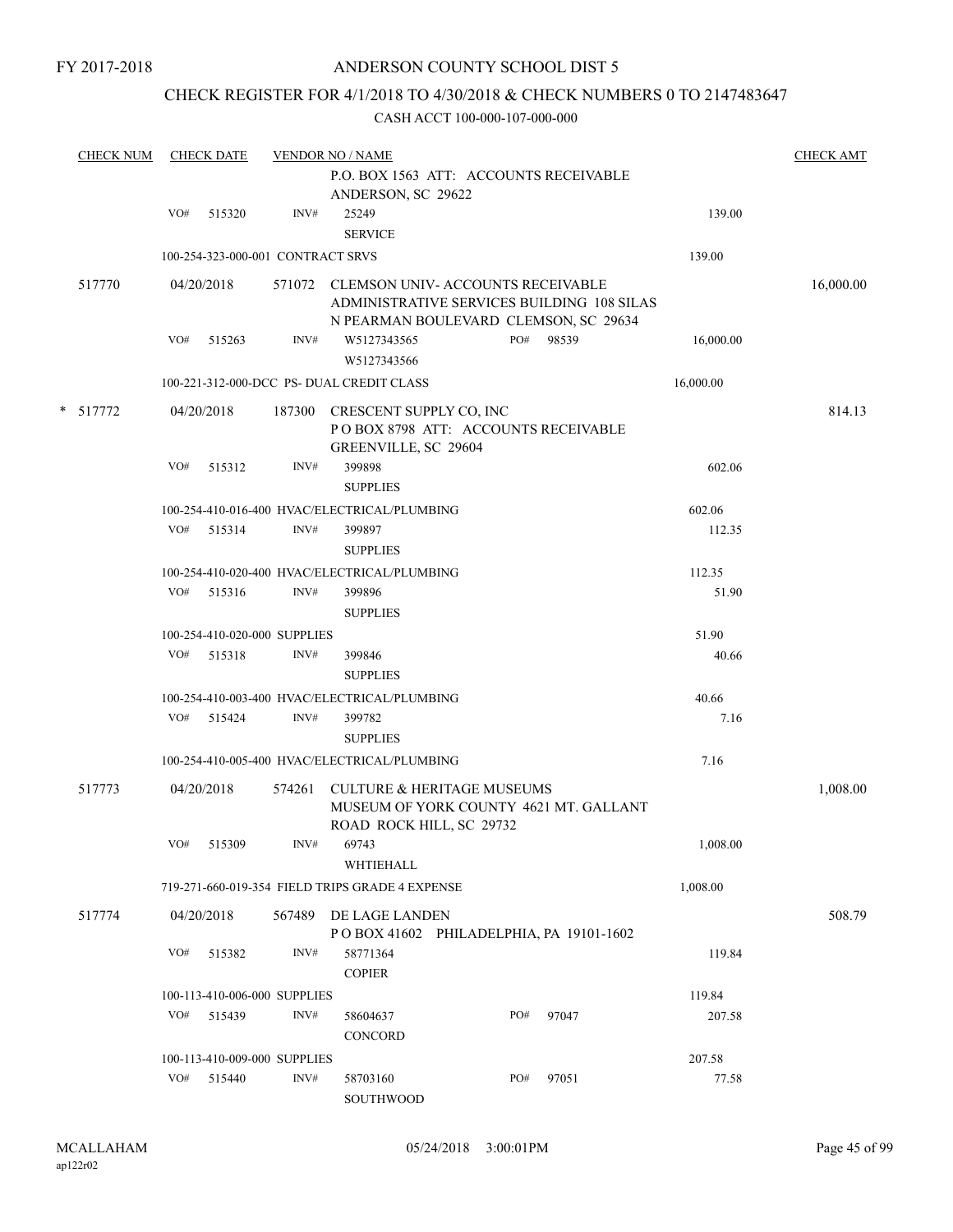### CHECK REGISTER FOR 4/1/2018 TO 4/30/2018 & CHECK NUMBERS 0 TO 2147483647

|        | <b>CHECK NUM</b> |     | <b>CHECK DATE</b>                 |        | <b>VENDOR NO / NAME</b>                                                                                                        |     |       |           | <b>CHECK AMT</b> |
|--------|------------------|-----|-----------------------------------|--------|--------------------------------------------------------------------------------------------------------------------------------|-----|-------|-----------|------------------|
|        |                  |     |                                   |        | P.O. BOX 1563 ATT: ACCOUNTS RECEIVABLE<br>ANDERSON, SC 29622                                                                   |     |       |           |                  |
|        |                  | VO# | 515320                            | INV#   | 25249<br><b>SERVICE</b>                                                                                                        |     |       | 139.00    |                  |
|        |                  |     | 100-254-323-000-001 CONTRACT SRVS |        |                                                                                                                                |     |       | 139.00    |                  |
|        | 517770           |     | 04/20/2018                        |        | 571072 CLEMSON UNIV-ACCOUNTS RECEIVABLE<br>ADMINISTRATIVE SERVICES BUILDING 108 SILAS<br>N PEARMAN BOULEVARD CLEMSON, SC 29634 |     |       |           | 16,000.00        |
|        |                  | VO# | 515263                            | INV#   | W5127343565<br>W5127343566                                                                                                     | PO# | 98539 | 16,000.00 |                  |
|        |                  |     |                                   |        | 100-221-312-000-DCC PS- DUAL CREDIT CLASS                                                                                      |     |       | 16,000.00 |                  |
| $\ast$ | 517772           |     | 04/20/2018                        |        | 187300 CRESCENT SUPPLY CO, INC<br>POBOX 8798 ATT: ACCOUNTS RECEIVABLE<br>GREENVILLE, SC 29604                                  |     |       |           | 814.13           |
|        |                  | VO# | 515312                            | INV#   | 399898<br><b>SUPPLIES</b>                                                                                                      |     |       | 602.06    |                  |
|        |                  |     |                                   |        | 100-254-410-016-400 HVAC/ELECTRICAL/PLUMBING                                                                                   |     |       | 602.06    |                  |
|        |                  |     | VO# 515314                        | INV#   | 399897<br><b>SUPPLIES</b>                                                                                                      |     |       | 112.35    |                  |
|        |                  |     |                                   |        | 100-254-410-020-400 HVAC/ELECTRICAL/PLUMBING                                                                                   |     |       | 112.35    |                  |
|        |                  | VO# | 515316                            | INV#   | 399896<br><b>SUPPLIES</b>                                                                                                      |     |       | 51.90     |                  |
|        |                  |     | 100-254-410-020-000 SUPPLIES      |        |                                                                                                                                |     |       | 51.90     |                  |
|        |                  | VO# | 515318                            | INV#   | 399846<br><b>SUPPLIES</b>                                                                                                      |     |       | 40.66     |                  |
|        |                  |     |                                   |        | 100-254-410-003-400 HVAC/ELECTRICAL/PLUMBING                                                                                   |     |       | 40.66     |                  |
|        |                  | VO# | 515424                            | INV#   | 399782<br><b>SUPPLIES</b>                                                                                                      |     |       | 7.16      |                  |
|        |                  |     |                                   |        | 100-254-410-005-400 HVAC/ELECTRICAL/PLUMBING                                                                                   |     |       | 7.16      |                  |
|        | 517773           |     | 04/20/2018                        | 574261 | <b>CULTURE &amp; HERITAGE MUSEUMS</b><br>MUSEUM OF YORK COUNTY 4621 MT. GALLANT<br>ROAD ROCK HILL, SC 29732                    |     |       |           | 1,008.00         |
|        |                  |     | VO# 515309                        |        | INV# 69743<br>WHTIEHALL                                                                                                        |     |       | 1,008.00  |                  |
|        |                  |     |                                   |        | 719-271-660-019-354 FIELD TRIPS GRADE 4 EXPENSE                                                                                |     |       | 1,008.00  |                  |
|        | 517774           |     | 04/20/2018                        |        | 567489 DE LAGE LANDEN<br>POBOX 41602 PHILADELPHIA, PA 19101-1602                                                               |     |       |           | 508.79           |
|        |                  | VO# | 515382                            | INV#   | 58771364<br><b>COPIER</b>                                                                                                      |     |       | 119.84    |                  |
|        |                  |     | 100-113-410-006-000 SUPPLIES      |        |                                                                                                                                |     |       | 119.84    |                  |
|        |                  |     | VO# 515439                        | INV#   | 58604637<br>CONCORD                                                                                                            | PO# | 97047 | 207.58    |                  |
|        |                  |     | 100-113-410-009-000 SUPPLIES      |        |                                                                                                                                |     |       | 207.58    |                  |
|        |                  |     | VO# 515440                        | INV#   | 58703160<br>SOUTHWOOD                                                                                                          | PO# | 97051 | 77.58     |                  |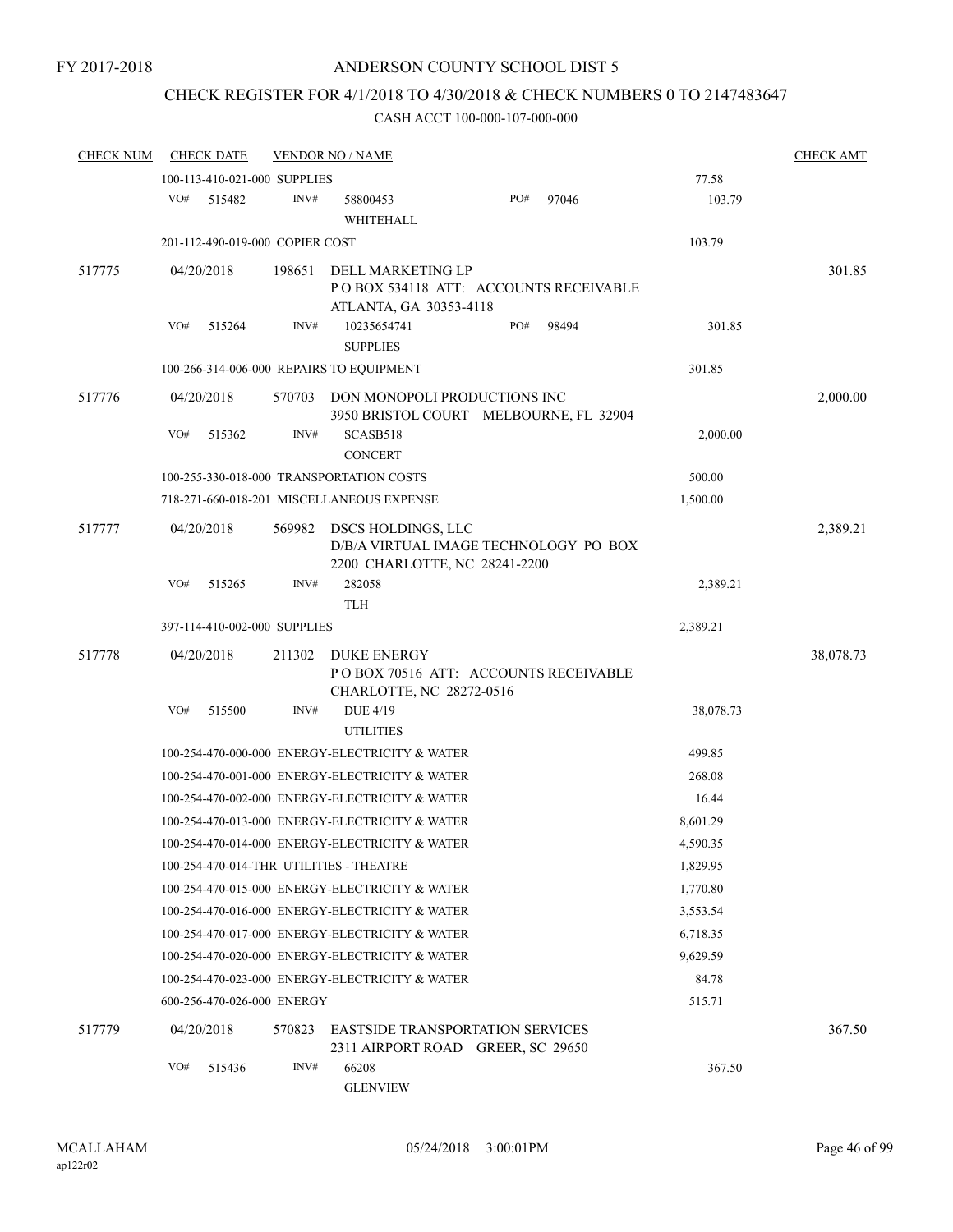# CHECK REGISTER FOR 4/1/2018 TO 4/30/2018 & CHECK NUMBERS 0 TO 2147483647

| <b>CHECK NUM</b> | <b>CHECK DATE</b>                        |        | <b>VENDOR NO / NAME</b>                                                                      |     |       |           | <b>CHECK AMT</b> |
|------------------|------------------------------------------|--------|----------------------------------------------------------------------------------------------|-----|-------|-----------|------------------|
|                  | 100-113-410-021-000 SUPPLIES             |        |                                                                                              |     |       | 77.58     |                  |
|                  | VO#<br>515482                            | INV#   | 58800453<br>WHITEHALL                                                                        | PO# | 97046 | 103.79    |                  |
|                  | 201-112-490-019-000 COPIER COST          |        |                                                                                              |     |       | 103.79    |                  |
| 517775           | 04/20/2018                               | 198651 | DELL MARKETING LP<br>PO BOX 534118 ATT: ACCOUNTS RECEIVABLE<br>ATLANTA, GA 30353-4118        |     |       |           | 301.85           |
|                  | VO#<br>515264                            | INV#   | 10235654741<br><b>SUPPLIES</b>                                                               | PO# | 98494 | 301.85    |                  |
|                  | 100-266-314-006-000 REPAIRS TO EQUIPMENT |        |                                                                                              |     |       | 301.85    |                  |
| 517776           | 04/20/2018                               | 570703 | DON MONOPOLI PRODUCTIONS INC<br>3950 BRISTOL COURT MELBOURNE, FL 32904                       |     |       |           | 2,000.00         |
|                  | VO#<br>515362                            | INV#   | SCASB518<br><b>CONCERT</b>                                                                   |     |       | 2,000.00  |                  |
|                  |                                          |        | 100-255-330-018-000 TRANSPORTATION COSTS                                                     |     |       | 500.00    |                  |
|                  |                                          |        | 718-271-660-018-201 MISCELLANEOUS EXPENSE                                                    |     |       | 1,500.00  |                  |
| 517777           | 04/20/2018                               | 569982 | DSCS HOLDINGS, LLC<br>D/B/A VIRTUAL IMAGE TECHNOLOGY PO BOX<br>2200 CHARLOTTE, NC 28241-2200 |     |       |           | 2,389.21         |
|                  | VO#<br>515265                            | INV#   | 282058<br><b>TLH</b>                                                                         |     |       | 2,389.21  |                  |
|                  | 397-114-410-002-000 SUPPLIES             |        |                                                                                              |     |       | 2,389.21  |                  |
| 517778           | 04/20/2018                               | 211302 | <b>DUKE ENERGY</b><br>PO BOX 70516 ATT: ACCOUNTS RECEIVABLE<br>CHARLOTTE, NC 28272-0516      |     |       |           | 38,078.73        |
|                  | VO#<br>515500                            | INV#   | <b>DUE 4/19</b><br><b>UTILITIES</b>                                                          |     |       | 38,078.73 |                  |
|                  |                                          |        | 100-254-470-000-000 ENERGY-ELECTRICITY & WATER                                               |     |       | 499.85    |                  |
|                  |                                          |        | 100-254-470-001-000 ENERGY-ELECTRICITY & WATER                                               |     |       | 268.08    |                  |
|                  |                                          |        | 100-254-470-002-000 ENERGY-ELECTRICITY & WATER                                               |     |       | 16.44     |                  |
|                  |                                          |        | 100-254-470-013-000 ENERGY-ELECTRICITY & WATER                                               |     |       | 8,601.29  |                  |
|                  |                                          |        | 100-254-470-014-000 ENERGY-ELECTRICITY & WATER                                               |     |       | 4,590.35  |                  |
|                  | 100-254-470-014-THR UTILITIES - THEATRE  |        |                                                                                              |     |       | 1,829.95  |                  |
|                  |                                          |        | 100-254-470-015-000 ENERGY-ELECTRICITY & WATER                                               |     |       | 1,770.80  |                  |
|                  |                                          |        | 100-254-470-016-000 ENERGY-ELECTRICITY & WATER                                               |     |       | 3,553.54  |                  |
|                  |                                          |        | 100-254-470-017-000 ENERGY-ELECTRICITY & WATER                                               |     |       | 6,718.35  |                  |
|                  |                                          |        | 100-254-470-020-000 ENERGY-ELECTRICITY & WATER                                               |     |       | 9.629.59  |                  |
|                  |                                          |        | 100-254-470-023-000 ENERGY-ELECTRICITY & WATER                                               |     |       | 84.78     |                  |
|                  | 600-256-470-026-000 ENERGY               |        |                                                                                              |     |       | 515.71    |                  |
| 517779           | 04/20/2018                               | 570823 | <b>EASTSIDE TRANSPORTATION SERVICES</b><br>2311 AIRPORT ROAD GREER, SC 29650                 |     |       |           | 367.50           |
|                  | VO#<br>515436                            | INV#   | 66208<br><b>GLENVIEW</b>                                                                     |     |       | 367.50    |                  |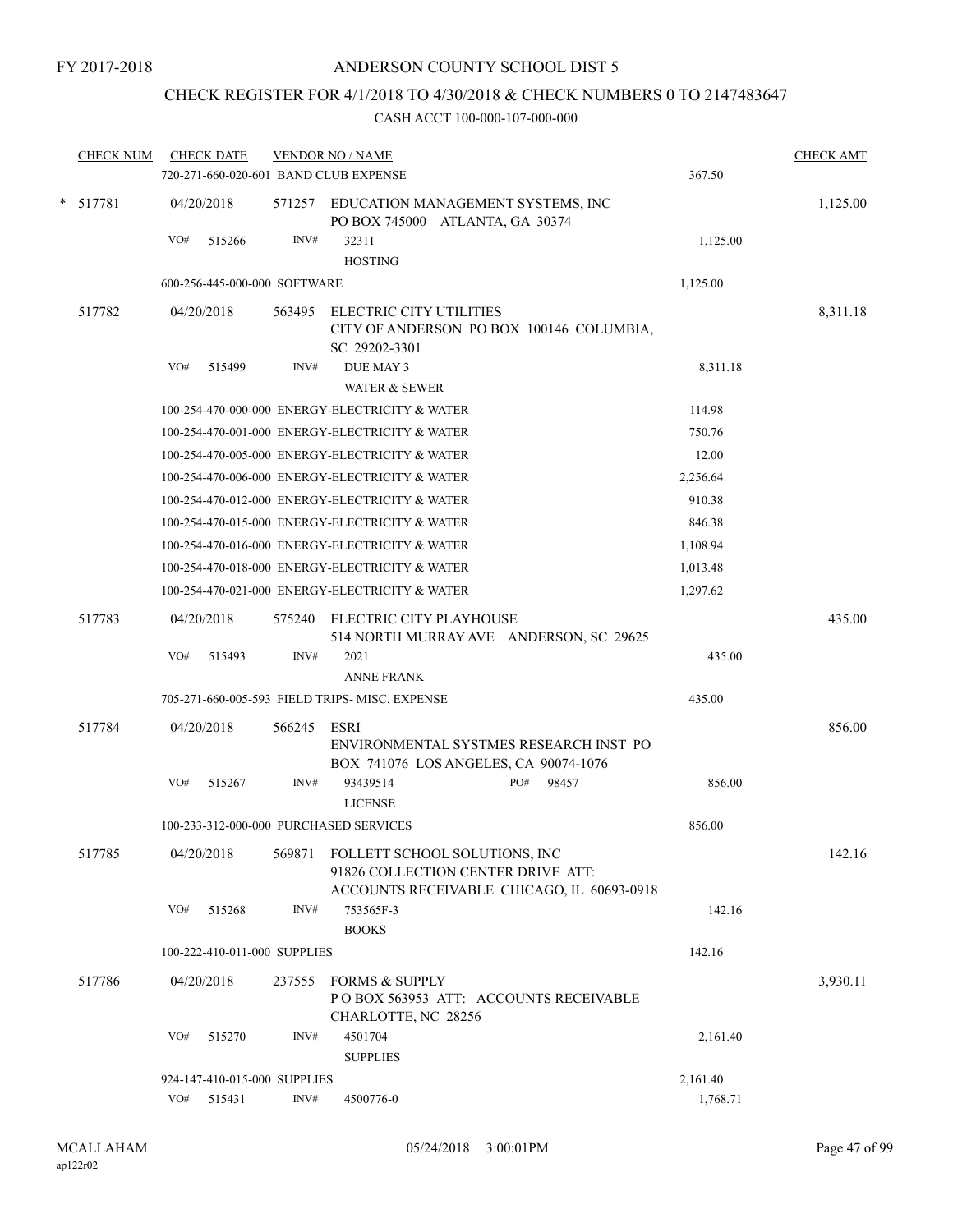# CHECK REGISTER FOR 4/1/2018 TO 4/30/2018 & CHECK NUMBERS 0 TO 2147483647

| <b>CHECK NUM</b> |     | <b>CHECK DATE</b>            |        | <b>VENDOR NO / NAME</b>                                                                                           |          | <b>CHECK AMT</b> |
|------------------|-----|------------------------------|--------|-------------------------------------------------------------------------------------------------------------------|----------|------------------|
|                  |     |                              |        | 720-271-660-020-601 BAND CLUB EXPENSE                                                                             | 367.50   |                  |
| * 517781         |     | 04/20/2018                   |        | 571257 EDUCATION MANAGEMENT SYSTEMS, INC<br>PO BOX 745000 ATLANTA, GA 30374                                       |          | 1,125.00         |
|                  | VO# | 515266                       | INV#   | 32311<br><b>HOSTING</b>                                                                                           | 1,125.00 |                  |
|                  |     | 600-256-445-000-000 SOFTWARE |        |                                                                                                                   | 1,125.00 |                  |
| 517782           |     | 04/20/2018                   | 563495 | ELECTRIC CITY UTILITIES<br>CITY OF ANDERSON PO BOX 100146 COLUMBIA,<br>SC 29202-3301                              |          | 8,311.18         |
|                  | VO# | 515499                       | INV#   | DUE MAY 3                                                                                                         | 8,311.18 |                  |
|                  |     |                              |        | <b>WATER &amp; SEWER</b>                                                                                          |          |                  |
|                  |     |                              |        | 100-254-470-000-000 ENERGY-ELECTRICITY & WATER                                                                    | 114.98   |                  |
|                  |     |                              |        | 100-254-470-001-000 ENERGY-ELECTRICITY & WATER                                                                    | 750.76   |                  |
|                  |     |                              |        | 100-254-470-005-000 ENERGY-ELECTRICITY & WATER                                                                    | 12.00    |                  |
|                  |     |                              |        | 100-254-470-006-000 ENERGY-ELECTRICITY & WATER                                                                    | 2,256.64 |                  |
|                  |     |                              |        | 100-254-470-012-000 ENERGY-ELECTRICITY & WATER                                                                    | 910.38   |                  |
|                  |     |                              |        | 100-254-470-015-000 ENERGY-ELECTRICITY & WATER                                                                    | 846.38   |                  |
|                  |     |                              |        | 100-254-470-016-000 ENERGY-ELECTRICITY & WATER                                                                    | 1,108.94 |                  |
|                  |     |                              |        | 100-254-470-018-000 ENERGY-ELECTRICITY & WATER                                                                    | 1,013.48 |                  |
|                  |     |                              |        | 100-254-470-021-000 ENERGY-ELECTRICITY & WATER                                                                    | 1,297.62 |                  |
| 517783           |     | 04/20/2018                   | 575240 | ELECTRIC CITY PLAYHOUSE<br>514 NORTH MURRAY AVE ANDERSON, SC 29625                                                |          | 435.00           |
|                  | VO# | 515493                       | INV#   | 2021<br><b>ANNE FRANK</b>                                                                                         | 435.00   |                  |
|                  |     |                              |        | 705-271-660-005-593 FIELD TRIPS-MISC. EXPENSE                                                                     | 435.00   |                  |
| 517784           |     | 04/20/2018                   | 566245 | ESRI<br>ENVIRONMENTAL SYSTMES RESEARCH INST PO                                                                    |          | 856.00           |
|                  | VO# | 515267                       | INV#   | BOX 741076 LOS ANGELES, CA 90074-1076<br>PO#<br>98457<br>93439514<br><b>LICENSE</b>                               | 856.00   |                  |
|                  |     |                              |        | 100-233-312-000-000 PURCHASED SERVICES                                                                            | 856.00   |                  |
| 517785           |     | 04/20/2018                   | 569871 | FOLLETT SCHOOL SOLUTIONS, INC<br>91826 COLLECTION CENTER DRIVE ATT:<br>ACCOUNTS RECEIVABLE CHICAGO, IL 60693-0918 |          | 142.16           |
|                  | VO# | 515268                       | INV#   | 753565F-3<br><b>BOOKS</b>                                                                                         | 142.16   |                  |
|                  |     | 100-222-410-011-000 SUPPLIES |        |                                                                                                                   | 142.16   |                  |
| 517786           |     | 04/20/2018                   | 237555 | <b>FORMS &amp; SUPPLY</b><br>PO BOX 563953 ATT: ACCOUNTS RECEIVABLE<br>CHARLOTTE, NC 28256                        |          | 3,930.11         |
|                  | VO# | 515270                       | INV#   | 4501704<br><b>SUPPLIES</b>                                                                                        | 2,161.40 |                  |
|                  |     | 924-147-410-015-000 SUPPLIES |        |                                                                                                                   | 2,161.40 |                  |
|                  | VO# | 515431                       | INV#   | 4500776-0                                                                                                         | 1,768.71 |                  |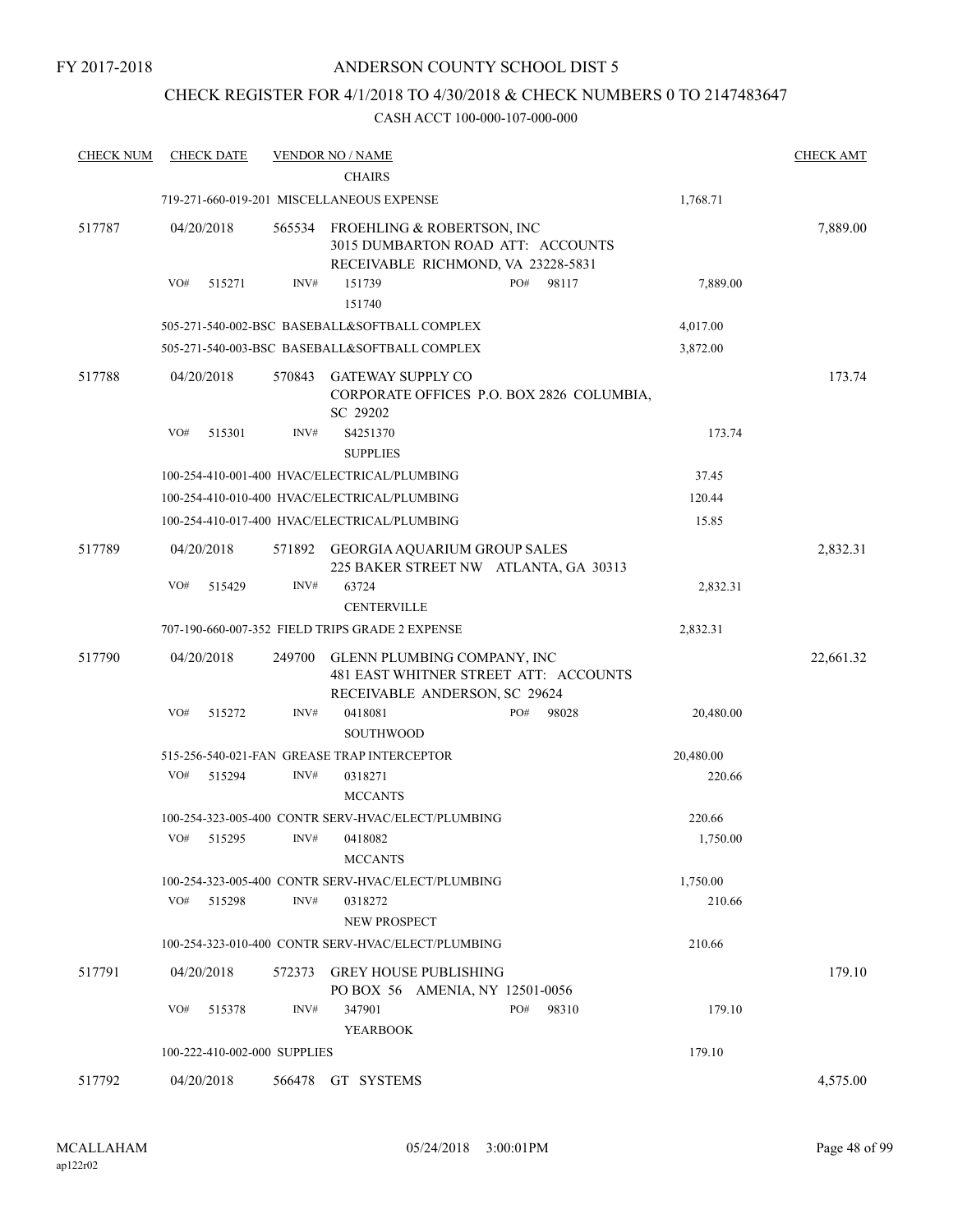### ANDERSON COUNTY SCHOOL DIST 5

### CHECK REGISTER FOR 4/1/2018 TO 4/30/2018 & CHECK NUMBERS 0 TO 2147483647

| <b>CHECK NUM</b> | <b>CHECK DATE</b>            |        | <b>VENDOR NO / NAME</b><br><b>CHAIRS</b>                                                              |              |           | <b>CHECK AMT</b> |
|------------------|------------------------------|--------|-------------------------------------------------------------------------------------------------------|--------------|-----------|------------------|
|                  |                              |        | 719-271-660-019-201 MISCELLANEOUS EXPENSE                                                             |              | 1,768.71  |                  |
| 517787           | 04/20/2018                   | 565534 | FROEHLING & ROBERTSON, INC<br>3015 DUMBARTON ROAD ATT: ACCOUNTS<br>RECEIVABLE RICHMOND, VA 23228-5831 |              |           | 7,889.00         |
|                  | VO#<br>515271                | INV#   | 151739<br>151740                                                                                      | PO#<br>98117 | 7,889.00  |                  |
|                  |                              |        | 505-271-540-002-BSC BASEBALL&SOFTBALL COMPLEX                                                         |              | 4,017.00  |                  |
|                  |                              |        | 505-271-540-003-BSC BASEBALL&SOFTBALL COMPLEX                                                         |              | 3,872.00  |                  |
| 517788           | 04/20/2018                   | 570843 | <b>GATEWAY SUPPLY CO</b><br>CORPORATE OFFICES P.O. BOX 2826 COLUMBIA,<br>SC 29202                     |              |           | 173.74           |
|                  | VO#<br>515301                | INV#   | S4251370<br><b>SUPPLIES</b>                                                                           |              | 173.74    |                  |
|                  |                              |        | 100-254-410-001-400 HVAC/ELECTRICAL/PLUMBING                                                          |              | 37.45     |                  |
|                  |                              |        | 100-254-410-010-400 HVAC/ELECTRICAL/PLUMBING                                                          |              | 120.44    |                  |
|                  |                              |        | 100-254-410-017-400 HVAC/ELECTRICAL/PLUMBING                                                          |              | 15.85     |                  |
| 517789           | 04/20/2018                   | 571892 | <b>GEORGIA AQUARIUM GROUP SALES</b><br>225 BAKER STREET NW ATLANTA, GA 30313                          |              |           | 2,832.31         |
|                  | VO#<br>515429                | INV#   | 63724<br><b>CENTERVILLE</b>                                                                           |              | 2,832.31  |                  |
|                  |                              |        | 707-190-660-007-352 FIELD TRIPS GRADE 2 EXPENSE                                                       |              | 2,832.31  |                  |
| 517790           | 04/20/2018                   | 249700 | GLENN PLUMBING COMPANY, INC<br>481 EAST WHITNER STREET ATT: ACCOUNTS<br>RECEIVABLE ANDERSON, SC 29624 |              |           | 22,661.32        |
|                  | VO#<br>515272                | INV#   | 0418081<br><b>SOUTHWOOD</b>                                                                           | PO#<br>98028 | 20,480.00 |                  |
|                  |                              |        | 515-256-540-021-FAN GREASE TRAP INTERCEPTOR                                                           |              | 20,480.00 |                  |
|                  | VO#<br>515294                | INV#   | 0318271<br><b>MCCANTS</b>                                                                             |              | 220.66    |                  |
|                  |                              |        | 100-254-323-005-400 CONTR SERV-HVAC/ELECT/PLUMBING                                                    |              | 220.66    |                  |
|                  | VO#<br>515295                | INV#   | 0418082<br><b>MCCANTS</b>                                                                             |              | 1,750.00  |                  |
|                  |                              |        | 100-254-323-005-400 CONTR SERV-HVAC/ELECT/PLUMBING                                                    |              | 1,750.00  |                  |
|                  | VO#<br>515298                | INV#   | 0318272<br>NEW PROSPECT                                                                               |              | 210.66    |                  |
|                  |                              |        | 100-254-323-010-400 CONTR SERV-HVAC/ELECT/PLUMBING                                                    |              | 210.66    |                  |
| 517791           | 04/20/2018                   | 572373 | <b>GREY HOUSE PUBLISHING</b><br>PO BOX 56 AMENIA, NY 12501-0056                                       |              |           | 179.10           |
|                  | VO#<br>515378                | INV#   | 347901<br><b>YEARBOOK</b>                                                                             | PO#<br>98310 | 179.10    |                  |
|                  | 100-222-410-002-000 SUPPLIES |        |                                                                                                       |              | 179.10    |                  |
| 517792           | 04/20/2018                   |        | 566478 GT SYSTEMS                                                                                     |              |           | 4,575.00         |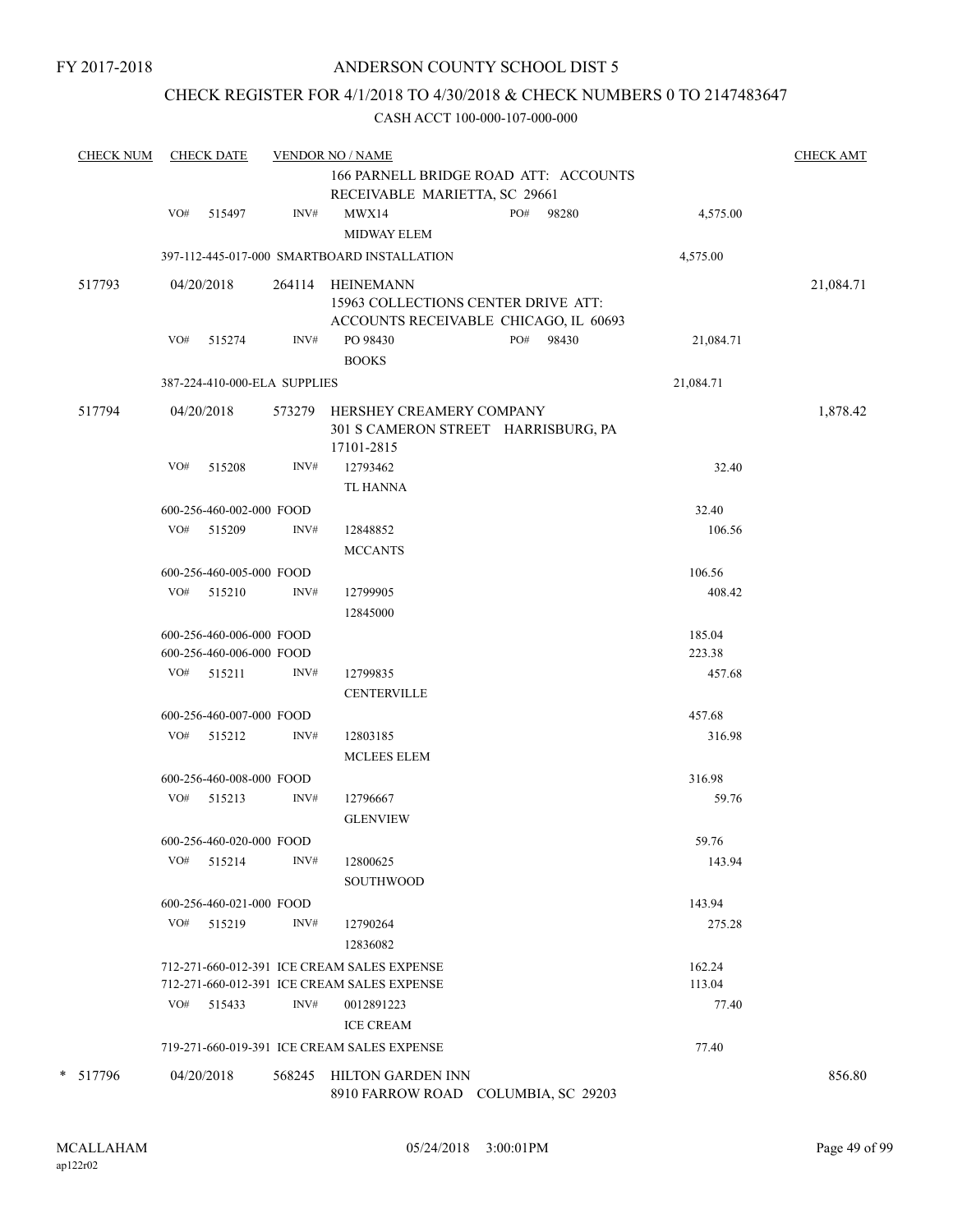### CHECK REGISTER FOR 4/1/2018 TO 4/30/2018 & CHECK NUMBERS 0 TO 2147483647

| <b>CHECK NUM</b> |     | <b>CHECK DATE</b>            |      | <b>VENDOR NO / NAME</b>                                                              |     |       |           | <b>CHECK AMT</b> |
|------------------|-----|------------------------------|------|--------------------------------------------------------------------------------------|-----|-------|-----------|------------------|
|                  |     |                              |      | 166 PARNELL BRIDGE ROAD ATT: ACCOUNTS                                                |     |       |           |                  |
|                  |     |                              |      | RECEIVABLE MARIETTA, SC 29661                                                        |     |       |           |                  |
|                  | VO# | 515497                       | INV# | MWX14<br>MIDWAY ELEM                                                                 | PO# | 98280 | 4,575.00  |                  |
|                  |     |                              |      | 397-112-445-017-000 SMARTBOARD INSTALLATION                                          |     |       | 4,575.00  |                  |
| 517793           |     | 04/20/2018                   |      | 264114 HEINEMANN                                                                     |     |       |           | 21,084.71        |
|                  |     |                              |      | 15963 COLLECTIONS CENTER DRIVE ATT:<br>ACCOUNTS RECEIVABLE CHICAGO, IL 60693         |     |       |           |                  |
|                  | VO# | 515274                       | INV# | PO 98430                                                                             | PO# | 98430 | 21,084.71 |                  |
|                  |     |                              |      | <b>BOOKS</b>                                                                         |     |       |           |                  |
|                  |     | 387-224-410-000-ELA SUPPLIES |      |                                                                                      |     |       | 21,084.71 |                  |
| 517794           |     | 04/20/2018                   |      | 573279 HERSHEY CREAMERY COMPANY<br>301 S CAMERON STREET HARRISBURG, PA<br>17101-2815 |     |       |           | 1,878.42         |
|                  | VO# | 515208                       | INV# | 12793462                                                                             |     |       | 32.40     |                  |
|                  |     |                              |      | <b>TL HANNA</b>                                                                      |     |       |           |                  |
|                  |     | 600-256-460-002-000 FOOD     |      |                                                                                      |     |       | 32.40     |                  |
|                  |     | VO# 515209                   | INV# | 12848852                                                                             |     |       | 106.56    |                  |
|                  |     |                              |      | <b>MCCANTS</b>                                                                       |     |       |           |                  |
|                  |     | 600-256-460-005-000 FOOD     |      |                                                                                      |     |       | 106.56    |                  |
|                  |     | VO# 515210                   | INV# | 12799905                                                                             |     |       | 408.42    |                  |
|                  |     |                              |      | 12845000                                                                             |     |       |           |                  |
|                  |     | 600-256-460-006-000 FOOD     |      |                                                                                      |     |       | 185.04    |                  |
|                  |     | 600-256-460-006-000 FOOD     |      |                                                                                      |     |       | 223.38    |                  |
|                  |     | VO# 515211                   | INV# | 12799835                                                                             |     |       | 457.68    |                  |
|                  |     |                              |      | <b>CENTERVILLE</b>                                                                   |     |       |           |                  |
|                  |     | 600-256-460-007-000 FOOD     |      |                                                                                      |     |       | 457.68    |                  |
|                  |     | VO# 515212                   | INV# | 12803185                                                                             |     |       | 316.98    |                  |
|                  |     |                              |      | <b>MCLEES ELEM</b>                                                                   |     |       |           |                  |
|                  |     | 600-256-460-008-000 FOOD     |      |                                                                                      |     |       | 316.98    |                  |
|                  |     | VO# 515213                   | INV# | 12796667                                                                             |     |       | 59.76     |                  |
|                  |     |                              |      | <b>GLENVIEW</b>                                                                      |     |       |           |                  |
|                  |     | 600-256-460-020-000 FOOD     |      |                                                                                      |     |       | 59.76     |                  |
|                  | VO# | 515214                       | INV# | 12800625                                                                             |     |       | 143.94    |                  |
|                  |     |                              |      | <b>SOUTHWOOD</b>                                                                     |     |       |           |                  |
|                  |     | 600-256-460-021-000 FOOD     |      |                                                                                      |     |       | 143.94    |                  |
|                  | VO# | 515219                       | INV# | 12790264<br>12836082                                                                 |     |       | 275.28    |                  |
|                  |     |                              |      | 712-271-660-012-391 ICE CREAM SALES EXPENSE                                          |     |       | 162.24    |                  |
|                  |     |                              |      | 712-271-660-012-391 ICE CREAM SALES EXPENSE                                          |     |       | 113.04    |                  |
|                  | VO# | 515433                       | INV# | 0012891223                                                                           |     |       | 77.40     |                  |
|                  |     |                              |      | <b>ICE CREAM</b>                                                                     |     |       |           |                  |
|                  |     |                              |      | 719-271-660-019-391 ICE CREAM SALES EXPENSE                                          |     |       | 77.40     |                  |
| * 517796         |     | 04/20/2018                   |      | 568245 HILTON GARDEN INN                                                             |     |       |           | 856.80           |
|                  |     |                              |      | 8910 FARROW ROAD COLUMBIA, SC 29203                                                  |     |       |           |                  |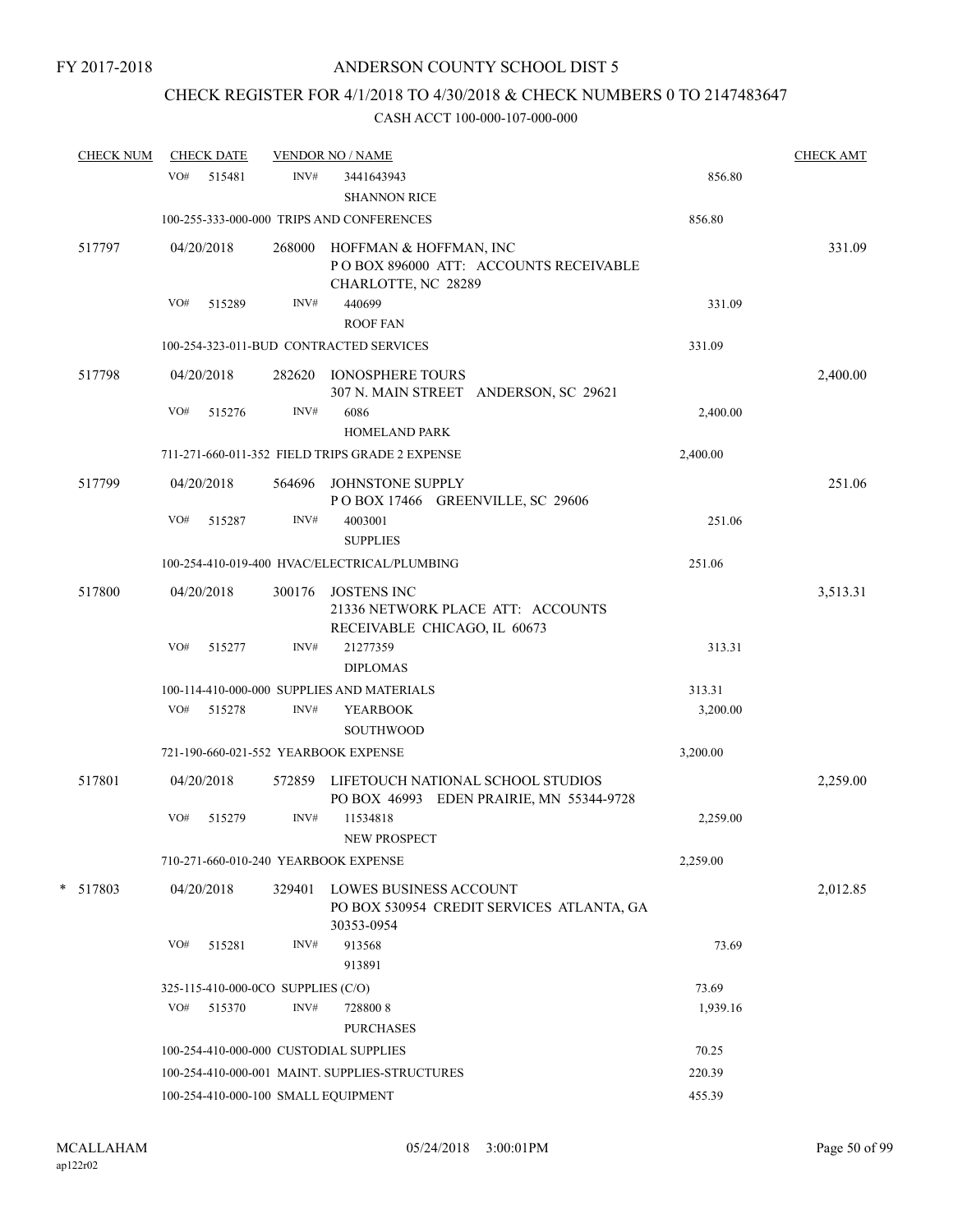# CHECK REGISTER FOR 4/1/2018 TO 4/30/2018 & CHECK NUMBERS 0 TO 2147483647

| <b>CHECK NUM</b> |     | <b>CHECK DATE</b> |                                    | <b>VENDOR NO / NAME</b>                                                                  |          | <b>CHECK AMT</b> |
|------------------|-----|-------------------|------------------------------------|------------------------------------------------------------------------------------------|----------|------------------|
|                  | VO# | 515481            | INV#                               | 3441643943<br><b>SHANNON RICE</b>                                                        | 856.80   |                  |
|                  |     |                   |                                    | 100-255-333-000-000 TRIPS AND CONFERENCES                                                | 856.80   |                  |
| 517797           |     | 04/20/2018        | 268000                             | HOFFMAN & HOFFMAN, INC<br>PO BOX 896000 ATT: ACCOUNTS RECEIVABLE<br>CHARLOTTE, NC 28289  |          | 331.09           |
|                  | VO# | 515289            | INV#                               | 440699<br><b>ROOF FAN</b>                                                                | 331.09   |                  |
|                  |     |                   |                                    | 100-254-323-011-BUD CONTRACTED SERVICES                                                  | 331.09   |                  |
| 517798           |     | 04/20/2018        |                                    | 282620 IONOSPHERE TOURS<br>307 N. MAIN STREET ANDERSON, SC 29621                         |          | 2,400.00         |
|                  | VO# | 515276            | INV#                               | 6086<br>HOMELAND PARK                                                                    | 2,400.00 |                  |
|                  |     |                   |                                    | 711-271-660-011-352 FIELD TRIPS GRADE 2 EXPENSE                                          | 2,400.00 |                  |
| 517799           |     | 04/20/2018        |                                    | 564696 JOHNSTONE SUPPLY<br>POBOX 17466 GREENVILLE, SC 29606                              |          | 251.06           |
|                  | VO# | 515287            | INV#                               | 4003001<br><b>SUPPLIES</b>                                                               | 251.06   |                  |
|                  |     |                   |                                    | 100-254-410-019-400 HVAC/ELECTRICAL/PLUMBING                                             | 251.06   |                  |
| 517800           |     | 04/20/2018        |                                    | 300176 JOSTENS INC<br>21336 NETWORK PLACE ATT: ACCOUNTS<br>RECEIVABLE CHICAGO, IL 60673  |          | 3,513.31         |
|                  | VO# | 515277            | INV#                               | 21277359<br><b>DIPLOMAS</b>                                                              | 313.31   |                  |
|                  |     |                   |                                    | 100-114-410-000-000 SUPPLIES AND MATERIALS                                               | 313.31   |                  |
|                  | VO# | 515278            | INV#                               | <b>YEARBOOK</b><br><b>SOUTHWOOD</b>                                                      | 3,200.00 |                  |
|                  |     |                   |                                    | 721-190-660-021-552 YEARBOOK EXPENSE                                                     | 3,200.00 |                  |
| 517801           |     | 04/20/2018        |                                    | 572859 LIFETOUCH NATIONAL SCHOOL STUDIOS<br>PO BOX 46993 EDEN PRAIRIE, MN 55344-9728     |          | 2,259.00         |
|                  | VO# | 515279            | INV#                               | 11534818<br>NEW PROSPECT                                                                 | 2,259.00 |                  |
|                  |     |                   |                                    | 710-271-660-010-240 YEARBOOK EXPENSE                                                     | 2,259.00 |                  |
| *<br>517803      |     | 04/20/2018        | 329401                             | <b>LOWES BUSINESS ACCOUNT</b><br>PO BOX 530954 CREDIT SERVICES ATLANTA, GA<br>30353-0954 |          | 2,012.85         |
|                  | VO# | 515281            | INV#                               | 913568<br>913891                                                                         | 73.69    |                  |
|                  |     |                   | 325-115-410-000-0CO SUPPLIES (C/O) |                                                                                          | 73.69    |                  |
|                  | VO# | 515370            | INV#                               | 7288008<br><b>PURCHASES</b>                                                              | 1,939.16 |                  |
|                  |     |                   |                                    | 100-254-410-000-000 CUSTODIAL SUPPLIES                                                   | 70.25    |                  |
|                  |     |                   |                                    | 100-254-410-000-001 MAINT. SUPPLIES-STRUCTURES                                           | 220.39   |                  |
|                  |     |                   |                                    | 100-254-410-000-100 SMALL EQUIPMENT                                                      | 455.39   |                  |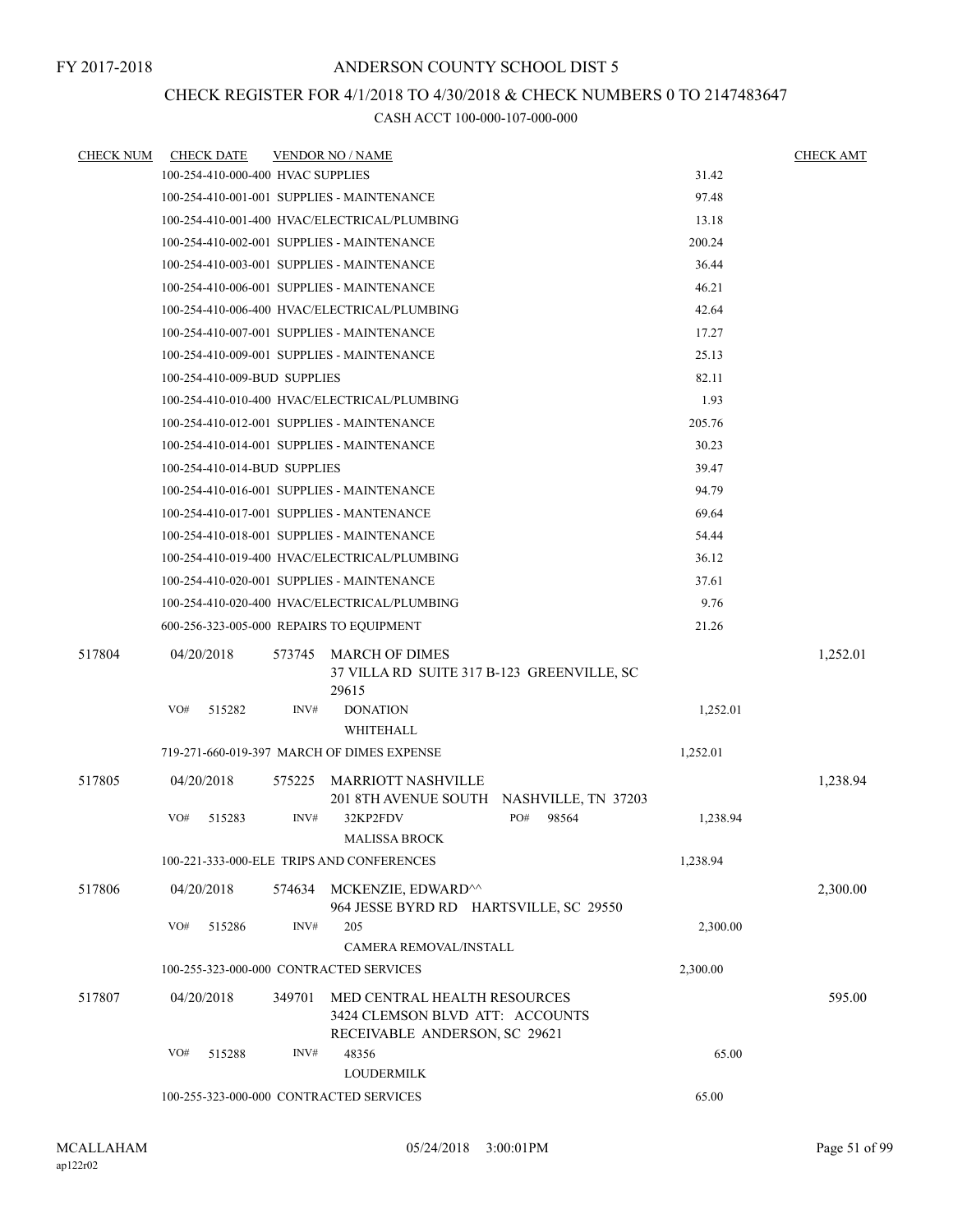### CHECK REGISTER FOR 4/1/2018 TO 4/30/2018 & CHECK NUMBERS 0 TO 2147483647

| <u>CHECK NUM</u> | <b>CHECK DATE</b> |                                   |        | <b>VENDOR NO / NAME</b>                                                                          |              |          | <b>CHECK AMT</b> |
|------------------|-------------------|-----------------------------------|--------|--------------------------------------------------------------------------------------------------|--------------|----------|------------------|
|                  |                   | 100-254-410-000-400 HVAC SUPPLIES |        |                                                                                                  |              | 31.42    |                  |
|                  |                   |                                   |        | 100-254-410-001-001 SUPPLIES - MAINTENANCE                                                       |              | 97.48    |                  |
|                  |                   |                                   |        | 100-254-410-001-400 HVAC/ELECTRICAL/PLUMBING                                                     |              | 13.18    |                  |
|                  |                   |                                   |        | 100-254-410-002-001 SUPPLIES - MAINTENANCE                                                       |              | 200.24   |                  |
|                  |                   |                                   |        | 100-254-410-003-001 SUPPLIES - MAINTENANCE                                                       |              | 36.44    |                  |
|                  |                   |                                   |        | 100-254-410-006-001 SUPPLIES - MAINTENANCE                                                       |              | 46.21    |                  |
|                  |                   |                                   |        | 100-254-410-006-400 HVAC/ELECTRICAL/PLUMBING                                                     |              | 42.64    |                  |
|                  |                   |                                   |        | 100-254-410-007-001 SUPPLIES - MAINTENANCE                                                       |              | 17.27    |                  |
|                  |                   |                                   |        | 100-254-410-009-001 SUPPLIES - MAINTENANCE                                                       |              | 25.13    |                  |
|                  |                   | 100-254-410-009-BUD SUPPLIES      |        |                                                                                                  |              | 82.11    |                  |
|                  |                   |                                   |        | 100-254-410-010-400 HVAC/ELECTRICAL/PLUMBING                                                     |              | 1.93     |                  |
|                  |                   |                                   |        | 100-254-410-012-001 SUPPLIES - MAINTENANCE                                                       |              | 205.76   |                  |
|                  |                   |                                   |        | 100-254-410-014-001 SUPPLIES - MAINTENANCE                                                       |              | 30.23    |                  |
|                  |                   | 100-254-410-014-BUD SUPPLIES      |        |                                                                                                  |              | 39.47    |                  |
|                  |                   |                                   |        | 100-254-410-016-001 SUPPLIES - MAINTENANCE                                                       |              | 94.79    |                  |
|                  |                   |                                   |        | 100-254-410-017-001 SUPPLIES - MANTENANCE                                                        |              | 69.64    |                  |
|                  |                   |                                   |        | 100-254-410-018-001 SUPPLIES - MAINTENANCE                                                       |              | 54.44    |                  |
|                  |                   |                                   |        | 100-254-410-019-400 HVAC/ELECTRICAL/PLUMBING                                                     |              | 36.12    |                  |
|                  |                   |                                   |        | 100-254-410-020-001 SUPPLIES - MAINTENANCE                                                       |              | 37.61    |                  |
|                  |                   |                                   |        | 100-254-410-020-400 HVAC/ELECTRICAL/PLUMBING                                                     |              | 9.76     |                  |
|                  |                   |                                   |        | 600-256-323-005-000 REPAIRS TO EQUIPMENT                                                         |              | 21.26    |                  |
| 517804           | 04/20/2018        |                                   | 573745 | MARCH OF DIMES<br>37 VILLA RD SUITE 317 B-123 GREENVILLE, SC<br>29615                            |              |          | 1,252.01         |
|                  | VO#               | 515282                            | INV#   | <b>DONATION</b><br>WHITEHALL                                                                     |              | 1,252.01 |                  |
|                  |                   |                                   |        | 719-271-660-019-397 MARCH OF DIMES EXPENSE                                                       |              | 1,252.01 |                  |
| 517805           | 04/20/2018        |                                   | 575225 | MARRIOTT NASHVILLE<br>201 8TH AVENUE SOUTH NASHVILLE, TN 37203                                   |              |          | 1,238.94         |
|                  | VO#               | 515283                            | INV#   | 32KP2FDV<br>MALISSA BROCK                                                                        | PO#<br>98564 | 1,238.94 |                  |
|                  |                   |                                   |        | 100-221-333-000-ELE TRIPS AND CONFERENCES                                                        |              | 1,238.94 |                  |
| 517806           | 04/20/2018        |                                   |        | 574634 MCKENZIE, EDWARD^^<br>964 JESSE BYRD RD HARTSVILLE, SC 29550                              |              |          | 2,300.00         |
|                  | VO#               | 515286                            | INV#   | 205<br>CAMERA REMOVAL/INSTALL                                                                    |              | 2,300.00 |                  |
|                  |                   |                                   |        | 100-255-323-000-000 CONTRACTED SERVICES                                                          |              | 2,300.00 |                  |
| 517807           | 04/20/2018        |                                   | 349701 | MED CENTRAL HEALTH RESOURCES<br>3424 CLEMSON BLVD ATT: ACCOUNTS<br>RECEIVABLE ANDERSON, SC 29621 |              |          | 595.00           |
|                  | VO#               | 515288                            | INV#   | 48356<br><b>LOUDERMILK</b>                                                                       |              | 65.00    |                  |
|                  |                   |                                   |        | 100-255-323-000-000 CONTRACTED SERVICES                                                          |              | 65.00    |                  |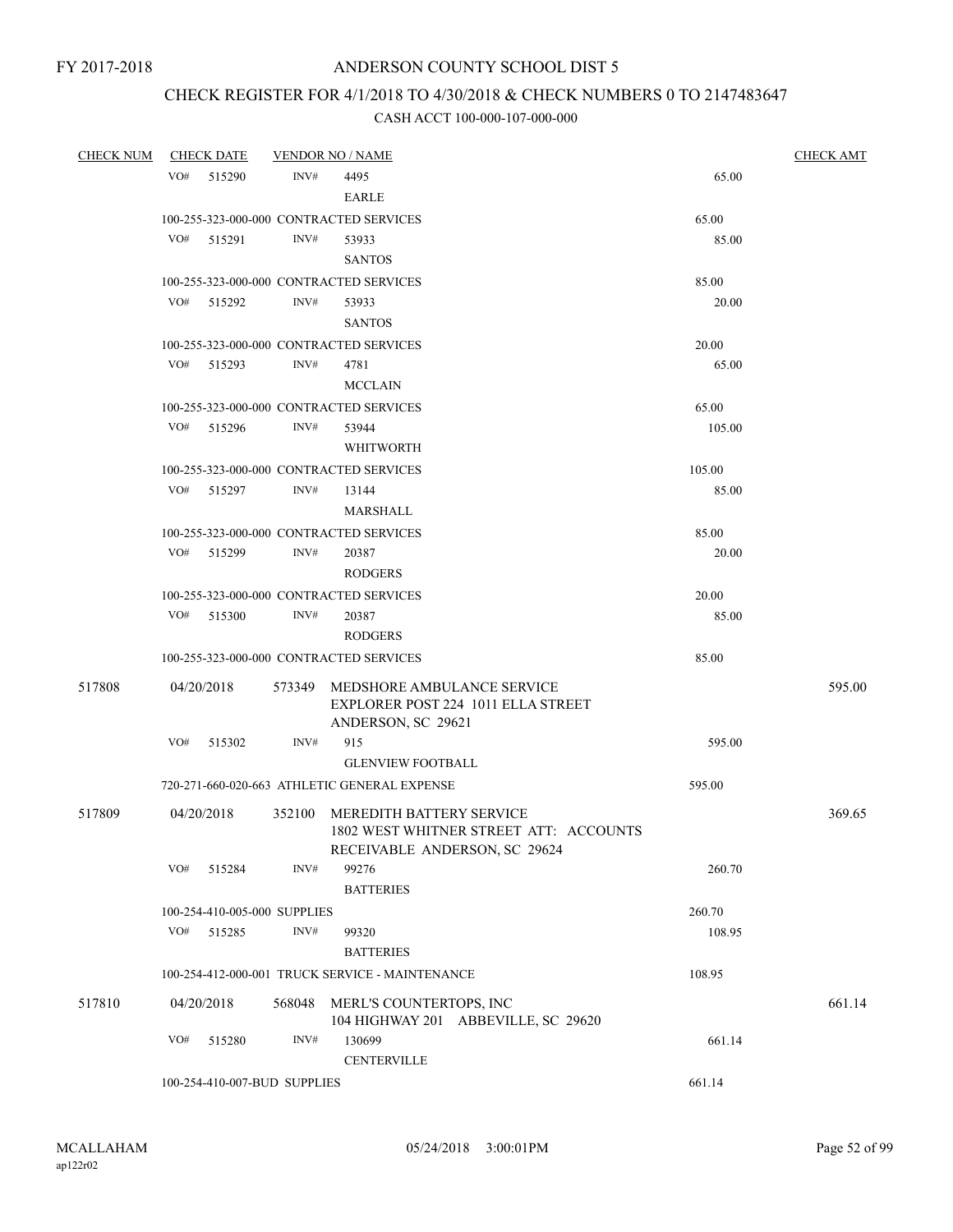# CHECK REGISTER FOR 4/1/2018 TO 4/30/2018 & CHECK NUMBERS 0 TO 2147483647

| <b>CHECK NUM</b> | <b>CHECK DATE</b>            |        | <b>VENDOR NO / NAME</b>                                                                             |        | <b>CHECK AMT</b> |
|------------------|------------------------------|--------|-----------------------------------------------------------------------------------------------------|--------|------------------|
|                  | VO#<br>515290                | INV#   | 4495<br><b>EARLE</b>                                                                                | 65.00  |                  |
|                  |                              |        | 100-255-323-000-000 CONTRACTED SERVICES                                                             | 65.00  |                  |
|                  | VO#<br>515291                | INV#   | 53933<br><b>SANTOS</b>                                                                              | 85.00  |                  |
|                  |                              |        | 100-255-323-000-000 CONTRACTED SERVICES                                                             | 85.00  |                  |
|                  | VO#<br>515292                | INV#   | 53933                                                                                               | 20.00  |                  |
|                  |                              |        | <b>SANTOS</b>                                                                                       |        |                  |
|                  |                              |        | 100-255-323-000-000 CONTRACTED SERVICES                                                             | 20.00  |                  |
|                  | VO#<br>515293                | INV#   | 4781                                                                                                | 65.00  |                  |
|                  |                              |        | <b>MCCLAIN</b>                                                                                      |        |                  |
|                  |                              |        | 100-255-323-000-000 CONTRACTED SERVICES                                                             | 65.00  |                  |
|                  | VO#<br>515296                | INV#   | 53944                                                                                               | 105.00 |                  |
|                  |                              |        | <b>WHITWORTH</b>                                                                                    |        |                  |
|                  |                              |        | 100-255-323-000-000 CONTRACTED SERVICES                                                             | 105.00 |                  |
|                  | VO# 515297                   | INV#   | 13144                                                                                               | 85.00  |                  |
|                  |                              |        | <b>MARSHALL</b>                                                                                     |        |                  |
|                  |                              |        | 100-255-323-000-000 CONTRACTED SERVICES                                                             | 85.00  |                  |
|                  | VO#<br>515299                | INV#   | 20387                                                                                               | 20.00  |                  |
|                  |                              |        | <b>RODGERS</b>                                                                                      |        |                  |
|                  |                              |        | 100-255-323-000-000 CONTRACTED SERVICES                                                             | 20.00  |                  |
|                  | VO#<br>515300                | INV#   | 20387                                                                                               | 85.00  |                  |
|                  |                              |        | <b>RODGERS</b>                                                                                      |        |                  |
|                  |                              |        | 100-255-323-000-000 CONTRACTED SERVICES                                                             | 85.00  |                  |
| 517808           | 04/20/2018                   | 573349 | MEDSHORE AMBULANCE SERVICE<br>EXPLORER POST 224 1011 ELLA STREET<br>ANDERSON, SC 29621              |        | 595.00           |
|                  | VO#<br>515302                | INV#   | 915                                                                                                 | 595.00 |                  |
|                  |                              |        | <b>GLENVIEW FOOTBALL</b>                                                                            |        |                  |
|                  |                              |        | 720-271-660-020-663 ATHLETIC GENERAL EXPENSE                                                        | 595.00 |                  |
| 517809           | 04/20/2018                   | 352100 | MEREDITH BATTERY SERVICE<br>1802 WEST WHITNER STREET ATT: ACCOUNTS<br>RECEIVABLE ANDERSON, SC 29624 |        | 369.65           |
|                  | VO#<br>515284                | INV#   | 99276<br><b>BATTERIES</b>                                                                           | 260.70 |                  |
|                  | 100-254-410-005-000 SUPPLIES |        |                                                                                                     | 260.70 |                  |
|                  | VO#<br>515285                | INV#   | 99320                                                                                               | 108.95 |                  |
|                  |                              |        | <b>BATTERIES</b>                                                                                    |        |                  |
|                  |                              |        | 100-254-412-000-001 TRUCK SERVICE - MAINTENANCE                                                     | 108.95 |                  |
| 517810           | 04/20/2018                   | 568048 | MERL'S COUNTERTOPS, INC<br>104 HIGHWAY 201 ABBEVILLE, SC 29620                                      |        | 661.14           |
|                  | VO#<br>515280                | INV#   | 130699<br><b>CENTERVILLE</b>                                                                        | 661.14 |                  |
|                  | 100-254-410-007-BUD SUPPLIES |        |                                                                                                     | 661.14 |                  |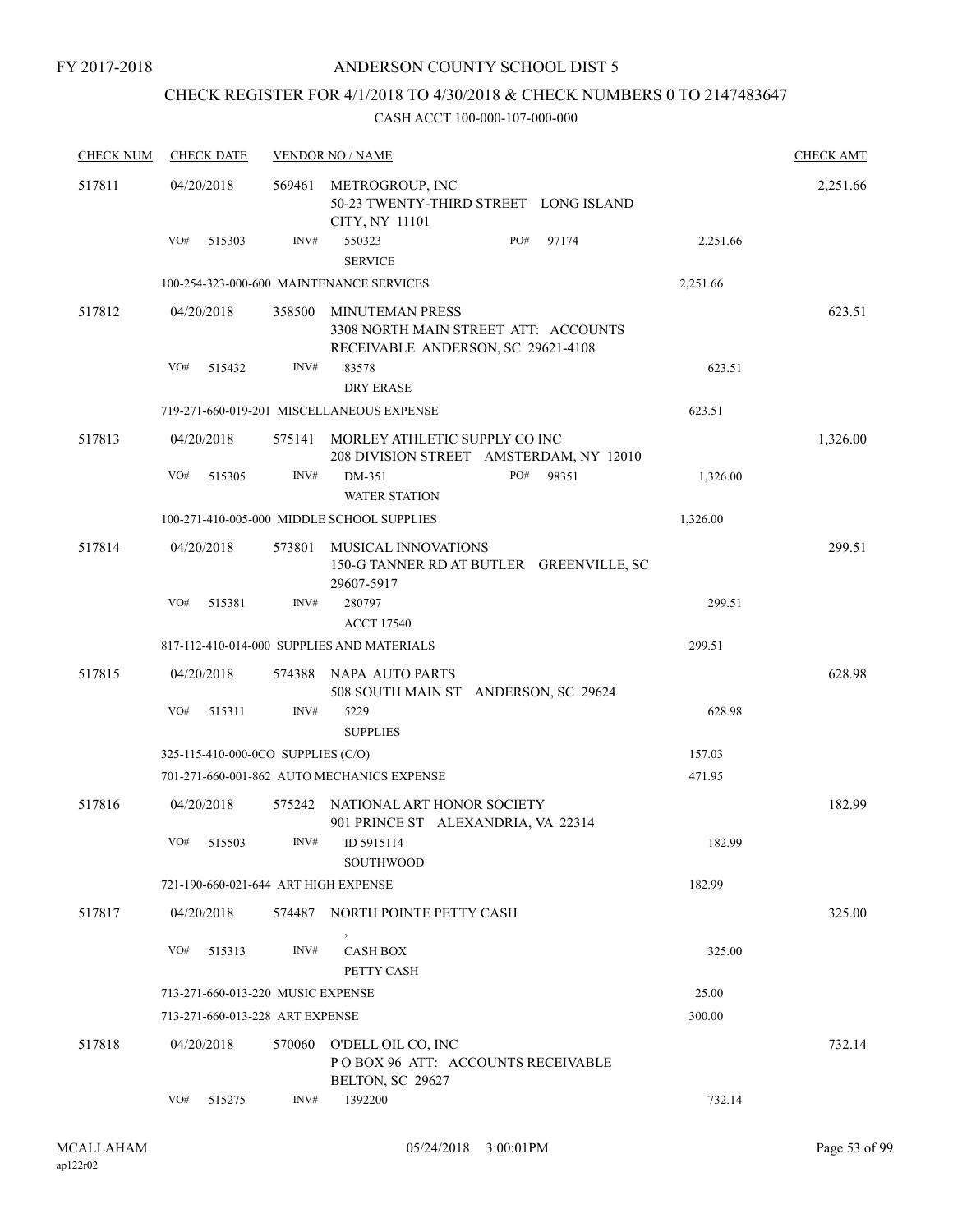### ANDERSON COUNTY SCHOOL DIST 5

# CHECK REGISTER FOR 4/1/2018 TO 4/30/2018 & CHECK NUMBERS 0 TO 2147483647

| <b>CHECK NUM</b> | <b>CHECK DATE</b>                    |        | <b>VENDOR NO / NAME</b>                                                 |                                          |          | <b>CHECK AMT</b> |
|------------------|--------------------------------------|--------|-------------------------------------------------------------------------|------------------------------------------|----------|------------------|
| 517811           | 04/20/2018                           | 569461 | METROGROUP, INC<br>CITY, NY 11101                                       | 50-23 TWENTY-THIRD STREET LONG ISLAND    |          | 2,251.66         |
|                  | VO#<br>515303                        | INV#   | 550323<br><b>SERVICE</b>                                                | PO#<br>97174                             | 2,251.66 |                  |
|                  |                                      |        | 100-254-323-000-600 MAINTENANCE SERVICES                                |                                          | 2,251.66 |                  |
| 517812           | 04/20/2018                           | 358500 | MINUTEMAN PRESS<br>RECEIVABLE ANDERSON, SC 29621-4108                   | 3308 NORTH MAIN STREET ATT: ACCOUNTS     |          | 623.51           |
|                  | VO#<br>515432                        | INV#   | 83578<br><b>DRY ERASE</b>                                               |                                          | 623.51   |                  |
|                  |                                      |        | 719-271-660-019-201 MISCELLANEOUS EXPENSE                               |                                          | 623.51   |                  |
| 517813           | 04/20/2018                           | 575141 | MORLEY ATHLETIC SUPPLY CO INC                                           | 208 DIVISION STREET AMSTERDAM, NY 12010  |          | 1,326.00         |
|                  | VO#<br>515305                        | INV#   | DM-351<br><b>WATER STATION</b>                                          | PO#<br>98351                             | 1,326.00 |                  |
|                  |                                      |        | 100-271-410-005-000 MIDDLE SCHOOL SUPPLIES                              |                                          | 1,326.00 |                  |
| 517814           | 04/20/2018                           | 573801 | <b>MUSICAL INNOVATIONS</b><br>29607-5917                                | 150-G TANNER RD AT BUTLER GREENVILLE, SC |          | 299.51           |
|                  | VO#<br>515381                        | INV#   | 280797<br><b>ACCT 17540</b>                                             |                                          | 299.51   |                  |
|                  |                                      |        | 817-112-410-014-000 SUPPLIES AND MATERIALS                              |                                          | 299.51   |                  |
| 517815           | 04/20/2018                           | 574388 | NAPA AUTO PARTS                                                         | 508 SOUTH MAIN ST ANDERSON, SC 29624     |          | 628.98           |
|                  | VO#<br>515311                        | INV#   | 5229<br><b>SUPPLIES</b>                                                 |                                          | 628.98   |                  |
|                  | 325-115-410-000-0CO SUPPLIES (C/O)   |        |                                                                         |                                          | 157.03   |                  |
|                  |                                      |        | 701-271-660-001-862 AUTO MECHANICS EXPENSE                              |                                          | 471.95   |                  |
| 517816           | 04/20/2018                           |        | 575242 NATIONAL ART HONOR SOCIETY<br>901 PRINCE ST ALEXANDRIA, VA 22314 |                                          |          | 182.99           |
|                  | VO#<br>515503                        | INV#   | ID 5915114<br>SOUTHWOOD                                                 |                                          | 182.99   |                  |
|                  | 721-190-660-021-644 ART HIGH EXPENSE |        |                                                                         |                                          | 182.99   |                  |
| 517817           | 04/20/2018                           |        | 574487 NORTH POINTE PETTY CASH                                          |                                          |          | 325.00           |
|                  | VO#<br>515313                        | INV#   | <b>CASH BOX</b><br>PETTY CASH                                           |                                          | 325.00   |                  |
|                  | 713-271-660-013-220 MUSIC EXPENSE    |        |                                                                         |                                          | 25.00    |                  |
|                  | 713-271-660-013-228 ART EXPENSE      |        |                                                                         |                                          | 300.00   |                  |
| 517818           | 04/20/2018                           | 570060 | O'DELL OIL CO, INC<br>BELTON, SC 29627                                  | POBOX 96 ATT: ACCOUNTS RECEIVABLE        |          | 732.14           |
|                  | VO#<br>515275                        | INV#   | 1392200                                                                 |                                          | 732.14   |                  |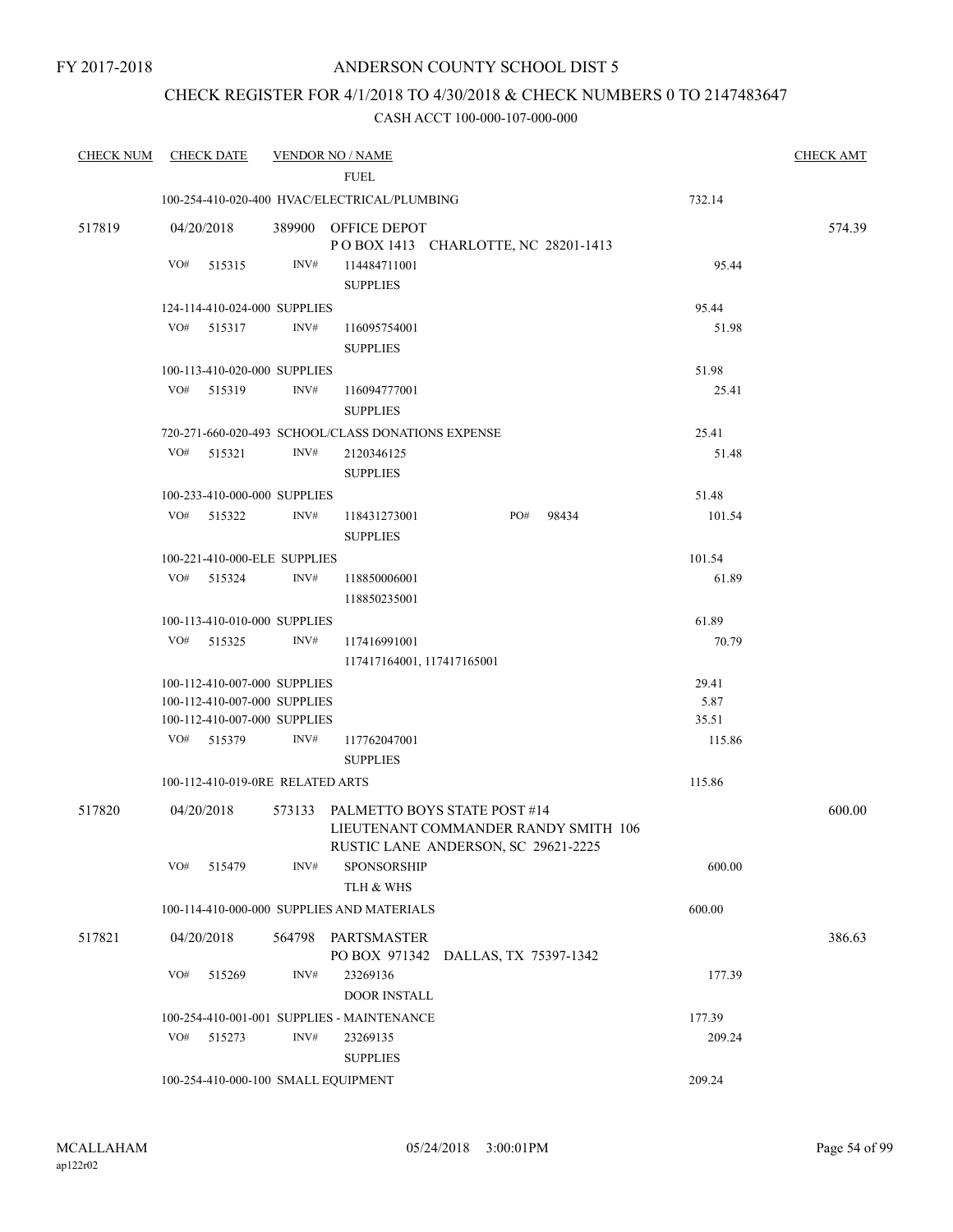### CHECK REGISTER FOR 4/1/2018 TO 4/30/2018 & CHECK NUMBERS 0 TO 2147483647

| <b>CHECK NUM</b> | <b>CHECK DATE</b> |                                     | <b>VENDOR NO / NAME</b>                                                                                            |     |       |        | <b>CHECK AMT</b> |
|------------------|-------------------|-------------------------------------|--------------------------------------------------------------------------------------------------------------------|-----|-------|--------|------------------|
|                  |                   |                                     | <b>FUEL</b>                                                                                                        |     |       |        |                  |
|                  |                   |                                     | 100-254-410-020-400 HVAC/ELECTRICAL/PLUMBING                                                                       |     |       | 732.14 |                  |
| 517819           | 04/20/2018        |                                     | 389900 OFFICE DEPOT<br>POBOX 1413 CHARLOTTE, NC 28201-1413                                                         |     |       |        | 574.39           |
|                  | VO#               | 515315<br>INV#                      | 114484711001                                                                                                       |     |       | 95.44  |                  |
|                  |                   |                                     | <b>SUPPLIES</b>                                                                                                    |     |       |        |                  |
|                  |                   | 124-114-410-024-000 SUPPLIES        |                                                                                                                    |     |       | 95.44  |                  |
|                  | VO# 515317        | INV#                                | 116095754001                                                                                                       |     |       | 51.98  |                  |
|                  |                   |                                     | <b>SUPPLIES</b>                                                                                                    |     |       |        |                  |
|                  |                   | 100-113-410-020-000 SUPPLIES        |                                                                                                                    |     |       | 51.98  |                  |
|                  | VO# 515319        | INV#                                | 116094777001                                                                                                       |     |       | 25.41  |                  |
|                  |                   |                                     | <b>SUPPLIES</b>                                                                                                    |     |       |        |                  |
|                  |                   |                                     | 720-271-660-020-493 SCHOOL/CLASS DONATIONS EXPENSE                                                                 |     |       | 25.41  |                  |
|                  | VO#<br>515321     | INV#                                | 2120346125                                                                                                         |     |       | 51.48  |                  |
|                  |                   |                                     | <b>SUPPLIES</b>                                                                                                    |     |       |        |                  |
|                  |                   | 100-233-410-000-000 SUPPLIES        |                                                                                                                    |     |       | 51.48  |                  |
|                  | VO# 515322        | INV#                                | 118431273001                                                                                                       | PO# | 98434 | 101.54 |                  |
|                  |                   |                                     | <b>SUPPLIES</b>                                                                                                    |     |       |        |                  |
|                  |                   | 100-221-410-000-ELE SUPPLIES        |                                                                                                                    |     |       | 101.54 |                  |
|                  | VO# 515324        | INV#                                | 118850006001                                                                                                       |     |       | 61.89  |                  |
|                  |                   |                                     | 118850235001                                                                                                       |     |       |        |                  |
|                  |                   | 100-113-410-010-000 SUPPLIES        |                                                                                                                    |     |       | 61.89  |                  |
|                  | VO# 515325        | INV#                                | 117416991001                                                                                                       |     |       | 70.79  |                  |
|                  |                   |                                     | 117417164001, 117417165001                                                                                         |     |       |        |                  |
|                  |                   | 100-112-410-007-000 SUPPLIES        |                                                                                                                    |     |       | 29.41  |                  |
|                  |                   | 100-112-410-007-000 SUPPLIES        |                                                                                                                    |     |       | 5.87   |                  |
|                  |                   | 100-112-410-007-000 SUPPLIES        |                                                                                                                    |     |       | 35.51  |                  |
|                  | VO# 515379        | INV#                                | 117762047001                                                                                                       |     |       | 115.86 |                  |
|                  |                   |                                     | <b>SUPPLIES</b>                                                                                                    |     |       |        |                  |
|                  |                   | 100-112-410-019-0RE RELATED ARTS    |                                                                                                                    |     |       | 115.86 |                  |
| 517820           | 04/20/2018        |                                     | 573133 PALMETTO BOYS STATE POST #14<br>LIEUTENANT COMMANDER RANDY SMITH 106<br>RUSTIC LANE ANDERSON, SC 29621-2225 |     |       |        | 600.00           |
|                  | VO# 515479        | INV#                                | <b>SPONSORSHIP</b><br>TLH & WHS                                                                                    |     |       | 600.00 |                  |
|                  |                   |                                     | 100-114-410-000-000 SUPPLIES AND MATERIALS                                                                         |     |       | 600.00 |                  |
|                  |                   |                                     |                                                                                                                    |     |       |        |                  |
| 517821           | 04/20/2018        |                                     | 564798 PARTSMASTER                                                                                                 |     |       |        | 386.63           |
|                  |                   |                                     | PO BOX 971342 DALLAS, TX 75397-1342                                                                                |     |       |        |                  |
|                  | VO#               | INV#<br>515269                      | 23269136                                                                                                           |     |       | 177.39 |                  |
|                  |                   |                                     | <b>DOOR INSTALL</b>                                                                                                |     |       |        |                  |
|                  |                   |                                     | 100-254-410-001-001 SUPPLIES - MAINTENANCE                                                                         |     |       | 177.39 |                  |
|                  | VO#               | INV#<br>515273                      | 23269135                                                                                                           |     |       | 209.24 |                  |
|                  |                   |                                     | <b>SUPPLIES</b>                                                                                                    |     |       |        |                  |
|                  |                   | 100-254-410-000-100 SMALL EQUIPMENT |                                                                                                                    |     |       | 209.24 |                  |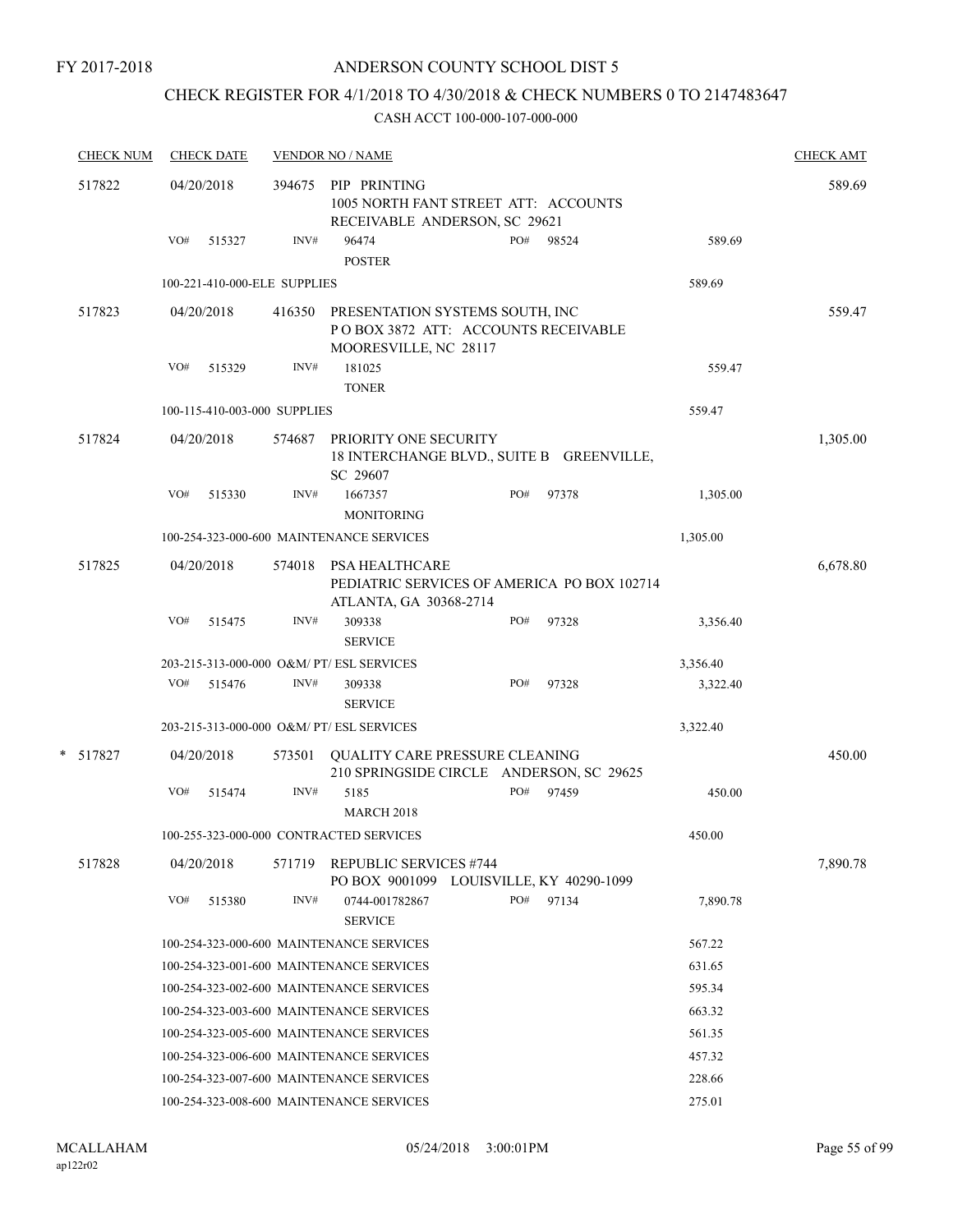### ANDERSON COUNTY SCHOOL DIST 5

# CHECK REGISTER FOR 4/1/2018 TO 4/30/2018 & CHECK NUMBERS 0 TO 2147483647

|        | <b>CHECK NUM</b> |     | <b>CHECK DATE</b>            |        | <b>VENDOR NO / NAME</b>                                                                         |     |       |          | <b>CHECK AMT</b> |
|--------|------------------|-----|------------------------------|--------|-------------------------------------------------------------------------------------------------|-----|-------|----------|------------------|
| 517822 |                  |     | 04/20/2018                   | 394675 | PIP PRINTING<br>1005 NORTH FANT STREET ATT: ACCOUNTS<br>RECEIVABLE ANDERSON, SC 29621           |     |       |          | 589.69           |
|        |                  | VO# | 515327                       | INV#   | 96474<br><b>POSTER</b>                                                                          | PO# | 98524 | 589.69   |                  |
|        |                  |     | 100-221-410-000-ELE SUPPLIES |        |                                                                                                 |     |       | 589.69   |                  |
|        | 517823           |     | 04/20/2018                   | 416350 | PRESENTATION SYSTEMS SOUTH, INC<br>POBOX 3872 ATT: ACCOUNTS RECEIVABLE<br>MOORESVILLE, NC 28117 |     |       |          | 559.47           |
|        |                  | VO# | 515329                       | INV#   | 181025                                                                                          |     |       | 559.47   |                  |
|        |                  |     |                              |        | <b>TONER</b>                                                                                    |     |       |          |                  |
|        |                  |     | 100-115-410-003-000 SUPPLIES |        |                                                                                                 |     |       | 559.47   |                  |
|        | 517824           |     | 04/20/2018                   | 574687 | PRIORITY ONE SECURITY<br>18 INTERCHANGE BLVD., SUITE B GREENVILLE,<br>SC 29607                  |     |       |          | 1,305.00         |
|        |                  | VO# | 515330                       | INV#   | 1667357<br><b>MONITORING</b>                                                                    | PO# | 97378 | 1,305.00 |                  |
|        |                  |     |                              |        | 100-254-323-000-600 MAINTENANCE SERVICES                                                        |     |       | 1,305.00 |                  |
|        | 517825           |     | 04/20/2018                   |        | 574018 PSA HEALTHCARE<br>PEDIATRIC SERVICES OF AMERICA PO BOX 102714<br>ATLANTA, GA 30368-2714  |     |       |          | 6,678.80         |
|        |                  | VO# | 515475                       | INV#   | 309338<br><b>SERVICE</b>                                                                        | PO# | 97328 | 3,356.40 |                  |
|        |                  |     |                              |        | 203-215-313-000-000 O&M/ PT/ ESL SERVICES                                                       |     |       | 3,356.40 |                  |
|        |                  | VO# | 515476                       | INV#   | 309338<br><b>SERVICE</b>                                                                        | PO# | 97328 | 3,322.40 |                  |
|        |                  |     |                              |        | 203-215-313-000-000 O&M/ PT/ ESL SERVICES                                                       |     |       | 3,322.40 |                  |
|        | * 517827         |     | 04/20/2018                   | 573501 | QUALITY CARE PRESSURE CLEANING<br>210 SPRINGSIDE CIRCLE ANDERSON, SC 29625                      |     |       |          | 450.00           |
|        |                  | VO# | 515474                       | INV#   | 5185<br><b>MARCH 2018</b>                                                                       | PO# | 97459 | 450.00   |                  |
|        |                  |     |                              |        | 100-255-323-000-000 CONTRACTED SERVICES                                                         |     |       | 450.00   |                  |
|        | 517828           |     | 04/20/2018                   | 571719 | <b>REPUBLIC SERVICES #744</b><br>PO BOX 9001099 LOUISVILLE, KY 40290-1099                       |     |       |          | 7,890.78         |
|        |                  | VO# | 515380                       | INV#   | 0744-001782867<br><b>SERVICE</b>                                                                | PO# | 97134 | 7,890.78 |                  |
|        |                  |     |                              |        | 100-254-323-000-600 MAINTENANCE SERVICES                                                        |     |       | 567.22   |                  |
|        |                  |     |                              |        | 100-254-323-001-600 MAINTENANCE SERVICES                                                        |     |       | 631.65   |                  |
|        |                  |     |                              |        | 100-254-323-002-600 MAINTENANCE SERVICES                                                        |     |       | 595.34   |                  |
|        |                  |     |                              |        | 100-254-323-003-600 MAINTENANCE SERVICES                                                        |     |       | 663.32   |                  |
|        |                  |     |                              |        | 100-254-323-005-600 MAINTENANCE SERVICES                                                        |     |       | 561.35   |                  |
|        |                  |     |                              |        | 100-254-323-006-600 MAINTENANCE SERVICES                                                        |     |       | 457.32   |                  |
|        |                  |     |                              |        | 100-254-323-007-600 MAINTENANCE SERVICES                                                        |     |       | 228.66   |                  |
|        |                  |     |                              |        | 100-254-323-008-600 MAINTENANCE SERVICES                                                        |     |       | 275.01   |                  |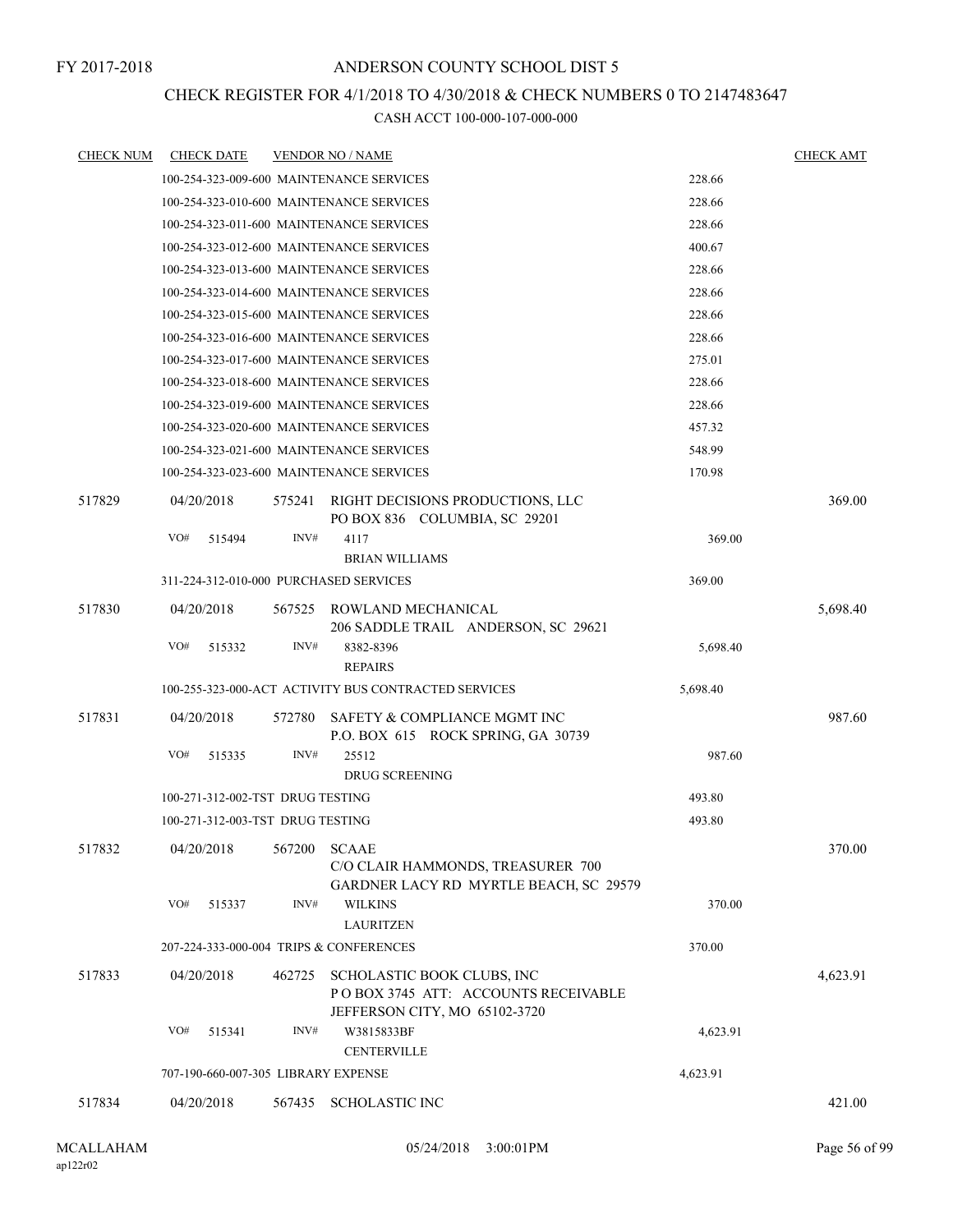#### CHECK REGISTER FOR 4/1/2018 TO 4/30/2018 & CHECK NUMBERS 0 TO 2147483647

| <b>CHECK NUM</b> | <b>CHECK DATE</b> |                                  |        | <b>VENDOR NO / NAME</b>                                                                            |          | <b>CHECK AMT</b> |
|------------------|-------------------|----------------------------------|--------|----------------------------------------------------------------------------------------------------|----------|------------------|
|                  |                   |                                  |        | 100-254-323-009-600 MAINTENANCE SERVICES                                                           | 228.66   |                  |
|                  |                   |                                  |        | 100-254-323-010-600 MAINTENANCE SERVICES                                                           | 228.66   |                  |
|                  |                   |                                  |        | 100-254-323-011-600 MAINTENANCE SERVICES                                                           | 228.66   |                  |
|                  |                   |                                  |        | 100-254-323-012-600 MAINTENANCE SERVICES                                                           | 400.67   |                  |
|                  |                   |                                  |        | 100-254-323-013-600 MAINTENANCE SERVICES                                                           | 228.66   |                  |
|                  |                   |                                  |        | 100-254-323-014-600 MAINTENANCE SERVICES                                                           | 228.66   |                  |
|                  |                   |                                  |        | 100-254-323-015-600 MAINTENANCE SERVICES                                                           | 228.66   |                  |
|                  |                   |                                  |        | 100-254-323-016-600 MAINTENANCE SERVICES                                                           | 228.66   |                  |
|                  |                   |                                  |        | 100-254-323-017-600 MAINTENANCE SERVICES                                                           | 275.01   |                  |
|                  |                   |                                  |        | 100-254-323-018-600 MAINTENANCE SERVICES                                                           | 228.66   |                  |
|                  |                   |                                  |        | 100-254-323-019-600 MAINTENANCE SERVICES                                                           | 228.66   |                  |
|                  |                   |                                  |        | 100-254-323-020-600 MAINTENANCE SERVICES                                                           | 457.32   |                  |
|                  |                   |                                  |        | 100-254-323-021-600 MAINTENANCE SERVICES                                                           | 548.99   |                  |
|                  |                   |                                  |        | 100-254-323-023-600 MAINTENANCE SERVICES                                                           | 170.98   |                  |
| 517829           | 04/20/2018        |                                  | 575241 | RIGHT DECISIONS PRODUCTIONS, LLC<br>PO BOX 836 COLUMBIA, SC 29201                                  |          | 369.00           |
|                  | VO#               | 515494                           | INV#   | 4117<br><b>BRIAN WILLIAMS</b>                                                                      | 369.00   |                  |
|                  |                   |                                  |        | 311-224-312-010-000 PURCHASED SERVICES                                                             | 369.00   |                  |
| 517830           | 04/20/2018        |                                  | 567525 | ROWLAND MECHANICAL                                                                                 |          | 5,698.40         |
|                  | VO#               | 515332                           | INV#   | 206 SADDLE TRAIL ANDERSON, SC 29621<br>8382-8396<br><b>REPAIRS</b>                                 | 5,698.40 |                  |
|                  |                   |                                  |        | 100-255-323-000-ACT ACTIVITY BUS CONTRACTED SERVICES                                               | 5,698.40 |                  |
|                  |                   |                                  |        |                                                                                                    |          |                  |
| 517831           | 04/20/2018        |                                  | 572780 | SAFETY & COMPLIANCE MGMT INC<br>P.O. BOX 615 ROCK SPRING, GA 30739                                 |          | 987.60           |
|                  | VO#               | 515335                           | INV#   | 25512<br><b>DRUG SCREENING</b>                                                                     | 987.60   |                  |
|                  |                   | 100-271-312-002-TST DRUG TESTING |        |                                                                                                    | 493.80   |                  |
|                  |                   | 100-271-312-003-TST DRUG TESTING |        |                                                                                                    | 493.80   |                  |
| 517832           | 04/20/2018        |                                  | 567200 | <b>SCAAE</b><br>C/O CLAIR HAMMONDS, TREASURER 700<br>GARDNER LACY RD MYRTLE BEACH, SC 29579        |          | 370.00           |
|                  | VO#               | 515337                           | INV#   | <b>WILKINS</b><br><b>LAURITZEN</b>                                                                 | 370.00   |                  |
|                  |                   |                                  |        | 207-224-333-000-004 TRIPS & CONFERENCES                                                            | 370.00   |                  |
| 517833           | 04/20/2018        |                                  | 462725 | SCHOLASTIC BOOK CLUBS, INC<br>POBOX 3745 ATT: ACCOUNTS RECEIVABLE<br>JEFFERSON CITY, MO 65102-3720 |          | 4,623.91         |
|                  | VO#               | 515341                           | INV#   | W3815833BF<br><b>CENTERVILLE</b>                                                                   | 4,623.91 |                  |
|                  |                   |                                  |        | 707-190-660-007-305 LIBRARY EXPENSE                                                                | 4,623.91 |                  |
|                  |                   |                                  |        |                                                                                                    |          |                  |
| 517834           | 04/20/2018        |                                  |        | 567435 SCHOLASTIC INC                                                                              |          | 421.00           |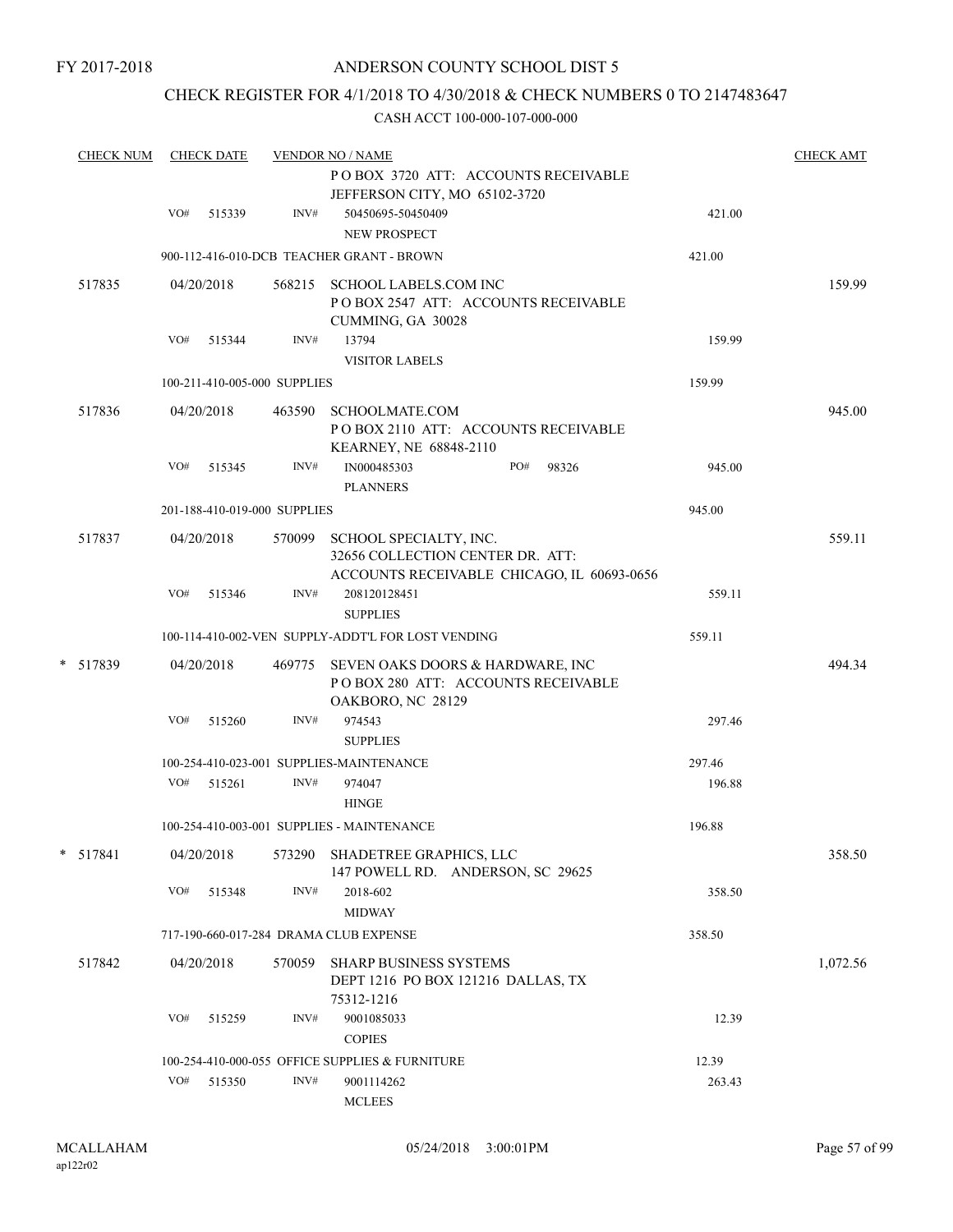### CHECK REGISTER FOR 4/1/2018 TO 4/30/2018 & CHECK NUMBERS 0 TO 2147483647

| <b>CHECK NUM</b> |     | <b>CHECK DATE</b> |                              | <b>VENDOR NO / NAME</b>                                                                                         |                 | <b>CHECK AMT</b> |
|------------------|-----|-------------------|------------------------------|-----------------------------------------------------------------------------------------------------------------|-----------------|------------------|
|                  |     |                   |                              | POBOX 3720 ATT: ACCOUNTS RECEIVABLE<br>JEFFERSON CITY, MO 65102-3720                                            |                 |                  |
|                  | VO# | 515339            | $\text{INV}\#$               | 50450695-50450409<br><b>NEW PROSPECT</b>                                                                        | 421.00          |                  |
|                  |     |                   |                              | 900-112-416-010-DCB TEACHER GRANT - BROWN                                                                       | 421.00          |                  |
| 517835           |     | 04/20/2018        | 568215                       | <b>SCHOOL LABELS.COM INC</b><br>POBOX 2547 ATT: ACCOUNTS RECEIVABLE<br>CUMMING, GA 30028                        |                 | 159.99           |
|                  | VO# | 515344            | INV#                         | 13794<br><b>VISITOR LABELS</b>                                                                                  | 159.99          |                  |
|                  |     |                   | 100-211-410-005-000 SUPPLIES |                                                                                                                 | 159.99          |                  |
| 517836           |     | 04/20/2018        | 463590                       | SCHOOLMATE.COM<br>POBOX 2110 ATT: ACCOUNTS RECEIVABLE<br>KEARNEY, NE 68848-2110                                 |                 | 945.00           |
|                  | VO# | 515345            | INV#                         | PO#<br>IN000485303<br><b>PLANNERS</b>                                                                           | 98326<br>945.00 |                  |
|                  |     |                   | 201-188-410-019-000 SUPPLIES |                                                                                                                 | 945.00          |                  |
| 517837           |     | 04/20/2018        |                              | 570099 SCHOOL SPECIALTY, INC.<br>32656 COLLECTION CENTER DR. ATT:<br>ACCOUNTS RECEIVABLE CHICAGO, IL 60693-0656 |                 | 559.11           |
|                  | VO# | 515346            | INV#                         | 208120128451<br><b>SUPPLIES</b>                                                                                 | 559.11          |                  |
|                  |     |                   |                              | 100-114-410-002-VEN SUPPLY-ADDT'L FOR LOST VENDING                                                              | 559.11          |                  |
| * 517839         |     | 04/20/2018        |                              | 469775 SEVEN OAKS DOORS & HARDWARE, INC<br>POBOX 280 ATT: ACCOUNTS RECEIVABLE<br>OAKBORO, NC 28129              |                 | 494.34           |
|                  | VO# | 515260            | INV#                         | 974543<br><b>SUPPLIES</b>                                                                                       | 297.46          |                  |
|                  |     |                   |                              | 100-254-410-023-001 SUPPLIES-MAINTENANCE                                                                        | 297.46          |                  |
|                  | VO# | 515261            | INV#                         | 974047<br><b>HINGE</b>                                                                                          | 196.88          |                  |
|                  |     |                   |                              | 100-254-410-003-001 SUPPLIES - MAINTENANCE                                                                      | 196.88          |                  |
| * 517841         |     | 04/20/2018        | 573290                       | SHADETREE GRAPHICS, LLC<br>147 POWELL RD. ANDERSON, SC 29625                                                    |                 | 358.50           |
|                  | VO# | 515348            | INV#                         | 2018-602<br><b>MIDWAY</b>                                                                                       | 358.50          |                  |
|                  |     |                   |                              | 717-190-660-017-284 DRAMA CLUB EXPENSE                                                                          | 358.50          |                  |
| 517842           |     | 04/20/2018        | 570059                       | <b>SHARP BUSINESS SYSTEMS</b><br>DEPT 1216 PO BOX 121216 DALLAS, TX<br>75312-1216                               |                 | 1,072.56         |
|                  | VO# | 515259            | INV#                         | 9001085033<br><b>COPIES</b>                                                                                     | 12.39           |                  |
|                  |     |                   |                              | 100-254-410-000-055 OFFICE SUPPLIES & FURNITURE                                                                 | 12.39           |                  |
|                  | VO# | 515350            | INV#                         | 9001114262<br><b>MCLEES</b>                                                                                     | 263.43          |                  |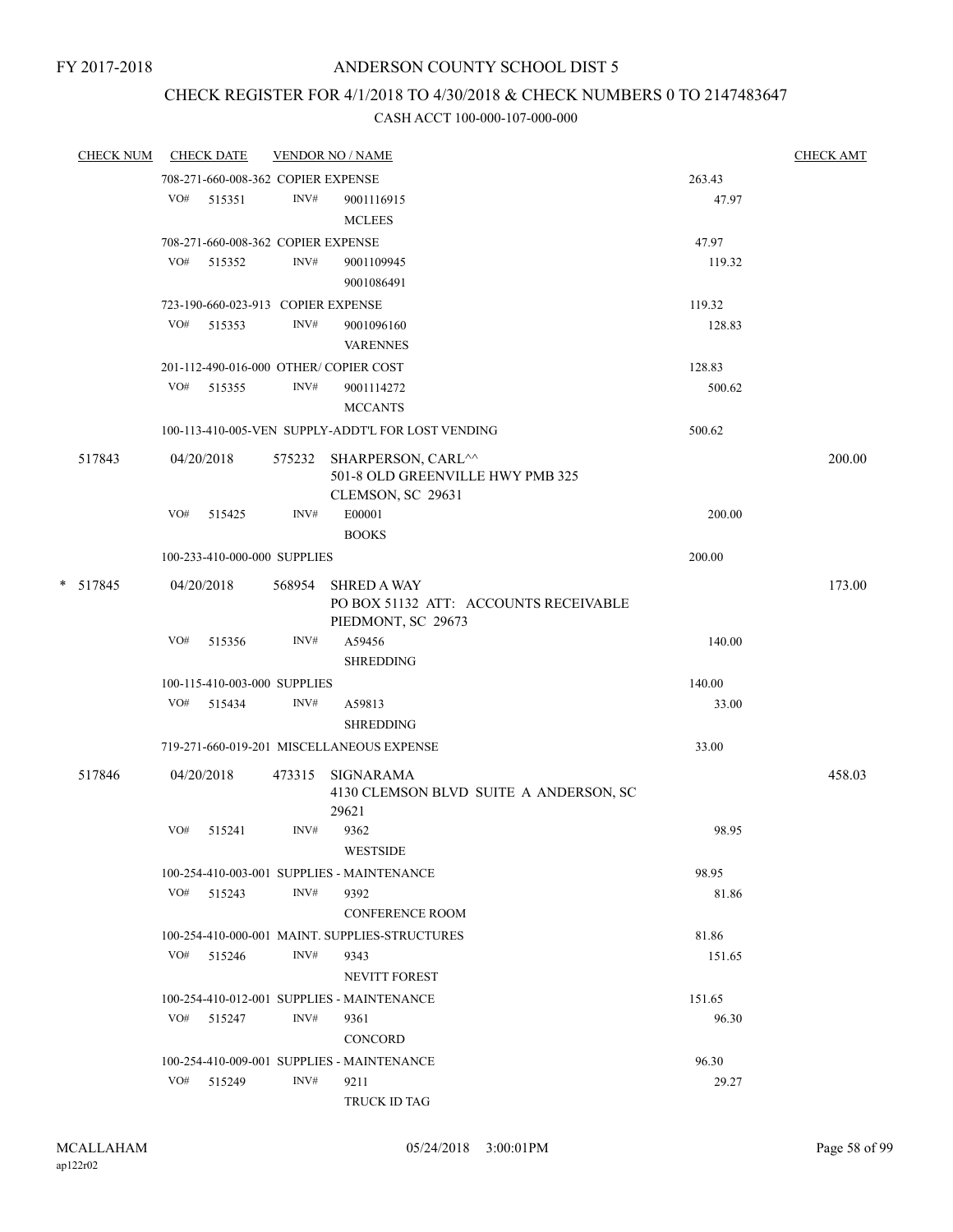### CHECK REGISTER FOR 4/1/2018 TO 4/30/2018 & CHECK NUMBERS 0 TO 2147483647

| <b>CHECK NUM</b> |     | <b>CHECK DATE</b>                  |        | <b>VENDOR NO / NAME</b>                                                            |        | <b>CHECK AMT</b> |
|------------------|-----|------------------------------------|--------|------------------------------------------------------------------------------------|--------|------------------|
|                  |     | 708-271-660-008-362 COPIER EXPENSE |        |                                                                                    | 263.43 |                  |
|                  |     | VO# 515351                         | INV#   | 9001116915                                                                         | 47.97  |                  |
|                  |     |                                    |        | <b>MCLEES</b>                                                                      |        |                  |
|                  |     | 708-271-660-008-362 COPIER EXPENSE |        |                                                                                    | 47.97  |                  |
|                  |     | VO# 515352                         | INV#   | 9001109945                                                                         | 119.32 |                  |
|                  |     |                                    |        | 9001086491                                                                         |        |                  |
|                  |     | 723-190-660-023-913 COPIER EXPENSE |        |                                                                                    | 119.32 |                  |
|                  |     | VO# 515353                         | INV#   | 9001096160<br><b>VARENNES</b>                                                      | 128.83 |                  |
|                  |     |                                    |        | 201-112-490-016-000 OTHER/COPIER COST                                              | 128.83 |                  |
|                  |     | VO# 515355                         | INV#   | 9001114272                                                                         | 500.62 |                  |
|                  |     |                                    |        | <b>MCCANTS</b>                                                                     |        |                  |
|                  |     |                                    |        | 100-113-410-005-VEN SUPPLY-ADDT'L FOR LOST VENDING                                 | 500.62 |                  |
| 517843           |     | 04/20/2018                         |        | 575232 SHARPERSON, CARL^^<br>501-8 OLD GREENVILLE HWY PMB 325<br>CLEMSON, SC 29631 |        | 200.00           |
|                  |     | $VO#$ 515425                       | INV#   | E00001<br><b>BOOKS</b>                                                             | 200.00 |                  |
|                  |     | 100-233-410-000-000 SUPPLIES       |        |                                                                                    | 200.00 |                  |
| * 517845         |     | 04/20/2018                         | 568954 | <b>SHRED A WAY</b><br>PO BOX 51132 ATT: ACCOUNTS RECEIVABLE                        |        | 173.00           |
|                  | VO# | 515356                             | INV#   | PIEDMONT, SC 29673<br>A59456<br><b>SHREDDING</b>                                   | 140.00 |                  |
|                  |     | 100-115-410-003-000 SUPPLIES       |        |                                                                                    | 140.00 |                  |
|                  | VO# | 515434                             | INV#   | A59813<br><b>SHREDDING</b>                                                         | 33.00  |                  |
|                  |     |                                    |        | 719-271-660-019-201 MISCELLANEOUS EXPENSE                                          | 33.00  |                  |
| 517846           |     | 04/20/2018                         |        | 473315 SIGNARAMA                                                                   |        | 458.03           |
|                  |     |                                    |        | 4130 CLEMSON BLVD SUITE A ANDERSON, SC<br>29621                                    |        |                  |
|                  | VO# | 515241                             | INV#   | 9362<br><b>WESTSIDE</b>                                                            | 98.95  |                  |
|                  |     |                                    |        | 100-254-410-003-001 SUPPLIES - MAINTENANCE                                         | 98.95  |                  |
|                  |     | VO# 515243                         | INV#   | 9392<br><b>CONFERENCE ROOM</b>                                                     | 81.86  |                  |
|                  |     |                                    |        | 100-254-410-000-001 MAINT. SUPPLIES-STRUCTURES                                     | 81.86  |                  |
|                  | VO# | 515246                             | INV#   | 9343                                                                               | 151.65 |                  |
|                  |     |                                    |        | <b>NEVITT FOREST</b>                                                               |        |                  |
|                  |     |                                    |        | 100-254-410-012-001 SUPPLIES - MAINTENANCE                                         | 151.65 |                  |
|                  |     | VO# 515247                         | INV#   | 9361                                                                               | 96.30  |                  |
|                  |     |                                    |        | CONCORD                                                                            |        |                  |
|                  |     |                                    |        | 100-254-410-009-001 SUPPLIES - MAINTENANCE                                         | 96.30  |                  |
|                  | VO# | 515249                             | INV#   | 9211                                                                               | 29.27  |                  |
|                  |     |                                    |        | TRUCK ID TAG                                                                       |        |                  |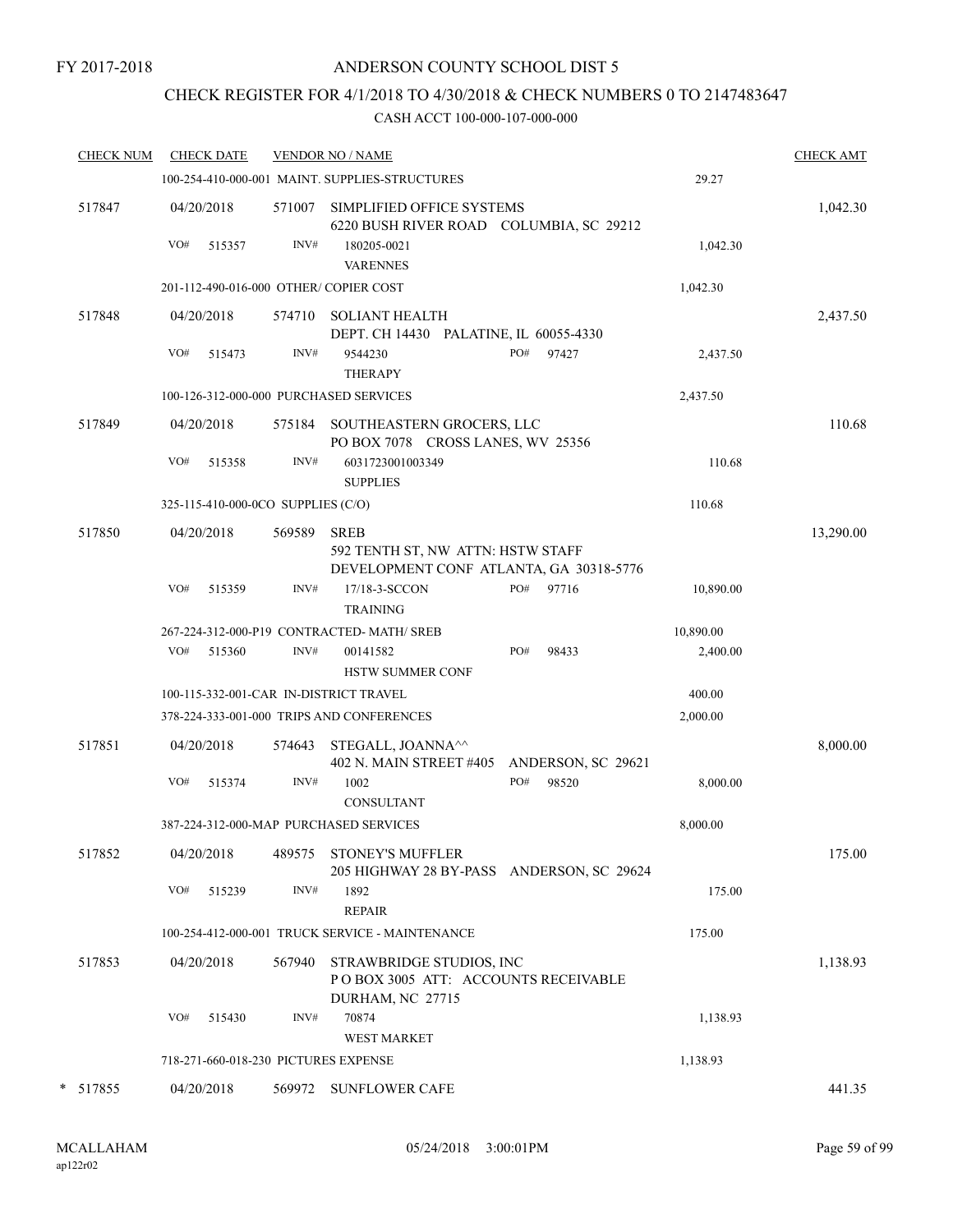### CHECK REGISTER FOR 4/1/2018 TO 4/30/2018 & CHECK NUMBERS 0 TO 2147483647

| <b>CHECK NUM</b> |     | <b>CHECK DATE</b>                  |        | <b>VENDOR NO / NAME</b>                                                                     |     |                    |           | <b>CHECK AMT</b> |
|------------------|-----|------------------------------------|--------|---------------------------------------------------------------------------------------------|-----|--------------------|-----------|------------------|
|                  |     |                                    |        | 100-254-410-000-001 MAINT. SUPPLIES-STRUCTURES                                              |     |                    | 29.27     |                  |
| 517847           |     | 04/20/2018                         | 571007 | SIMPLIFIED OFFICE SYSTEMS<br>6220 BUSH RIVER ROAD COLUMBIA, SC 29212                        |     |                    |           | 1,042.30         |
|                  | VO# | 515357                             | INV#   | 180205-0021<br><b>VARENNES</b>                                                              |     |                    | 1,042.30  |                  |
|                  |     |                                    |        | 201-112-490-016-000 OTHER/ COPIER COST                                                      |     |                    | 1,042.30  |                  |
| 517848           |     | 04/20/2018                         | 574710 | <b>SOLIANT HEALTH</b><br>DEPT. CH 14430 PALATINE, IL 60055-4330                             |     |                    |           | 2,437.50         |
|                  | VO# | 515473                             | INV#   | 9544230<br><b>THERAPY</b>                                                                   | PO# | 97427              | 2,437.50  |                  |
|                  |     |                                    |        | 100-126-312-000-000 PURCHASED SERVICES                                                      |     |                    | 2,437.50  |                  |
| 517849           |     | 04/20/2018                         |        | 575184 SOUTHEASTERN GROCERS, LLC<br>PO BOX 7078 CROSS LANES, WV 25356                       |     |                    |           | 110.68           |
|                  | VO# | 515358                             | INV#   | 6031723001003349<br><b>SUPPLIES</b>                                                         |     |                    | 110.68    |                  |
|                  |     | 325-115-410-000-0CO SUPPLIES (C/O) |        |                                                                                             |     |                    | 110.68    |                  |
| 517850           |     | 04/20/2018                         | 569589 | <b>SREB</b><br>592 TENTH ST, NW ATTN: HSTW STAFF<br>DEVELOPMENT CONF ATLANTA, GA 30318-5776 |     |                    |           | 13,290.00        |
|                  | VO# | 515359                             | INV#   | 17/18-3-SCCON<br><b>TRAINING</b>                                                            | PO# | 97716              | 10,890.00 |                  |
|                  |     |                                    |        | 267-224-312-000-P19 CONTRACTED-MATH/ SREB                                                   |     |                    | 10,890.00 |                  |
|                  | VO# | 515360                             | INV#   | 00141582<br><b>HSTW SUMMER CONF</b>                                                         | PO# | 98433              | 2,400.00  |                  |
|                  |     |                                    |        | 100-115-332-001-CAR IN-DISTRICT TRAVEL                                                      |     |                    | 400.00    |                  |
|                  |     |                                    |        | 378-224-333-001-000 TRIPS AND CONFERENCES                                                   |     |                    | 2,000.00  |                  |
| 517851           |     | 04/20/2018                         | 574643 | STEGALL, JOANNA <sup>^^</sup><br>402 N. MAIN STREET #405                                    |     | ANDERSON, SC 29621 |           | 8,000.00         |
|                  | VO# | 515374                             | INV#   | 1002<br>CONSULTANT                                                                          | PO# | 98520              | 8,000.00  |                  |
|                  |     |                                    |        | 387-224-312-000-MAP PURCHASED SERVICES                                                      |     |                    | 8,000.00  |                  |
| 517852           |     | 04/20/2018                         | 489575 | <b>STONEY'S MUFFLER</b><br>205 HIGHWAY 28 BY-PASS ANDERSON, SC 29624                        |     |                    |           | 175.00           |
|                  | VO# | 515239                             | INV#   | 1892<br><b>REPAIR</b>                                                                       |     |                    | 175.00    |                  |
|                  |     |                                    |        | 100-254-412-000-001 TRUCK SERVICE - MAINTENANCE                                             |     |                    | 175.00    |                  |
| 517853           |     | 04/20/2018                         | 567940 | STRAWBRIDGE STUDIOS, INC<br>POBOX 3005 ATT: ACCOUNTS RECEIVABLE<br>DURHAM, NC 27715         |     |                    |           | 1,138.93         |
|                  | VO# | 515430                             | INV#   | 70874<br><b>WEST MARKET</b>                                                                 |     |                    | 1,138.93  |                  |
|                  |     |                                    |        | 718-271-660-018-230 PICTURES EXPENSE                                                        |     |                    | 1,138.93  |                  |
| * 517855         |     | 04/20/2018                         |        | 569972 SUNFLOWER CAFE                                                                       |     |                    |           | 441.35           |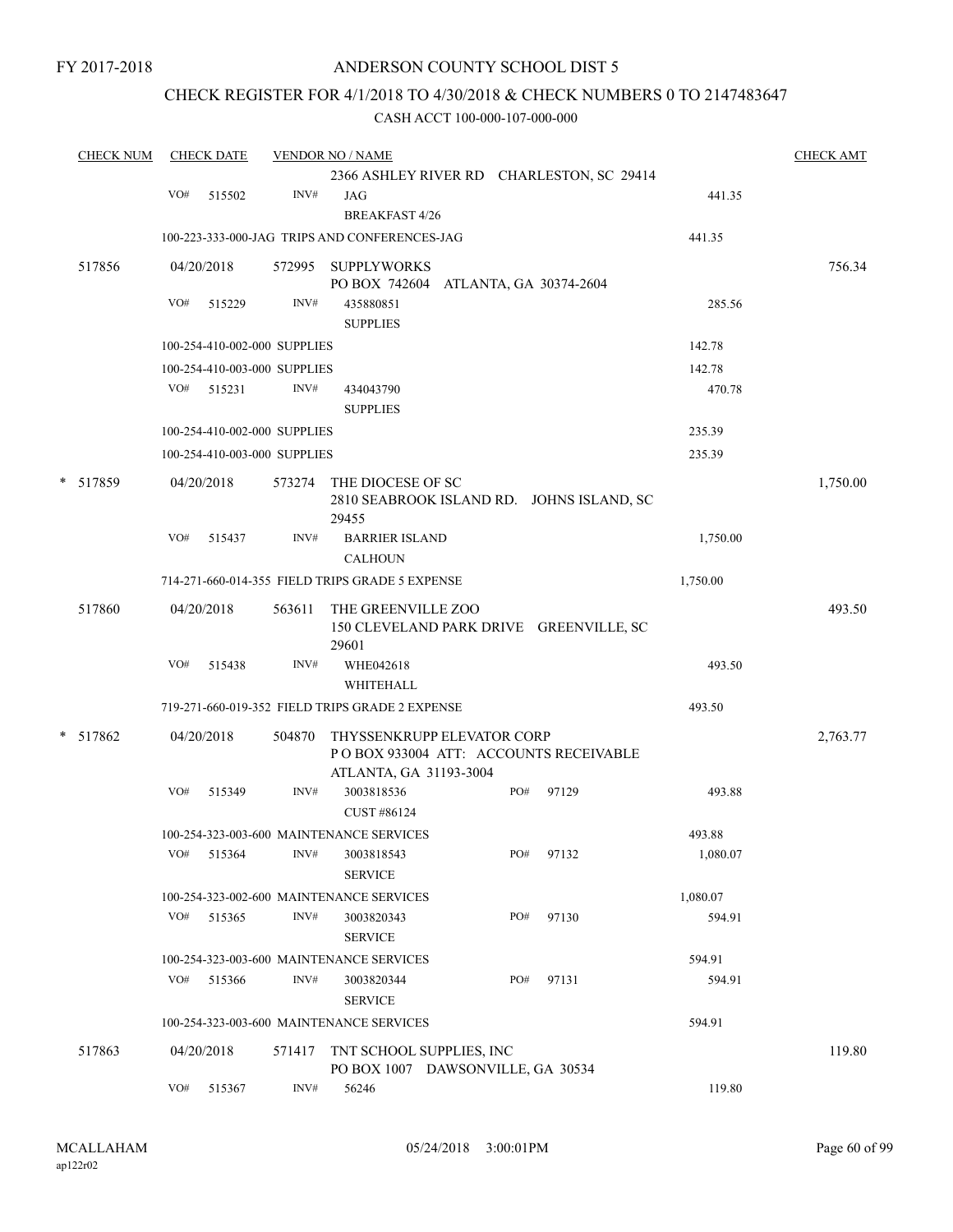#### CHECK REGISTER FOR 4/1/2018 TO 4/30/2018 & CHECK NUMBERS 0 TO 2147483647

| <b>CHECK NUM</b> |     | <b>CHECK DATE</b>            |        | <b>VENDOR NO / NAME</b>                                       |     |                                           |          | <b>CHECK AMT</b> |
|------------------|-----|------------------------------|--------|---------------------------------------------------------------|-----|-------------------------------------------|----------|------------------|
|                  |     |                              |        |                                                               |     | 2366 ASHLEY RIVER RD CHARLESTON, SC 29414 |          |                  |
|                  | VO# | 515502                       | INV#   | JAG<br><b>BREAKFAST 4/26</b>                                  |     |                                           | 441.35   |                  |
|                  |     |                              |        | 100-223-333-000-JAG TRIPS AND CONFERENCES-JAG                 |     |                                           | 441.35   |                  |
| 517856           |     | 04/20/2018                   | 572995 | <b>SUPPLYWORKS</b><br>PO BOX 742604 ATLANTA, GA 30374-2604    |     |                                           |          | 756.34           |
|                  | VO# | 515229                       | INV#   | 435880851<br><b>SUPPLIES</b>                                  |     |                                           | 285.56   |                  |
|                  |     | 100-254-410-002-000 SUPPLIES |        |                                                               |     |                                           | 142.78   |                  |
|                  |     | 100-254-410-003-000 SUPPLIES |        |                                                               |     |                                           | 142.78   |                  |
|                  |     | VO# 515231                   | INV#   | 434043790<br><b>SUPPLIES</b>                                  |     |                                           | 470.78   |                  |
|                  |     | 100-254-410-002-000 SUPPLIES |        |                                                               |     |                                           | 235.39   |                  |
|                  |     | 100-254-410-003-000 SUPPLIES |        |                                                               |     |                                           | 235.39   |                  |
| * 517859         |     | 04/20/2018                   |        | 573274 THE DIOCESE OF SC<br>29455                             |     | 2810 SEABROOK ISLAND RD. JOHNS ISLAND, SC |          | 1,750.00         |
|                  | VO# | 515437                       | INV#   | <b>BARRIER ISLAND</b><br><b>CALHOUN</b>                       |     |                                           | 1,750.00 |                  |
|                  |     |                              |        | 714-271-660-014-355 FIELD TRIPS GRADE 5 EXPENSE               |     |                                           | 1,750.00 |                  |
| 517860           |     | 04/20/2018                   | 563611 | THE GREENVILLE ZOO<br>29601                                   |     | 150 CLEVELAND PARK DRIVE GREENVILLE, SC   |          | 493.50           |
|                  | VO# | 515438                       | INV#   | WHE042618                                                     |     |                                           | 493.50   |                  |
|                  |     |                              |        | WHITEHALL                                                     |     |                                           |          |                  |
|                  |     |                              |        | 719-271-660-019-352 FIELD TRIPS GRADE 2 EXPENSE               |     |                                           | 493.50   |                  |
| * 517862         |     | 04/20/2018                   | 504870 | THYSSENKRUPP ELEVATOR CORP<br>ATLANTA, GA 31193-3004          |     | PO BOX 933004 ATT: ACCOUNTS RECEIVABLE    |          | 2,763.77         |
|                  | VO# | 515349                       | INV#   | 3003818536<br>CUST #86124                                     | PO# | 97129                                     | 493.88   |                  |
|                  |     |                              |        | 100-254-323-003-600 MAINTENANCE SERVICES                      |     |                                           | 493.88   |                  |
|                  | VO# | 515364                       | INV#   | 3003818543<br><b>SERVICE</b>                                  | PO# | 97132                                     | 1,080.07 |                  |
|                  |     |                              |        | 100-254-323-002-600 MAINTENANCE SERVICES                      |     |                                           | 1,080.07 |                  |
|                  | VO# | 515365                       | INV#   | 3003820343<br><b>SERVICE</b>                                  | PO# | 97130                                     | 594.91   |                  |
|                  |     |                              |        | 100-254-323-003-600 MAINTENANCE SERVICES                      |     |                                           | 594.91   |                  |
|                  | VO# | 515366                       | INV#   | 3003820344<br><b>SERVICE</b>                                  | PO# | 97131                                     | 594.91   |                  |
|                  |     |                              |        | 100-254-323-003-600 MAINTENANCE SERVICES                      |     |                                           | 594.91   |                  |
| 517863           |     | 04/20/2018                   | 571417 | TNT SCHOOL SUPPLIES, INC<br>PO BOX 1007 DAWSONVILLE, GA 30534 |     |                                           |          | 119.80           |
|                  | VO# | 515367                       | INV#   | 56246                                                         |     |                                           | 119.80   |                  |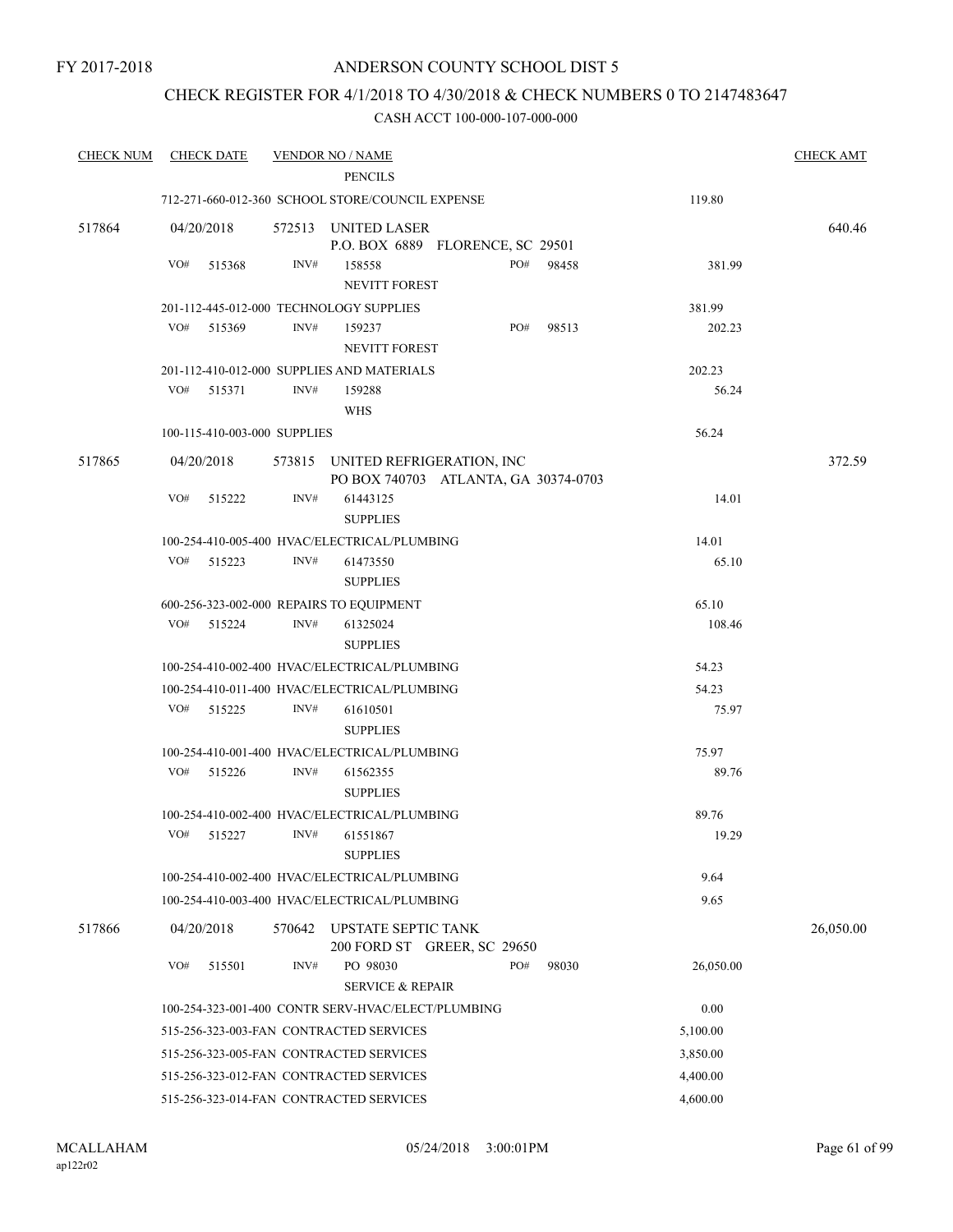### CHECK REGISTER FOR 4/1/2018 TO 4/30/2018 & CHECK NUMBERS 0 TO 2147483647

| <b>CHECK NUM</b> | <b>CHECK DATE</b>                        |        | <b>VENDOR NO / NAME</b>                                                  |     |           |           | <b>CHECK AMT</b> |
|------------------|------------------------------------------|--------|--------------------------------------------------------------------------|-----|-----------|-----------|------------------|
|                  |                                          |        | <b>PENCILS</b>                                                           |     |           |           |                  |
|                  |                                          |        | 712-271-660-012-360 SCHOOL STORE/COUNCIL EXPENSE                         |     |           | 119.80    |                  |
| 517864           | 04/20/2018                               |        | 572513 UNITED LASER<br>P.O. BOX 6889 FLORENCE, SC 29501                  |     |           |           | 640.46           |
|                  | VO#<br>515368                            | INV#   | 158558<br>NEVITT FOREST                                                  |     | PO# 98458 | 381.99    |                  |
|                  | 201-112-445-012-000 TECHNOLOGY SUPPLIES  |        |                                                                          |     |           | 381.99    |                  |
|                  | VO#<br>515369                            | INV#   | 159237                                                                   | PO# | 98513     | 202.23    |                  |
|                  |                                          |        | NEVITT FOREST                                                            |     |           |           |                  |
|                  |                                          |        | 201-112-410-012-000 SUPPLIES AND MATERIALS                               |     |           | 202.23    |                  |
|                  | VO#<br>515371                            | INV#   | 159288<br><b>WHS</b>                                                     |     |           | 56.24     |                  |
|                  | 100-115-410-003-000 SUPPLIES             |        |                                                                          |     |           | 56.24     |                  |
| 517865           | 04/20/2018                               |        | 573815 UNITED REFRIGERATION, INC<br>PO BOX 740703 ATLANTA, GA 30374-0703 |     |           |           | 372.59           |
|                  | VO#<br>515222                            | INV#   | 61443125<br><b>SUPPLIES</b>                                              |     |           | 14.01     |                  |
|                  |                                          |        | 100-254-410-005-400 HVAC/ELECTRICAL/PLUMBING                             |     |           | 14.01     |                  |
|                  | VO#<br>515223                            | INV#   | 61473550<br><b>SUPPLIES</b>                                              |     |           | 65.10     |                  |
|                  | 600-256-323-002-000 REPAIRS TO EQUIPMENT |        |                                                                          |     |           | 65.10     |                  |
|                  | VO# 515224                               | INV#   | 61325024<br><b>SUPPLIES</b>                                              |     |           | 108.46    |                  |
|                  |                                          |        | 100-254-410-002-400 HVAC/ELECTRICAL/PLUMBING                             |     |           | 54.23     |                  |
|                  |                                          |        | 100-254-410-011-400 HVAC/ELECTRICAL/PLUMBING                             |     |           | 54.23     |                  |
|                  | VO#<br>515225                            | INV#   | 61610501                                                                 |     |           | 75.97     |                  |
|                  |                                          |        | <b>SUPPLIES</b>                                                          |     |           |           |                  |
|                  |                                          |        | 100-254-410-001-400 HVAC/ELECTRICAL/PLUMBING                             |     |           | 75.97     |                  |
|                  | VO#<br>515226                            | INV#   | 61562355<br><b>SUPPLIES</b>                                              |     |           | 89.76     |                  |
|                  |                                          |        | 100-254-410-002-400 HVAC/ELECTRICAL/PLUMBING                             |     |           | 89.76     |                  |
|                  | VO# 515227                               | INV#   | 61551867                                                                 |     |           | 19.29     |                  |
|                  |                                          |        | <b>SUPPLIES</b>                                                          |     |           |           |                  |
|                  |                                          |        | 100-254-410-002-400 HVAC/ELECTRICAL/PLUMBING                             |     |           | 9.64      |                  |
|                  |                                          |        | 100-254-410-003-400 HVAC/ELECTRICAL/PLUMBING                             |     |           | 9.65      |                  |
| 517866           | 04/20/2018                               | 570642 | <b>UPSTATE SEPTIC TANK</b><br>200 FORD ST GREER, SC 29650                |     |           |           | 26,050.00        |
|                  | VO#<br>515501                            | INV#   | PO 98030                                                                 | PO# | 98030     | 26,050.00 |                  |
|                  |                                          |        | <b>SERVICE &amp; REPAIR</b>                                              |     |           |           |                  |
|                  |                                          |        | 100-254-323-001-400 CONTR SERV-HVAC/ELECT/PLUMBING                       |     |           | 0.00      |                  |
|                  |                                          |        | 515-256-323-003-FAN CONTRACTED SERVICES                                  |     |           | 5,100.00  |                  |
|                  |                                          |        | 515-256-323-005-FAN CONTRACTED SERVICES                                  |     |           | 3,850.00  |                  |
|                  |                                          |        | 515-256-323-012-FAN CONTRACTED SERVICES                                  |     |           | 4,400.00  |                  |
|                  |                                          |        | 515-256-323-014-FAN CONTRACTED SERVICES                                  |     |           | 4,600.00  |                  |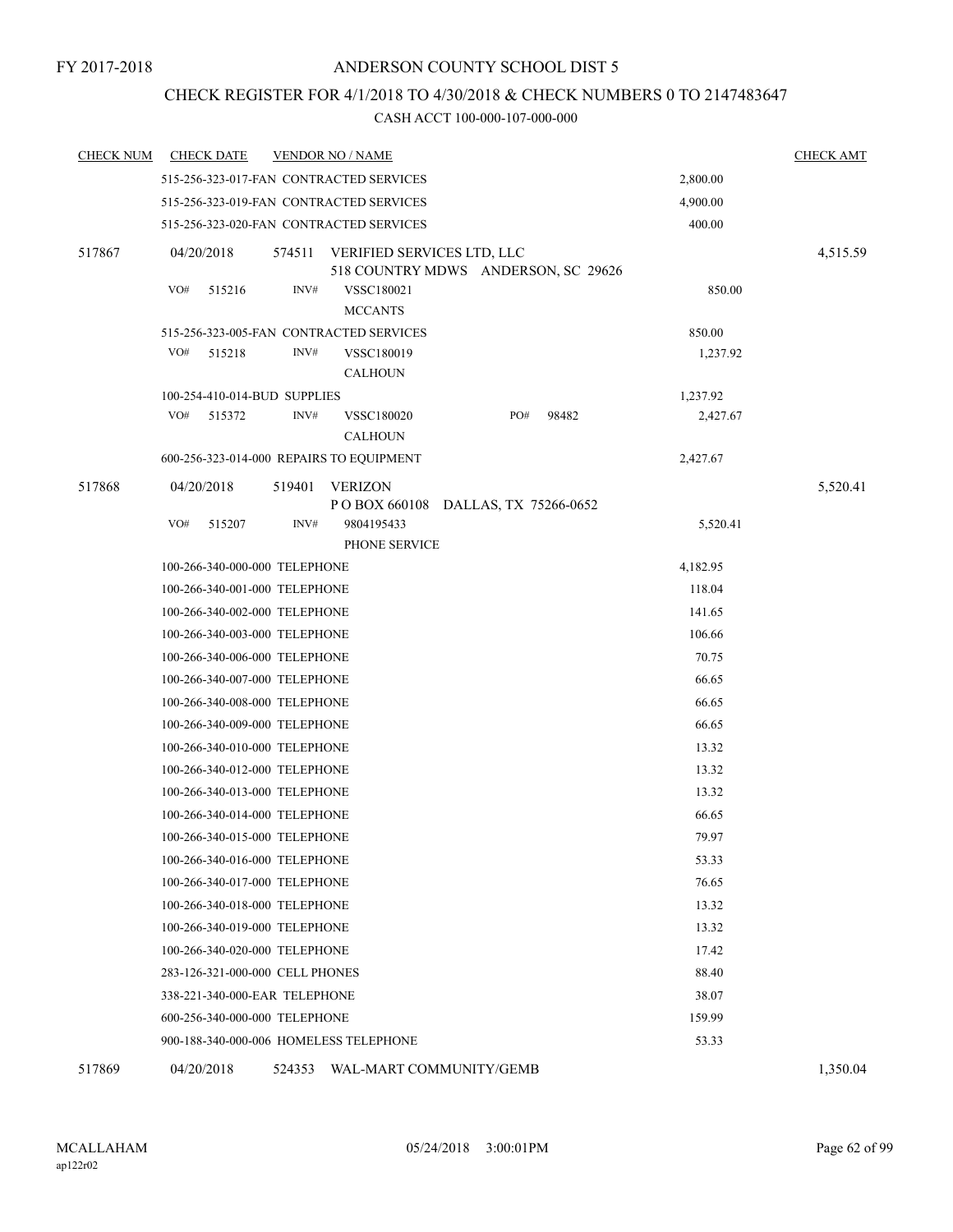# CHECK REGISTER FOR 4/1/2018 TO 4/30/2018 & CHECK NUMBERS 0 TO 2147483647

| <b>CHECK NUM</b> | <b>CHECK DATE</b>                        |                               | <b>VENDOR NO / NAME</b>                  |                                     |          | <b>CHECK AMT</b> |  |  |  |  |
|------------------|------------------------------------------|-------------------------------|------------------------------------------|-------------------------------------|----------|------------------|--|--|--|--|
|                  |                                          |                               | 515-256-323-017-FAN CONTRACTED SERVICES  |                                     | 2,800.00 |                  |  |  |  |  |
|                  |                                          |                               | 515-256-323-019-FAN CONTRACTED SERVICES  |                                     | 4,900.00 |                  |  |  |  |  |
|                  |                                          |                               | 515-256-323-020-FAN CONTRACTED SERVICES  |                                     | 400.00   |                  |  |  |  |  |
| 517867           | 04/20/2018                               | 574511                        | VERIFIED SERVICES LTD, LLC               | 518 COUNTRY MDWS ANDERSON, SC 29626 |          | 4,515.59         |  |  |  |  |
|                  | VO#<br>515216                            | INV#                          | VSSC180021<br><b>MCCANTS</b>             |                                     | 850.00   |                  |  |  |  |  |
|                  |                                          |                               | 515-256-323-005-FAN CONTRACTED SERVICES  |                                     | 850.00   |                  |  |  |  |  |
|                  | VO#<br>515218                            | INV#                          | VSSC180019<br><b>CALHOUN</b>             |                                     | 1,237.92 |                  |  |  |  |  |
|                  |                                          | 100-254-410-014-BUD SUPPLIES  |                                          |                                     | 1,237.92 |                  |  |  |  |  |
|                  | VO#<br>515372                            | INV#                          | VSSC180020<br><b>CALHOUN</b>             | PO#<br>98482                        | 2,427.67 |                  |  |  |  |  |
|                  |                                          |                               | 600-256-323-014-000 REPAIRS TO EQUIPMENT |                                     | 2,427.67 |                  |  |  |  |  |
| 517868           | 04/20/2018                               | 519401                        | <b>VERIZON</b>                           |                                     |          | 5,520.41         |  |  |  |  |
|                  |                                          |                               |                                          | POBOX 660108 DALLAS, TX 75266-0652  |          |                  |  |  |  |  |
|                  | VO#<br>515207                            | INV#                          | 9804195433<br>PHONE SERVICE              |                                     | 5,520.41 |                  |  |  |  |  |
|                  |                                          | 100-266-340-000-000 TELEPHONE |                                          |                                     | 4,182.95 |                  |  |  |  |  |
|                  |                                          | 100-266-340-001-000 TELEPHONE |                                          |                                     | 118.04   |                  |  |  |  |  |
|                  |                                          | 100-266-340-002-000 TELEPHONE |                                          |                                     | 141.65   |                  |  |  |  |  |
|                  |                                          | 100-266-340-003-000 TELEPHONE | 106.66                                   |                                     |          |                  |  |  |  |  |
|                  |                                          | 100-266-340-006-000 TELEPHONE |                                          |                                     | 70.75    |                  |  |  |  |  |
|                  |                                          | 100-266-340-007-000 TELEPHONE |                                          |                                     | 66.65    |                  |  |  |  |  |
|                  |                                          | 100-266-340-008-000 TELEPHONE |                                          |                                     | 66.65    |                  |  |  |  |  |
|                  |                                          | 100-266-340-009-000 TELEPHONE |                                          |                                     | 66.65    |                  |  |  |  |  |
|                  |                                          | 100-266-340-010-000 TELEPHONE |                                          |                                     | 13.32    |                  |  |  |  |  |
|                  |                                          | 100-266-340-012-000 TELEPHONE |                                          |                                     | 13.32    |                  |  |  |  |  |
|                  |                                          | 100-266-340-013-000 TELEPHONE |                                          |                                     | 13.32    |                  |  |  |  |  |
|                  |                                          | 100-266-340-014-000 TELEPHONE |                                          |                                     | 66.65    |                  |  |  |  |  |
|                  |                                          | 100-266-340-015-000 TELEPHONE |                                          |                                     | 79.97    |                  |  |  |  |  |
|                  |                                          | 100-266-340-016-000 TELEPHONE |                                          |                                     | 53.33    |                  |  |  |  |  |
|                  |                                          | 100-266-340-017-000 TELEPHONE |                                          |                                     | 76.65    |                  |  |  |  |  |
|                  |                                          | 100-266-340-018-000 TELEPHONE |                                          |                                     | 13.32    |                  |  |  |  |  |
|                  |                                          | 100-266-340-019-000 TELEPHONE | 13.32                                    |                                     |          |                  |  |  |  |  |
|                  |                                          | 100-266-340-020-000 TELEPHONE | 17.42                                    |                                     |          |                  |  |  |  |  |
|                  | 283-126-321-000-000 CELL PHONES<br>88.40 |                               |                                          |                                     |          |                  |  |  |  |  |
|                  |                                          | 338-221-340-000-EAR TELEPHONE |                                          |                                     | 38.07    |                  |  |  |  |  |
|                  |                                          | 600-256-340-000-000 TELEPHONE |                                          |                                     | 159.99   |                  |  |  |  |  |
|                  |                                          |                               | 900-188-340-000-006 HOMELESS TELEPHONE   |                                     | 53.33    |                  |  |  |  |  |
| 517869           | 04/20/2018                               |                               |                                          | 524353 WAL-MART COMMUNITY/GEMB      |          | 1,350.04         |  |  |  |  |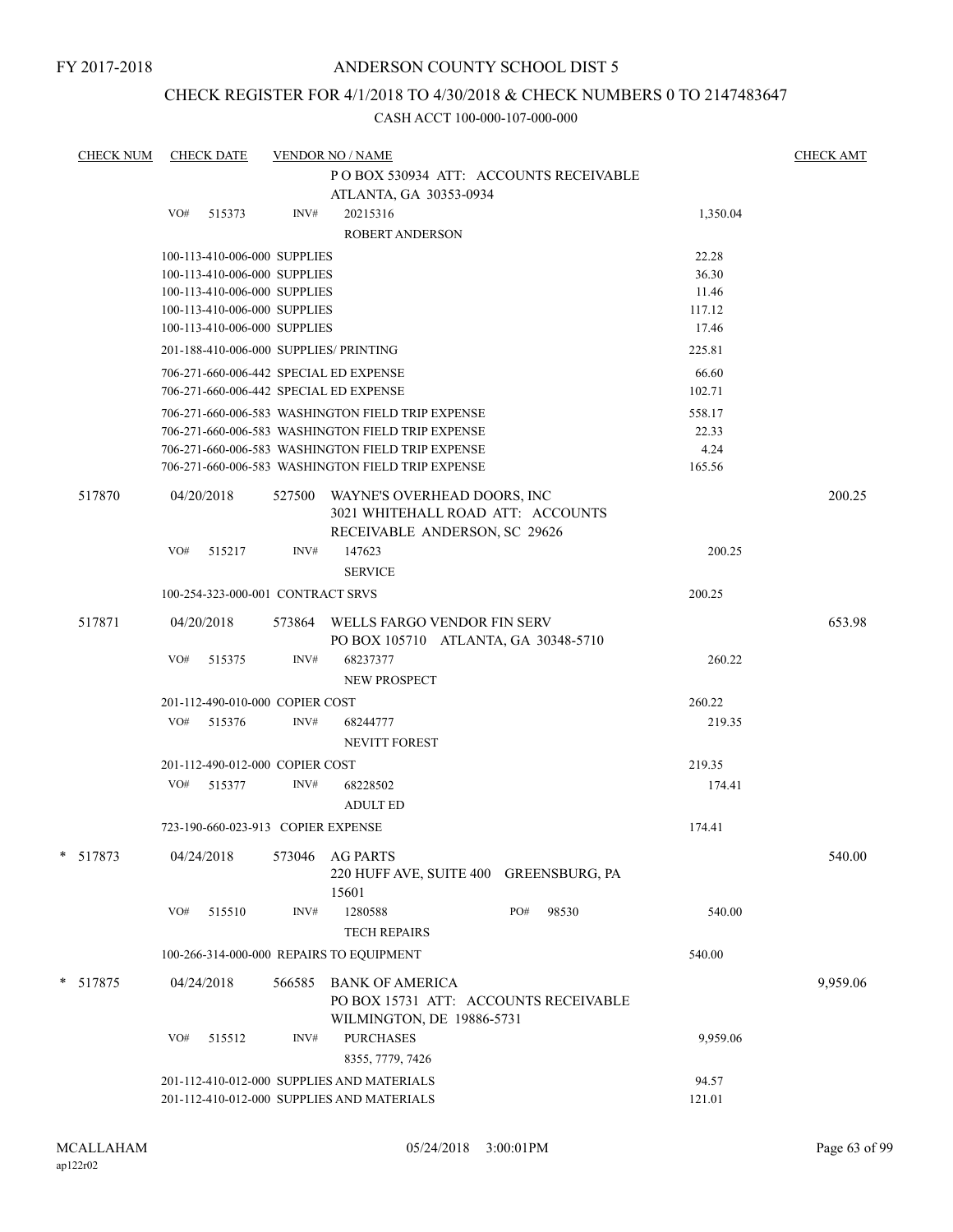### CHECK REGISTER FOR 4/1/2018 TO 4/30/2018 & CHECK NUMBERS 0 TO 2147483647

| <b>CHECK NUM</b> | <b>CHECK DATE</b>                                            |        | <b>VENDOR NO / NAME</b>                                                    |                 | <b>CHECK AMT</b> |
|------------------|--------------------------------------------------------------|--------|----------------------------------------------------------------------------|-----------------|------------------|
|                  |                                                              |        | PO BOX 530934 ATT: ACCOUNTS RECEIVABLE                                     |                 |                  |
|                  |                                                              |        | ATLANTA, GA 30353-0934                                                     |                 |                  |
|                  | VO#<br>515373                                                | INV#   | 20215316                                                                   | 1,350.04        |                  |
|                  |                                                              |        | <b>ROBERT ANDERSON</b>                                                     |                 |                  |
|                  | 100-113-410-006-000 SUPPLIES                                 |        |                                                                            | 22.28           |                  |
|                  | 100-113-410-006-000 SUPPLIES                                 |        |                                                                            | 36.30           |                  |
|                  | 100-113-410-006-000 SUPPLIES<br>100-113-410-006-000 SUPPLIES |        |                                                                            | 11.46<br>117.12 |                  |
|                  | 100-113-410-006-000 SUPPLIES                                 |        |                                                                            | 17.46           |                  |
|                  | 201-188-410-006-000 SUPPLIES/ PRINTING                       |        |                                                                            | 225.81          |                  |
|                  | 706-271-660-006-442 SPECIAL ED EXPENSE                       |        |                                                                            | 66.60           |                  |
|                  | 706-271-660-006-442 SPECIAL ED EXPENSE                       |        |                                                                            | 102.71          |                  |
|                  |                                                              |        | 706-271-660-006-583 WASHINGTON FIELD TRIP EXPENSE                          | 558.17          |                  |
|                  |                                                              |        | 706-271-660-006-583 WASHINGTON FIELD TRIP EXPENSE                          | 22.33           |                  |
|                  |                                                              |        | 706-271-660-006-583 WASHINGTON FIELD TRIP EXPENSE                          | 4.24            |                  |
|                  |                                                              |        | 706-271-660-006-583 WASHINGTON FIELD TRIP EXPENSE                          | 165.56          |                  |
| 517870           | 04/20/2018                                                   | 527500 | WAYNE'S OVERHEAD DOORS, INC                                                |                 | 200.25           |
|                  |                                                              |        | 3021 WHITEHALL ROAD ATT: ACCOUNTS                                          |                 |                  |
|                  |                                                              |        | RECEIVABLE ANDERSON, SC 29626                                              |                 |                  |
|                  | VO#<br>515217                                                | INV#   | 147623                                                                     | 200.25          |                  |
|                  |                                                              |        | <b>SERVICE</b>                                                             |                 |                  |
|                  | 100-254-323-000-001 CONTRACT SRVS                            |        |                                                                            | 200.25          |                  |
| 517871           | 04/20/2018                                                   |        | 573864 WELLS FARGO VENDOR FIN SERV<br>PO BOX 105710 ATLANTA, GA 30348-5710 |                 | 653.98           |
|                  | VO#<br>515375                                                | INV#   | 68237377                                                                   | 260.22          |                  |
|                  |                                                              |        | NEW PROSPECT                                                               |                 |                  |
|                  | 201-112-490-010-000 COPIER COST                              |        |                                                                            | 260.22          |                  |
|                  | VO#<br>515376                                                | INV#   | 68244777                                                                   | 219.35          |                  |
|                  |                                                              |        | <b>NEVITT FOREST</b>                                                       |                 |                  |
|                  | 201-112-490-012-000 COPIER COST                              |        |                                                                            | 219.35          |                  |
|                  | VO#<br>515377                                                | INV#   | 68228502                                                                   | 174.41          |                  |
|                  |                                                              |        | <b>ADULT ED</b>                                                            |                 |                  |
|                  | 723-190-660-023-913 COPIER EXPENSE                           |        |                                                                            | 174.41          |                  |
| *<br>517873      | 04/24/2018                                                   | 573046 | <b>AG PARTS</b>                                                            |                 | 540.00           |
|                  |                                                              |        | 220 HUFF AVE, SUITE 400 GREENSBURG, PA                                     |                 |                  |
|                  |                                                              |        | 15601                                                                      |                 |                  |
|                  | VO#<br>515510                                                | INV#   | PO#<br>1280588<br>98530                                                    | 540.00          |                  |
|                  |                                                              |        | <b>TECH REPAIRS</b>                                                        |                 |                  |
|                  | 100-266-314-000-000 REPAIRS TO EQUIPMENT                     |        |                                                                            | 540.00          |                  |
| * 517875         | 04/24/2018                                                   | 566585 | <b>BANK OF AMERICA</b>                                                     |                 | 9,959.06         |
|                  |                                                              |        | PO BOX 15731 ATT: ACCOUNTS RECEIVABLE                                      |                 |                  |
|                  |                                                              |        | WILMINGTON, DE 19886-5731                                                  |                 |                  |
|                  | VO#<br>515512                                                | INV#   | <b>PURCHASES</b>                                                           | 9,959.06        |                  |
|                  |                                                              |        | 8355, 7779, 7426                                                           |                 |                  |
|                  |                                                              |        | 201-112-410-012-000 SUPPLIES AND MATERIALS                                 | 94.57           |                  |
|                  |                                                              |        | 201-112-410-012-000 SUPPLIES AND MATERIALS                                 | 121.01          |                  |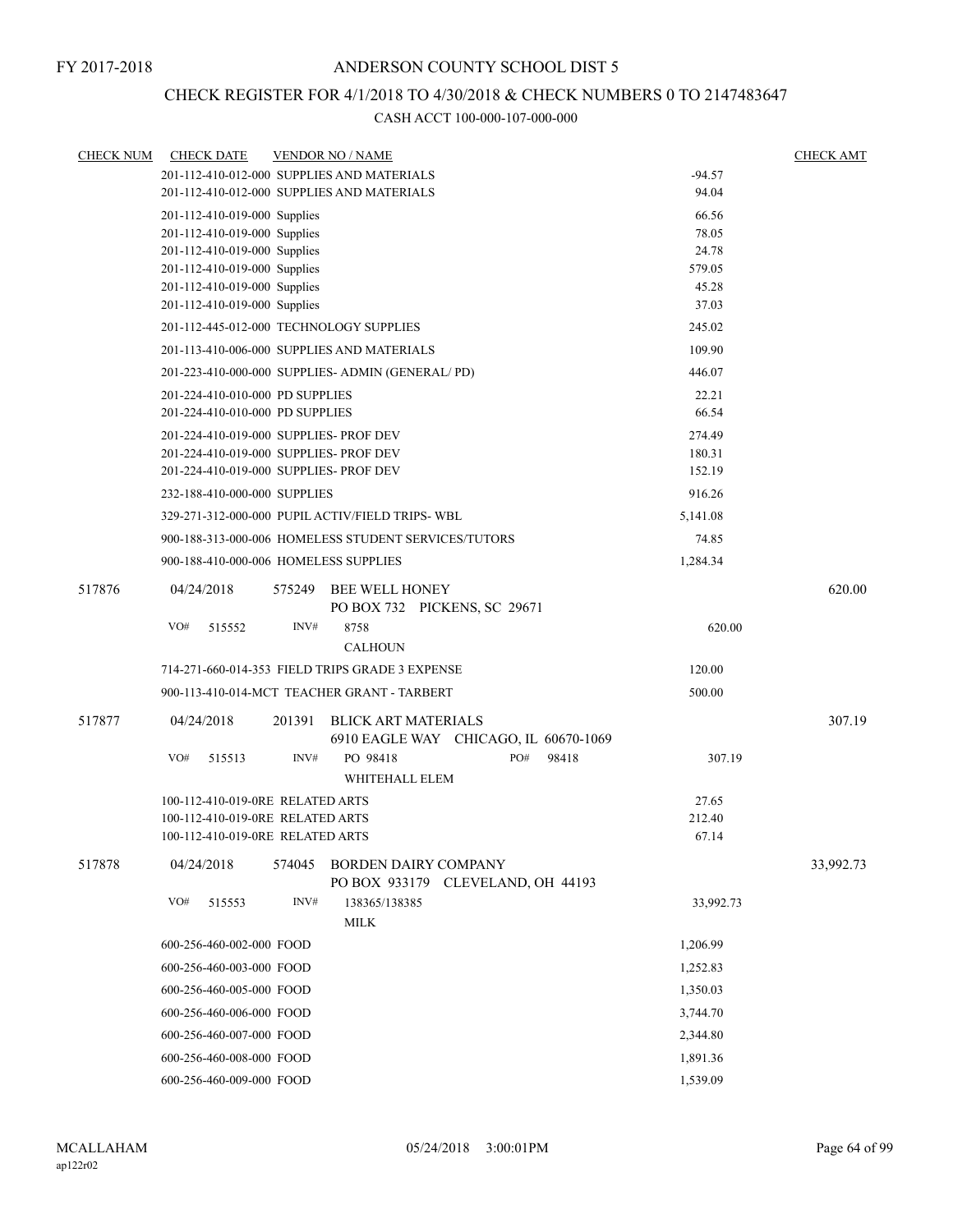### CHECK REGISTER FOR 4/1/2018 TO 4/30/2018 & CHECK NUMBERS 0 TO 2147483647

| <b>CHECK NUM</b> | <b>CHECK DATE</b>                                                                |        | <b>VENDOR NO / NAME</b>                                          |          |       |                  | <b>CHECK AMT</b> |
|------------------|----------------------------------------------------------------------------------|--------|------------------------------------------------------------------|----------|-------|------------------|------------------|
|                  |                                                                                  |        | 201-112-410-012-000 SUPPLIES AND MATERIALS                       |          |       | $-94.57$         |                  |
|                  |                                                                                  |        | 201-112-410-012-000 SUPPLIES AND MATERIALS                       |          |       | 94.04            |                  |
|                  | 201-112-410-019-000 Supplies                                                     |        |                                                                  |          |       | 66.56            |                  |
|                  | 201-112-410-019-000 Supplies                                                     |        |                                                                  |          |       | 78.05            |                  |
|                  | 201-112-410-019-000 Supplies                                                     |        |                                                                  |          |       | 24.78            |                  |
|                  | 201-112-410-019-000 Supplies                                                     |        |                                                                  |          |       | 579.05           |                  |
|                  | 201-112-410-019-000 Supplies                                                     |        |                                                                  |          |       | 45.28<br>37.03   |                  |
|                  | 201-112-410-019-000 Supplies<br>201-112-445-012-000 TECHNOLOGY SUPPLIES          |        |                                                                  |          |       | 245.02           |                  |
|                  |                                                                                  |        | 201-113-410-006-000 SUPPLIES AND MATERIALS                       |          |       | 109.90           |                  |
|                  |                                                                                  |        | 201-223-410-000-000 SUPPLIES- ADMIN (GENERAL/PD)                 |          |       | 446.07           |                  |
|                  | 201-224-410-010-000 PD SUPPLIES                                                  |        | 22.21                                                            |          |       |                  |                  |
|                  | 201-224-410-010-000 PD SUPPLIES                                                  |        |                                                                  |          |       | 66.54            |                  |
|                  |                                                                                  |        |                                                                  |          |       |                  |                  |
|                  | 201-224-410-019-000 SUPPLIES- PROF DEV<br>201-224-410-019-000 SUPPLIES- PROF DEV |        |                                                                  |          |       | 274.49<br>180.31 |                  |
|                  | 201-224-410-019-000 SUPPLIES- PROF DEV                                           |        |                                                                  |          |       | 152.19           |                  |
|                  | 232-188-410-000-000 SUPPLIES                                                     |        |                                                                  |          |       | 916.26           |                  |
|                  |                                                                                  |        | 329-271-312-000-000 PUPIL ACTIV/FIELD TRIPS-WBL                  |          |       | 5,141.08         |                  |
|                  |                                                                                  |        | 900-188-313-000-006 HOMELESS STUDENT SERVICES/TUTORS             |          |       | 74.85            |                  |
|                  | 900-188-410-000-006 HOMELESS SUPPLIES                                            |        |                                                                  |          |       | 1,284.34         |                  |
|                  |                                                                                  |        |                                                                  |          |       |                  |                  |
| 517876           | 04/24/2018                                                                       | 575249 | <b>BEE WELL HONEY</b><br>PO BOX 732 PICKENS, SC 29671            |          |       |                  | 620.00           |
|                  | VO#<br>515552                                                                    | INV#   | 8758                                                             |          |       | 620.00           |                  |
|                  |                                                                                  |        | <b>CALHOUN</b>                                                   |          |       |                  |                  |
|                  |                                                                                  |        | 714-271-660-014-353 FIELD TRIPS GRADE 3 EXPENSE                  |          |       | 120.00           |                  |
|                  |                                                                                  |        | 900-113-410-014-MCT TEACHER GRANT - TARBERT                      |          |       | 500.00           |                  |
| 517877           | 04/24/2018                                                                       | 201391 | <b>BLICK ART MATERIALS</b>                                       |          |       |                  | 307.19           |
|                  |                                                                                  |        | 6910 EAGLE WAY CHICAGO, IL 60670-1069                            |          |       |                  |                  |
|                  | VO#<br>515513                                                                    | INV#   | PO 98418<br>WHITEHALL ELEM                                       | PO#      | 98418 | 307.19           |                  |
|                  | 100-112-410-019-0RE RELATED ARTS                                                 |        |                                                                  |          |       | 27.65            |                  |
|                  | 100-112-410-019-0RE RELATED ARTS                                                 |        |                                                                  |          |       | 212.40           |                  |
|                  | 100-112-410-019-0RE RELATED ARTS                                                 |        |                                                                  |          |       | 67.14            |                  |
| 517878           | 04/24/2018                                                                       | 574045 | <b>BORDEN DAIRY COMPANY</b><br>PO BOX 933179 CLEVELAND, OH 44193 |          |       |                  | 33,992.73        |
|                  | VO#<br>515553                                                                    | INV#   | 138365/138385<br>MILK                                            |          |       | 33,992.73        |                  |
|                  | 600-256-460-002-000 FOOD                                                         |        |                                                                  |          |       | 1,206.99         |                  |
|                  | 600-256-460-003-000 FOOD                                                         |        |                                                                  |          |       | 1,252.83         |                  |
|                  | 600-256-460-005-000 FOOD                                                         |        |                                                                  |          |       | 1,350.03         |                  |
|                  | 600-256-460-006-000 FOOD                                                         |        |                                                                  |          |       | 3,744.70         |                  |
|                  | 600-256-460-007-000 FOOD                                                         |        |                                                                  |          |       | 2,344.80         |                  |
|                  | 600-256-460-008-000 FOOD                                                         |        |                                                                  |          |       | 1,891.36         |                  |
|                  | 600-256-460-009-000 FOOD                                                         |        |                                                                  | 1,539.09 |       |                  |                  |
|                  |                                                                                  |        |                                                                  |          |       |                  |                  |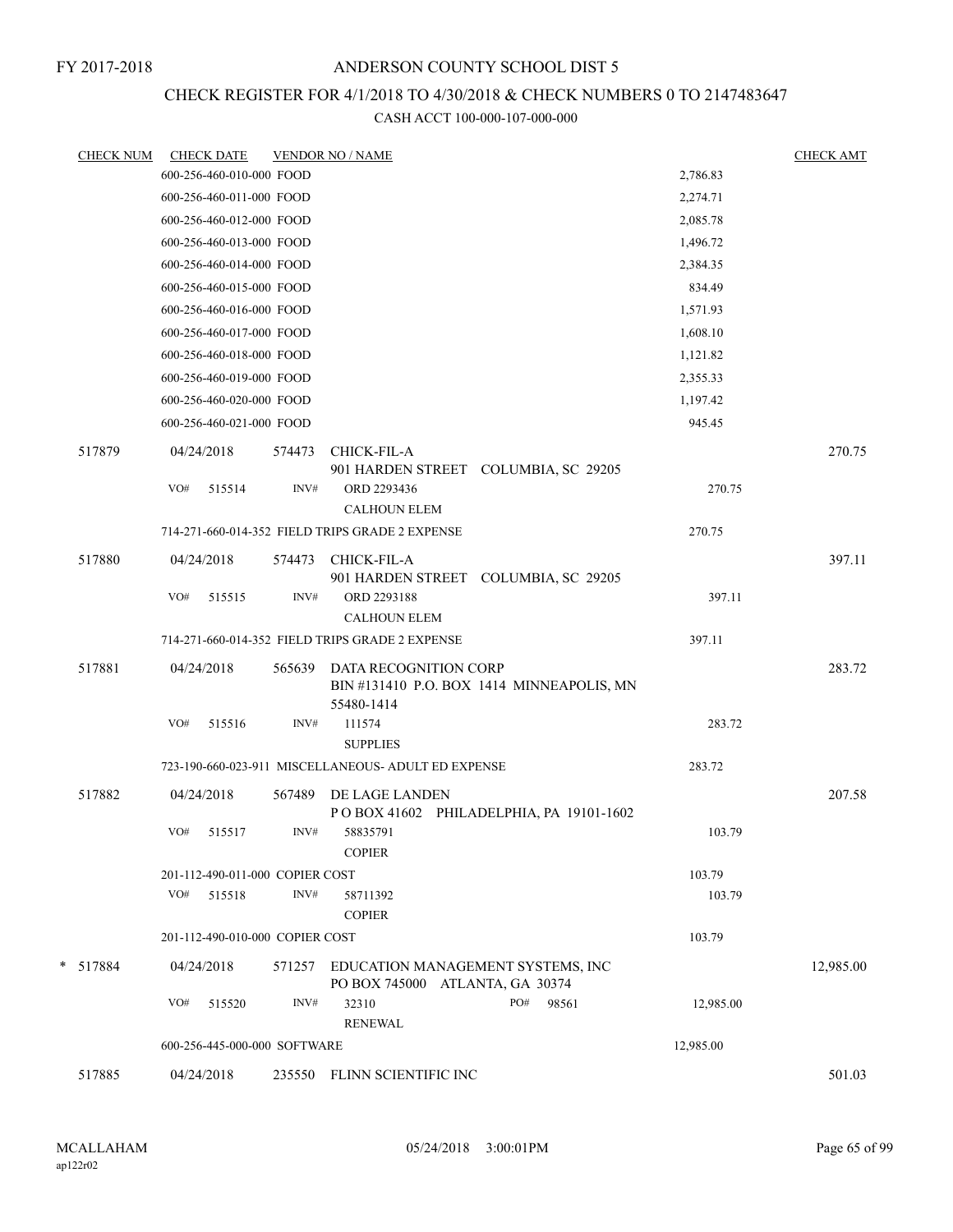# CHECK REGISTER FOR 4/1/2018 TO 4/30/2018 & CHECK NUMBERS 0 TO 2147483647

| <b>CHECK NUM</b> |            | <b>CHECK DATE</b>               |        | <b>VENDOR NO / NAME</b>                                              |                                          |           | <b>CHECK AMT</b> |
|------------------|------------|---------------------------------|--------|----------------------------------------------------------------------|------------------------------------------|-----------|------------------|
|                  |            | 600-256-460-010-000 FOOD        |        |                                                                      |                                          | 2,786.83  |                  |
|                  |            | 600-256-460-011-000 FOOD        |        |                                                                      |                                          | 2,274.71  |                  |
|                  |            | 600-256-460-012-000 FOOD        |        |                                                                      |                                          | 2,085.78  |                  |
|                  |            | 600-256-460-013-000 FOOD        |        |                                                                      |                                          | 1,496.72  |                  |
|                  |            | 600-256-460-014-000 FOOD        |        |                                                                      |                                          | 2,384.35  |                  |
|                  |            | 600-256-460-015-000 FOOD        |        |                                                                      |                                          | 834.49    |                  |
|                  |            | 600-256-460-016-000 FOOD        |        |                                                                      |                                          | 1,571.93  |                  |
|                  |            | 600-256-460-017-000 FOOD        |        |                                                                      |                                          | 1,608.10  |                  |
|                  |            | 600-256-460-018-000 FOOD        |        |                                                                      |                                          | 1,121.82  |                  |
|                  |            | 600-256-460-019-000 FOOD        |        |                                                                      |                                          | 2,355.33  |                  |
|                  |            | 600-256-460-020-000 FOOD        |        |                                                                      |                                          | 1,197.42  |                  |
|                  |            | 600-256-460-021-000 FOOD        |        |                                                                      |                                          | 945.45    |                  |
| 517879           |            | 04/24/2018                      | 574473 | CHICK-FIL-A                                                          |                                          |           | 270.75           |
|                  |            |                                 |        |                                                                      | 901 HARDEN STREET COLUMBIA, SC 29205     |           |                  |
|                  | VO#        | 515514                          | INV#   | ORD 2293436                                                          |                                          | 270.75    |                  |
|                  |            |                                 |        | <b>CALHOUN ELEM</b>                                                  |                                          |           |                  |
|                  |            |                                 |        | 714-271-660-014-352 FIELD TRIPS GRADE 2 EXPENSE                      |                                          | 270.75    |                  |
| 517880           |            | 04/24/2018                      | 574473 | CHICK-FIL-A                                                          |                                          |           | 397.11           |
|                  |            |                                 |        | 901 HARDEN STREET COLUMBIA, SC 29205                                 |                                          |           |                  |
|                  | VO#        | 515515                          | INV#   | ORD 2293188                                                          |                                          | 397.11    |                  |
|                  |            |                                 |        | <b>CALHOUN ELEM</b>                                                  |                                          |           |                  |
|                  |            |                                 |        | 714-271-660-014-352 FIELD TRIPS GRADE 2 EXPENSE                      |                                          | 397.11    |                  |
| 517881           |            | 04/24/2018                      | 565639 | DATA RECOGNITION CORP                                                | BIN#131410 P.O. BOX 1414 MINNEAPOLIS, MN |           | 283.72           |
|                  |            |                                 |        | 55480-1414                                                           |                                          |           |                  |
|                  | VO#        | 515516                          | INV#   | 111574<br><b>SUPPLIES</b>                                            |                                          | 283.72    |                  |
|                  |            |                                 |        | 723-190-660-023-911 MISCELLANEOUS- ADULT ED EXPENSE                  |                                          | 283.72    |                  |
| 517882           |            | 04/24/2018                      | 567489 | DE LAGE LANDEN                                                       |                                          |           | 207.58           |
|                  |            |                                 |        |                                                                      | POBOX 41602 PHILADELPHIA, PA 19101-1602  |           |                  |
|                  | VO#        | 515517                          | INV#   | 58835791                                                             |                                          | 103.79    |                  |
|                  |            |                                 |        | <b>COPIER</b>                                                        |                                          |           |                  |
|                  |            | 201-112-490-011-000 COPIER COST |        |                                                                      |                                          | 103.79    |                  |
|                  | VO#        | 515518                          | INV#   | 58711392<br><b>COPIER</b>                                            |                                          | 103.79    |                  |
|                  |            | 201-112-490-010-000 COPIER COST |        |                                                                      |                                          | 103.79    |                  |
|                  |            |                                 |        |                                                                      |                                          |           |                  |
| * 517884         |            | 04/24/2018                      | 571257 | EDUCATION MANAGEMENT SYSTEMS, INC<br>PO BOX 745000 ATLANTA, GA 30374 |                                          |           | 12,985.00        |
|                  | VO#        | 515520                          | INV#   | 32310<br><b>RENEWAL</b>                                              | PO#<br>98561                             | 12,985.00 |                  |
|                  |            | 600-256-445-000-000 SOFTWARE    |        |                                                                      |                                          | 12,985.00 |                  |
|                  |            |                                 |        |                                                                      |                                          |           |                  |
| 517885           | 04/24/2018 |                                 | 235550 | FLINN SCIENTIFIC INC                                                 |                                          |           | 501.03           |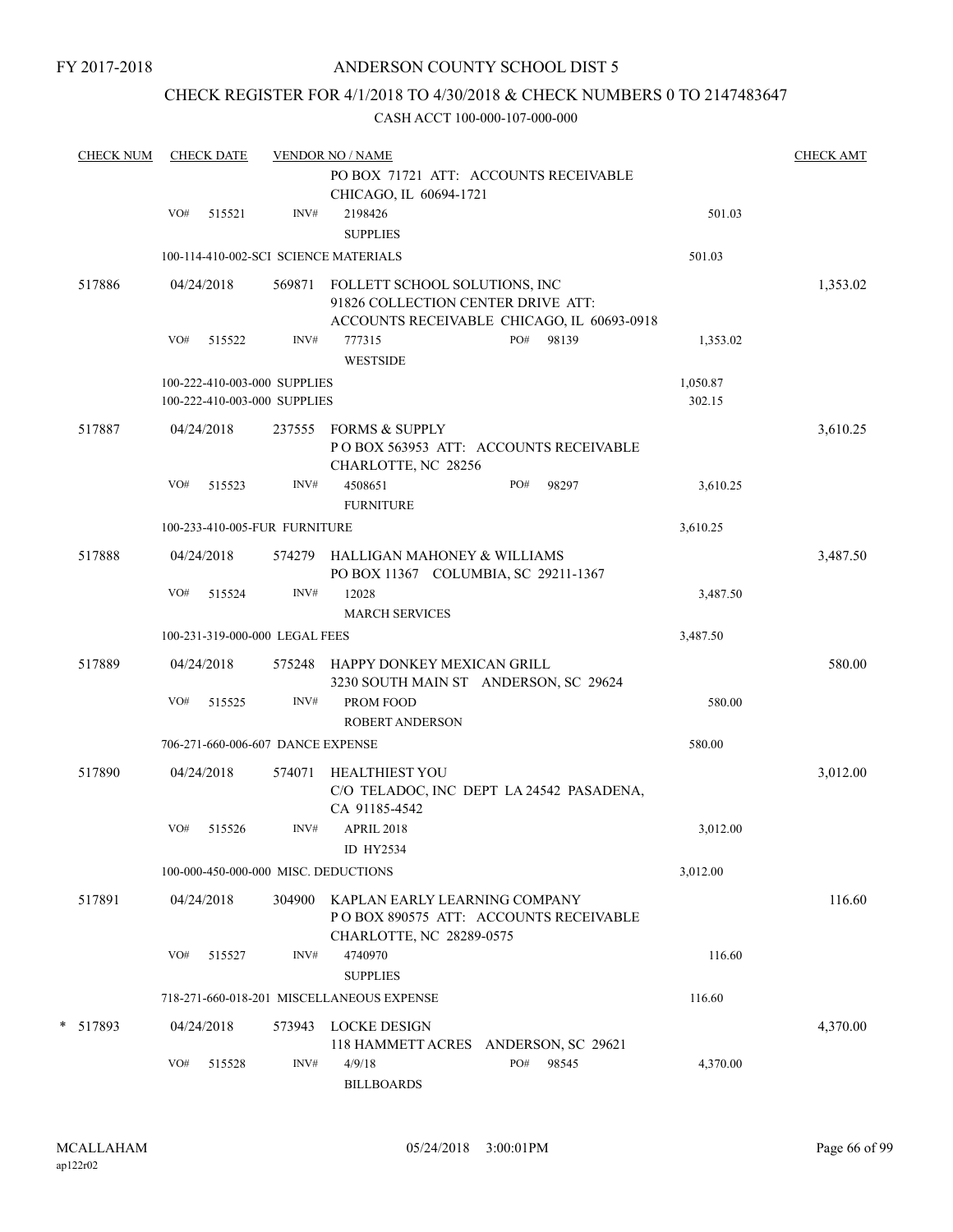### ANDERSON COUNTY SCHOOL DIST 5

### CHECK REGISTER FOR 4/1/2018 TO 4/30/2018 & CHECK NUMBERS 0 TO 2147483647

| <b>CHECK NUM</b> |     | <b>CHECK DATE</b> |                                                              | <b>VENDOR NO / NAME</b>                                                    | PO BOX 71721 ATT: ACCOUNTS RECEIVABLE      |                    | <b>CHECK AMT</b> |
|------------------|-----|-------------------|--------------------------------------------------------------|----------------------------------------------------------------------------|--------------------------------------------|--------------------|------------------|
|                  |     |                   |                                                              | CHICAGO, IL 60694-1721                                                     |                                            |                    |                  |
|                  | VO# | 515521            | INV#                                                         | 2198426<br><b>SUPPLIES</b>                                                 |                                            | 501.03             |                  |
|                  |     |                   |                                                              | 100-114-410-002-SCI SCIENCE MATERIALS                                      |                                            | 501.03             |                  |
| 517886           |     | 04/24/2018        | 569871                                                       | FOLLETT SCHOOL SOLUTIONS, INC<br>91826 COLLECTION CENTER DRIVE ATT:        | ACCOUNTS RECEIVABLE CHICAGO, IL 60693-0918 |                    | 1,353.02         |
|                  | VO# | 515522            | INV#                                                         | 777315<br><b>WESTSIDE</b>                                                  | PO#<br>98139                               | 1,353.02           |                  |
|                  |     |                   | 100-222-410-003-000 SUPPLIES<br>100-222-410-003-000 SUPPLIES |                                                                            |                                            | 1,050.87<br>302.15 |                  |
| 517887           |     | 04/24/2018        |                                                              | 237555 FORMS & SUPPLY                                                      | POBOX 563953 ATT: ACCOUNTS RECEIVABLE      |                    | 3,610.25         |
|                  | VO# | 515523            | INV#                                                         | CHARLOTTE, NC 28256<br>4508651<br><b>FURNITURE</b>                         | PO#<br>98297                               | 3,610.25           |                  |
|                  |     |                   | 100-233-410-005-FUR FURNITURE                                |                                                                            |                                            | 3,610.25           |                  |
| 517888           |     | 04/24/2018        |                                                              | 574279 HALLIGAN MAHONEY & WILLIAMS<br>PO BOX 11367 COLUMBIA, SC 29211-1367 |                                            |                    | 3,487.50         |
|                  | VO# | 515524            | INV#                                                         | 12028<br><b>MARCH SERVICES</b>                                             |                                            | 3,487.50           |                  |
|                  |     |                   | 100-231-319-000-000 LEGAL FEES                               |                                                                            |                                            | 3,487.50           |                  |
| 517889           |     | 04/24/2018        | 575248                                                       | HAPPY DONKEY MEXICAN GRILL<br>3230 SOUTH MAIN ST ANDERSON, SC 29624        |                                            |                    | 580.00           |
|                  | VO# | 515525            | INV#                                                         | PROM FOOD<br><b>ROBERT ANDERSON</b>                                        |                                            | 580.00             |                  |
|                  |     |                   | 706-271-660-006-607 DANCE EXPENSE                            |                                                                            |                                            | 580.00             |                  |
| 517890           |     | 04/24/2018        | 574071                                                       | <b>HEALTHIEST YOU</b><br>CA 91185-4542                                     | C/O TELADOC, INC DEPT LA 24542 PASADENA,   |                    | 3,012.00         |
|                  | VO# | 515526            | INV#                                                         | APRIL 2018<br>ID HY2534                                                    |                                            | 3,012.00           |                  |
|                  |     |                   |                                                              | 100-000-450-000-000 MISC. DEDUCTIONS                                       |                                            | 3,012.00           |                  |
| 517891           |     | 04/24/2018        | 304900                                                       | KAPLAN EARLY LEARNING COMPANY                                              | PO BOX 890575 ATT: ACCOUNTS RECEIVABLE     |                    | 116.60           |
|                  | VO# | 515527            | INV#                                                         | CHARLOTTE, NC 28289-0575<br>4740970<br><b>SUPPLIES</b>                     |                                            | 116.60             |                  |
|                  |     |                   |                                                              | 718-271-660-018-201 MISCELLANEOUS EXPENSE                                  |                                            | 116.60             |                  |
| * 517893         |     | 04/24/2018        | 573943                                                       | <b>LOCKE DESIGN</b><br>118 HAMMETT ACRES ANDERSON, SC 29621                |                                            |                    | 4,370.00         |
|                  | VO# | 515528            | INV#                                                         | 4/9/18<br><b>BILLBOARDS</b>                                                | PO#<br>98545                               | 4,370.00           |                  |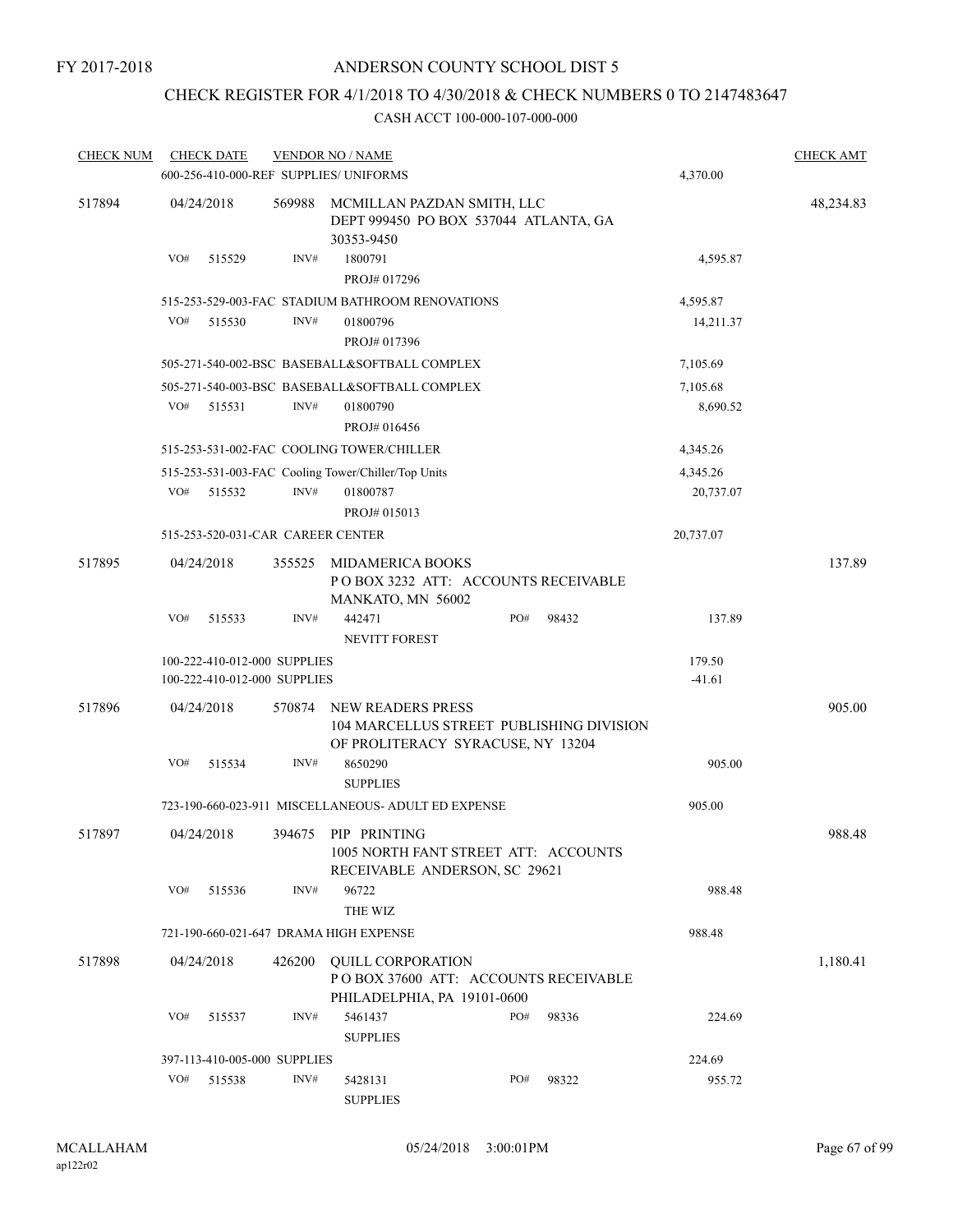# CHECK REGISTER FOR 4/1/2018 TO 4/30/2018 & CHECK NUMBERS 0 TO 2147483647

| <b>CHECK NUM</b> |     | <b>CHECK DATE</b>                                            |        | <b>VENDOR NO / NAME</b>                                                                                   |     |  |       |                    | <b>CHECK AMT</b> |
|------------------|-----|--------------------------------------------------------------|--------|-----------------------------------------------------------------------------------------------------------|-----|--|-------|--------------------|------------------|
|                  |     |                                                              |        | 600-256-410-000-REF SUPPLIES/ UNIFORMS                                                                    |     |  |       | 4,370.00           |                  |
| 517894           |     | 04/24/2018                                                   | 569988 | MCMILLAN PAZDAN SMITH, LLC<br>DEPT 999450 PO BOX 537044 ATLANTA, GA<br>30353-9450                         |     |  |       |                    | 48,234.83        |
|                  | VO# | 515529                                                       | INV#   | 1800791<br>PROJ# 017296                                                                                   |     |  |       | 4,595.87           |                  |
|                  |     |                                                              |        | 515-253-529-003-FAC STADIUM BATHROOM RENOVATIONS                                                          |     |  |       | 4,595.87           |                  |
|                  | VO# | 515530                                                       | INV#   | 01800796<br>PROJ# 017396                                                                                  |     |  |       | 14,211.37          |                  |
|                  |     |                                                              |        | 505-271-540-002-BSC BASEBALL&SOFTBALL COMPLEX                                                             |     |  |       | 7,105.69           |                  |
|                  |     |                                                              |        | 505-271-540-003-BSC BASEBALL&SOFTBALL COMPLEX                                                             |     |  |       | 7,105.68           |                  |
|                  | VO# | 515531                                                       | INV#   | 01800790<br>PROJ# 016456                                                                                  |     |  |       | 8,690.52           |                  |
|                  |     |                                                              |        | 515-253-531-002-FAC COOLING TOWER/CHILLER                                                                 |     |  |       | 4,345.26           |                  |
|                  |     |                                                              |        | 515-253-531-003-FAC Cooling Tower/Chiller/Top Units                                                       |     |  |       | 4,345.26           |                  |
|                  | VO# | 515532                                                       | INV#   | 01800787<br>PROJ# 015013                                                                                  |     |  |       | 20,737.07          |                  |
|                  |     | 515-253-520-031-CAR CAREER CENTER                            |        |                                                                                                           |     |  |       | 20,737.07          |                  |
| 517895           |     | 04/24/2018                                                   | 355525 | MIDAMERICA BOOKS<br>POBOX 3232 ATT: ACCOUNTS RECEIVABLE<br>MANKATO, MN 56002                              |     |  |       |                    | 137.89           |
|                  | VO# | 515533                                                       | INV#   | 442471<br><b>NEVITT FOREST</b>                                                                            | PO# |  | 98432 | 137.89             |                  |
|                  |     | 100-222-410-012-000 SUPPLIES<br>100-222-410-012-000 SUPPLIES |        |                                                                                                           |     |  |       | 179.50<br>$-41.61$ |                  |
| 517896           |     | 04/24/2018                                                   | 570874 | <b>NEW READERS PRESS</b><br>104 MARCELLUS STREET PUBLISHING DIVISION<br>OF PROLITERACY SYRACUSE, NY 13204 |     |  |       |                    | 905.00           |
|                  | VO# | 515534                                                       | INV#   | 8650290<br><b>SUPPLIES</b>                                                                                |     |  |       | 905.00             |                  |
|                  |     |                                                              |        | 723-190-660-023-911 MISCELLANEOUS- ADULT ED EXPENSE                                                       |     |  |       | 905.00             |                  |
| 517897           |     | 04/24/2018                                                   |        | 394675 PIP PRINTING<br>1005 NORTH FANT STREET ATT: ACCOUNTS<br>RECEIVABLE ANDERSON, SC 29621              |     |  |       |                    | 988.48           |
|                  | VO# | 515536                                                       | INV#   | 96722<br>THE WIZ                                                                                          |     |  |       | 988.48             |                  |
|                  |     |                                                              |        | 721-190-660-021-647 DRAMA HIGH EXPENSE                                                                    |     |  |       | 988.48             |                  |
| 517898           |     | 04/24/2018                                                   | 426200 | QUILL CORPORATION<br>PO BOX 37600 ATT: ACCOUNTS RECEIVABLE<br>PHILADELPHIA, PA 19101-0600                 |     |  |       |                    | 1,180.41         |
|                  | VO# | 515537                                                       | INV#   | 5461437<br><b>SUPPLIES</b>                                                                                | PO# |  | 98336 | 224.69             |                  |
|                  |     | 397-113-410-005-000 SUPPLIES                                 |        |                                                                                                           |     |  |       |                    |                  |
|                  | VO# | 515538                                                       | INV#   | 5428131<br><b>SUPPLIES</b>                                                                                | PO# |  | 98322 | 224.69<br>955.72   |                  |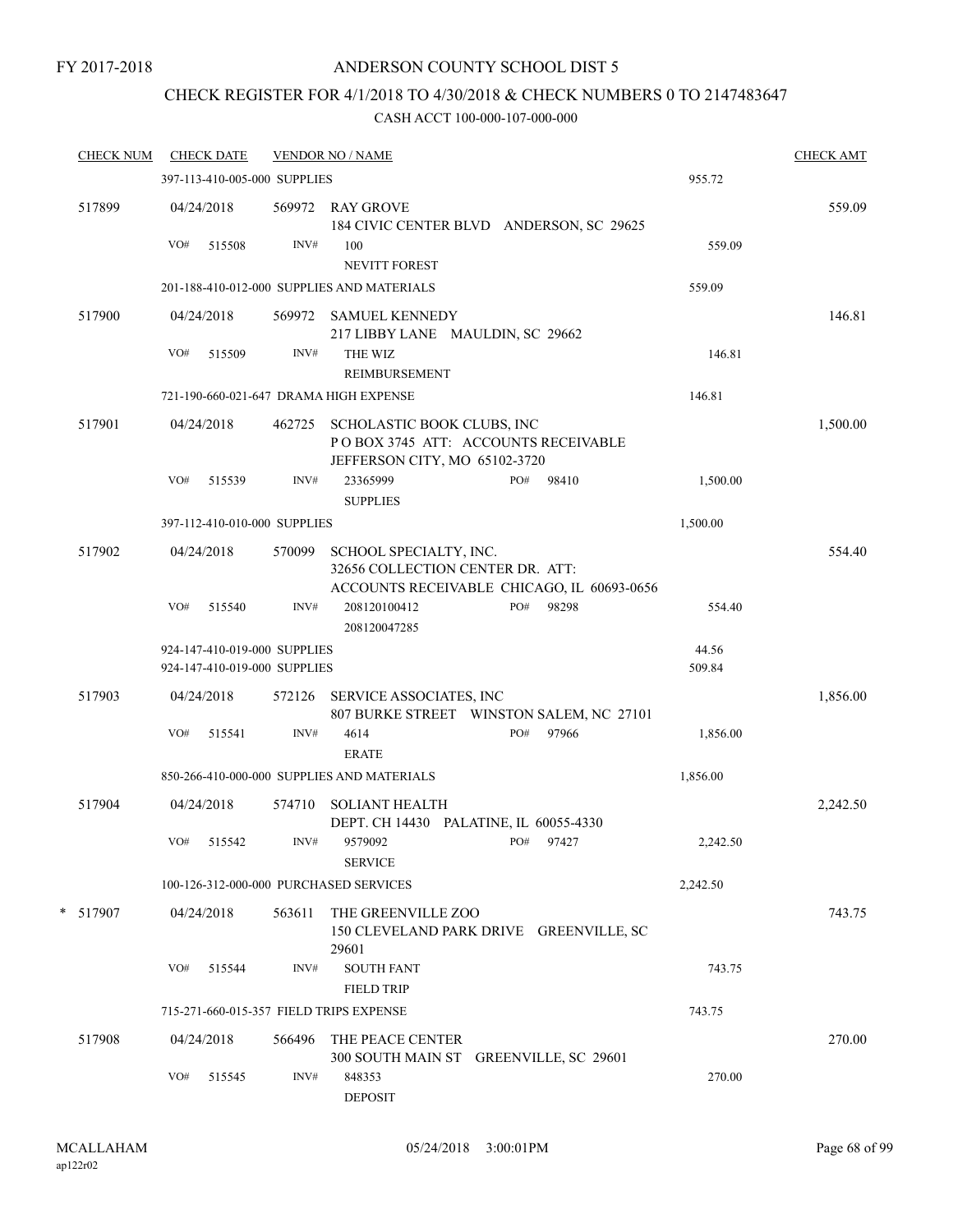### ANDERSON COUNTY SCHOOL DIST 5

# CHECK REGISTER FOR 4/1/2018 TO 4/30/2018 & CHECK NUMBERS 0 TO 2147483647

| <b>CHECK NUM</b> |     | <b>CHECK DATE</b>                                            |        | <b>VENDOR NO / NAME</b>                                                                                   |     |           |                 | <b>CHECK AMT</b> |
|------------------|-----|--------------------------------------------------------------|--------|-----------------------------------------------------------------------------------------------------------|-----|-----------|-----------------|------------------|
|                  |     | 397-113-410-005-000 SUPPLIES                                 |        |                                                                                                           |     |           | 955.72          |                  |
| 517899           |     | 04/24/2018                                                   |        | 569972 RAY GROVE<br>184 CIVIC CENTER BLVD ANDERSON, SC 29625                                              |     |           |                 | 559.09           |
|                  | VO# | 515508                                                       | INV#   | 100<br><b>NEVITT FOREST</b>                                                                               |     |           | 559.09          |                  |
|                  |     |                                                              |        | 201-188-410-012-000 SUPPLIES AND MATERIALS                                                                |     |           | 559.09          |                  |
| 517900           |     | 04/24/2018                                                   |        | 569972 SAMUEL KENNEDY<br>217 LIBBY LANE MAULDIN, SC 29662                                                 |     |           |                 | 146.81           |
|                  | VO# | 515509                                                       | INV#   | THE WIZ<br><b>REIMBURSEMENT</b>                                                                           |     |           | 146.81          |                  |
|                  |     |                                                              |        | 721-190-660-021-647 DRAMA HIGH EXPENSE                                                                    |     |           | 146.81          |                  |
| 517901           |     | 04/24/2018                                                   |        | 462725 SCHOLASTIC BOOK CLUBS, INC<br>POBOX 3745 ATT: ACCOUNTS RECEIVABLE<br>JEFFERSON CITY, MO 65102-3720 |     |           |                 | 1,500.00         |
|                  | VO# | 515539                                                       | INV#   | 23365999<br><b>SUPPLIES</b>                                                                               | PO# | 98410     | 1,500.00        |                  |
|                  |     | 397-112-410-010-000 SUPPLIES                                 |        |                                                                                                           |     |           | 1,500.00        |                  |
| 517902           |     | 04/24/2018                                                   | 570099 | SCHOOL SPECIALTY, INC.<br>32656 COLLECTION CENTER DR. ATT:<br>ACCOUNTS RECEIVABLE CHICAGO, IL 60693-0656  |     |           |                 | 554.40           |
|                  | VO# | 515540                                                       | INV#   | 208120100412<br>208120047285                                                                              | PO# | 98298     | 554.40          |                  |
|                  |     | 924-147-410-019-000 SUPPLIES<br>924-147-410-019-000 SUPPLIES |        |                                                                                                           |     |           | 44.56<br>509.84 |                  |
| 517903           |     | 04/24/2018                                                   | 572126 | SERVICE ASSOCIATES, INC<br>807 BURKE STREET WINSTON SALEM, NC 27101                                       |     |           |                 | 1,856.00         |
|                  | VO# | 515541                                                       | INV#   | 4614<br><b>ERATE</b>                                                                                      | PO# | 97966     | 1,856.00        |                  |
|                  |     |                                                              |        | 850-266-410-000-000 SUPPLIES AND MATERIALS                                                                |     |           | 1,856.00        |                  |
| 517904           |     | 04/24/2018                                                   | 574710 | <b>SOLIANT HEALTH</b><br>DEPT. CH 14430 PALATINE, IL 60055-4330                                           |     |           |                 | 2,242.50         |
|                  |     | VO# 515542                                                   | INV#   | 9579092<br><b>SERVICE</b>                                                                                 |     | PO# 97427 | 2,242.50        |                  |
|                  |     |                                                              |        | 100-126-312-000-000 PURCHASED SERVICES                                                                    |     |           | 2,242.50        |                  |
| * 517907         |     | 04/24/2018                                                   | 563611 | THE GREENVILLE ZOO<br>150 CLEVELAND PARK DRIVE GREENVILLE, SC<br>29601                                    |     |           |                 | 743.75           |
|                  | VO# | 515544                                                       | INV#   | <b>SOUTH FANT</b><br><b>FIELD TRIP</b>                                                                    |     |           | 743.75          |                  |
|                  |     |                                                              |        | 715-271-660-015-357 FIELD TRIPS EXPENSE                                                                   |     |           | 743.75          |                  |
| 517908           |     | 04/24/2018                                                   | 566496 | THE PEACE CENTER<br>300 SOUTH MAIN ST GREENVILLE, SC 29601                                                |     |           |                 | 270.00           |
|                  | VO# | 515545                                                       | INV#   | 848353<br><b>DEPOSIT</b>                                                                                  |     |           | 270.00          |                  |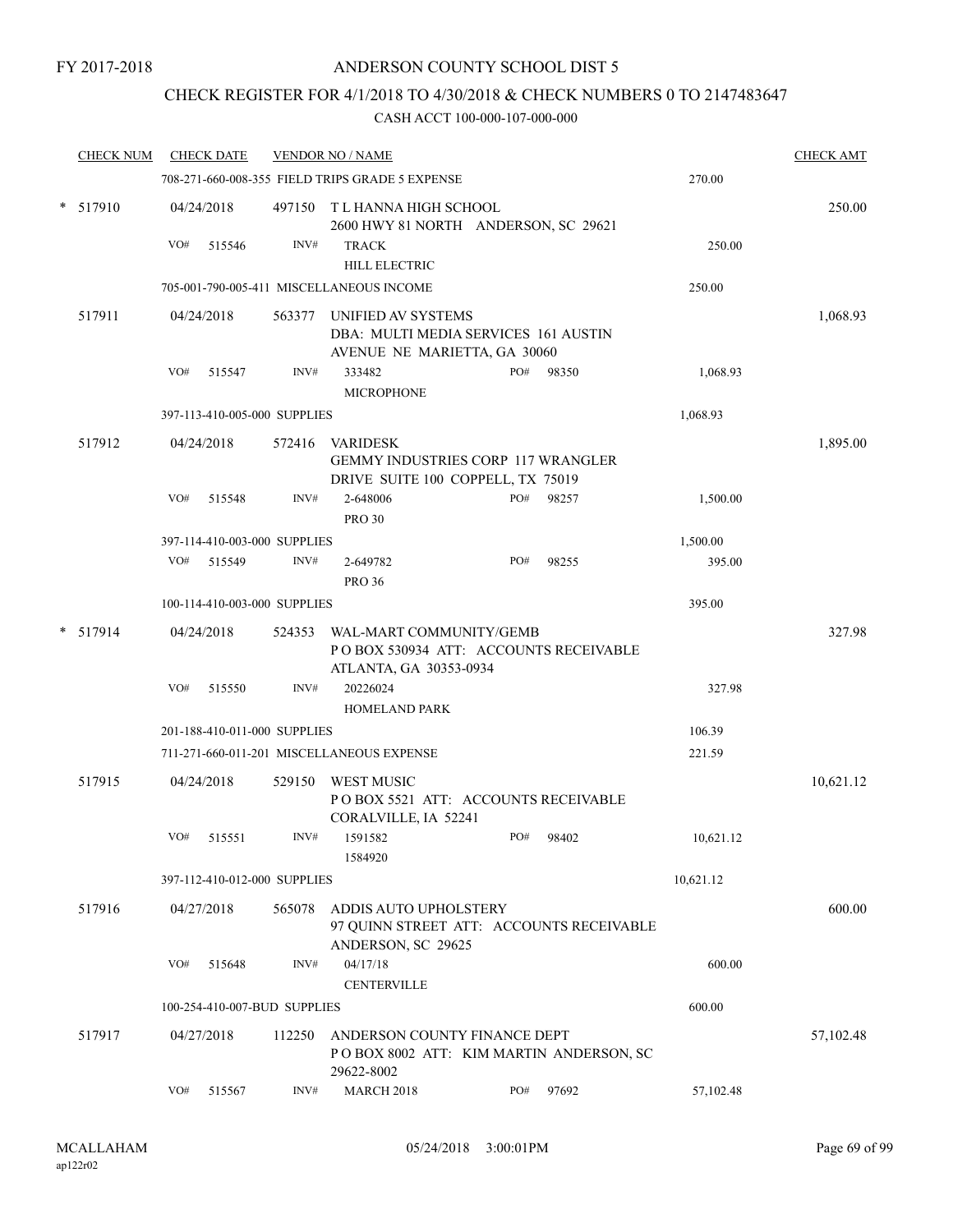### CHECK REGISTER FOR 4/1/2018 TO 4/30/2018 & CHECK NUMBERS 0 TO 2147483647

| <b>CHECK NUM</b> |     | <b>CHECK DATE</b>            |        | <b>VENDOR NO / NAME</b>                                                                    |     |       |           | <b>CHECK AMT</b> |
|------------------|-----|------------------------------|--------|--------------------------------------------------------------------------------------------|-----|-------|-----------|------------------|
|                  |     |                              |        | 708-271-660-008-355 FIELD TRIPS GRADE 5 EXPENSE                                            |     |       | 270.00    |                  |
| $*$ 517910       |     | 04/24/2018                   | 497150 | T L HANNA HIGH SCHOOL<br>2600 HWY 81 NORTH ANDERSON, SC 29621                              |     |       |           | 250.00           |
|                  | VO# | 515546                       | INV#   | <b>TRACK</b>                                                                               |     |       | 250.00    |                  |
|                  |     |                              |        | <b>HILL ELECTRIC</b>                                                                       |     |       |           |                  |
|                  |     |                              |        | 705-001-790-005-411 MISCELLANEOUS INCOME                                                   |     |       | 250.00    |                  |
| 517911           |     | 04/24/2018                   | 563377 | UNIFIED AV SYSTEMS<br>DBA: MULTI MEDIA SERVICES 161 AUSTIN<br>AVENUE NE MARIETTA, GA 30060 |     |       |           | 1,068.93         |
|                  | VO# | 515547                       | INV#   | 333482<br><b>MICROPHONE</b>                                                                | PO# | 98350 | 1,068.93  |                  |
|                  |     | 397-113-410-005-000 SUPPLIES |        |                                                                                            |     |       | 1,068.93  |                  |
| 517912           |     | 04/24/2018                   | 572416 | <b>VARIDESK</b><br>GEMMY INDUSTRIES CORP 117 WRANGLER                                      |     |       |           | 1,895.00         |
|                  | VO# | 515548                       | INV#   | DRIVE SUITE 100 COPPELL, TX 75019<br>2-648006<br><b>PRO 30</b>                             | PO# | 98257 | 1,500.00  |                  |
|                  |     | 397-114-410-003-000 SUPPLIES |        |                                                                                            |     |       | 1,500.00  |                  |
|                  | VO# | 515549                       | INV#   | 2-649782<br><b>PRO 36</b>                                                                  | PO# | 98255 | 395.00    |                  |
|                  |     | 100-114-410-003-000 SUPPLIES |        |                                                                                            |     |       | 395.00    |                  |
| $*$ 517914       |     | 04/24/2018                   | 524353 | WAL-MART COMMUNITY/GEMB<br>PO BOX 530934 ATT: ACCOUNTS RECEIVABLE                          |     |       |           | 327.98           |
|                  | VO# | 515550                       | INV#   | ATLANTA, GA 30353-0934<br>20226024<br><b>HOMELAND PARK</b>                                 |     |       | 327.98    |                  |
|                  |     | 201-188-410-011-000 SUPPLIES |        |                                                                                            |     |       | 106.39    |                  |
|                  |     |                              |        | 711-271-660-011-201 MISCELLANEOUS EXPENSE                                                  |     |       | 221.59    |                  |
| 517915           |     | 04/24/2018                   | 529150 | <b>WEST MUSIC</b><br>PO BOX 5521 ATT: ACCOUNTS RECEIVABLE<br>CORALVILLE, IA 52241          |     |       |           | 10,621.12        |
|                  | VO# | 515551                       | INV#   | 1591582<br>1584920                                                                         | PO# | 98402 | 10.621.12 |                  |
|                  |     | 397-112-410-012-000 SUPPLIES |        |                                                                                            |     |       | 10,621.12 |                  |
| 517916           |     | 04/27/2018                   | 565078 | <b>ADDIS AUTO UPHOLSTERY</b><br>97 QUINN STREET ATT: ACCOUNTS RECEIVABLE                   |     |       |           | 600.00           |
|                  | VO# | 515648                       | INV#   | ANDERSON, SC 29625<br>04/17/18                                                             |     |       | 600.00    |                  |
|                  |     | 100-254-410-007-BUD SUPPLIES |        | <b>CENTERVILLE</b>                                                                         |     |       | 600.00    |                  |
|                  |     |                              |        |                                                                                            |     |       |           |                  |
| 517917           |     | 04/27/2018                   | 112250 | ANDERSON COUNTY FINANCE DEPT<br>POBOX 8002 ATT: KIM MARTIN ANDERSON, SC<br>29622-8002      |     |       |           | 57,102.48        |
|                  | VO# | 515567                       | INV#   | <b>MARCH 2018</b>                                                                          | PO# | 97692 | 57,102.48 |                  |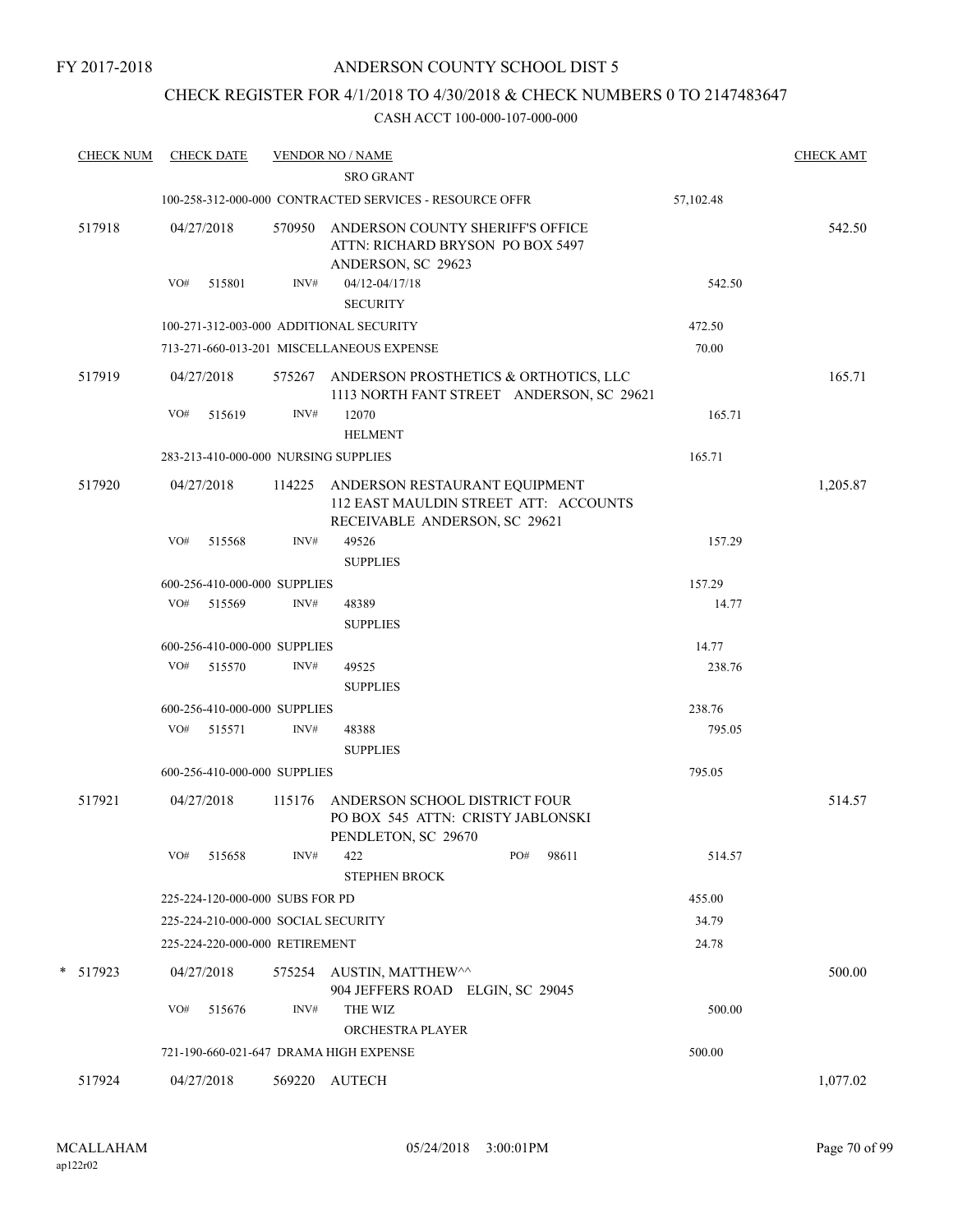### CHECK REGISTER FOR 4/1/2018 TO 4/30/2018 & CHECK NUMBERS 0 TO 2147483647

| <b>CHECK NUM</b> |     | <b>CHECK DATE</b>               |        | <b>VENDOR NO / NAME</b><br><b>SRO GRANT</b>                                                                    |              |           | <b>CHECK AMT</b> |
|------------------|-----|---------------------------------|--------|----------------------------------------------------------------------------------------------------------------|--------------|-----------|------------------|
|                  |     |                                 |        | 100-258-312-000-000 CONTRACTED SERVICES - RESOURCE OFFR                                                        |              | 57,102.48 |                  |
| 517918           |     | 04/27/2018                      |        | 570950 ANDERSON COUNTY SHERIFF'S OFFICE<br>ATTN: RICHARD BRYSON PO BOX 5497<br>ANDERSON, SC 29623              |              |           | 542.50           |
|                  | VO# | 515801                          | INV#   | 04/12-04/17/18                                                                                                 |              | 542.50    |                  |
|                  |     |                                 |        | <b>SECURITY</b>                                                                                                |              |           |                  |
|                  |     |                                 |        | 100-271-312-003-000 ADDITIONAL SECURITY                                                                        |              | 472.50    |                  |
|                  |     |                                 |        | 713-271-660-013-201 MISCELLANEOUS EXPENSE                                                                      |              | 70.00     |                  |
| 517919           |     | 04/27/2018                      |        | 575267 ANDERSON PROSTHETICS & ORTHOTICS, LLC<br>1113 NORTH FANT STREET ANDERSON, SC 29621                      |              |           | 165.71           |
|                  | VO# | 515619                          | INV#   | 12070<br><b>HELMENT</b>                                                                                        |              | 165.71    |                  |
|                  |     |                                 |        | 283-213-410-000-000 NURSING SUPPLIES                                                                           |              | 165.71    |                  |
| 517920           |     | 04/27/2018                      |        | 114225 ANDERSON RESTAURANT EQUIPMENT<br>112 EAST MAULDIN STREET ATT: ACCOUNTS<br>RECEIVABLE ANDERSON, SC 29621 |              |           | 1,205.87         |
|                  | VO# | 515568                          | INV#   | 49526<br><b>SUPPLIES</b>                                                                                       |              | 157.29    |                  |
|                  |     | 600-256-410-000-000 SUPPLIES    |        |                                                                                                                |              | 157.29    |                  |
|                  |     | VO# 515569                      | INV#   | 48389                                                                                                          |              | 14.77     |                  |
|                  |     |                                 |        | <b>SUPPLIES</b>                                                                                                |              |           |                  |
|                  |     | 600-256-410-000-000 SUPPLIES    |        |                                                                                                                |              | 14.77     |                  |
|                  |     | VO# 515570                      | INV#   | 49525<br><b>SUPPLIES</b>                                                                                       |              | 238.76    |                  |
|                  |     | 600-256-410-000-000 SUPPLIES    |        |                                                                                                                |              | 238.76    |                  |
|                  | VO# | 515571                          | INV#   | 48388<br><b>SUPPLIES</b>                                                                                       |              | 795.05    |                  |
|                  |     | 600-256-410-000-000 SUPPLIES    |        |                                                                                                                |              | 795.05    |                  |
| 517921           |     | 04/27/2018                      | 115176 | ANDERSON SCHOOL DISTRICT FOUR<br>PO BOX 545 ATTN: CRISTY JABLONSKI<br>PENDLETON, SC 29670                      |              |           | 514.57           |
|                  | VO# | 515658                          | INV#   | 422<br><b>STEPHEN BROCK</b>                                                                                    | PO#<br>98611 | 514.57    |                  |
|                  |     | 225-224-120-000-000 SUBS FOR PD |        |                                                                                                                |              | 455.00    |                  |
|                  |     |                                 |        | 225-224-210-000-000 SOCIAL SECURITY                                                                            |              | 34.79     |                  |
|                  |     | 225-224-220-000-000 RETIREMENT  |        |                                                                                                                |              | 24.78     |                  |
| * 517923         |     | 04/27/2018                      | 575254 | AUSTIN, MATTHEW^^<br>904 JEFFERS ROAD ELGIN, SC 29045                                                          |              |           | 500.00           |
|                  | VO# | 515676                          | INV#   | THE WIZ<br>ORCHESTRA PLAYER                                                                                    |              | 500.00    |                  |
|                  |     |                                 |        | 721-190-660-021-647 DRAMA HIGH EXPENSE                                                                         |              | 500.00    |                  |
| 517924           |     | 04/27/2018                      |        | 569220 AUTECH                                                                                                  |              |           | 1,077.02         |
|                  |     |                                 |        |                                                                                                                |              |           |                  |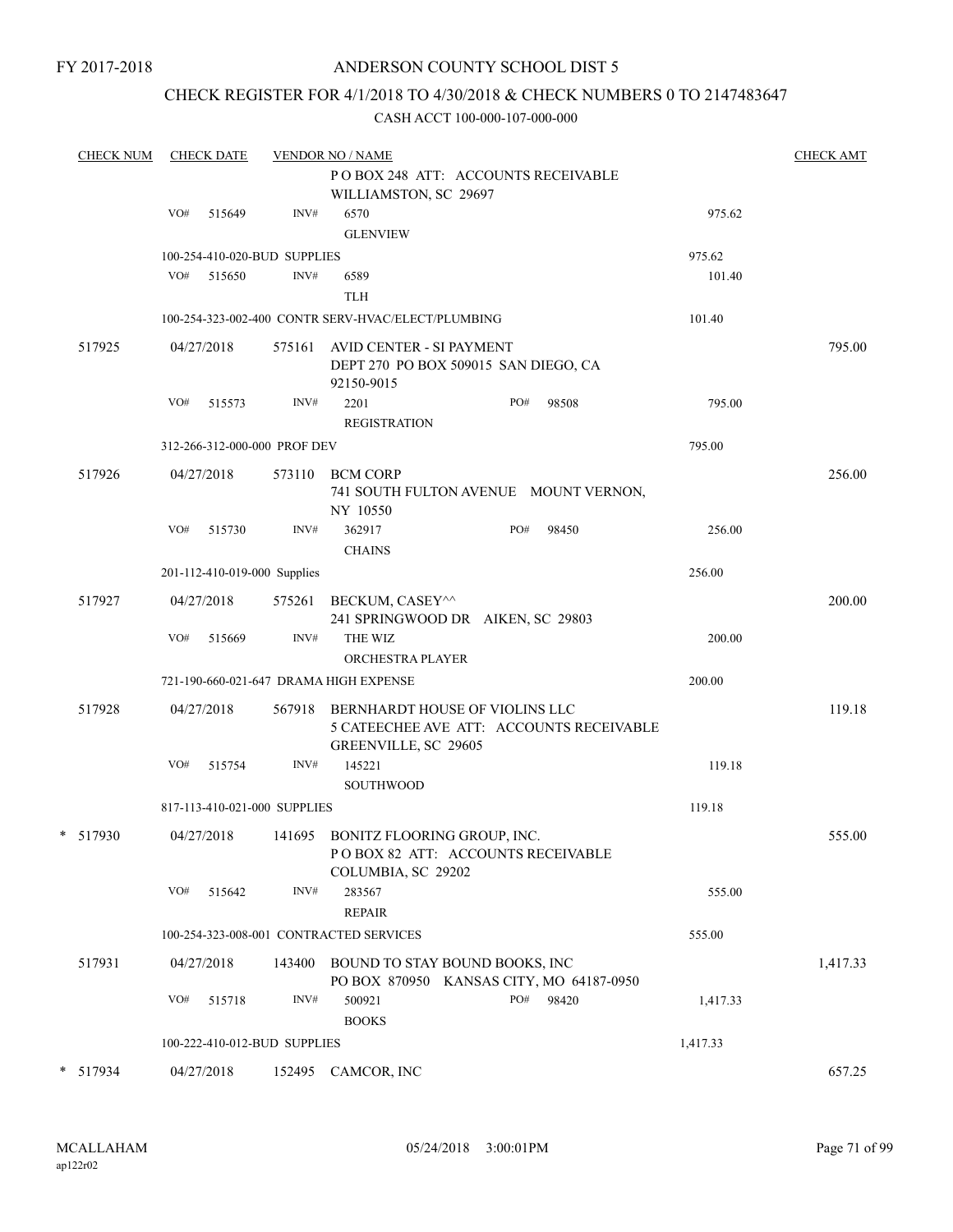#### CHECK REGISTER FOR 4/1/2018 TO 4/30/2018 & CHECK NUMBERS 0 TO 2147483647

| <b>CHECK NUM</b> |     | <b>CHECK DATE</b> |                              | <b>VENDOR NO / NAME</b><br>POBOX 248 ATT: ACCOUNTS RECEIVABLE                                             |     |        |          | <b>CHECK AMT</b> |
|------------------|-----|-------------------|------------------------------|-----------------------------------------------------------------------------------------------------------|-----|--------|----------|------------------|
|                  |     |                   |                              | WILLIAMSTON, SC 29697                                                                                     |     |        |          |                  |
|                  | VO# | 515649            | INV#                         | 6570<br><b>GLENVIEW</b>                                                                                   |     |        | 975.62   |                  |
|                  |     |                   | 100-254-410-020-BUD SUPPLIES |                                                                                                           |     | 975.62 |          |                  |
|                  | VO# | 515650            | INV#                         | 6589<br><b>TLH</b>                                                                                        |     |        | 101.40   |                  |
|                  |     |                   |                              | 100-254-323-002-400 CONTR SERV-HVAC/ELECT/PLUMBING                                                        |     |        | 101.40   |                  |
| 517925           |     | 04/27/2018        | 575161                       | AVID CENTER - SI PAYMENT<br>DEPT 270 PO BOX 509015 SAN DIEGO, CA<br>92150-9015                            |     |        |          | 795.00           |
|                  | VO# | 515573            | $\text{INV}\#$               | 2201<br><b>REGISTRATION</b>                                                                               | PO# | 98508  | 795.00   |                  |
|                  |     |                   | 312-266-312-000-000 PROF DEV |                                                                                                           |     |        | 795.00   |                  |
| 517926           |     | 04/27/2018        | 573110                       | <b>BCM CORP</b><br>741 SOUTH FULTON AVENUE MOUNT VERNON,<br>NY 10550                                      |     |        |          | 256.00           |
|                  | VO# | 515730            | INV#                         | 362917<br><b>CHAINS</b>                                                                                   | PO# | 98450  | 256.00   |                  |
|                  |     |                   | 201-112-410-019-000 Supplies |                                                                                                           |     |        | 256.00   |                  |
| 517927           |     | 04/27/2018        | 575261                       | BECKUM, CASEY^^<br>241 SPRINGWOOD DR AIKEN, SC 29803                                                      |     |        |          | 200.00           |
|                  | VO# | 515669            | INV#                         | THE WIZ<br>ORCHESTRA PLAYER                                                                               |     |        | 200.00   |                  |
|                  |     |                   |                              | 721-190-660-021-647 DRAMA HIGH EXPENSE                                                                    |     |        | 200.00   |                  |
| 517928           |     | 04/27/2018        |                              | 567918 BERNHARDT HOUSE OF VIOLINS LLC<br>5 CATEECHEE AVE ATT: ACCOUNTS RECEIVABLE<br>GREENVILLE, SC 29605 |     |        |          | 119.18           |
|                  | VO# | 515754            | INV#                         | 145221<br><b>SOUTHWOOD</b>                                                                                |     |        | 119.18   |                  |
|                  |     |                   | 817-113-410-021-000 SUPPLIES |                                                                                                           |     |        | 119.18   |                  |
| $*$ 517930       |     | 04/27/2018        |                              | 141695 BONITZ FLOORING GROUP, INC.<br>POBOX 82 ATT: ACCOUNTS RECEIVABLE<br>COLUMBIA, SC 29202             |     |        |          | 555.00           |
|                  | VO# | 515642            | INV#                         | 283567<br><b>REPAIR</b>                                                                                   |     |        | 555.00   |                  |
|                  |     |                   |                              | 100-254-323-008-001 CONTRACTED SERVICES                                                                   |     |        | 555.00   |                  |
| 517931           |     | 04/27/2018        | 143400                       | BOUND TO STAY BOUND BOOKS, INC<br>PO BOX 870950 KANSAS CITY, MO 64187-0950                                |     |        |          | 1,417.33         |
|                  | VO# | 515718            | INV#                         | 500921<br><b>BOOKS</b>                                                                                    | PO# | 98420  | 1,417.33 |                  |
|                  |     |                   | 100-222-410-012-BUD SUPPLIES |                                                                                                           |     |        | 1,417.33 |                  |
| * 517934         |     | 04/27/2018        |                              | 152495 CAMCOR, INC                                                                                        |     |        |          | 657.25           |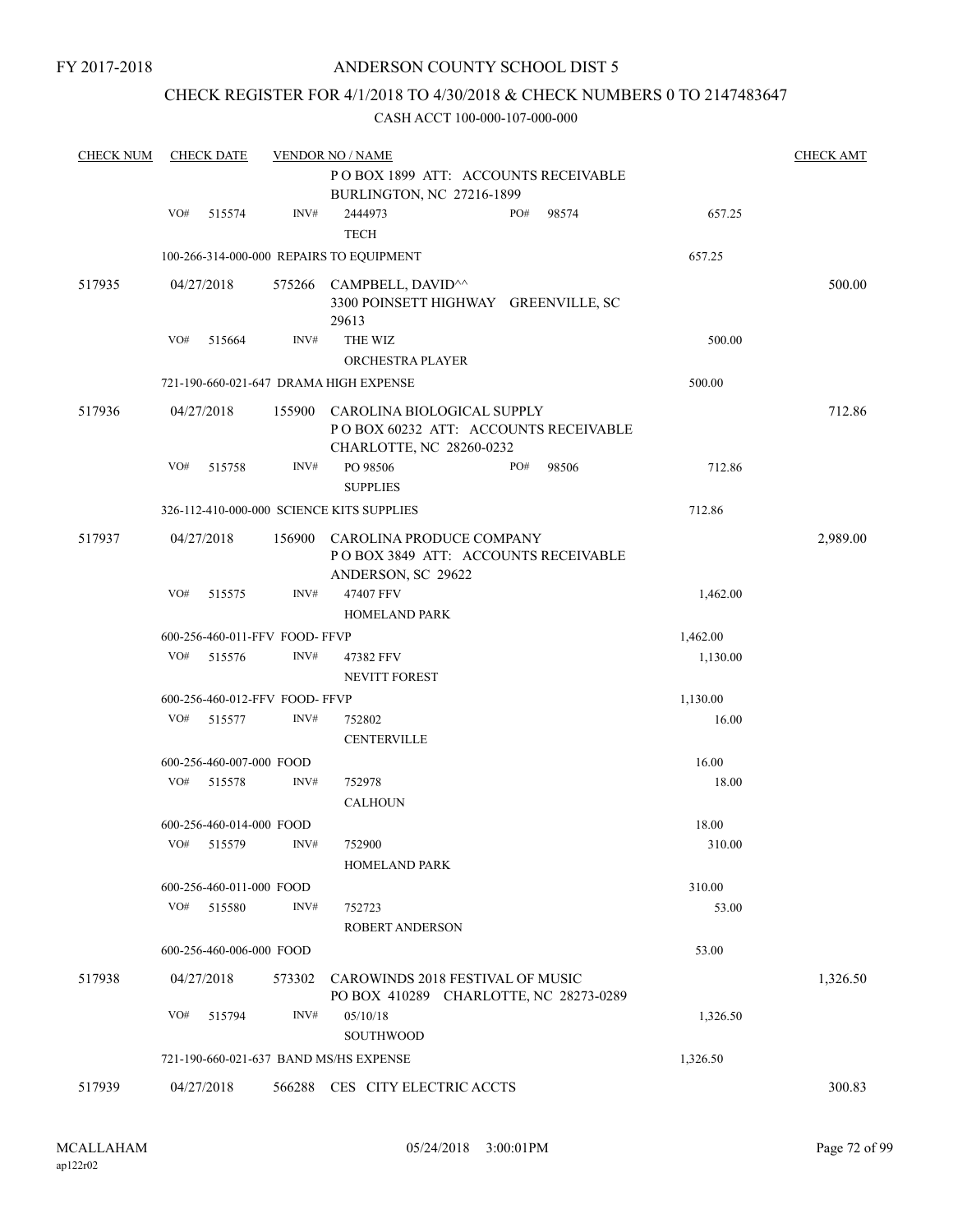### CHECK REGISTER FOR 4/1/2018 TO 4/30/2018 & CHECK NUMBERS 0 TO 2147483647

| <b>CHECK NUM</b> |     | <b>CHECK DATE</b>        |                                | <b>VENDOR NO / NAME</b>                                                                               |     |       |          | <b>CHECK AMT</b> |
|------------------|-----|--------------------------|--------------------------------|-------------------------------------------------------------------------------------------------------|-----|-------|----------|------------------|
|                  |     |                          |                                | POBOX 1899 ATT: ACCOUNTS RECEIVABLE<br>BURLINGTON, NC 27216-1899                                      |     |       |          |                  |
|                  | VO# | 515574                   | INV#                           | 2444973<br><b>TECH</b>                                                                                | PO# | 98574 | 657.25   |                  |
|                  |     |                          |                                | 100-266-314-000-000 REPAIRS TO EQUIPMENT                                                              |     |       | 657.25   |                  |
| 517935           |     | 04/27/2018               |                                | 575266 CAMPBELL, DAVID <sup>^^</sup><br>3300 POINSETT HIGHWAY GREENVILLE, SC<br>29613                 |     |       |          | 500.00           |
|                  | VO# | 515664                   | INV#                           | THE WIZ                                                                                               |     |       | 500.00   |                  |
|                  |     |                          |                                | ORCHESTRA PLAYER                                                                                      |     |       |          |                  |
|                  |     |                          |                                | 721-190-660-021-647 DRAMA HIGH EXPENSE                                                                |     |       | 500.00   |                  |
| 517936           |     | 04/27/2018               |                                | 155900 CAROLINA BIOLOGICAL SUPPLY<br>POBOX 60232 ATT: ACCOUNTS RECEIVABLE<br>CHARLOTTE, NC 28260-0232 |     |       |          | 712.86           |
|                  | VO# | 515758                   | INV#                           | PO 98506<br><b>SUPPLIES</b>                                                                           | PO# | 98506 | 712.86   |                  |
|                  |     |                          |                                | 326-112-410-000-000 SCIENCE KITS SUPPLIES                                                             |     |       | 712.86   |                  |
| 517937           |     | 04/27/2018               | 156900                         | CAROLINA PRODUCE COMPANY<br>POBOX 3849 ATT: ACCOUNTS RECEIVABLE<br>ANDERSON, SC 29622                 |     |       |          | 2,989.00         |
|                  | VO# | 515575                   | INV#                           | 47407 FFV<br><b>HOMELAND PARK</b>                                                                     |     |       | 1,462.00 |                  |
|                  |     |                          | 600-256-460-011-FFV FOOD- FFVP |                                                                                                       |     |       | 1,462.00 |                  |
|                  | VO# | 515576                   | INV#                           | 47382 FFV                                                                                             |     |       | 1,130.00 |                  |
|                  |     |                          |                                | <b>NEVITT FOREST</b>                                                                                  |     |       |          |                  |
|                  |     |                          | 600-256-460-012-FFV FOOD- FFVP |                                                                                                       |     |       | 1,130.00 |                  |
|                  | VO# | 515577                   | INV#                           | 752802<br><b>CENTERVILLE</b>                                                                          |     |       | 16.00    |                  |
|                  |     | 600-256-460-007-000 FOOD |                                |                                                                                                       |     |       | 16.00    |                  |
|                  | VO# | 515578                   | INV#                           | 752978                                                                                                |     |       | 18.00    |                  |
|                  |     |                          |                                | <b>CALHOUN</b>                                                                                        |     |       |          |                  |
|                  |     | 600-256-460-014-000 FOOD |                                |                                                                                                       |     |       | 18.00    |                  |
|                  |     | VO# 515579 INV#          |                                | 752900<br><b>HOMELAND PARK</b>                                                                        |     |       | 310.00   |                  |
|                  |     | 600-256-460-011-000 FOOD |                                |                                                                                                       |     |       | 310.00   |                  |
|                  | VO# | 515580                   | INV#                           | 752723<br><b>ROBERT ANDERSON</b>                                                                      |     |       | 53.00    |                  |
|                  |     | 600-256-460-006-000 FOOD |                                |                                                                                                       |     |       | 53.00    |                  |
| 517938           |     | 04/27/2018               | 573302                         | CAROWINDS 2018 FESTIVAL OF MUSIC<br>PO BOX 410289 CHARLOTTE, NC 28273-0289                            |     |       |          | 1,326.50         |
|                  | VO# | 515794                   | INV#                           | 05/10/18<br><b>SOUTHWOOD</b>                                                                          |     |       | 1,326.50 |                  |
|                  |     |                          |                                | 721-190-660-021-637 BAND MS/HS EXPENSE                                                                |     |       | 1,326.50 |                  |
| 517939           |     | 04/27/2018               |                                | 566288 CES CITY ELECTRIC ACCTS                                                                        |     |       |          | 300.83           |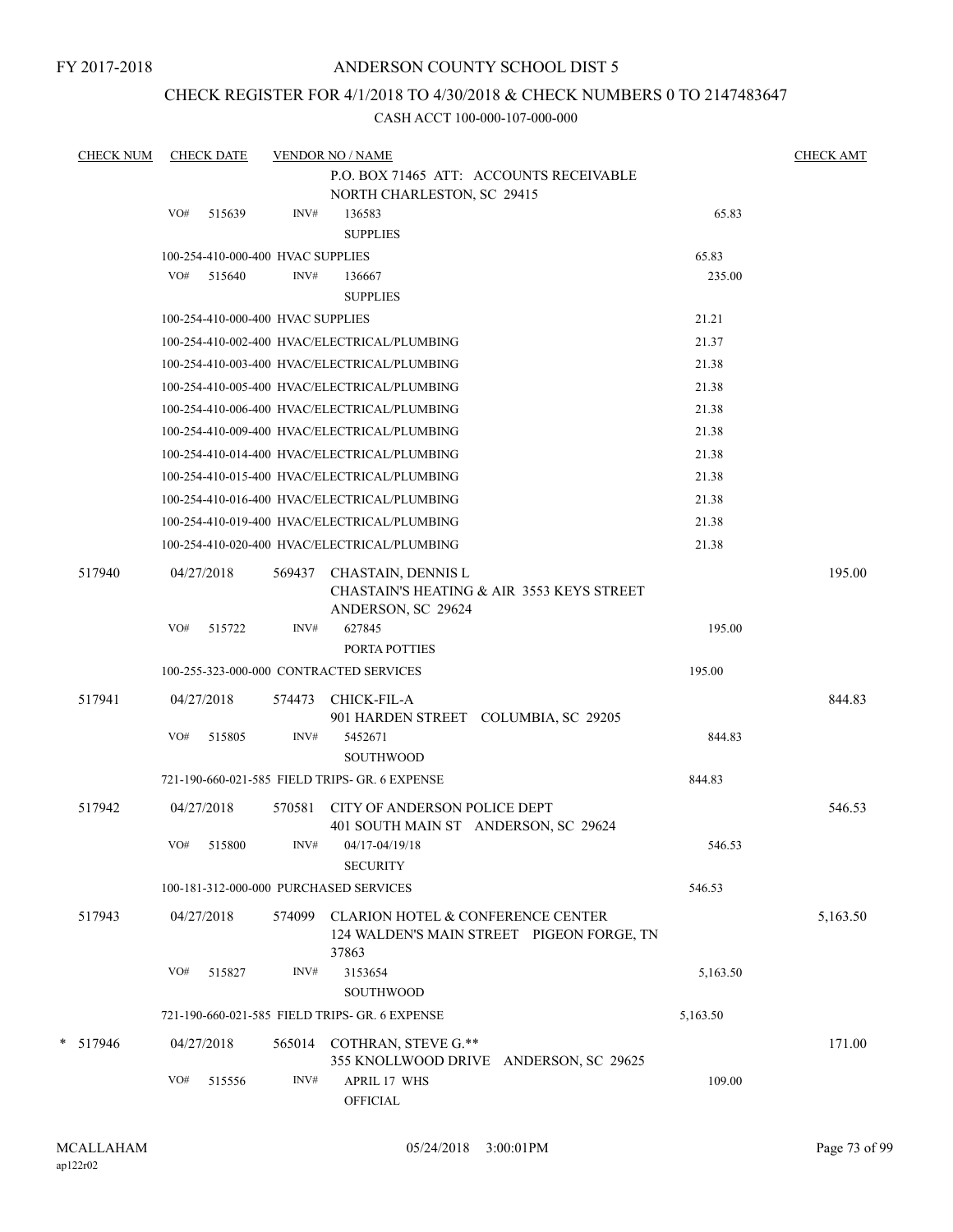FY 2017-2018

# ANDERSON COUNTY SCHOOL DIST 5

# CHECK REGISTER FOR 4/1/2018 TO 4/30/2018 & CHECK NUMBERS 0 TO 2147483647

| <b>CHECK NUM</b> |     | <b>CHECK DATE</b>                 |        | <b>VENDOR NO / NAME</b>                                                                        |          | <b>CHECK AMT</b> |
|------------------|-----|-----------------------------------|--------|------------------------------------------------------------------------------------------------|----------|------------------|
|                  |     |                                   |        | P.O. BOX 71465 ATT: ACCOUNTS RECEIVABLE                                                        |          |                  |
|                  |     |                                   |        | NORTH CHARLESTON, SC 29415                                                                     |          |                  |
|                  | VO# | 515639                            | INV#   | 136583<br><b>SUPPLIES</b>                                                                      | 65.83    |                  |
|                  |     | 100-254-410-000-400 HVAC SUPPLIES |        |                                                                                                | 65.83    |                  |
|                  | VO# | 515640                            | INV#   | 136667                                                                                         | 235.00   |                  |
|                  |     |                                   |        | <b>SUPPLIES</b>                                                                                |          |                  |
|                  |     | 100-254-410-000-400 HVAC SUPPLIES |        |                                                                                                | 21.21    |                  |
|                  |     |                                   |        | 100-254-410-002-400 HVAC/ELECTRICAL/PLUMBING                                                   | 21.37    |                  |
|                  |     |                                   |        | 100-254-410-003-400 HVAC/ELECTRICAL/PLUMBING                                                   | 21.38    |                  |
|                  |     |                                   |        | 100-254-410-005-400 HVAC/ELECTRICAL/PLUMBING                                                   | 21.38    |                  |
|                  |     |                                   |        | 100-254-410-006-400 HVAC/ELECTRICAL/PLUMBING                                                   | 21.38    |                  |
|                  |     |                                   |        | 100-254-410-009-400 HVAC/ELECTRICAL/PLUMBING                                                   | 21.38    |                  |
|                  |     |                                   |        | 100-254-410-014-400 HVAC/ELECTRICAL/PLUMBING                                                   | 21.38    |                  |
|                  |     |                                   |        | 100-254-410-015-400 HVAC/ELECTRICAL/PLUMBING                                                   | 21.38    |                  |
|                  |     |                                   |        | 100-254-410-016-400 HVAC/ELECTRICAL/PLUMBING                                                   | 21.38    |                  |
|                  |     |                                   |        | 100-254-410-019-400 HVAC/ELECTRICAL/PLUMBING                                                   | 21.38    |                  |
|                  |     |                                   |        | 100-254-410-020-400 HVAC/ELECTRICAL/PLUMBING                                                   | 21.38    |                  |
| 517940           |     | 04/27/2018                        | 569437 | CHASTAIN, DENNIS L<br>CHASTAIN'S HEATING & AIR 3553 KEYS STREET<br>ANDERSON, SC 29624          |          | 195.00           |
|                  |     | VO# 515722                        | INV#   | 627845                                                                                         | 195.00   |                  |
|                  |     |                                   |        | PORTA POTTIES                                                                                  |          |                  |
|                  |     |                                   |        | 100-255-323-000-000 CONTRACTED SERVICES                                                        | 195.00   |                  |
| 517941           |     | 04/27/2018                        | 574473 | CHICK-FIL-A<br>901 HARDEN STREET COLUMBIA, SC 29205                                            |          | 844.83           |
|                  | VO# | 515805                            | INV#   | 5452671<br><b>SOUTHWOOD</b>                                                                    | 844.83   |                  |
|                  |     |                                   |        | 721-190-660-021-585 FIELD TRIPS- GR. 6 EXPENSE                                                 | 844.83   |                  |
| 517942           |     | 04/27/2018                        | 570581 | CITY OF ANDERSON POLICE DEPT<br>401 SOUTH MAIN ST ANDERSON, SC 29624                           |          | 546.53           |
|                  |     | VO# 515800                        |        | $INV#$ 04/17-04/19/18<br><b>SECURITY</b>                                                       | 546.53   |                  |
|                  |     |                                   |        | 100-181-312-000-000 PURCHASED SERVICES                                                         | 546.53   |                  |
| 517943           |     | 04/27/2018                        |        | 574099 CLARION HOTEL & CONFERENCE CENTER<br>124 WALDEN'S MAIN STREET PIGEON FORGE, TN<br>37863 |          | 5,163.50         |
|                  | VO# | 515827                            | INV#   | 3153654<br>SOUTHWOOD                                                                           | 5,163.50 |                  |
|                  |     |                                   |        | 721-190-660-021-585 FIELD TRIPS- GR. 6 EXPENSE                                                 | 5,163.50 |                  |
| * 517946         |     | 04/27/2018                        |        | 565014 COTHRAN, STEVE G.**<br>355 KNOLLWOOD DRIVE ANDERSON, SC 29625                           |          | 171.00           |
|                  | VO# | 515556                            | INV#   | APRIL 17 WHS<br><b>OFFICIAL</b>                                                                | 109.00   |                  |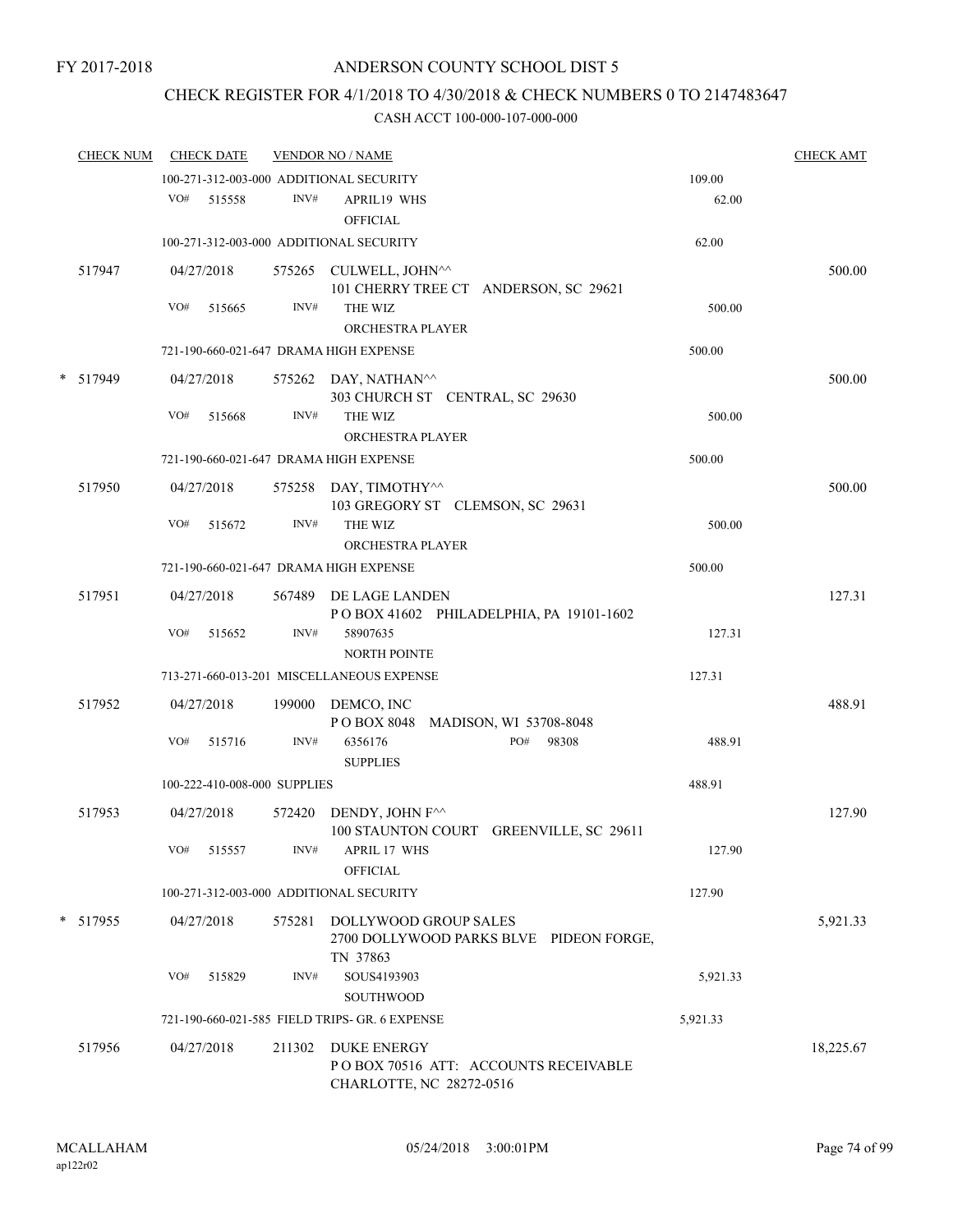# CHECK REGISTER FOR 4/1/2018 TO 4/30/2018 & CHECK NUMBERS 0 TO 2147483647

| <b>CHECK NUM</b> |     | <b>CHECK DATE</b>            |        | <b>VENDOR NO / NAME</b>                                                                |                 | <b>CHECK AMT</b> |
|------------------|-----|------------------------------|--------|----------------------------------------------------------------------------------------|-----------------|------------------|
|                  | VO# | 515558                       | INV#   | 100-271-312-003-000 ADDITIONAL SECURITY<br><b>APRIL19 WHS</b>                          | 109.00<br>62.00 |                  |
|                  |     |                              |        | <b>OFFICIAL</b><br>100-271-312-003-000 ADDITIONAL SECURITY                             | 62.00           |                  |
| 517947           |     | 04/27/2018                   |        | 575265 CULWELL, JOHN^^                                                                 |                 | 500.00           |
|                  | VO# | 515665                       | INV#   | 101 CHERRY TREE CT ANDERSON, SC 29621<br>THE WIZ<br><b>ORCHESTRA PLAYER</b>            | 500.00          |                  |
|                  |     |                              |        | 721-190-660-021-647 DRAMA HIGH EXPENSE                                                 | 500.00          |                  |
| * 517949         |     | 04/27/2018                   |        | 575262 DAY, NATHAN <sup>^^</sup><br>303 CHURCH ST CENTRAL, SC 29630                    |                 | 500.00           |
|                  | VO# | 515668                       | INV#   | THE WIZ<br>ORCHESTRA PLAYER                                                            | 500.00          |                  |
|                  |     |                              |        | 721-190-660-021-647 DRAMA HIGH EXPENSE                                                 | 500.00          |                  |
| 517950           |     | 04/27/2018                   |        | 575258 DAY, TIMOTHY^^<br>103 GREGORY ST CLEMSON, SC 29631                              |                 | 500.00           |
|                  | VO# | 515672                       | INV#   | THE WIZ<br><b>ORCHESTRA PLAYER</b>                                                     | 500.00          |                  |
|                  |     |                              |        | 721-190-660-021-647 DRAMA HIGH EXPENSE                                                 | 500.00          |                  |
| 517951           |     | 04/27/2018                   | 567489 | DE LAGE LANDEN<br>POBOX 41602 PHILADELPHIA, PA 19101-1602                              |                 | 127.31           |
|                  | VO# | 515652                       | INV#   | 58907635<br><b>NORTH POINTE</b>                                                        | 127.31          |                  |
|                  |     |                              |        | 713-271-660-013-201 MISCELLANEOUS EXPENSE                                              | 127.31          |                  |
| 517952           |     | 04/27/2018                   | 199000 | DEMCO, INC<br>POBOX 8048 MADISON, WI 53708-8048                                        |                 | 488.91           |
|                  | VO# | 515716                       | INV#   | PO#<br>98308<br>6356176<br><b>SUPPLIES</b>                                             | 488.91          |                  |
|                  |     | 100-222-410-008-000 SUPPLIES |        |                                                                                        | 488.91          |                  |
| 517953           |     | 04/27/2018                   | 572420 | DENDY, JOHN F <sup>^^</sup><br>100 STAUNTON COURT GREENVILLE, SC 29611                 |                 | 127.90           |
|                  | VO# | 515557                       | INV#   | <b>APRIL 17 WHS</b><br><b>OFFICIAL</b>                                                 | 127.90          |                  |
|                  |     |                              |        | 100-271-312-003-000 ADDITIONAL SECURITY                                                | 127.90          |                  |
| * 517955         |     | 04/27/2018                   | 575281 | DOLLYWOOD GROUP SALES<br>2700 DOLLYWOOD PARKS BLVE PIDEON FORGE,<br>TN 37863           |                 | 5,921.33         |
|                  | VO# | 515829                       | INV#   | SOUS4193903<br>SOUTHWOOD                                                               | 5,921.33        |                  |
|                  |     |                              |        | 721-190-660-021-585 FIELD TRIPS- GR. 6 EXPENSE                                         | 5,921.33        |                  |
| 517956           |     | 04/27/2018                   | 211302 | <b>DUKE ENERGY</b><br>POBOX 70516 ATT: ACCOUNTS RECEIVABLE<br>CHARLOTTE, NC 28272-0516 |                 | 18,225.67        |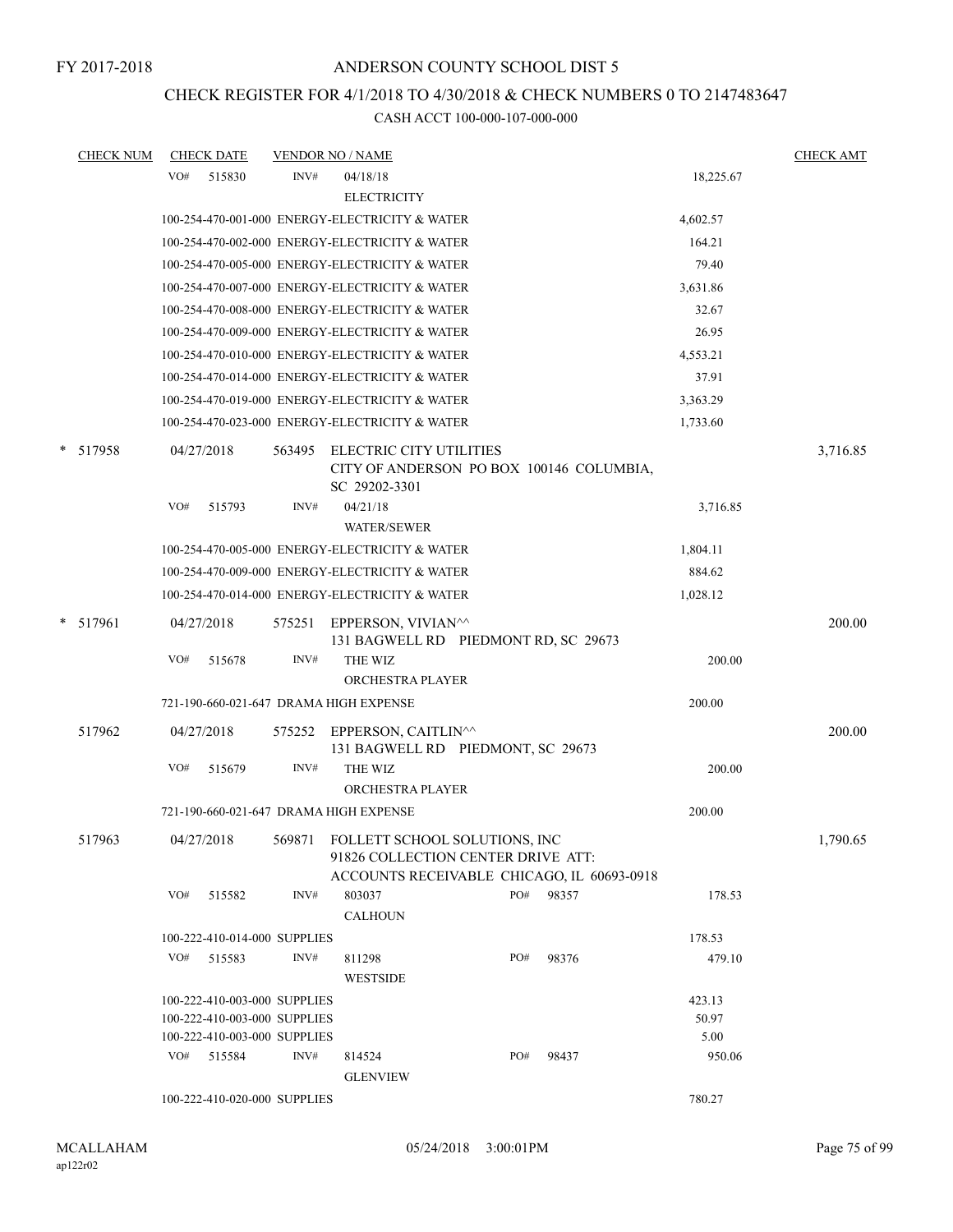# CHECK REGISTER FOR 4/1/2018 TO 4/30/2018 & CHECK NUMBERS 0 TO 2147483647

| <b>CHECK NUM</b> |     | <b>CHECK DATE</b>            |        | <b>VENDOR NO / NAME</b>                                                                                                  |  |     |           |           | <b>CHECK AMT</b> |
|------------------|-----|------------------------------|--------|--------------------------------------------------------------------------------------------------------------------------|--|-----|-----------|-----------|------------------|
|                  | VO# | 515830                       | INV#   | 04/18/18<br><b>ELECTRICITY</b>                                                                                           |  |     |           | 18,225.67 |                  |
|                  |     |                              |        | 100-254-470-001-000 ENERGY-ELECTRICITY & WATER                                                                           |  |     |           | 4,602.57  |                  |
|                  |     |                              |        | 100-254-470-002-000 ENERGY-ELECTRICITY & WATER                                                                           |  |     |           | 164.21    |                  |
|                  |     |                              |        | 100-254-470-005-000 ENERGY-ELECTRICITY & WATER                                                                           |  |     |           | 79.40     |                  |
|                  |     |                              |        |                                                                                                                          |  |     |           |           |                  |
|                  |     |                              |        | 100-254-470-007-000 ENERGY-ELECTRICITY & WATER                                                                           |  |     |           | 3,631.86  |                  |
|                  |     |                              |        | 100-254-470-008-000 ENERGY-ELECTRICITY & WATER                                                                           |  |     |           | 32.67     |                  |
|                  |     |                              |        | 100-254-470-009-000 ENERGY-ELECTRICITY & WATER                                                                           |  |     |           | 26.95     |                  |
|                  |     |                              |        | 100-254-470-010-000 ENERGY-ELECTRICITY & WATER                                                                           |  |     |           | 4,553.21  |                  |
|                  |     |                              |        | 100-254-470-014-000 ENERGY-ELECTRICITY & WATER                                                                           |  |     |           | 37.91     |                  |
|                  |     |                              |        | 100-254-470-019-000 ENERGY-ELECTRICITY & WATER                                                                           |  |     |           | 3,363.29  |                  |
|                  |     |                              |        | 100-254-470-023-000 ENERGY-ELECTRICITY & WATER                                                                           |  |     |           | 1,733.60  |                  |
| * 517958         |     | 04/27/2018                   | 563495 | ELECTRIC CITY UTILITIES<br>CITY OF ANDERSON PO BOX 100146 COLUMBIA,<br>SC 29202-3301                                     |  |     |           |           | 3,716.85         |
|                  | VO# | 515793                       | INV#   | 04/21/18<br><b>WATER/SEWER</b>                                                                                           |  |     |           | 3,716.85  |                  |
|                  |     |                              |        | 100-254-470-005-000 ENERGY-ELECTRICITY & WATER                                                                           |  |     |           | 1,804.11  |                  |
|                  |     |                              |        | 100-254-470-009-000 ENERGY-ELECTRICITY & WATER                                                                           |  |     |           | 884.62    |                  |
|                  |     |                              |        | 100-254-470-014-000 ENERGY-ELECTRICITY & WATER                                                                           |  |     |           | 1,028.12  |                  |
|                  |     |                              |        |                                                                                                                          |  |     |           |           |                  |
| * 517961         |     | 04/27/2018                   | 575251 | EPPERSON, VIVIAN^^<br>131 BAGWELL RD PIEDMONT RD, SC 29673                                                               |  |     |           |           | 200.00           |
|                  | VO# | 515678                       | INV#   | THE WIZ<br>ORCHESTRA PLAYER                                                                                              |  |     |           | 200.00    |                  |
|                  |     |                              |        | 721-190-660-021-647 DRAMA HIGH EXPENSE                                                                                   |  |     |           | 200.00    |                  |
| 517962           |     | 04/27/2018                   | 575252 | EPPERSON, CAITLIN^^<br>131 BAGWELL RD PIEDMONT, SC 29673                                                                 |  |     |           |           | 200.00           |
|                  | VO# | 515679                       | INV#   | THE WIZ<br>ORCHESTRA PLAYER                                                                                              |  |     |           | 200.00    |                  |
|                  |     |                              |        | 721-190-660-021-647 DRAMA HIGH EXPENSE                                                                                   |  |     |           | 200.00    |                  |
| 517963           |     | 04/27/2018                   |        | 569871 FOLLETT SCHOOL SOLUTIONS, INC<br>91826 COLLECTION CENTER DRIVE ATT:<br>ACCOUNTS RECEIVABLE CHICAGO, IL 60693-0918 |  |     |           |           | 1,790.65         |
|                  |     | VO# 515582                   | INV#   | 803037<br><b>CALHOUN</b>                                                                                                 |  |     | PO# 98357 | 178.53    |                  |
|                  |     | 100-222-410-014-000 SUPPLIES |        |                                                                                                                          |  |     |           | 178.53    |                  |
|                  |     | VO# 515583                   | INV#   | 811298<br><b>WESTSIDE</b>                                                                                                |  | PO# | 98376     | 479.10    |                  |
|                  |     | 100-222-410-003-000 SUPPLIES |        |                                                                                                                          |  |     |           | 423.13    |                  |
|                  |     | 100-222-410-003-000 SUPPLIES |        |                                                                                                                          |  |     |           | 50.97     |                  |
|                  |     | 100-222-410-003-000 SUPPLIES |        |                                                                                                                          |  |     |           | 5.00      |                  |
|                  |     | VO# 515584                   | INV#   | 814524<br><b>GLENVIEW</b>                                                                                                |  | PO# | 98437     | 950.06    |                  |
|                  |     | 100-222-410-020-000 SUPPLIES |        |                                                                                                                          |  |     |           | 780.27    |                  |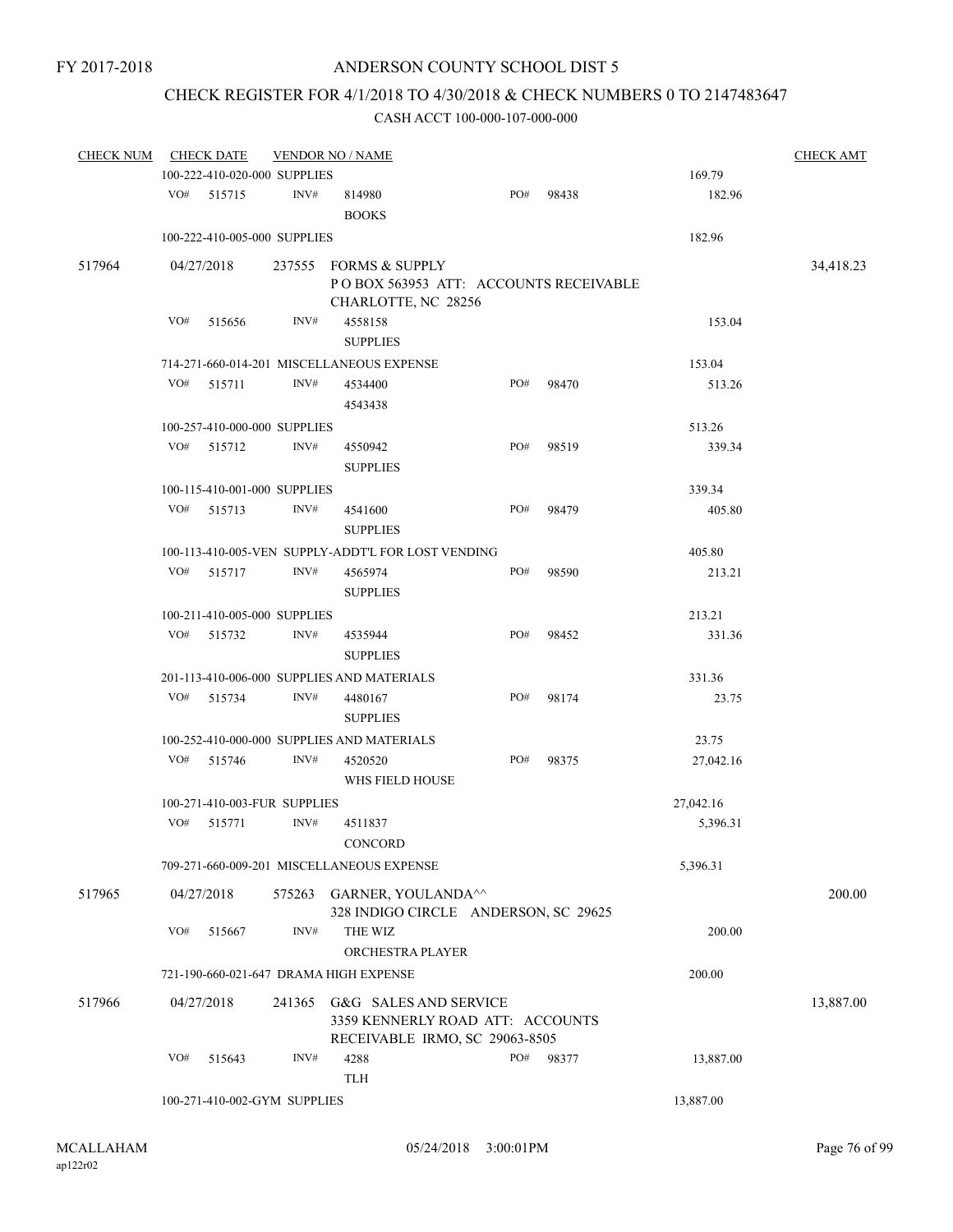# CHECK REGISTER FOR 4/1/2018 TO 4/30/2018 & CHECK NUMBERS 0 TO 2147483647

| <b>CHECK NUM</b> |     | <b>CHECK DATE</b>                          |                | <b>VENDOR NO / NAME</b>                                                                     |     |       |           | <b>CHECK AMT</b> |
|------------------|-----|--------------------------------------------|----------------|---------------------------------------------------------------------------------------------|-----|-------|-----------|------------------|
|                  |     | 100-222-410-020-000 SUPPLIES               |                |                                                                                             |     |       | 169.79    |                  |
|                  | VO# | 515715                                     | INV#           | 814980<br><b>BOOKS</b>                                                                      | PO# | 98438 | 182.96    |                  |
|                  |     | 100-222-410-005-000 SUPPLIES               |                |                                                                                             |     |       | 182.96    |                  |
| 517964           |     | 04/27/2018                                 | 237555         | FORMS & SUPPLY                                                                              |     |       |           | 34,418.23        |
|                  |     |                                            |                | POBOX 563953 ATT: ACCOUNTS RECEIVABLE<br>CHARLOTTE, NC 28256                                |     |       |           |                  |
|                  | VO# | 515656                                     | INV#           | 4558158<br><b>SUPPLIES</b>                                                                  |     |       | 153.04    |                  |
|                  |     |                                            |                | 714-271-660-014-201 MISCELLANEOUS EXPENSE                                                   |     |       | 153.04    |                  |
|                  | VO# | 515711                                     | INV#           | 4534400<br>4543438                                                                          | PO# | 98470 | 513.26    |                  |
|                  |     | 100-257-410-000-000 SUPPLIES               |                |                                                                                             |     |       | 513.26    |                  |
|                  | VO# | 515712                                     | INV#           | 4550942<br><b>SUPPLIES</b>                                                                  | PO# | 98519 | 339.34    |                  |
|                  |     | 100-115-410-001-000 SUPPLIES               |                |                                                                                             |     |       | 339.34    |                  |
|                  | VO# | 515713                                     | INV#           | 4541600<br><b>SUPPLIES</b>                                                                  | PO# | 98479 | 405.80    |                  |
|                  |     |                                            |                | 100-113-410-005-VEN SUPPLY-ADDT'L FOR LOST VENDING                                          |     |       | 405.80    |                  |
|                  | VO# | 515717                                     | INV#           | 4565974<br><b>SUPPLIES</b>                                                                  | PO# | 98590 | 213.21    |                  |
|                  |     | 100-211-410-005-000 SUPPLIES               |                |                                                                                             |     |       | 213.21    |                  |
|                  | VO# | 515732                                     | INV#           | 4535944<br><b>SUPPLIES</b>                                                                  | PO# | 98452 | 331.36    |                  |
|                  |     |                                            |                | 201-113-410-006-000 SUPPLIES AND MATERIALS                                                  |     |       | 331.36    |                  |
|                  | VO# | 515734                                     | INV#           | 4480167<br><b>SUPPLIES</b>                                                                  | PO# | 98174 | 23.75     |                  |
|                  |     | 100-252-410-000-000 SUPPLIES AND MATERIALS | 23.75          |                                                                                             |     |       |           |                  |
|                  | VO# | 515746                                     | $\text{INV}\#$ | 4520520<br>WHS FIELD HOUSE                                                                  | PO# | 98375 | 27,042.16 |                  |
|                  |     | 100-271-410-003-FUR SUPPLIES               |                |                                                                                             |     |       | 27,042.16 |                  |
|                  | VO# | 515771                                     | INV#           | 4511837<br>CONCORD                                                                          |     |       | 5,396.31  |                  |
|                  |     |                                            |                | 709-271-660-009-201 MISCELLANEOUS EXPENSE                                                   |     |       | 5,396.31  |                  |
| 517965           |     | 04/27/2018                                 |                | 575263 GARNER, YOULANDA <sup>^^</sup><br>328 INDIGO CIRCLE ANDERSON, SC 29625               |     |       |           | 200.00           |
|                  | VO# | 515667                                     | INV#           | THE WIZ<br>ORCHESTRA PLAYER                                                                 |     |       | 200.00    |                  |
|                  |     |                                            |                | 721-190-660-021-647 DRAMA HIGH EXPENSE                                                      |     |       | 200.00    |                  |
| 517966           |     | 04/27/2018                                 | 241365         | G&G SALES AND SERVICE<br>3359 KENNERLY ROAD ATT: ACCOUNTS<br>RECEIVABLE IRMO, SC 29063-8505 |     |       |           | 13,887.00        |
|                  | VO# | 515643                                     | INV#           | 4288<br><b>TLH</b>                                                                          | PO# | 98377 | 13,887.00 |                  |
|                  |     | 100-271-410-002-GYM SUPPLIES               |                |                                                                                             |     |       | 13,887.00 |                  |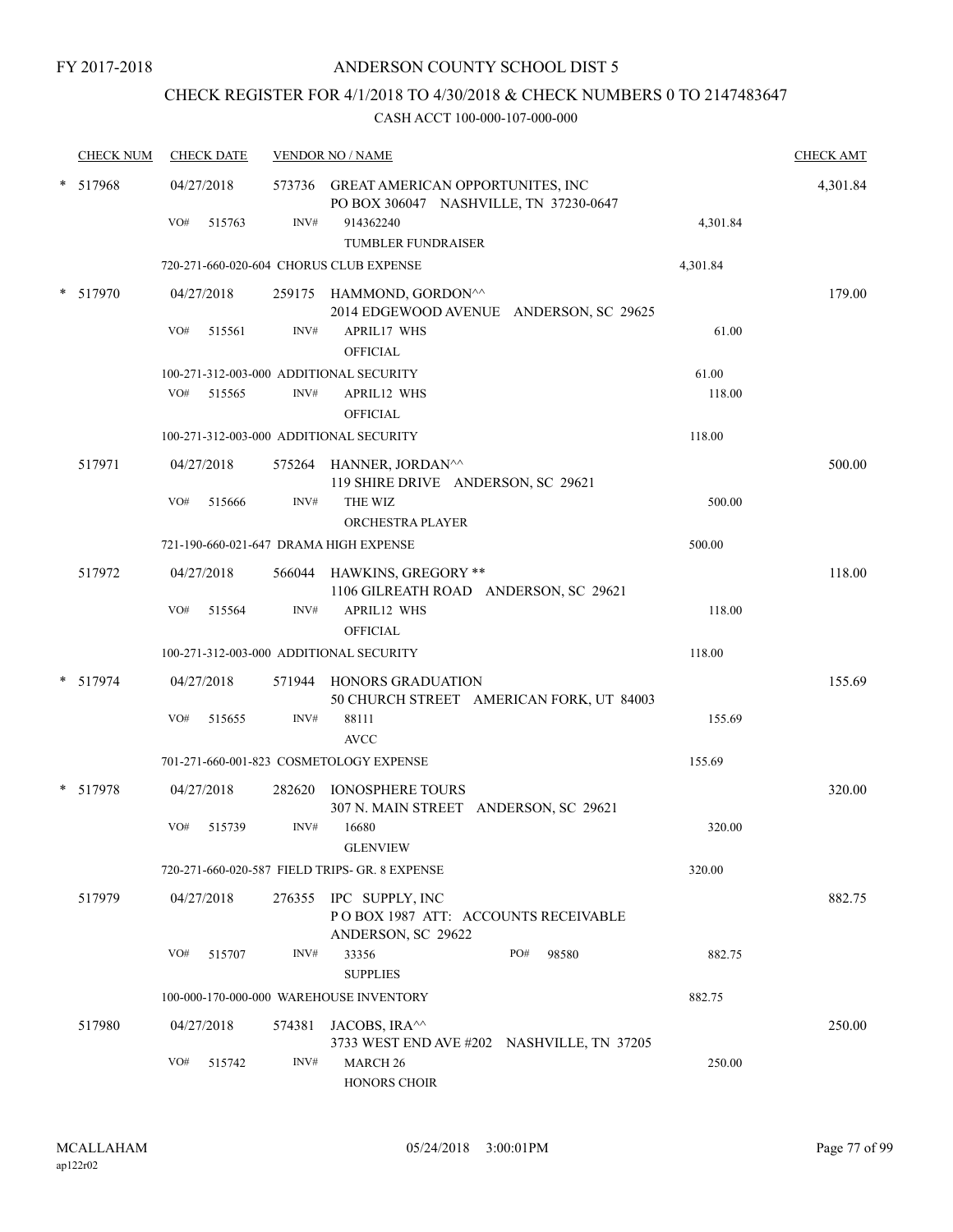# CHECK REGISTER FOR 4/1/2018 TO 4/30/2018 & CHECK NUMBERS 0 TO 2147483647

|   | <b>CHECK NUM</b> |     | <b>CHECK DATE</b> |                  | <b>VENDOR NO / NAME</b>                                                             |          | <b>CHECK AMT</b> |
|---|------------------|-----|-------------------|------------------|-------------------------------------------------------------------------------------|----------|------------------|
|   | 517968           |     | 04/27/2018        |                  | 573736 GREAT AMERICAN OPPORTUNITES, INC<br>PO BOX 306047 NASHVILLE, TN 37230-0647   |          | 4,301.84         |
|   |                  | VO# | 515763            | INV#             | 914362240<br><b>TUMBLER FUNDRAISER</b>                                              | 4,301.84 |                  |
|   |                  |     |                   |                  | 720-271-660-020-604 CHORUS CLUB EXPENSE                                             | 4,301.84 |                  |
|   | 517970           |     | 04/27/2018        |                  | 259175 HAMMOND, GORDON <sup>^^</sup><br>2014 EDGEWOOD AVENUE ANDERSON, SC 29625     |          | 179.00           |
|   |                  | VO# | 515561            | INV#             | <b>APRIL17 WHS</b><br><b>OFFICIAL</b>                                               | 61.00    |                  |
|   |                  |     |                   |                  | 100-271-312-003-000 ADDITIONAL SECURITY                                             | 61.00    |                  |
|   |                  | VO# | 515565            | INV#             | APRIL12 WHS<br><b>OFFICIAL</b>                                                      | 118.00   |                  |
|   |                  |     |                   |                  | 100-271-312-003-000 ADDITIONAL SECURITY                                             | 118.00   |                  |
|   | 517971           |     | 04/27/2018        |                  | 575264 HANNER, JORDAN^^<br>119 SHIRE DRIVE ANDERSON, SC 29621                       |          | 500.00           |
|   |                  | VO# | 515666            | $\mathrm{INV}\#$ | THE WIZ<br>ORCHESTRA PLAYER                                                         | 500.00   |                  |
|   |                  |     |                   |                  | 721-190-660-021-647 DRAMA HIGH EXPENSE                                              | 500.00   |                  |
|   | 517972           |     | 04/27/2018        |                  | 566044 HAWKINS, GREGORY **<br>1106 GILREATH ROAD ANDERSON, SC 29621                 |          | 118.00           |
|   |                  | VO# | 515564            | INV#             | APRIL12 WHS<br><b>OFFICIAL</b>                                                      | 118.00   |                  |
|   |                  |     |                   |                  | 100-271-312-003-000 ADDITIONAL SECURITY                                             | 118.00   |                  |
|   | * 517974         |     | 04/27/2018        |                  | 571944 HONORS GRADUATION<br>50 CHURCH STREET AMERICAN FORK, UT 84003                |          | 155.69           |
|   |                  | VO# | 515655            | INV#             | 88111                                                                               | 155.69   |                  |
|   |                  |     |                   |                  | <b>AVCC</b>                                                                         |          |                  |
|   |                  |     |                   |                  | 701-271-660-001-823 COSMETOLOGY EXPENSE                                             | 155.69   |                  |
| * | 517978           |     | 04/27/2018        |                  | 282620 IONOSPHERE TOURS<br>307 N. MAIN STREET ANDERSON, SC 29621                    |          | 320.00           |
|   |                  | VO# | 515739            | INV#             | 16680<br><b>GLENVIEW</b>                                                            | 320.00   |                  |
|   |                  |     |                   |                  | 720-271-660-020-587 FIELD TRIPS- GR. 8 EXPENSE                                      | 320.00   |                  |
|   | 517979           |     | 04/27/2018        |                  | 276355 IPC SUPPLY, INC<br>POBOX 1987 ATT: ACCOUNTS RECEIVABLE<br>ANDERSON, SC 29622 |          | 882.75           |
|   |                  | VO# | 515707            | INV#             | 33356<br>PO#<br>98580<br><b>SUPPLIES</b>                                            | 882.75   |                  |
|   |                  |     |                   |                  | 100-000-170-000-000 WAREHOUSE INVENTORY                                             | 882.75   |                  |
|   | 517980           |     | 04/27/2018        |                  | 574381 JACOBS, IRA^^                                                                |          | 250.00           |
|   |                  | VO# | 515742            | INV#             | 3733 WEST END AVE #202 NASHVILLE, TN 37205<br><b>MARCH 26</b>                       | 250.00   |                  |
|   |                  |     |                   |                  | <b>HONORS CHOIR</b>                                                                 |          |                  |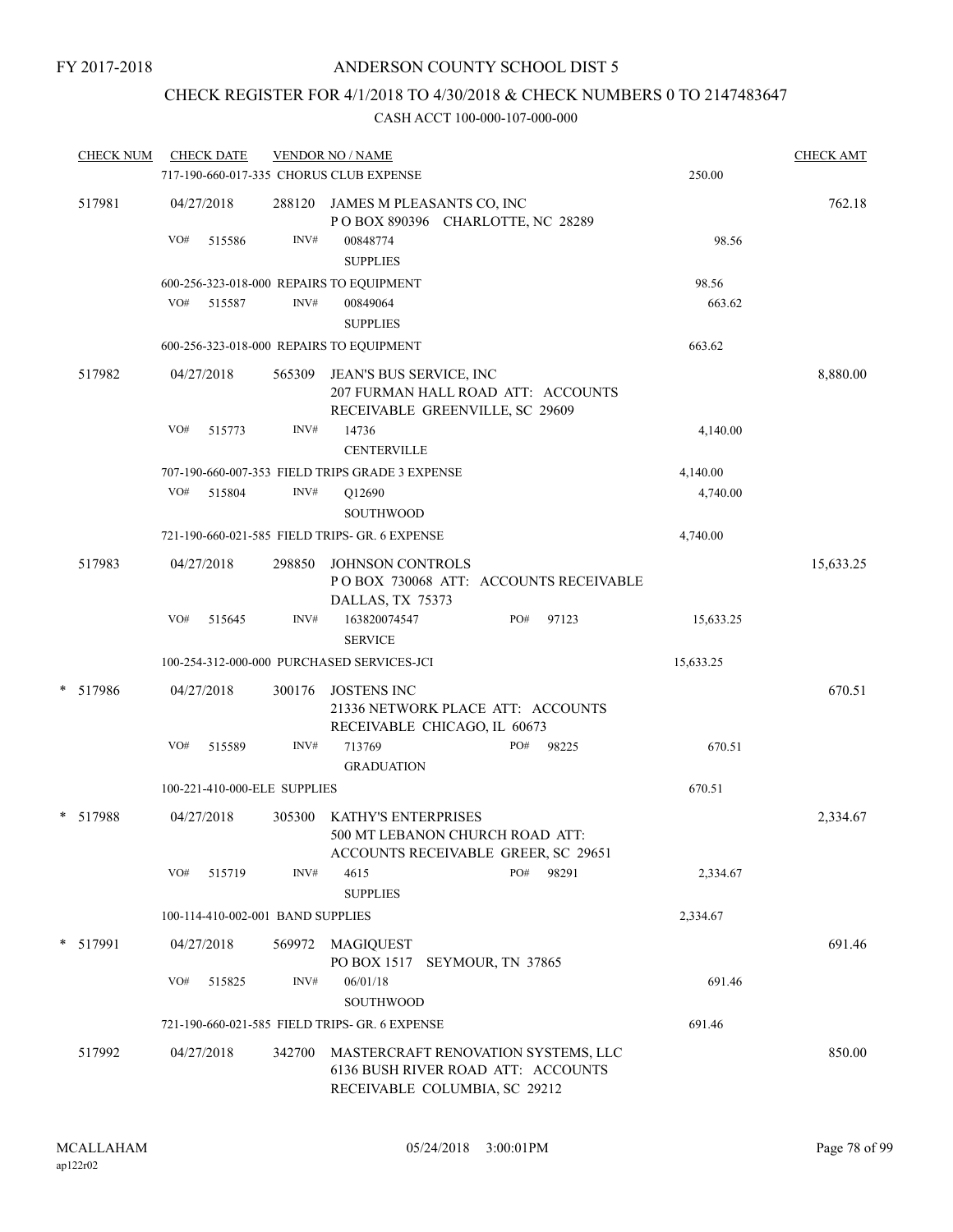# CHECK REGISTER FOR 4/1/2018 TO 4/30/2018 & CHECK NUMBERS 0 TO 2147483647

| <b>CHECK NUM</b> |     | <b>CHECK DATE</b>                 |        | <b>VENDOR NO / NAME</b>                                                                                    |                   |       |           | <b>CHECK AMT</b> |
|------------------|-----|-----------------------------------|--------|------------------------------------------------------------------------------------------------------------|-------------------|-------|-----------|------------------|
|                  |     |                                   |        | 717-190-660-017-335 CHORUS CLUB EXPENSE                                                                    |                   |       | 250.00    |                  |
| 517981           |     | 04/27/2018                        |        | 288120 JAMES M PLEASANTS CO, INC<br>POBOX 890396 CHARLOTTE, NC 28289                                       |                   |       |           | 762.18           |
|                  | VO# | 515586                            | INV#   | 00848774<br><b>SUPPLIES</b>                                                                                |                   |       | 98.56     |                  |
|                  |     |                                   |        | 600-256-323-018-000 REPAIRS TO EQUIPMENT                                                                   |                   |       | 98.56     |                  |
|                  | VO# | 515587                            | INV#   | 00849064<br><b>SUPPLIES</b>                                                                                |                   |       | 663.62    |                  |
|                  |     |                                   |        | 600-256-323-018-000 REPAIRS TO EQUIPMENT                                                                   |                   |       | 663.62    |                  |
| 517982           |     | 04/27/2018                        | 565309 | JEAN'S BUS SERVICE, INC<br>207 FURMAN HALL ROAD ATT: ACCOUNTS<br>RECEIVABLE GREENVILLE, SC 29609           |                   |       |           | 8,880.00         |
|                  | VO# | 515773                            | INV#   | 14736<br><b>CENTERVILLE</b>                                                                                |                   |       | 4,140.00  |                  |
|                  |     |                                   |        | 707-190-660-007-353 FIELD TRIPS GRADE 3 EXPENSE                                                            |                   |       | 4,140.00  |                  |
|                  | VO# | 515804                            | INV#   | Q12690<br><b>SOUTHWOOD</b>                                                                                 |                   |       | 4,740.00  |                  |
|                  |     |                                   |        | 721-190-660-021-585 FIELD TRIPS- GR. 6 EXPENSE                                                             |                   |       | 4,740.00  |                  |
| 517983           |     | 04/27/2018                        | 298850 | JOHNSON CONTROLS<br>POBOX 730068 ATT: ACCOUNTS RECEIVABLE<br>DALLAS, TX 75373                              |                   |       |           | 15,633.25        |
|                  | VO# | 515645                            | INV#   | 163820074547<br><b>SERVICE</b>                                                                             | PO#               | 97123 | 15,633.25 |                  |
|                  |     |                                   |        | 100-254-312-000-000 PURCHASED SERVICES-JCI                                                                 |                   |       | 15,633.25 |                  |
| *<br>517986      |     | 04/27/2018                        | 300176 | <b>JOSTENS INC</b><br>21336 NETWORK PLACE ATT: ACCOUNTS<br>RECEIVABLE CHICAGO, IL 60673                    |                   |       |           | 670.51           |
|                  | VO# | 515589                            | INV#   | 713769<br><b>GRADUATION</b>                                                                                | PO#               | 98225 | 670.51    |                  |
|                  |     | 100-221-410-000-ELE SUPPLIES      |        |                                                                                                            |                   |       | 670.51    |                  |
| * 517988         |     | 04/27/2018                        | 305300 | <b>KATHY'S ENTERPRISES</b><br>500 MT LEBANON CHURCH ROAD ATT:<br>ACCOUNTS RECEIVABLE GREER, SC 29651       |                   |       |           | 2,334.67         |
|                  | VO# | 515719                            | INV#   | 4615<br><b>SUPPLIES</b>                                                                                    | PO#               | 98291 | 2,334.67  |                  |
|                  |     | 100-114-410-002-001 BAND SUPPLIES |        |                                                                                                            |                   |       | 2,334.67  |                  |
| * 517991         |     | 04/27/2018                        | 569972 | MAGIQUEST<br>PO BOX 1517                                                                                   | SEYMOUR, TN 37865 |       |           | 691.46           |
|                  | VO# | 515825                            | INV#   | 06/01/18<br>SOUTHWOOD                                                                                      |                   |       | 691.46    |                  |
|                  |     |                                   |        | 721-190-660-021-585 FIELD TRIPS- GR. 6 EXPENSE                                                             |                   |       | 691.46    |                  |
| 517992           |     | 04/27/2018                        | 342700 | MASTERCRAFT RENOVATION SYSTEMS, LLC<br>6136 BUSH RIVER ROAD ATT: ACCOUNTS<br>RECEIVABLE COLUMBIA, SC 29212 |                   |       |           | 850.00           |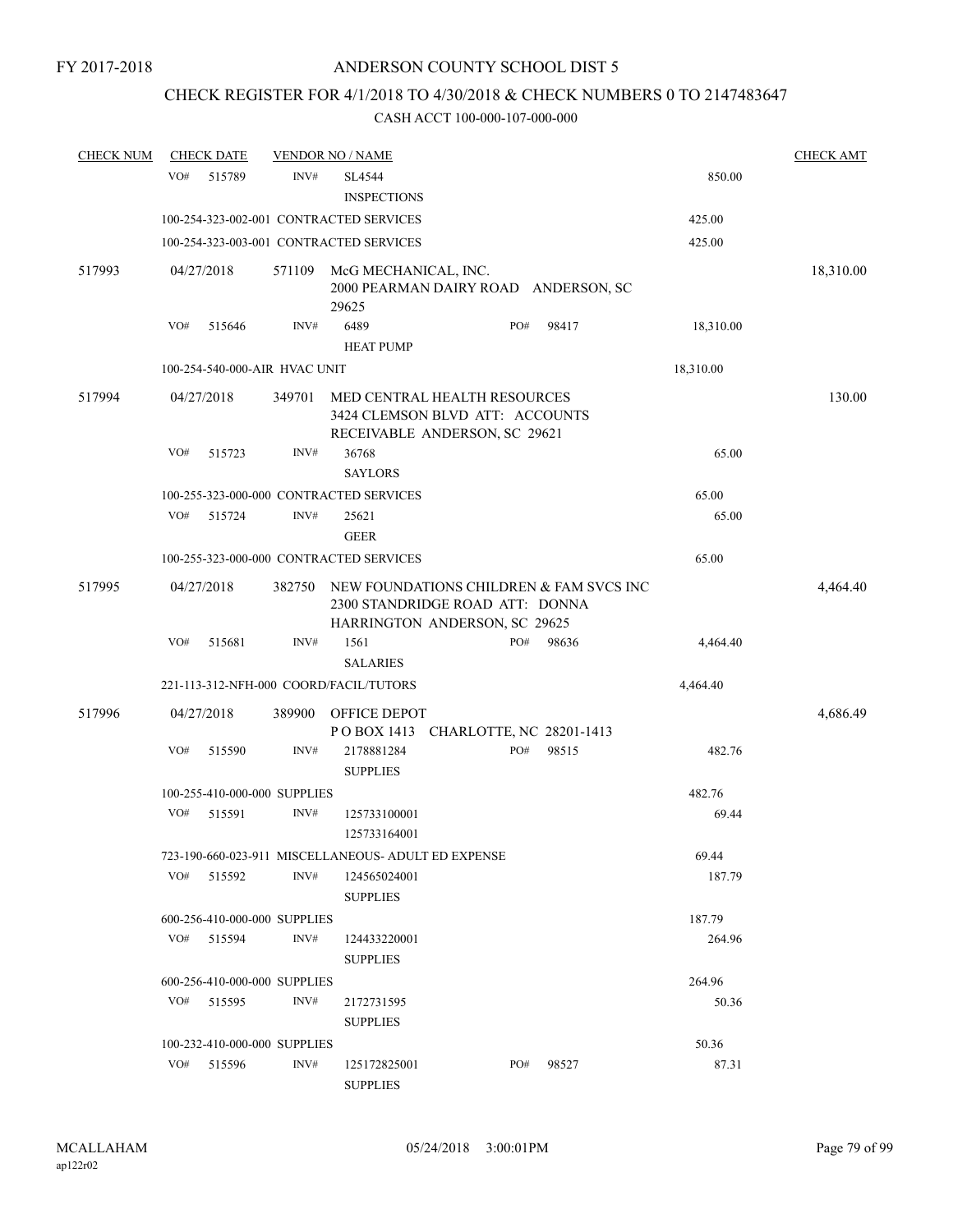# CHECK REGISTER FOR 4/1/2018 TO 4/30/2018 & CHECK NUMBERS 0 TO 2147483647

| <b>CHECK NUM</b> |     | <b>CHECK DATE</b>             |        | <b>VENDOR NO / NAME</b>                                                                                     |     |                                      |           | <b>CHECK AMT</b> |
|------------------|-----|-------------------------------|--------|-------------------------------------------------------------------------------------------------------------|-----|--------------------------------------|-----------|------------------|
|                  | VO# | 515789                        | INV#   | SL4544<br><b>INSPECTIONS</b>                                                                                |     |                                      | 850.00    |                  |
|                  |     |                               |        | 100-254-323-002-001 CONTRACTED SERVICES                                                                     |     |                                      | 425.00    |                  |
|                  |     |                               |        | 100-254-323-003-001 CONTRACTED SERVICES                                                                     |     |                                      | 425.00    |                  |
| 517993           |     | 04/27/2018                    | 571109 | McG MECHANICAL, INC.<br>29625                                                                               |     | 2000 PEARMAN DAIRY ROAD ANDERSON, SC |           | 18,310.00        |
|                  | VO# | 515646                        | INV#   | 6489                                                                                                        | PO# | 98417                                | 18,310.00 |                  |
|                  |     |                               |        | <b>HEAT PUMP</b>                                                                                            |     |                                      |           |                  |
|                  |     | 100-254-540-000-AIR HVAC UNIT |        |                                                                                                             |     |                                      | 18,310.00 |                  |
| 517994           |     | 04/27/2018                    | 349701 | MED CENTRAL HEALTH RESOURCES<br>3424 CLEMSON BLVD ATT: ACCOUNTS<br>RECEIVABLE ANDERSON, SC 29621            |     |                                      |           | 130.00           |
|                  | VO# | 515723                        | INV#   | 36768<br><b>SAYLORS</b>                                                                                     |     |                                      | 65.00     |                  |
|                  |     |                               |        | 100-255-323-000-000 CONTRACTED SERVICES                                                                     |     |                                      | 65.00     |                  |
|                  | VO# | 515724                        | INV#   | 25621<br><b>GEER</b>                                                                                        |     |                                      | 65.00     |                  |
|                  |     |                               |        | 100-255-323-000-000 CONTRACTED SERVICES                                                                     |     |                                      | 65.00     |                  |
|                  |     |                               |        |                                                                                                             |     |                                      |           |                  |
| 517995           |     | 04/27/2018                    | 382750 | NEW FOUNDATIONS CHILDREN & FAM SVCS INC<br>2300 STANDRIDGE ROAD ATT: DONNA<br>HARRINGTON ANDERSON, SC 29625 |     |                                      |           | 4,464.40         |
|                  | VO# | 515681                        | INV#   | 1561                                                                                                        | PO# | 98636                                | 4,464.40  |                  |
|                  |     |                               |        | <b>SALARIES</b>                                                                                             |     |                                      |           |                  |
|                  |     |                               |        | 221-113-312-NFH-000 COORD/FACIL/TUTORS                                                                      |     |                                      | 4,464.40  |                  |
| 517996           |     | 04/27/2018                    | 389900 | <b>OFFICE DEPOT</b><br>POBOX 1413 CHARLOTTE, NC 28201-1413                                                  |     |                                      |           | 4,686.49         |
|                  | VO# | 515590                        | INV#   | 2178881284<br><b>SUPPLIES</b>                                                                               | PO# | 98515                                | 482.76    |                  |
|                  |     | 100-255-410-000-000 SUPPLIES  |        |                                                                                                             |     |                                      | 482.76    |                  |
|                  | VO# | 515591                        | INV#   | 125733100001<br>125733164001                                                                                |     |                                      | 69.44     |                  |
|                  |     |                               |        | 723-190-660-023-911 MISCELLANEOUS- ADULT ED EXPENSE                                                         |     |                                      | 69.44     |                  |
|                  | VO# | 515592                        | INV#   | 124565024001<br><b>SUPPLIES</b>                                                                             |     |                                      | 187.79    |                  |
|                  |     | 600-256-410-000-000 SUPPLIES  |        |                                                                                                             |     |                                      | 187.79    |                  |
|                  | VO# | 515594                        | INV#   | 124433220001<br><b>SUPPLIES</b>                                                                             |     |                                      | 264.96    |                  |
|                  |     | 600-256-410-000-000 SUPPLIES  |        |                                                                                                             |     |                                      | 264.96    |                  |
|                  | VO# | 515595                        | INV#   | 2172731595<br><b>SUPPLIES</b>                                                                               |     |                                      | 50.36     |                  |
|                  |     | 100-232-410-000-000 SUPPLIES  |        |                                                                                                             |     |                                      | 50.36     |                  |
|                  | VO# | 515596                        | INV#   | 125172825001<br><b>SUPPLIES</b>                                                                             | PO# | 98527                                | 87.31     |                  |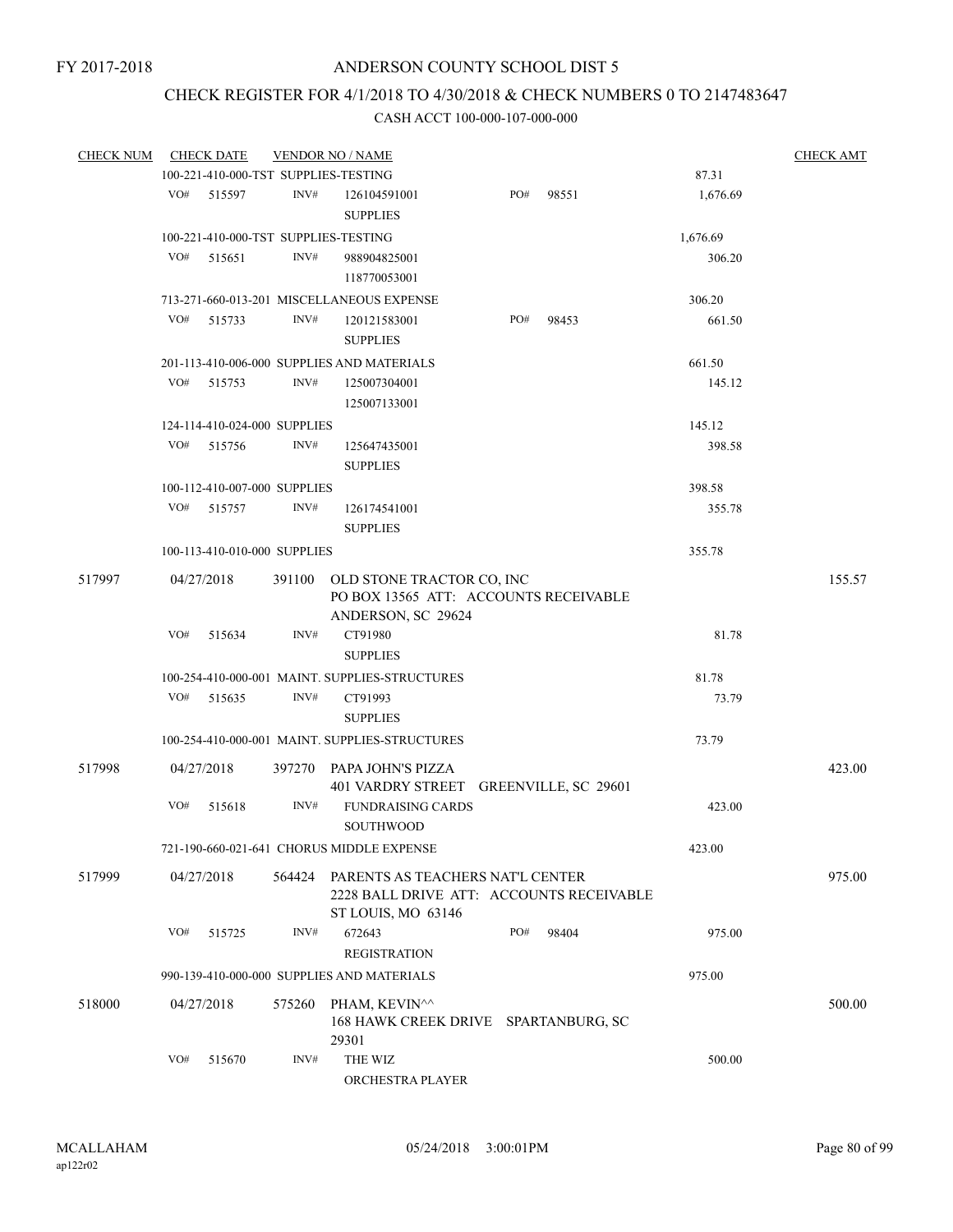# CHECK REGISTER FOR 4/1/2018 TO 4/30/2018 & CHECK NUMBERS 0 TO 2147483647

| <b>CHECK NUM</b> |     | <b>CHECK DATE</b>            |        | <b>VENDOR NO / NAME</b>                                                                            |     |       |          | <b>CHECK AMT</b> |
|------------------|-----|------------------------------|--------|----------------------------------------------------------------------------------------------------|-----|-------|----------|------------------|
|                  |     |                              |        | 100-221-410-000-TST SUPPLIES-TESTING                                                               |     |       | 87.31    |                  |
|                  | VO# | 515597                       | INV#   | 126104591001<br><b>SUPPLIES</b>                                                                    | PO# | 98551 | 1,676.69 |                  |
|                  |     |                              |        |                                                                                                    |     |       |          |                  |
|                  |     |                              |        | 100-221-410-000-TST SUPPLIES-TESTING                                                               |     |       | 1,676.69 |                  |
|                  | VO# | 515651                       | INV#   | 988904825001<br>118770053001                                                                       |     |       | 306.20   |                  |
|                  |     |                              |        | 713-271-660-013-201 MISCELLANEOUS EXPENSE                                                          |     |       | 306.20   |                  |
|                  | VO# | 515733                       | INV#   | 120121583001<br><b>SUPPLIES</b>                                                                    | PO# | 98453 | 661.50   |                  |
|                  |     |                              |        | 201-113-410-006-000 SUPPLIES AND MATERIALS                                                         |     |       | 661.50   |                  |
|                  | VO# | 515753                       | INV#   | 125007304001<br>125007133001                                                                       |     |       | 145.12   |                  |
|                  |     |                              |        |                                                                                                    |     |       | 145.12   |                  |
|                  |     | 124-114-410-024-000 SUPPLIES |        |                                                                                                    |     |       |          |                  |
|                  | VO# | 515756                       | INV#   | 125647435001<br><b>SUPPLIES</b>                                                                    |     |       | 398.58   |                  |
|                  |     | 100-112-410-007-000 SUPPLIES |        |                                                                                                    |     |       | 398.58   |                  |
|                  | VO# | 515757                       | INV#   | 126174541001<br><b>SUPPLIES</b>                                                                    |     |       | 355.78   |                  |
|                  |     | 100-113-410-010-000 SUPPLIES |        |                                                                                                    |     |       | 355.78   |                  |
| 517997           |     | 04/27/2018                   |        | 391100 OLD STONE TRACTOR CO, INC<br>PO BOX 13565 ATT: ACCOUNTS RECEIVABLE<br>ANDERSON, SC 29624    |     |       |          | 155.57           |
|                  | VO# | 515634                       | INV#   | CT91980<br><b>SUPPLIES</b>                                                                         |     |       | 81.78    |                  |
|                  |     |                              |        | 100-254-410-000-001 MAINT. SUPPLIES-STRUCTURES                                                     |     |       | 81.78    |                  |
|                  | VO# | 515635                       | INV#   | CT91993<br><b>SUPPLIES</b>                                                                         |     |       | 73.79    |                  |
|                  |     |                              |        | 100-254-410-000-001 MAINT. SUPPLIES-STRUCTURES                                                     |     |       | 73.79    |                  |
|                  |     |                              |        |                                                                                                    |     |       |          |                  |
| 517998           |     | 04/27/2018                   |        | 397270 PAPA JOHN'S PIZZA<br>401 VARDRY STREET GREENVILLE, SC 29601                                 |     |       |          | 423.00           |
|                  | VO# | 515618                       | INV#   | <b>FUNDRAISING CARDS</b><br><b>SOUTHWOOD</b>                                                       |     |       | 423.00   |                  |
|                  |     |                              |        | 721-190-660-021-641 CHORUS MIDDLE EXPENSE                                                          |     |       | 423.00   |                  |
| 517999           |     | 04/27/2018                   | 564424 | PARENTS AS TEACHERS NAT'L CENTER<br>2228 BALL DRIVE ATT: ACCOUNTS RECEIVABLE<br>ST LOUIS, MO 63146 |     |       |          | 975.00           |
|                  | VO# | 515725                       | INV#   | 672643<br><b>REGISTRATION</b>                                                                      | PO# | 98404 | 975.00   |                  |
|                  |     |                              |        | 990-139-410-000-000 SUPPLIES AND MATERIALS                                                         |     |       | 975.00   |                  |
|                  |     |                              |        |                                                                                                    |     |       |          |                  |
| 518000           |     | 04/27/2018                   | 575260 | PHAM, KEVIN^^<br>168 HAWK CREEK DRIVE SPARTANBURG, SC<br>29301                                     |     |       |          | 500.00           |
|                  | VO# | 515670                       | INV#   | THE WIZ<br>ORCHESTRA PLAYER                                                                        |     |       | 500.00   |                  |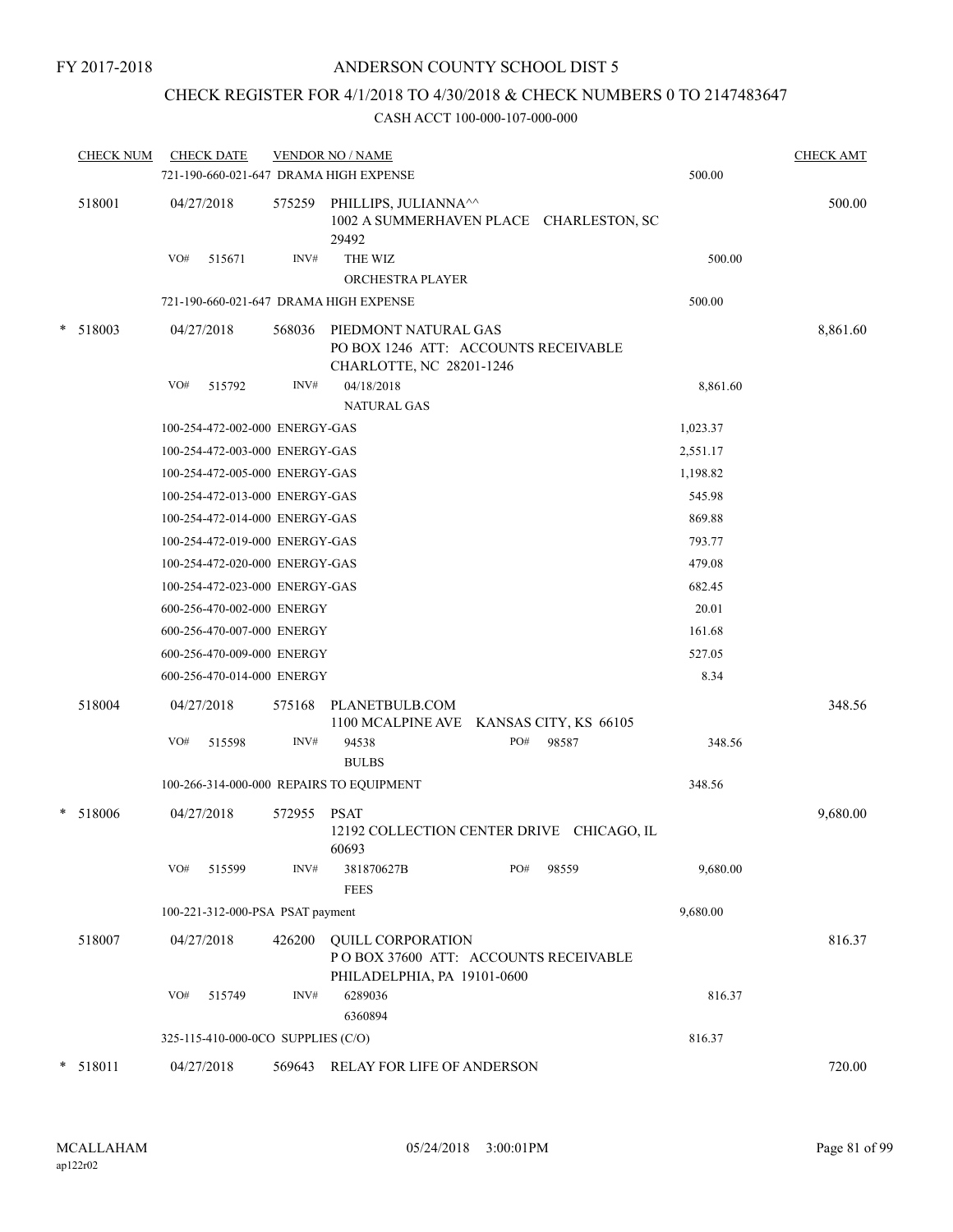# CHECK REGISTER FOR 4/1/2018 TO 4/30/2018 & CHECK NUMBERS 0 TO 2147483647

| <b>CHECK NUM</b> |     | <b>CHECK DATE</b>                  |                | <b>VENDOR NO / NAME</b><br>721-190-660-021-647 DRAMA HIGH EXPENSE |                                                                     |                                           | 500.00   | <b>CHECK AMT</b> |
|------------------|-----|------------------------------------|----------------|-------------------------------------------------------------------|---------------------------------------------------------------------|-------------------------------------------|----------|------------------|
| 518001           |     | 04/27/2018                         | 575259         | PHILLIPS, JULIANNA <sup>11</sup><br>29492                         |                                                                     | 1002 A SUMMERHAVEN PLACE CHARLESTON, SC   |          | 500.00           |
|                  | VO# | 515671                             | INV#           | THE WIZ<br>ORCHESTRA PLAYER                                       |                                                                     |                                           | 500.00   |                  |
|                  |     |                                    |                | 721-190-660-021-647 DRAMA HIGH EXPENSE                            |                                                                     |                                           | 500.00   |                  |
| $*$ 518003       | VO# | 04/27/2018<br>515792               | 568036<br>INV# | PIEDMONT NATURAL GAS<br>CHARLOTTE, NC 28201-1246<br>04/18/2018    | PO BOX 1246 ATT: ACCOUNTS RECEIVABLE                                |                                           | 8,861.60 | 8,861.60         |
|                  |     |                                    |                | <b>NATURAL GAS</b>                                                |                                                                     |                                           |          |                  |
|                  |     | 100-254-472-002-000 ENERGY-GAS     |                |                                                                   |                                                                     |                                           | 1,023.37 |                  |
|                  |     | 100-254-472-003-000 ENERGY-GAS     |                |                                                                   |                                                                     |                                           | 2,551.17 |                  |
|                  |     | 100-254-472-005-000 ENERGY-GAS     |                |                                                                   |                                                                     |                                           | 1,198.82 |                  |
|                  |     | 100-254-472-013-000 ENERGY-GAS     |                |                                                                   |                                                                     |                                           | 545.98   |                  |
|                  |     | 100-254-472-014-000 ENERGY-GAS     |                |                                                                   |                                                                     |                                           | 869.88   |                  |
|                  |     | 100-254-472-019-000 ENERGY-GAS     |                |                                                                   |                                                                     |                                           | 793.77   |                  |
|                  |     | 100-254-472-020-000 ENERGY-GAS     |                |                                                                   |                                                                     |                                           | 479.08   |                  |
|                  |     | 100-254-472-023-000 ENERGY-GAS     |                |                                                                   |                                                                     |                                           | 682.45   |                  |
|                  |     | 600-256-470-002-000 ENERGY         |                |                                                                   |                                                                     |                                           | 20.01    |                  |
|                  |     | 600-256-470-007-000 ENERGY         |                |                                                                   |                                                                     |                                           | 161.68   |                  |
|                  |     | 600-256-470-009-000 ENERGY         |                |                                                                   |                                                                     |                                           | 527.05   |                  |
|                  |     | 600-256-470-014-000 ENERGY         |                |                                                                   |                                                                     |                                           | 8.34     |                  |
| 518004           |     | 04/27/2018                         | 575168         | PLANETBULB.COM                                                    | 1100 MCALPINE AVE KANSAS CITY, KS 66105                             |                                           |          | 348.56           |
|                  | VO# | 515598                             | INV#           | 94538<br><b>BULBS</b>                                             | PO#                                                                 | 98587                                     | 348.56   |                  |
|                  |     |                                    |                | 100-266-314-000-000 REPAIRS TO EQUIPMENT                          |                                                                     |                                           | 348.56   |                  |
| * 518006         |     | 04/27/2018                         | 572955         | PSAT<br>60693                                                     |                                                                     | 12192 COLLECTION CENTER DRIVE CHICAGO, IL |          | 9,680.00         |
|                  | VO# | 515599                             | INV#           | 381870627B<br><b>FEES</b>                                         | PO#                                                                 | 98559                                     | 9,680.00 |                  |
|                  |     | 100-221-312-000-PSA PSAT payment   |                |                                                                   |                                                                     |                                           | 9,680.00 |                  |
| 518007           |     | 04/27/2018                         | 426200         | <b>QUILL CORPORATION</b>                                          | POBOX 37600 ATT: ACCOUNTS RECEIVABLE<br>PHILADELPHIA, PA 19101-0600 |                                           |          | 816.37           |
|                  | VO# | 515749                             | INV#           | 6289036<br>6360894                                                |                                                                     |                                           | 816.37   |                  |
|                  |     | 325-115-410-000-0CO SUPPLIES (C/O) |                |                                                                   |                                                                     |                                           | 816.37   |                  |
| * 518011         |     | 04/27/2018                         | 569643         |                                                                   | RELAY FOR LIFE OF ANDERSON                                          |                                           |          | 720.00           |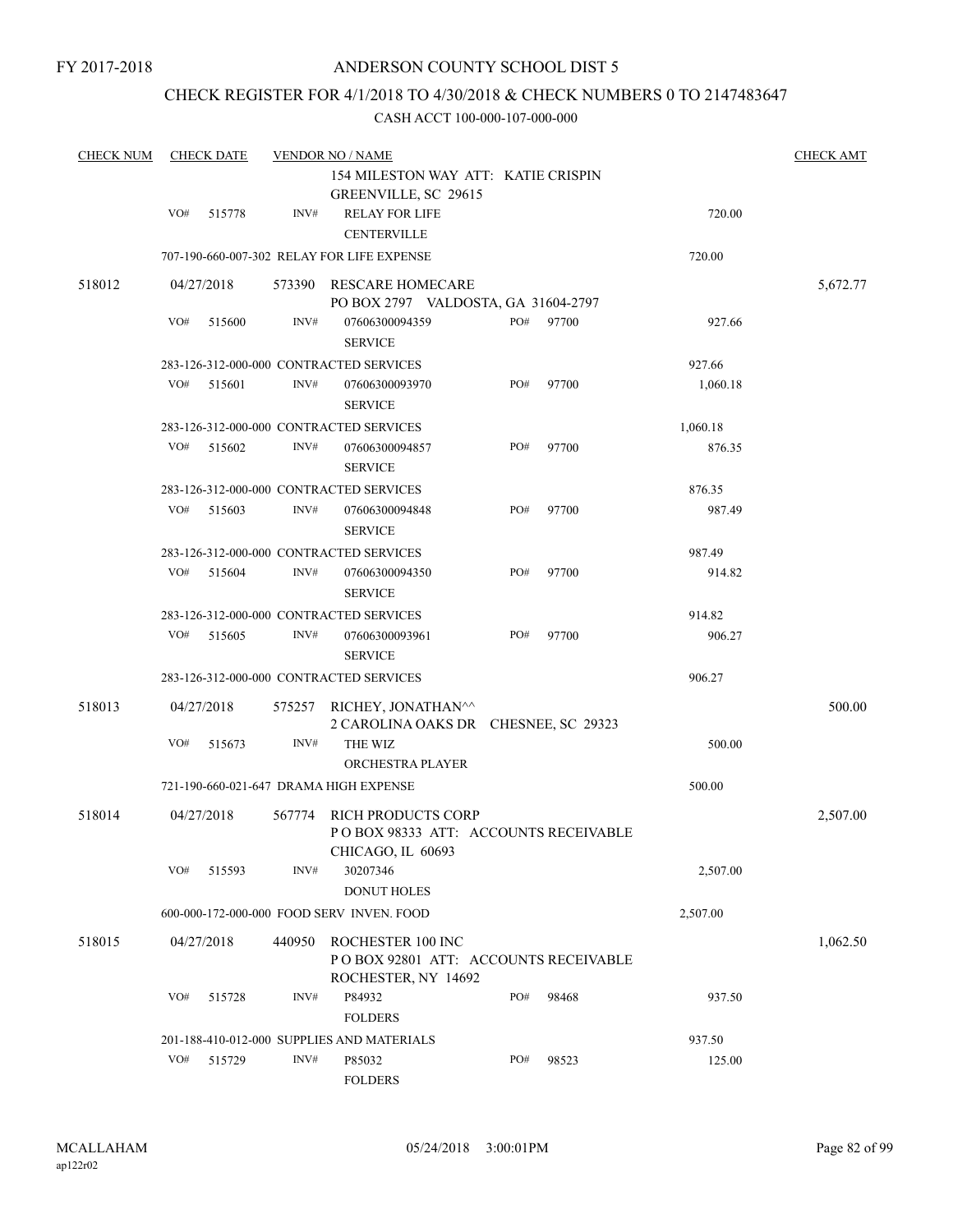# CHECK REGISTER FOR 4/1/2018 TO 4/30/2018 & CHECK NUMBERS 0 TO 2147483647

| <b>CHECK NUM</b> |     | <b>CHECK DATE</b> |        | <b>VENDOR NO / NAME</b>                                                          |        |       |          | <b>CHECK AMT</b> |
|------------------|-----|-------------------|--------|----------------------------------------------------------------------------------|--------|-------|----------|------------------|
|                  |     |                   |        | 154 MILESTON WAY ATT: KATIE CRISPIN<br>GREENVILLE, SC 29615                      |        |       |          |                  |
|                  | VO# | 515778            | INV#   | <b>RELAY FOR LIFE</b><br><b>CENTERVILLE</b>                                      |        |       | 720.00   |                  |
|                  |     |                   |        | 707-190-660-007-302 RELAY FOR LIFE EXPENSE                                       |        |       | 720.00   |                  |
| 518012           |     | 04/27/2018        | 573390 | RESCARE HOMECARE<br>PO BOX 2797 VALDOSTA, GA 31604-2797                          |        |       |          | 5,672.77         |
|                  | VO# | 515600            | INV#   | 07606300094359<br><b>SERVICE</b>                                                 | PO#    | 97700 | 927.66   |                  |
|                  |     |                   |        | 283-126-312-000-000 CONTRACTED SERVICES                                          |        |       | 927.66   |                  |
|                  | VO# | 515601            | INV#   | 07606300093970<br><b>SERVICE</b>                                                 | PO#    | 97700 | 1,060.18 |                  |
|                  |     |                   |        | 283-126-312-000-000 CONTRACTED SERVICES                                          |        |       | 1,060.18 |                  |
|                  | VO# | 515602            | INV#   | 07606300094857<br><b>SERVICE</b>                                                 | PO#    | 97700 | 876.35   |                  |
|                  |     |                   |        | 283-126-312-000-000 CONTRACTED SERVICES                                          |        |       | 876.35   |                  |
|                  | VO# | 515603            | INV#   | 07606300094848<br><b>SERVICE</b>                                                 | PO#    | 97700 | 987.49   |                  |
|                  |     |                   |        | 283-126-312-000-000 CONTRACTED SERVICES                                          |        |       | 987.49   |                  |
|                  | VO# | 515604            | INV#   | 07606300094350<br><b>SERVICE</b>                                                 | PO#    | 97700 | 914.82   |                  |
|                  |     |                   |        | 283-126-312-000-000 CONTRACTED SERVICES                                          |        |       | 914.82   |                  |
|                  | VO# | 515605            | INV#   | 07606300093961<br><b>SERVICE</b>                                                 | PO#    | 97700 | 906.27   |                  |
|                  |     |                   |        | 283-126-312-000-000 CONTRACTED SERVICES                                          |        |       | 906.27   |                  |
| 518013           |     | 04/27/2018        | 575257 | RICHEY, JONATHAN^^<br>2 CAROLINA OAKS DR CHESNEE, SC 29323                       |        |       |          | 500.00           |
|                  | VO# | 515673            | INV#   | THE WIZ<br>ORCHESTRA PLAYER                                                      |        |       | 500.00   |                  |
|                  |     |                   |        | 721-190-660-021-647 DRAMA HIGH EXPENSE                                           |        |       | 500.00   |                  |
| 518014           |     | 04/27/2018        | 567774 | RICH PRODUCTS CORP<br>POBOX 98333 ATT: ACCOUNTS RECEIVABLE<br>CHICAGO, IL 60693  |        |       |          | 2,507.00         |
|                  | VO# | 515593            | INV#   | 30207346<br><b>DONUT HOLES</b>                                                   |        |       | 2,507.00 |                  |
|                  |     |                   |        | 600-000-172-000-000 FOOD SERV INVEN. FOOD                                        |        |       | 2,507.00 |                  |
| 518015           |     | 04/27/2018        | 440950 | ROCHESTER 100 INC<br>POBOX 92801 ATT: ACCOUNTS RECEIVABLE<br>ROCHESTER, NY 14692 |        |       |          | 1,062.50         |
|                  | VO# | 515728            | INV#   | P84932<br><b>FOLDERS</b>                                                         | PO#    | 98468 | 937.50   |                  |
|                  |     |                   |        | 201-188-410-012-000 SUPPLIES AND MATERIALS                                       | 937.50 |       |          |                  |
|                  | VO# | 515729            | INV#   | P85032<br><b>FOLDERS</b>                                                         | PO#    | 98523 | 125.00   |                  |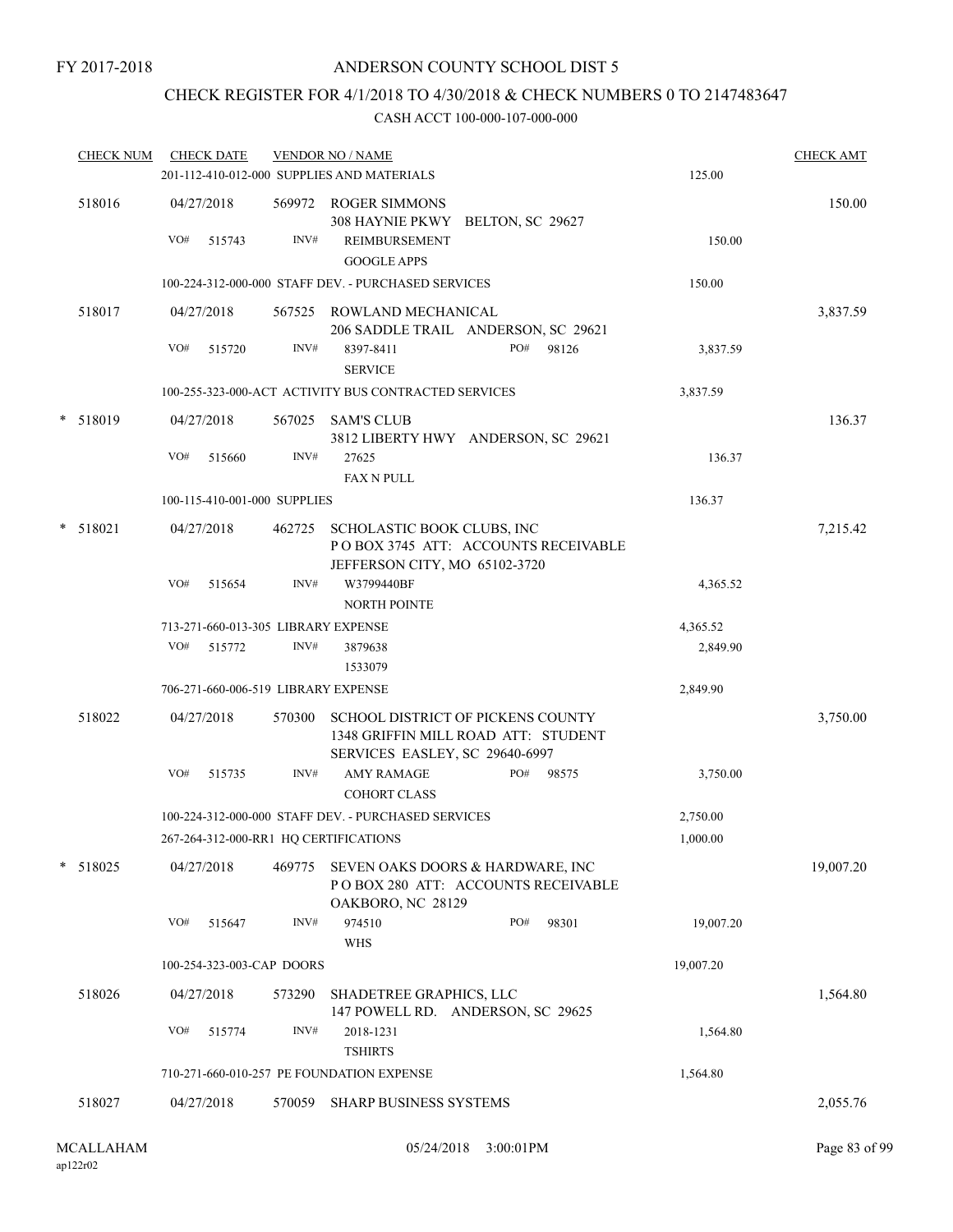# CHECK REGISTER FOR 4/1/2018 TO 4/30/2018 & CHECK NUMBERS 0 TO 2147483647

| <b>CHECK NUM</b> |     | <b>CHECK DATE</b>                   |                | <b>VENDOR NO / NAME</b><br>201-112-410-012-000 SUPPLIES AND MATERIALS                                      | 125.00 | <b>CHECK AMT</b> |           |           |
|------------------|-----|-------------------------------------|----------------|------------------------------------------------------------------------------------------------------------|--------|------------------|-----------|-----------|
| 518016           | VO# | 04/27/2018<br>515743                | INV#           | 569972 ROGER SIMMONS<br>308 HAYNIE PKWY BELTON, SC 29627<br><b>REIMBURSEMENT</b><br><b>GOOGLE APPS</b>     |        |                  | 150.00    | 150.00    |
|                  |     |                                     |                | 100-224-312-000-000 STAFF DEV. - PURCHASED SERVICES                                                        |        |                  | 150.00    |           |
| 518017           | VO# | 04/27/2018<br>515720                | 567525<br>INV# | ROWLAND MECHANICAL<br>206 SADDLE TRAIL ANDERSON, SC 29621<br>8397-8411                                     | PO#    | 98126            | 3,837.59  | 3,837.59  |
|                  |     |                                     |                | <b>SERVICE</b>                                                                                             |        |                  |           |           |
|                  |     |                                     |                | 100-255-323-000-ACT ACTIVITY BUS CONTRACTED SERVICES                                                       |        |                  | 3,837.59  |           |
| * 518019         |     | 04/27/2018                          |                | 567025 SAM'S CLUB<br>3812 LIBERTY HWY ANDERSON, SC 29621                                                   |        |                  |           | 136.37    |
|                  | VO# | 515660                              | INV#           | 27625<br><b>FAX N PULL</b>                                                                                 |        |                  | 136.37    |           |
|                  |     | 100-115-410-001-000 SUPPLIES        |                |                                                                                                            |        |                  | 136.37    |           |
| * 518021         |     | 04/27/2018                          | 462725         | SCHOLASTIC BOOK CLUBS, INC<br>POBOX 3745 ATT: ACCOUNTS RECEIVABLE<br>JEFFERSON CITY, MO 65102-3720         |        |                  |           | 7,215.42  |
|                  | VO# | 515654                              | INV#           | W3799440BF<br><b>NORTH POINTE</b>                                                                          |        |                  | 4,365.52  |           |
|                  |     | 713-271-660-013-305 LIBRARY EXPENSE |                |                                                                                                            |        |                  | 4,365.52  |           |
|                  | VO# | 515772                              | INV#           | 3879638<br>1533079                                                                                         |        |                  | 2,849.90  |           |
|                  |     | 706-271-660-006-519 LIBRARY EXPENSE |                |                                                                                                            |        |                  | 2,849.90  |           |
| 518022           |     | 04/27/2018                          | 570300         | SCHOOL DISTRICT OF PICKENS COUNTY<br>1348 GRIFFIN MILL ROAD ATT: STUDENT<br>SERVICES EASLEY, SC 29640-6997 |        |                  |           | 3,750.00  |
|                  | VO# | 515735                              | INV#           | <b>AMY RAMAGE</b><br><b>COHORT CLASS</b>                                                                   | PO#    | 98575            | 3,750.00  |           |
|                  |     |                                     |                | 100-224-312-000-000 STAFF DEV. - PURCHASED SERVICES                                                        |        |                  | 2,750.00  |           |
|                  |     |                                     |                | 267-264-312-000-RR1 HQ CERTIFICATIONS                                                                      |        |                  | 1,000.00  |           |
| * 518025         |     | 04/27/2018                          | 469775         | SEVEN OAKS DOORS & HARDWARE, INC<br>POBOX 280 ATT: ACCOUNTS RECEIVABLE<br>OAKBORO, NC 28129                |        |                  |           | 19,007.20 |
|                  | VO# | 515647                              | INV#           | 974510<br><b>WHS</b>                                                                                       | PO#    | 98301            | 19,007.20 |           |
|                  |     | 100-254-323-003-CAP DOORS           |                |                                                                                                            |        |                  | 19,007.20 |           |
| 518026           |     | 04/27/2018                          | 573290         | SHADETREE GRAPHICS, LLC<br>147 POWELL RD. ANDERSON, SC 29625                                               |        |                  |           | 1,564.80  |
|                  | VO# | 515774                              | INV#           | 2018-1231<br><b>TSHIRTS</b>                                                                                |        |                  | 1,564.80  |           |
|                  |     |                                     |                | 710-271-660-010-257 PE FOUNDATION EXPENSE                                                                  |        |                  | 1,564.80  |           |
| 518027           |     | 04/27/2018                          | 570059         | <b>SHARP BUSINESS SYSTEMS</b>                                                                              |        |                  |           | 2,055.76  |
|                  |     |                                     |                |                                                                                                            |        |                  |           |           |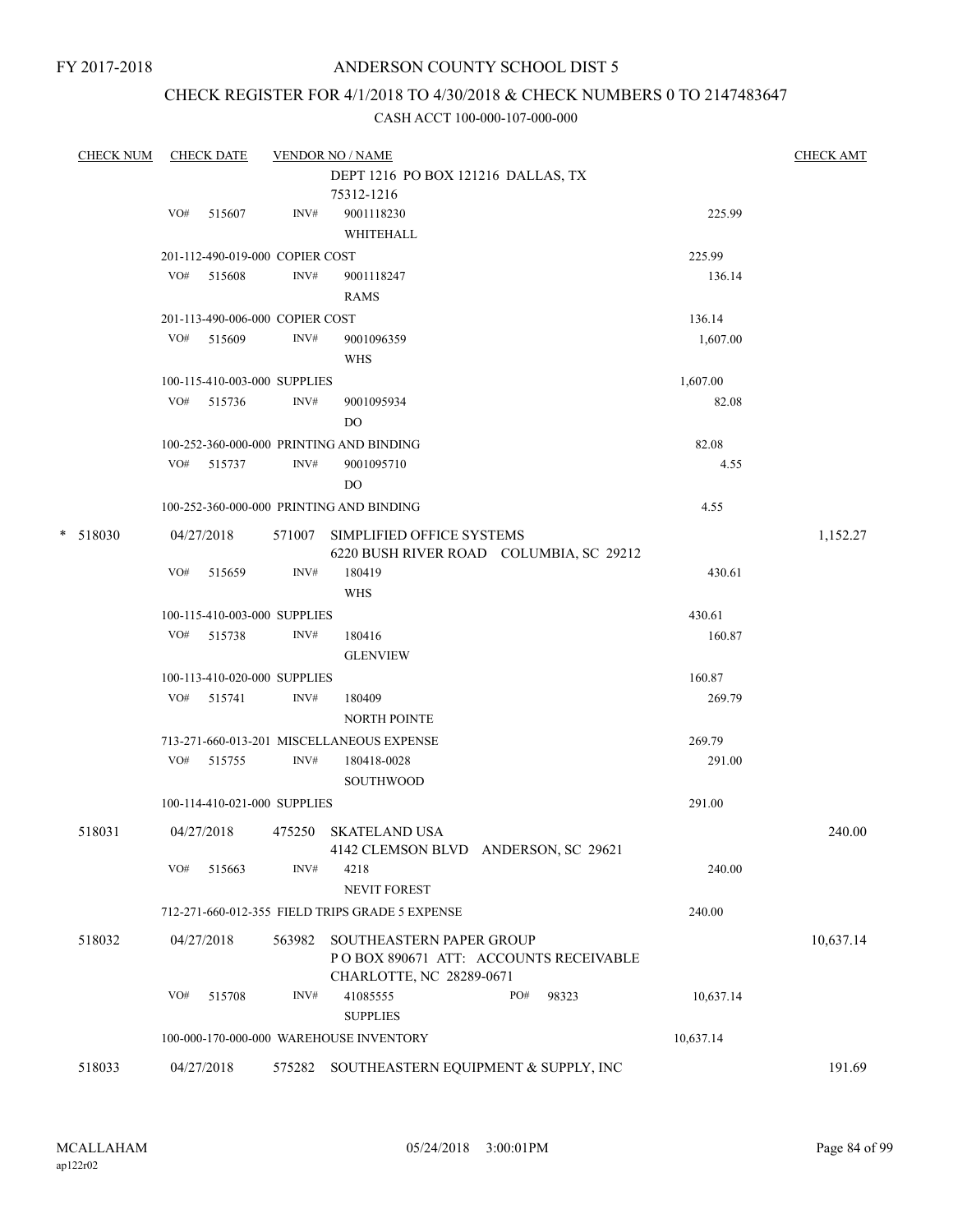# CHECK REGISTER FOR 4/1/2018 TO 4/30/2018 & CHECK NUMBERS 0 TO 2147483647

| <b>CHECK NUM</b> |     | <b>CHECK DATE</b>               |        | <b>VENDOR NO / NAME</b>                                              |           | <b>CHECK AMT</b> |
|------------------|-----|---------------------------------|--------|----------------------------------------------------------------------|-----------|------------------|
|                  |     |                                 |        | DEPT 1216 PO BOX 121216 DALLAS, TX                                   |           |                  |
|                  |     |                                 |        | 75312-1216                                                           |           |                  |
|                  | VO# | 515607                          | INV#   | 9001118230                                                           | 225.99    |                  |
|                  |     |                                 |        | WHITEHALL                                                            |           |                  |
|                  |     | 201-112-490-019-000 COPIER COST |        |                                                                      | 225.99    |                  |
|                  | VO# | 515608                          | INV#   | 9001118247                                                           | 136.14    |                  |
|                  |     |                                 |        | RAMS                                                                 |           |                  |
|                  |     | 201-113-490-006-000 COPIER COST |        |                                                                      | 136.14    |                  |
|                  | VO# | 515609                          | INV#   | 9001096359                                                           | 1,607.00  |                  |
|                  |     |                                 |        | <b>WHS</b>                                                           |           |                  |
|                  |     | 100-115-410-003-000 SUPPLIES    |        |                                                                      | 1,607.00  |                  |
|                  |     | VO# 515736                      | INV#   | 9001095934                                                           | 82.08     |                  |
|                  |     |                                 |        | D <sub>O</sub>                                                       |           |                  |
|                  |     |                                 |        | 100-252-360-000-000 PRINTING AND BINDING                             | 82.08     |                  |
|                  | VO# | 515737                          | INV#   | 9001095710                                                           | 4.55      |                  |
|                  |     |                                 |        | DO                                                                   |           |                  |
|                  |     |                                 |        | 100-252-360-000-000 PRINTING AND BINDING                             | 4.55      |                  |
| $*$ 518030       |     | 04/27/2018                      | 571007 | SIMPLIFIED OFFICE SYSTEMS<br>6220 BUSH RIVER ROAD COLUMBIA, SC 29212 |           | 1,152.27         |
|                  | VO# | 515659                          | INV#   | 180419                                                               | 430.61    |                  |
|                  |     |                                 |        | <b>WHS</b>                                                           |           |                  |
|                  |     | 100-115-410-003-000 SUPPLIES    |        |                                                                      | 430.61    |                  |
|                  | VO# | 515738                          | INV#   | 180416                                                               | 160.87    |                  |
|                  |     |                                 |        | <b>GLENVIEW</b>                                                      |           |                  |
|                  |     | 100-113-410-020-000 SUPPLIES    |        |                                                                      | 160.87    |                  |
|                  |     | VO# 515741                      | INV#   | 180409                                                               | 269.79    |                  |
|                  |     |                                 |        | <b>NORTH POINTE</b>                                                  |           |                  |
|                  |     |                                 |        | 713-271-660-013-201 MISCELLANEOUS EXPENSE                            | 269.79    |                  |
|                  | VO# | 515755                          | INV#   | 180418-0028                                                          | 291.00    |                  |
|                  |     |                                 |        | <b>SOUTHWOOD</b>                                                     |           |                  |
|                  |     | 100-114-410-021-000 SUPPLIES    |        |                                                                      | 291.00    |                  |
| 518031           |     | 04/27/2018                      | 475250 | <b>SKATELAND USA</b><br>4142 CLEMSON BLVD ANDERSON, SC 29621         |           | 240.00           |
|                  | VO# | 515663                          | INV#   | 4218<br>NEVIT FOREST                                                 | 240.00    |                  |
|                  |     |                                 |        | 712-271-660-012-355 FIELD TRIPS GRADE 5 EXPENSE                      | 240.00    |                  |
| 518032           |     | 04/27/2018                      | 563982 | SOUTHEASTERN PAPER GROUP                                             |           | 10,637.14        |
|                  |     |                                 |        | PO BOX 890671 ATT: ACCOUNTS RECEIVABLE<br>CHARLOTTE, NC 28289-0671   |           |                  |
|                  | VO# | 515708                          | INV#   | 41085555<br>PO#<br>98323<br><b>SUPPLIES</b>                          | 10,637.14 |                  |
|                  |     |                                 |        | 100-000-170-000-000 WAREHOUSE INVENTORY                              | 10,637.14 |                  |
| 518033           |     | 04/27/2018                      | 575282 | SOUTHEASTERN EQUIPMENT & SUPPLY, INC                                 |           | 191.69           |
|                  |     |                                 |        |                                                                      |           |                  |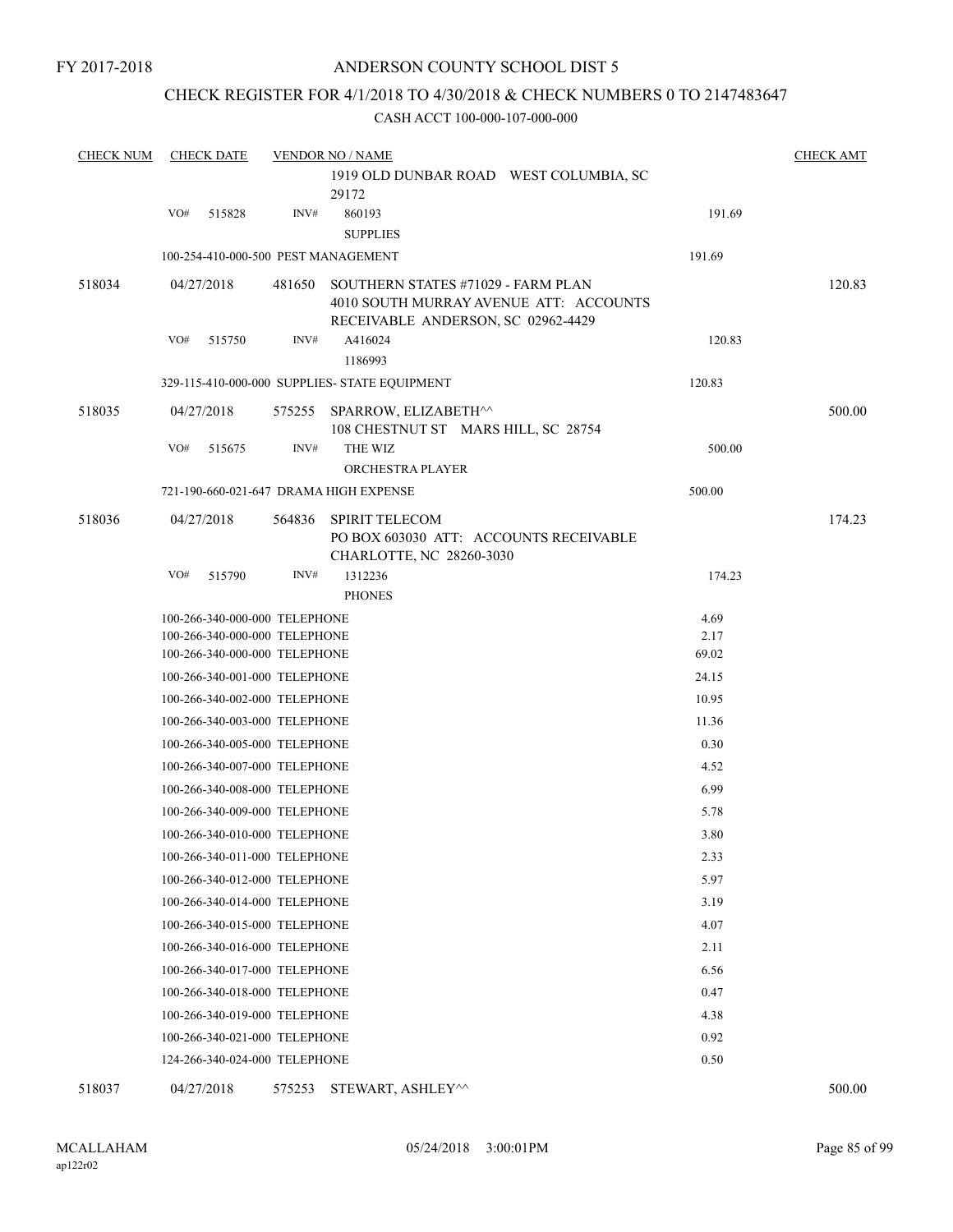# CHECK REGISTER FOR 4/1/2018 TO 4/30/2018 & CHECK NUMBERS 0 TO 2147483647

| <b>CHECK NUM</b> |     | <b>CHECK DATE</b>             |        | <b>VENDOR NO / NAME</b>                       |               | <b>CHECK AMT</b> |
|------------------|-----|-------------------------------|--------|-----------------------------------------------|---------------|------------------|
|                  |     |                               |        | 1919 OLD DUNBAR ROAD WEST COLUMBIA, SC        |               |                  |
|                  |     |                               |        | 29172                                         |               |                  |
|                  | VO# | 515828                        | INV#   | 860193                                        | 191.69        |                  |
|                  |     |                               |        | <b>SUPPLIES</b>                               |               |                  |
|                  |     |                               |        | 100-254-410-000-500 PEST MANAGEMENT           | 191.69        |                  |
| 518034           |     | 04/27/2018                    | 481650 | SOUTHERN STATES #71029 - FARM PLAN            |               | 120.83           |
|                  |     |                               |        | 4010 SOUTH MURRAY AVENUE ATT: ACCOUNTS        |               |                  |
|                  |     |                               |        | RECEIVABLE ANDERSON, SC 02962-4429            |               |                  |
|                  | VO# | 515750                        | INV#   | A416024                                       | 120.83        |                  |
|                  |     |                               |        | 1186993                                       |               |                  |
|                  |     |                               |        | 329-115-410-000-000 SUPPLIES- STATE EQUIPMENT | 120.83        |                  |
| 518035           |     | 04/27/2018                    | 575255 | SPARROW, ELIZABETH^^                          |               | 500.00           |
|                  |     |                               |        | 108 CHESTNUT ST MARS HILL, SC 28754           |               |                  |
|                  | VO# | 515675                        | INV#   | THE WIZ                                       | 500.00        |                  |
|                  |     |                               |        | ORCHESTRA PLAYER                              |               |                  |
|                  |     |                               |        | 721-190-660-021-647 DRAMA HIGH EXPENSE        | 500.00        |                  |
| 518036           |     | 04/27/2018                    | 564836 | <b>SPIRIT TELECOM</b>                         |               | 174.23           |
|                  |     |                               |        | PO BOX 603030 ATT: ACCOUNTS RECEIVABLE        |               |                  |
|                  |     |                               |        | CHARLOTTE, NC 28260-3030                      |               |                  |
|                  | VO# | 515790                        | INV#   | 1312236                                       | 174.23        |                  |
|                  |     |                               |        | <b>PHONES</b>                                 |               |                  |
|                  |     | 100-266-340-000-000 TELEPHONE |        |                                               | 4.69          |                  |
|                  |     | 100-266-340-000-000 TELEPHONE |        |                                               | 2.17<br>69.02 |                  |
|                  |     | 100-266-340-000-000 TELEPHONE |        |                                               |               |                  |
|                  |     | 100-266-340-001-000 TELEPHONE |        |                                               | 24.15         |                  |
|                  |     | 100-266-340-002-000 TELEPHONE |        |                                               | 10.95         |                  |
|                  |     | 100-266-340-003-000 TELEPHONE |        |                                               | 11.36         |                  |
|                  |     | 100-266-340-005-000 TELEPHONE |        |                                               | 0.30          |                  |
|                  |     | 100-266-340-007-000 TELEPHONE |        |                                               | 4.52          |                  |
|                  |     | 100-266-340-008-000 TELEPHONE |        |                                               | 6.99          |                  |
|                  |     | 100-266-340-009-000 TELEPHONE |        |                                               | 5.78          |                  |
|                  |     | 100-266-340-010-000 TELEPHONE |        |                                               | 3.80          |                  |
|                  |     | 100-266-340-011-000 TELEPHONE |        |                                               | 2.33          |                  |
|                  |     | 100-266-340-012-000 TELEPHONE |        |                                               | 5.97          |                  |
|                  |     | 100-266-340-014-000 TELEPHONE |        |                                               | 3.19          |                  |
|                  |     | 100-266-340-015-000 TELEPHONE |        |                                               | 4.07          |                  |
|                  |     | 100-266-340-016-000 TELEPHONE |        |                                               | 2.11          |                  |
|                  |     | 100-266-340-017-000 TELEPHONE |        |                                               | 6.56          |                  |
|                  |     | 100-266-340-018-000 TELEPHONE |        |                                               | 0.47          |                  |
|                  |     | 100-266-340-019-000 TELEPHONE |        |                                               | 4.38          |                  |
|                  |     | 100-266-340-021-000 TELEPHONE |        |                                               | 0.92          |                  |
|                  |     |                               |        |                                               |               |                  |
|                  |     | 124-266-340-024-000 TELEPHONE |        |                                               | 0.50          |                  |
| 518037           |     | 04/27/2018                    |        | 575253 STEWART, ASHLEY^^                      |               | 500.00           |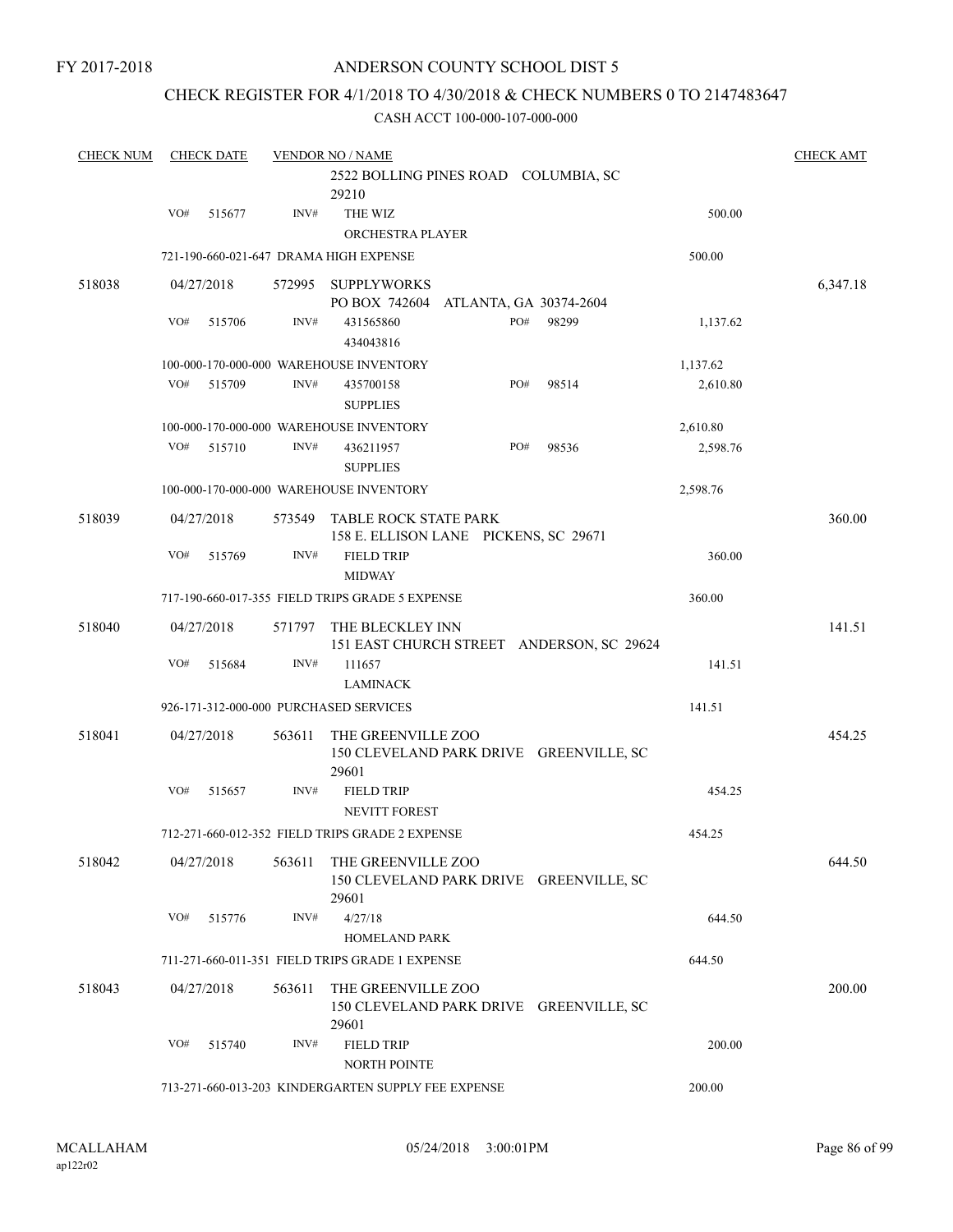### CHECK REGISTER FOR 4/1/2018 TO 4/30/2018 & CHECK NUMBERS 0 TO 2147483647

| <b>CHECK NUM</b> |     | <b>CHECK DATE</b> |                  | <b>VENDOR NO / NAME</b>                             | <b>CHECK AMT</b> |
|------------------|-----|-------------------|------------------|-----------------------------------------------------|------------------|
|                  |     |                   |                  | 2522 BOLLING PINES ROAD COLUMBIA, SC                |                  |
|                  |     |                   |                  | 29210                                               |                  |
|                  | VO# | 515677            | INV#             | THE WIZ                                             | 500.00           |
|                  |     |                   |                  | ORCHESTRA PLAYER                                    |                  |
|                  |     |                   |                  | 721-190-660-021-647 DRAMA HIGH EXPENSE              | 500.00           |
| 518038           |     | 04/27/2018        |                  | 572995 SUPPLYWORKS                                  | 6,347.18         |
|                  |     |                   |                  | PO BOX 742604<br>ATLANTA, GA 30374-2604             |                  |
|                  | VO# | 515706            | INV#             | PO#<br>98299<br>431565860                           | 1,137.62         |
|                  |     |                   |                  | 434043816                                           |                  |
|                  |     |                   |                  | 100-000-170-000-000 WAREHOUSE INVENTORY             | 1,137.62         |
|                  | VO# | 515709            | INV#             | 435700158<br>PO#<br>98514                           | 2,610.80         |
|                  |     |                   |                  | <b>SUPPLIES</b>                                     |                  |
|                  |     |                   |                  | 100-000-170-000-000 WAREHOUSE INVENTORY             | 2,610.80         |
|                  | VO# | 515710            | INV#             | PO#<br>98536<br>436211957                           | 2,598.76         |
|                  |     |                   |                  | <b>SUPPLIES</b>                                     |                  |
|                  |     |                   |                  | 100-000-170-000-000 WAREHOUSE INVENTORY             | 2,598.76         |
| 518039           |     | 04/27/2018        | 573549           | <b>TABLE ROCK STATE PARK</b>                        | 360.00           |
|                  |     |                   |                  | 158 E. ELLISON LANE PICKENS, SC 29671               |                  |
|                  | VO# | 515769            | $\mathrm{INV}\#$ | <b>FIELD TRIP</b>                                   | 360.00           |
|                  |     |                   |                  | <b>MIDWAY</b>                                       |                  |
|                  |     |                   |                  | 717-190-660-017-355 FIELD TRIPS GRADE 5 EXPENSE     | 360.00           |
| 518040           |     | 04/27/2018        | 571797           | THE BLECKLEY INN                                    | 141.51           |
|                  |     |                   |                  | 151 EAST CHURCH STREET ANDERSON, SC 29624           |                  |
|                  | VO# | 515684            | INV#             | 111657                                              | 141.51           |
|                  |     |                   |                  | <b>LAMINACK</b>                                     |                  |
|                  |     |                   |                  | 926-171-312-000-000 PURCHASED SERVICES              | 141.51           |
| 518041           |     | 04/27/2018        | 563611           | THE GREENVILLE ZOO                                  | 454.25           |
|                  |     |                   |                  | 150 CLEVELAND PARK DRIVE GREENVILLE, SC             |                  |
|                  |     |                   |                  | 29601                                               |                  |
|                  | VO# | 515657            | INV#             | <b>FIELD TRIP</b>                                   | 454.25           |
|                  |     |                   |                  | NEVITT FOREST                                       |                  |
|                  |     |                   |                  | 712-271-660-012-352 FIELD TRIPS GRADE 2 EXPENSE     | 454.25           |
| 518042           |     | 04/27/2018        | 563611           | THE GREENVILLE ZOO                                  | 644.50           |
|                  |     |                   |                  | 150 CLEVELAND PARK DRIVE GREENVILLE, SC             |                  |
|                  |     |                   |                  | 29601                                               |                  |
|                  | VO# | 515776            | INV#             | 4/27/18                                             | 644.50           |
|                  |     |                   |                  | <b>HOMELAND PARK</b>                                |                  |
|                  |     |                   |                  | 711-271-660-011-351 FIELD TRIPS GRADE 1 EXPENSE     | 644.50           |
| 518043           |     | 04/27/2018        | 563611           | THE GREENVILLE ZOO                                  | 200.00           |
|                  |     |                   |                  | 150 CLEVELAND PARK DRIVE GREENVILLE, SC             |                  |
|                  |     |                   |                  | 29601                                               |                  |
|                  | VO# | 515740            | INV#             | <b>FIELD TRIP</b>                                   | 200.00           |
|                  |     |                   |                  | <b>NORTH POINTE</b>                                 |                  |
|                  |     |                   |                  | 713-271-660-013-203 KINDERGARTEN SUPPLY FEE EXPENSE | 200.00           |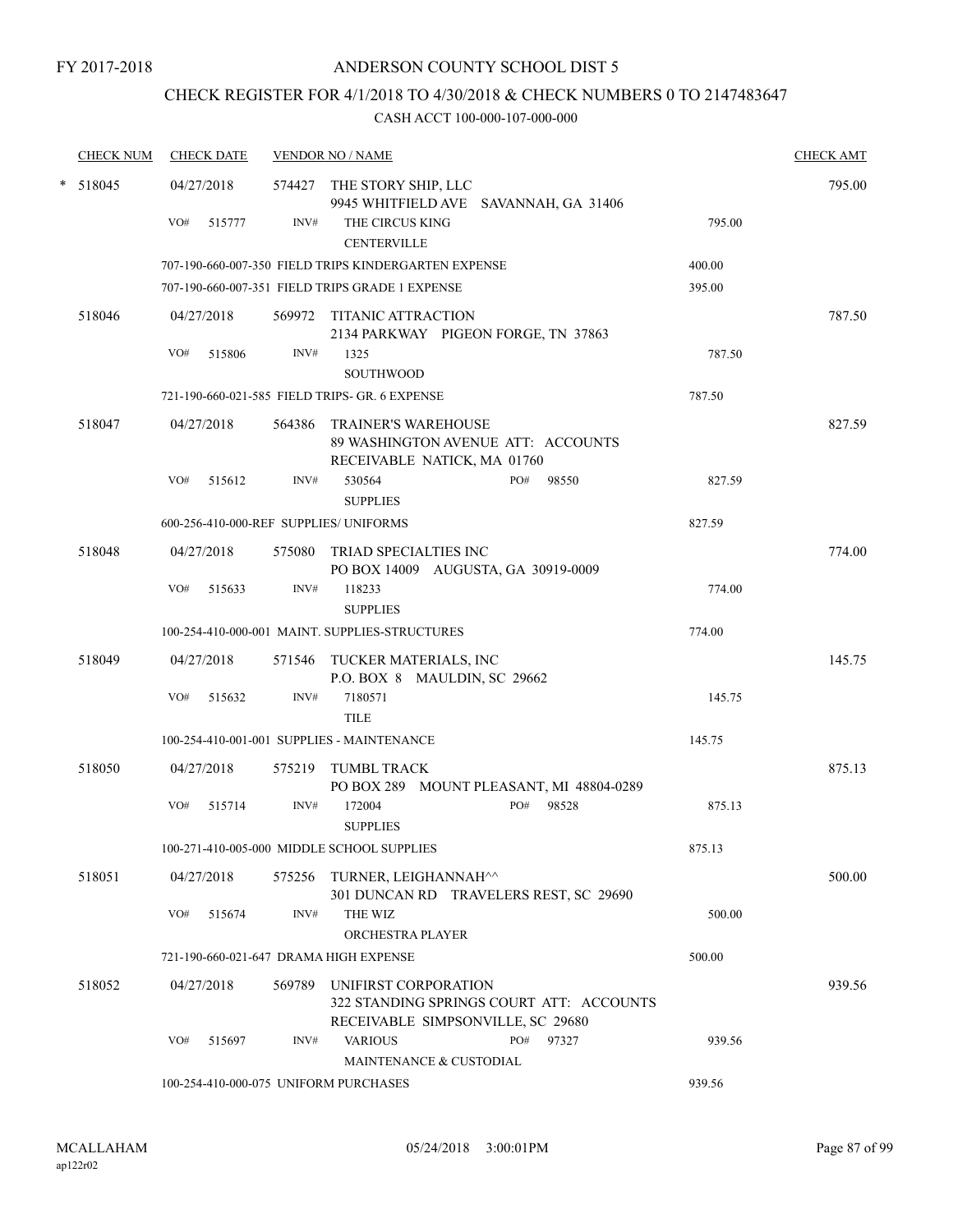# CHECK REGISTER FOR 4/1/2018 TO 4/30/2018 & CHECK NUMBERS 0 TO 2147483647

| <b>CHECK NUM</b> | <b>CHECK DATE</b> |                                        | <b>VENDOR NO / NAME</b>                                      |                                                   |        | <b>CHECK AMT</b> |
|------------------|-------------------|----------------------------------------|--------------------------------------------------------------|---------------------------------------------------|--------|------------------|
| * 518045         | 04/27/2018        |                                        | 574427 THE STORY SHIP, LLC                                   | 9945 WHITFIELD AVE SAVANNAH, GA 31406             |        | 795.00           |
|                  | VO#<br>515777     | INV#                                   | THE CIRCUS KING<br><b>CENTERVILLE</b>                        |                                                   | 795.00 |                  |
|                  |                   |                                        | 707-190-660-007-350 FIELD TRIPS KINDERGARTEN EXPENSE         |                                                   | 400.00 |                  |
|                  |                   |                                        | 707-190-660-007-351 FIELD TRIPS GRADE 1 EXPENSE              |                                                   | 395.00 |                  |
| 518046           | 04/27/2018        |                                        | 569972 TITANIC ATTRACTION                                    | 2134 PARKWAY PIGEON FORGE, TN 37863               |        | 787.50           |
|                  | VO#<br>515806     | INV#                                   | 1325<br>SOUTHWOOD                                            |                                                   | 787.50 |                  |
|                  |                   |                                        | 721-190-660-021-585 FIELD TRIPS- GR. 6 EXPENSE               |                                                   | 787.50 |                  |
| 518047           | 04/27/2018        |                                        | 564386 TRAINER'S WAREHOUSE<br>RECEIVABLE NATICK, MA 01760    | 89 WASHINGTON AVENUE ATT: ACCOUNTS                |        | 827.59           |
|                  | VO#<br>515612     | INV#                                   | 530564<br><b>SUPPLIES</b>                                    | PO# 98550                                         | 827.59 |                  |
|                  |                   | 600-256-410-000-REF SUPPLIES/ UNIFORMS |                                                              |                                                   | 827.59 |                  |
| 518048           | 04/27/2018        |                                        | 575080 TRIAD SPECIALTIES INC                                 | PO BOX 14009 AUGUSTA, GA 30919-0009               |        | 774.00           |
|                  | VO#<br>515633     | INV#                                   | 118233<br><b>SUPPLIES</b>                                    |                                                   | 774.00 |                  |
|                  |                   |                                        | 100-254-410-000-001 MAINT. SUPPLIES-STRUCTURES               |                                                   | 774.00 |                  |
| 518049           | 04/27/2018        |                                        | 571546 TUCKER MATERIALS, INC<br>P.O. BOX 8 MAULDIN, SC 29662 |                                                   |        | 145.75           |
|                  | VO#<br>515632     | INV#                                   | 7180571<br><b>TILE</b>                                       |                                                   | 145.75 |                  |
|                  |                   |                                        | 100-254-410-001-001 SUPPLIES - MAINTENANCE                   |                                                   | 145.75 |                  |
| 518050           | 04/27/2018        |                                        | 575219 TUMBL TRACK                                           | PO BOX 289 MOUNT PLEASANT, MI 48804-0289          |        | 875.13           |
|                  | VO#<br>515714     | INV#                                   | 172004<br><b>SUPPLIES</b>                                    | PO#<br>98528                                      | 875.13 |                  |
|                  |                   |                                        | 100-271-410-005-000 MIDDLE SCHOOL SUPPLIES                   |                                                   | 875.13 |                  |
| 518051           | 04/27/2018        |                                        | 575256 TURNER, LEIGHANNAH <sup>^^</sup>                      | 301 DUNCAN RD TRAVELERS REST, SC 29690            |        | 500.00           |
|                  | VO#<br>515674     | INV#                                   | THE WIZ<br>ORCHESTRA PLAYER                                  |                                                   | 500.00 |                  |
|                  |                   |                                        | 721-190-660-021-647 DRAMA HIGH EXPENSE                       |                                                   | 500.00 |                  |
| 518052           | 04/27/2018        | 569789                                 | UNIFIRST CORPORATION                                         | 322 STANDING SPRINGS COURT ATT: ACCOUNTS          |        | 939.56           |
|                  | VO#<br>515697     | INV#                                   | <b>VARIOUS</b><br>MAINTENANCE & CUSTODIAL                    | RECEIVABLE SIMPSONVILLE, SC 29680<br>PO#<br>97327 | 939.56 |                  |
|                  |                   |                                        | 100-254-410-000-075 UNIFORM PURCHASES                        |                                                   | 939.56 |                  |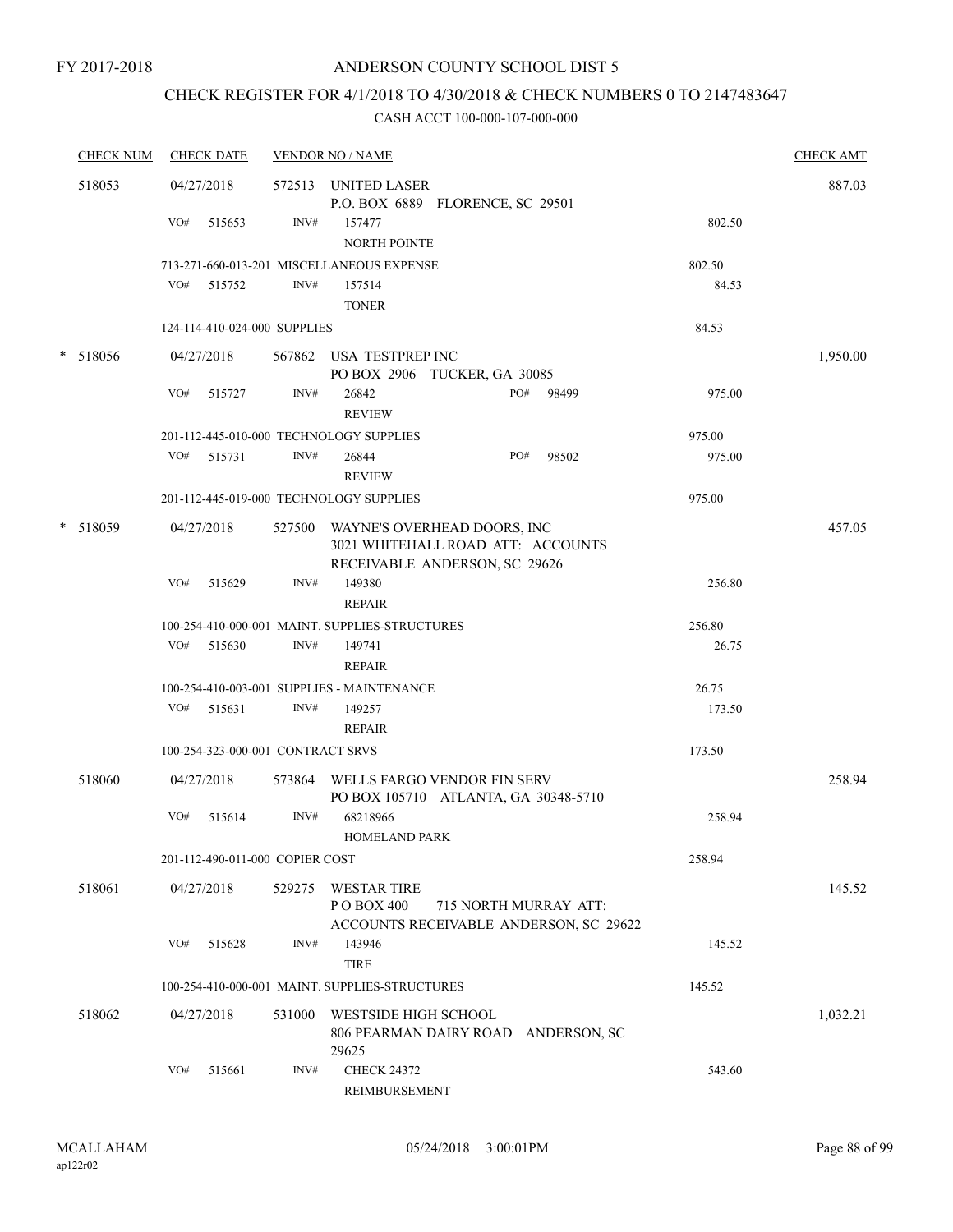# CHECK REGISTER FOR 4/1/2018 TO 4/30/2018 & CHECK NUMBERS 0 TO 2147483647

| <b>CHECK NUM</b> |     | <b>CHECK DATE</b>                 |        | <b>VENDOR NO / NAME</b>                        |                                                                                                   |       |        | <b>CHECK AMT</b> |
|------------------|-----|-----------------------------------|--------|------------------------------------------------|---------------------------------------------------------------------------------------------------|-------|--------|------------------|
| 518053           |     | 04/27/2018                        |        | 572513 UNITED LASER                            | P.O. BOX 6889 FLORENCE, SC 29501                                                                  |       |        | 887.03           |
|                  | VO# | 515653                            | INV#   | 157477<br><b>NORTH POINTE</b>                  |                                                                                                   |       | 802.50 |                  |
|                  |     |                                   |        | 713-271-660-013-201 MISCELLANEOUS EXPENSE      |                                                                                                   |       | 802.50 |                  |
|                  |     | VO# 515752                        | INV#   | 157514<br><b>TONER</b>                         |                                                                                                   |       | 84.53  |                  |
|                  |     | 124-114-410-024-000 SUPPLIES      |        |                                                |                                                                                                   |       | 84.53  |                  |
| * 518056         |     | 04/27/2018                        |        | 567862 USA TESTPREP INC                        | PO BOX 2906 TUCKER, GA 30085                                                                      |       |        | 1,950.00         |
|                  | VO# | 515727                            | INV#   | 26842<br><b>REVIEW</b>                         | PO#                                                                                               | 98499 | 975.00 |                  |
|                  |     |                                   |        | 201-112-445-010-000 TECHNOLOGY SUPPLIES        |                                                                                                   |       | 975.00 |                  |
|                  |     | VO# 515731                        | INV#   | 26844<br><b>REVIEW</b>                         | PO#                                                                                               | 98502 | 975.00 |                  |
|                  |     |                                   |        | 201-112-445-019-000 TECHNOLOGY SUPPLIES        |                                                                                                   |       | 975.00 |                  |
| * 518059         |     | 04/27/2018                        | 527500 |                                                | WAYNE'S OVERHEAD DOORS, INC<br>3021 WHITEHALL ROAD ATT: ACCOUNTS<br>RECEIVABLE ANDERSON, SC 29626 |       |        | 457.05           |
|                  | VO# | 515629                            | INV#   | 149380<br><b>REPAIR</b>                        |                                                                                                   |       | 256.80 |                  |
|                  |     |                                   |        | 100-254-410-000-001 MAINT. SUPPLIES-STRUCTURES |                                                                                                   |       | 256.80 |                  |
|                  |     | VO# 515630                        | INV#   | 149741                                         |                                                                                                   |       | 26.75  |                  |
|                  |     |                                   |        | <b>REPAIR</b>                                  |                                                                                                   |       |        |                  |
|                  |     |                                   |        | 100-254-410-003-001 SUPPLIES - MAINTENANCE     |                                                                                                   |       | 26.75  |                  |
|                  | VO# | 515631                            | INV#   | 149257<br><b>REPAIR</b>                        |                                                                                                   |       | 173.50 |                  |
|                  |     | 100-254-323-000-001 CONTRACT SRVS |        |                                                |                                                                                                   |       | 173.50 |                  |
| 518060           |     | 04/27/2018                        |        |                                                | 573864 WELLS FARGO VENDOR FIN SERV<br>PO BOX 105710 ATLANTA, GA 30348-5710                        |       |        | 258.94           |
|                  | VO# | 515614                            | INV#   | 68218966<br><b>HOMELAND PARK</b>               |                                                                                                   |       | 258.94 |                  |
|                  |     | 201-112-490-011-000 COPIER COST   |        |                                                |                                                                                                   |       | 258.94 |                  |
| 518061           |     | 04/27/2018                        | 529275 | <b>WESTAR TIRE</b><br>PO BOX 400               | 715 NORTH MURRAY ATT:<br>ACCOUNTS RECEIVABLE ANDERSON, SC 29622                                   |       |        | 145.52           |
|                  | VO# | 515628                            | INV#   | 143946<br><b>TIRE</b>                          |                                                                                                   |       | 145.52 |                  |
|                  |     |                                   |        | 100-254-410-000-001 MAINT. SUPPLIES-STRUCTURES |                                                                                                   |       | 145.52 |                  |
| 518062           |     | 04/27/2018                        | 531000 | WESTSIDE HIGH SCHOOL<br>29625                  | 806 PEARMAN DAIRY ROAD ANDERSON, SC                                                               |       |        | 1,032.21         |
|                  | VO# | 515661                            | INV#   | <b>CHECK 24372</b><br>REIMBURSEMENT            |                                                                                                   |       | 543.60 |                  |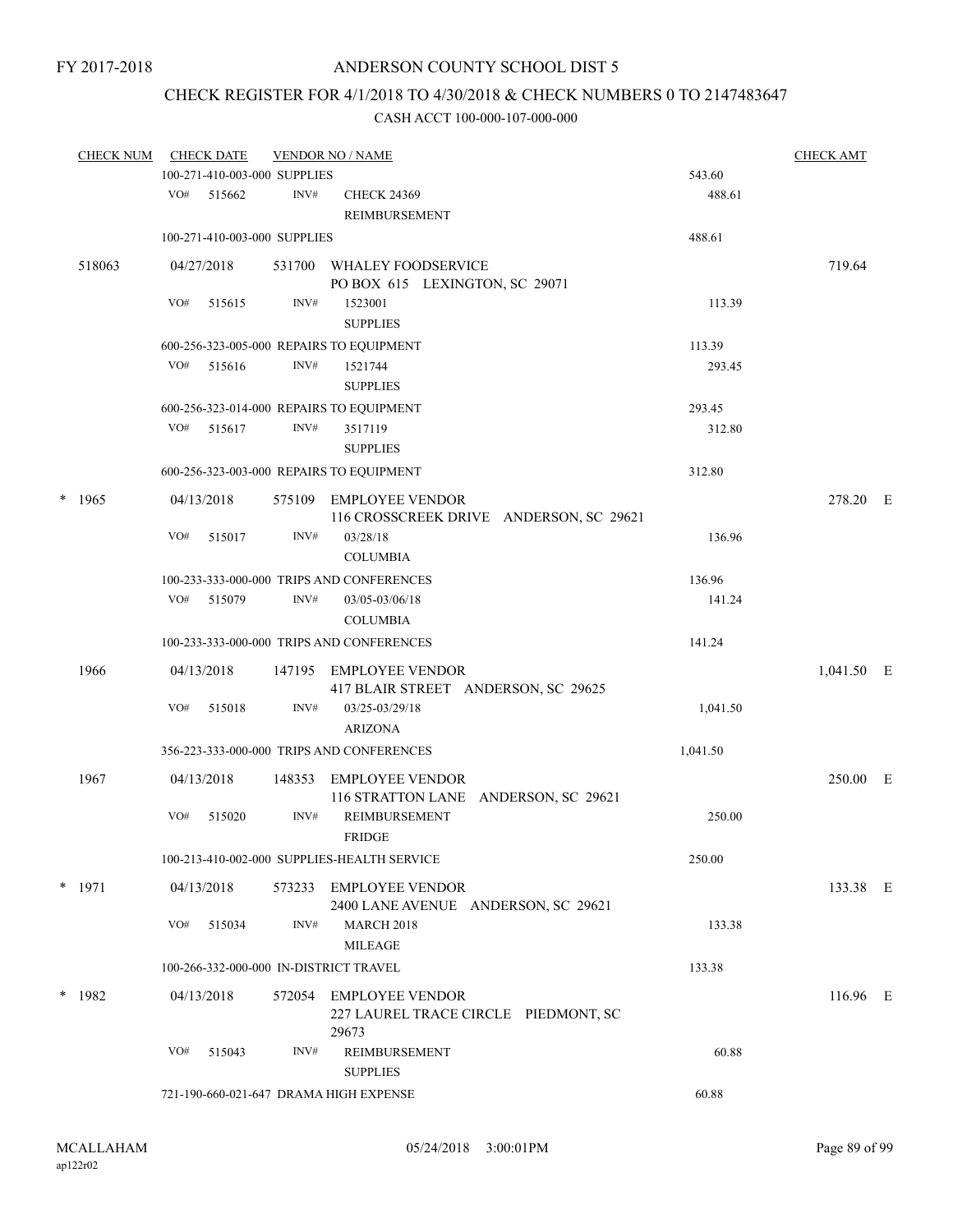# CHECK REGISTER FOR 4/1/2018 TO 4/30/2018 & CHECK NUMBERS 0 TO 2147483647

| <b>CHECK NUM</b> |     | <b>CHECK DATE</b>            |        | <b>VENDOR NO / NAME</b>                       |          | <b>CHECK AMT</b> |  |
|------------------|-----|------------------------------|--------|-----------------------------------------------|----------|------------------|--|
|                  |     | 100-271-410-003-000 SUPPLIES |        |                                               | 543.60   |                  |  |
|                  | VO# | 515662                       | INV#   | <b>CHECK 24369</b><br>REIMBURSEMENT           | 488.61   |                  |  |
|                  |     | 100-271-410-003-000 SUPPLIES |        |                                               | 488.61   |                  |  |
| 518063           |     | 04/27/2018                   |        | 531700 WHALEY FOODSERVICE                     |          | 719.64           |  |
|                  |     |                              |        | PO BOX 615 LEXINGTON, SC 29071                |          |                  |  |
|                  | VO# | 515615                       | INV#   | 1523001<br><b>SUPPLIES</b>                    | 113.39   |                  |  |
|                  |     |                              |        | 600-256-323-005-000 REPAIRS TO EQUIPMENT      | 113.39   |                  |  |
|                  |     | $VO#$ 515616                 | INV#   | 1521744                                       | 293.45   |                  |  |
|                  |     |                              |        | <b>SUPPLIES</b>                               |          |                  |  |
|                  |     |                              |        | 600-256-323-014-000 REPAIRS TO EQUIPMENT      | 293.45   |                  |  |
|                  | VO# | 515617                       | INV#   | 3517119<br><b>SUPPLIES</b>                    | 312.80   |                  |  |
|                  |     |                              |        | 600-256-323-003-000 REPAIRS TO EQUIPMENT      | 312.80   |                  |  |
| $*$ 1965         |     | 04/13/2018                   |        | 575109 EMPLOYEE VENDOR                        |          | 278.20 E         |  |
|                  |     |                              |        | 116 CROSSCREEK DRIVE ANDERSON, SC 29621       |          |                  |  |
|                  | VO# | 515017                       | INV#   | 03/28/18<br><b>COLUMBIA</b>                   | 136.96   |                  |  |
|                  |     |                              |        | 100-233-333-000-000 TRIPS AND CONFERENCES     | 136.96   |                  |  |
|                  | VO# | 515079                       | INV#   | 03/05-03/06/18<br><b>COLUMBIA</b>             | 141.24   |                  |  |
|                  |     |                              |        | 100-233-333-000-000 TRIPS AND CONFERENCES     | 141.24   |                  |  |
| 1966             |     | 04/13/2018                   | 147195 | EMPLOYEE VENDOR                               |          | 1,041.50 E       |  |
|                  |     |                              |        | 417 BLAIR STREET ANDERSON, SC 29625           |          |                  |  |
|                  | VO# | 515018                       | INV#   | 03/25-03/29/18<br><b>ARIZONA</b>              | 1,041.50 |                  |  |
|                  |     |                              |        | 356-223-333-000-000 TRIPS AND CONFERENCES     | 1,041.50 |                  |  |
| 1967             |     | 04/13/2018                   | 148353 | <b>EMPLOYEE VENDOR</b>                        |          | 250.00 E         |  |
|                  |     |                              |        | 116 STRATTON LANE ANDERSON, SC 29621          |          |                  |  |
|                  | VO# | 515020                       | INV#   | REIMBURSEMENT<br><b>FRIDGE</b>                | 250.00   |                  |  |
|                  |     |                              |        | 100-213-410-002-000 SUPPLIES-HEALTH SERVICE   | 250.00   |                  |  |
| $*$ 1971         |     | 04/13/2018                   |        | 573233 EMPLOYEE VENDOR                        |          | 133.38 E         |  |
|                  |     |                              |        | 2400 LANE AVENUE ANDERSON, SC 29621           |          |                  |  |
|                  | VO# | 515034                       | INV#   | <b>MARCH 2018</b><br><b>MILEAGE</b>           | 133.38   |                  |  |
|                  |     |                              |        | 100-266-332-000-000 IN-DISTRICT TRAVEL        | 133.38   |                  |  |
| $*$ 1982         |     | 04/13/2018                   | 572054 | EMPLOYEE VENDOR                               |          | $116.96$ E       |  |
|                  |     |                              |        | 227 LAUREL TRACE CIRCLE PIEDMONT, SC<br>29673 |          |                  |  |
|                  | VO# | 515043                       | INV#   | REIMBURSEMENT<br><b>SUPPLIES</b>              | 60.88    |                  |  |
|                  |     |                              |        | 721-190-660-021-647 DRAMA HIGH EXPENSE        | 60.88    |                  |  |
|                  |     |                              |        |                                               |          |                  |  |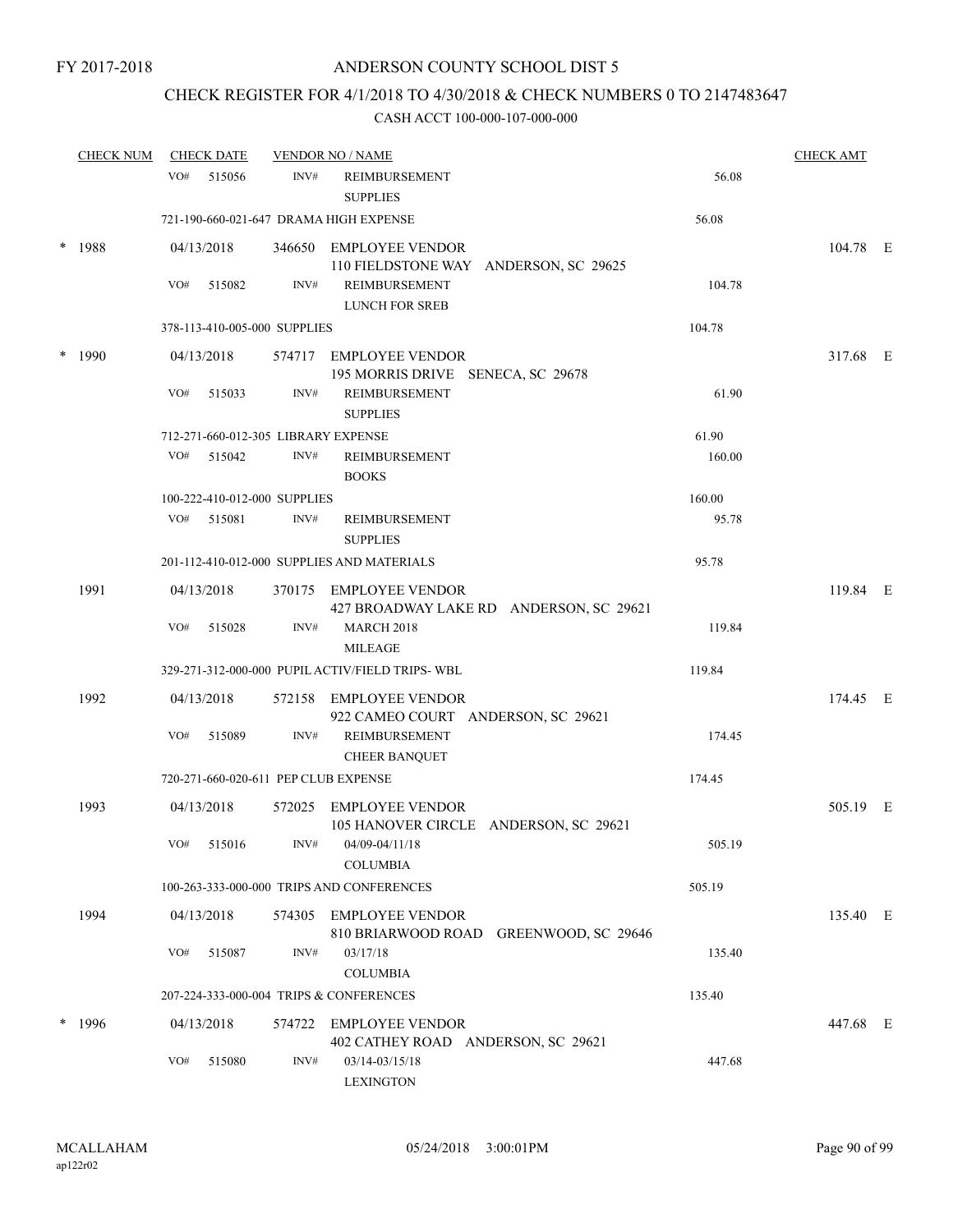# CHECK REGISTER FOR 4/1/2018 TO 4/30/2018 & CHECK NUMBERS 0 TO 2147483647

|        | <b>CHECK NUM</b> |            | <b>CHECK DATE</b> |                                     | <b>VENDOR NO / NAME</b>                                           |        | <b>CHECK AMT</b> |  |
|--------|------------------|------------|-------------------|-------------------------------------|-------------------------------------------------------------------|--------|------------------|--|
|        |                  | VO#        | 515056            | INV#                                | REIMBURSEMENT<br><b>SUPPLIES</b>                                  | 56.08  |                  |  |
|        |                  |            |                   |                                     | 721-190-660-021-647 DRAMA HIGH EXPENSE                            | 56.08  |                  |  |
| $\ast$ | 1988             | 04/13/2018 |                   |                                     | 346650 EMPLOYEE VENDOR<br>110 FIELDSTONE WAY ANDERSON, SC 29625   |        | 104.78 E         |  |
|        |                  | VO#        | 515082            | INV#                                | REIMBURSEMENT<br><b>LUNCH FOR SREB</b>                            | 104.78 |                  |  |
|        |                  |            |                   | 378-113-410-005-000 SUPPLIES        |                                                                   | 104.78 |                  |  |
| $\ast$ | 1990             | 04/13/2018 |                   |                                     | 574717 EMPLOYEE VENDOR<br>195 MORRIS DRIVE SENECA, SC 29678       |        | 317.68 E         |  |
|        |                  | VO#        | 515033            | INV#                                | <b>REIMBURSEMENT</b><br><b>SUPPLIES</b>                           | 61.90  |                  |  |
|        |                  |            |                   | 712-271-660-012-305 LIBRARY EXPENSE |                                                                   | 61.90  |                  |  |
|        |                  | VO#        | 515042            | INV#                                | REIMBURSEMENT<br><b>BOOKS</b>                                     | 160.00 |                  |  |
|        |                  |            |                   | 100-222-410-012-000 SUPPLIES        |                                                                   | 160.00 |                  |  |
|        |                  |            | $VO#$ 515081      | INV#                                | REIMBURSEMENT<br><b>SUPPLIES</b>                                  | 95.78  |                  |  |
|        |                  |            |                   |                                     | 201-112-410-012-000 SUPPLIES AND MATERIALS                        | 95.78  |                  |  |
|        | 1991             | 04/13/2018 |                   |                                     | 370175 EMPLOYEE VENDOR<br>427 BROADWAY LAKE RD ANDERSON, SC 29621 |        | 119.84 E         |  |
|        |                  | VO#        | 515028            | INV#                                | <b>MARCH 2018</b><br><b>MILEAGE</b>                               | 119.84 |                  |  |
|        |                  |            |                   |                                     | 329-271-312-000-000 PUPIL ACTIV/FIELD TRIPS- WBL                  | 119.84 |                  |  |
|        | 1992             | 04/13/2018 |                   |                                     | 572158 EMPLOYEE VENDOR<br>922 CAMEO COURT ANDERSON, SC 29621      |        | 174.45 E         |  |
|        |                  | VO#        | 515089            | INV#                                | REIMBURSEMENT<br><b>CHEER BANQUET</b>                             | 174.45 |                  |  |
|        |                  |            |                   |                                     | 720-271-660-020-611 PEP CLUB EXPENSE                              | 174.45 |                  |  |
|        | 1993             | 04/13/2018 |                   |                                     | 572025 EMPLOYEE VENDOR<br>105 HANOVER CIRCLE ANDERSON, SC 29621   |        | 505.19 E         |  |
|        |                  |            | VO# 515016        |                                     | $INV#$ 04/09-04/11/18<br><b>COLUMBIA</b>                          | 505.19 |                  |  |
|        |                  |            |                   |                                     | 100-263-333-000-000 TRIPS AND CONFERENCES                         | 505.19 |                  |  |
|        | 1994             | 04/13/2018 |                   |                                     | 574305 EMPLOYEE VENDOR<br>810 BRIARWOOD ROAD GREENWOOD, SC 29646  |        | 135.40 E         |  |
|        |                  | VO#        | 515087            | INV#                                | 03/17/18<br><b>COLUMBIA</b>                                       | 135.40 |                  |  |
|        |                  |            |                   |                                     | 207-224-333-000-004 TRIPS & CONFERENCES                           | 135.40 |                  |  |
|        | 1996             | 04/13/2018 |                   |                                     | 574722 EMPLOYEE VENDOR<br>402 CATHEY ROAD ANDERSON, SC 29621      |        | 447.68 E         |  |
|        |                  | VO#        | 515080            | INV#                                | 03/14-03/15/18<br><b>LEXINGTON</b>                                | 447.68 |                  |  |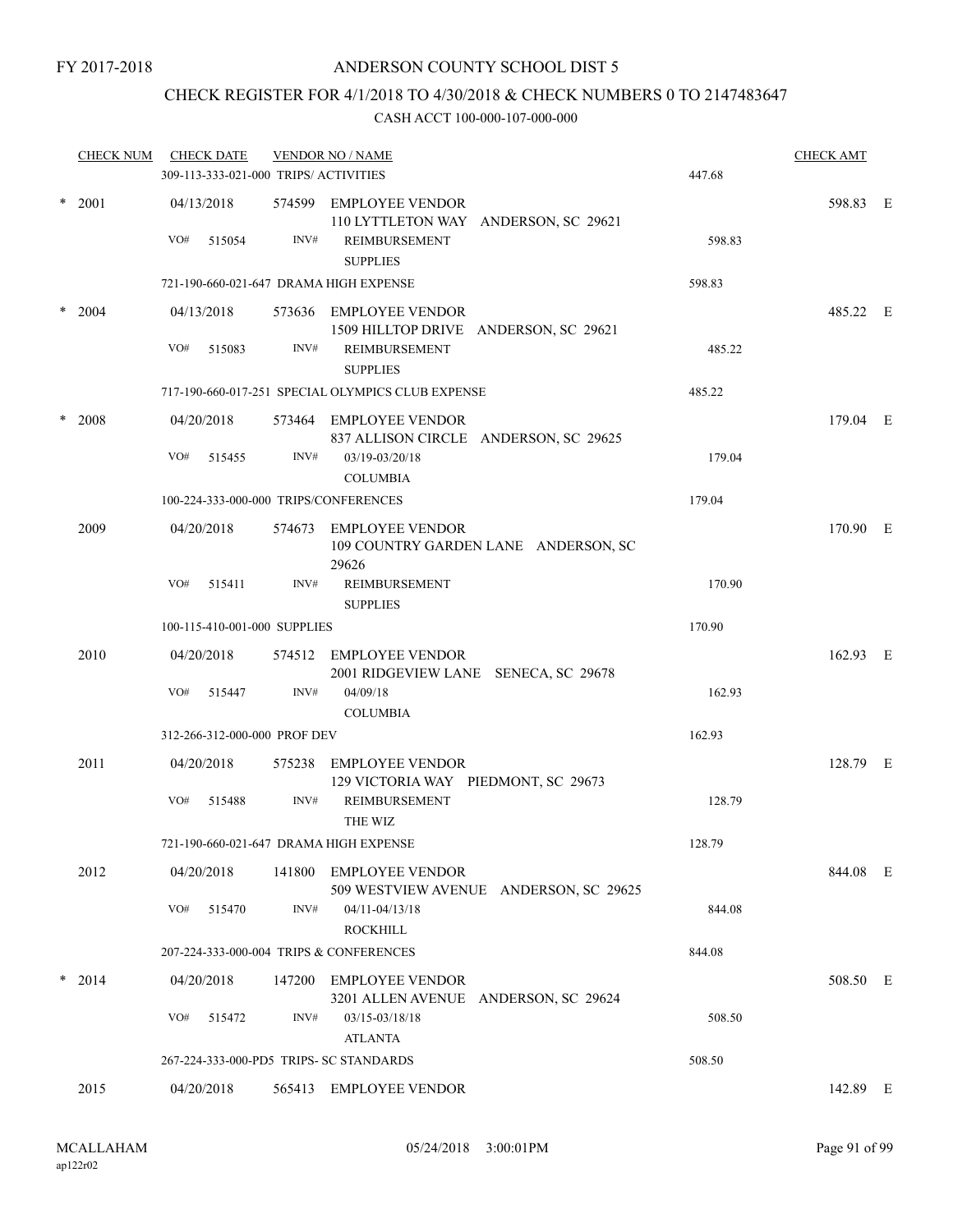# CHECK REGISTER FOR 4/1/2018 TO 4/30/2018 & CHECK NUMBERS 0 TO 2147483647

|        | <b>CHECK NUM</b> |     | <b>CHECK DATE</b>            |      | <b>VENDOR NO / NAME</b><br>309-113-333-021-000 TRIPS/ ACTIVITIES  |                                        | 447.68 | <b>CHECK AMT</b> |  |
|--------|------------------|-----|------------------------------|------|-------------------------------------------------------------------|----------------------------------------|--------|------------------|--|
|        | $*$ 2001         | VO# | 04/13/2018<br>515054         | INV# | 574599 EMPLOYEE VENDOR<br>REIMBURSEMENT<br><b>SUPPLIES</b>        | 110 LYTTLETON WAY ANDERSON, SC 29621   | 598.83 | 598.83 E         |  |
|        |                  |     |                              |      | 721-190-660-021-647 DRAMA HIGH EXPENSE                            |                                        | 598.83 |                  |  |
| $\ast$ | 2004             | VO# | 04/13/2018<br>515083         | INV# | 573636 EMPLOYEE VENDOR<br><b>REIMBURSEMENT</b><br><b>SUPPLIES</b> | 1509 HILLTOP DRIVE ANDERSON, SC 29621  | 485.22 | 485.22 E         |  |
|        |                  |     |                              |      | 717-190-660-017-251 SPECIAL OLYMPICS CLUB EXPENSE                 |                                        | 485.22 |                  |  |
| $\ast$ | 2008             |     | 04/20/2018                   |      | 573464 EMPLOYEE VENDOR                                            | 837 ALLISON CIRCLE ANDERSON, SC 29625  |        | 179.04 E         |  |
|        |                  | VO# | 515455                       | INV# | 03/19-03/20/18<br><b>COLUMBIA</b>                                 |                                        | 179.04 |                  |  |
|        |                  |     |                              |      | 100-224-333-000-000 TRIPS/CONFERENCES                             |                                        | 179.04 |                  |  |
|        | 2009             |     | 04/20/2018                   |      | 574673 EMPLOYEE VENDOR<br>29626                                   | 109 COUNTRY GARDEN LANE ANDERSON, SC   |        | 170.90 E         |  |
|        |                  | VO# | 515411                       | INV# | <b>REIMBURSEMENT</b><br><b>SUPPLIES</b>                           |                                        | 170.90 |                  |  |
|        |                  |     | 100-115-410-001-000 SUPPLIES |      |                                                                   |                                        | 170.90 |                  |  |
|        | 2010             |     | 04/20/2018                   |      | 574512 EMPLOYEE VENDOR                                            | 2001 RIDGEVIEW LANE SENECA, SC 29678   |        | 162.93 E         |  |
|        |                  | VO# | 515447                       | INV# | 04/09/18<br><b>COLUMBIA</b>                                       |                                        | 162.93 |                  |  |
|        |                  |     | 312-266-312-000-000 PROF DEV |      |                                                                   |                                        | 162.93 |                  |  |
|        | 2011             |     | 04/20/2018                   |      | 575238 EMPLOYEE VENDOR<br>129 VICTORIA WAY PIEDMONT, SC 29673     |                                        |        | 128.79 E         |  |
|        |                  | VO# | 515488                       | INV# | REIMBURSEMENT<br>THE WIZ                                          |                                        | 128.79 |                  |  |
|        |                  |     |                              |      | 721-190-660-021-647 DRAMA HIGH EXPENSE                            |                                        | 128.79 |                  |  |
|        | 2012             |     | 04/20/2018                   |      | 141800 EMPLOYEE VENDOR                                            | 509 WESTVIEW AVENUE ANDERSON, SC 29625 |        | 844.08 E         |  |
|        |                  | VO# | 515470                       | INV# | 04/11-04/13/18<br><b>ROCKHILL</b>                                 |                                        | 844.08 |                  |  |
|        |                  |     |                              |      | 207-224-333-000-004 TRIPS & CONFERENCES                           |                                        | 844.08 |                  |  |
|        | $*$ 2014         |     | 04/20/2018                   |      | 147200 EMPLOYEE VENDOR                                            | 3201 ALLEN AVENUE ANDERSON, SC 29624   |        | 508.50 E         |  |
|        |                  | VO# | 515472                       | INV# | 03/15-03/18/18<br><b>ATLANTA</b>                                  |                                        | 508.50 |                  |  |
|        |                  |     |                              |      | 267-224-333-000-PD5 TRIPS- SC STANDARDS                           |                                        | 508.50 |                  |  |
|        | 2015             |     | 04/20/2018                   |      | 565413 EMPLOYEE VENDOR                                            |                                        |        | 142.89 E         |  |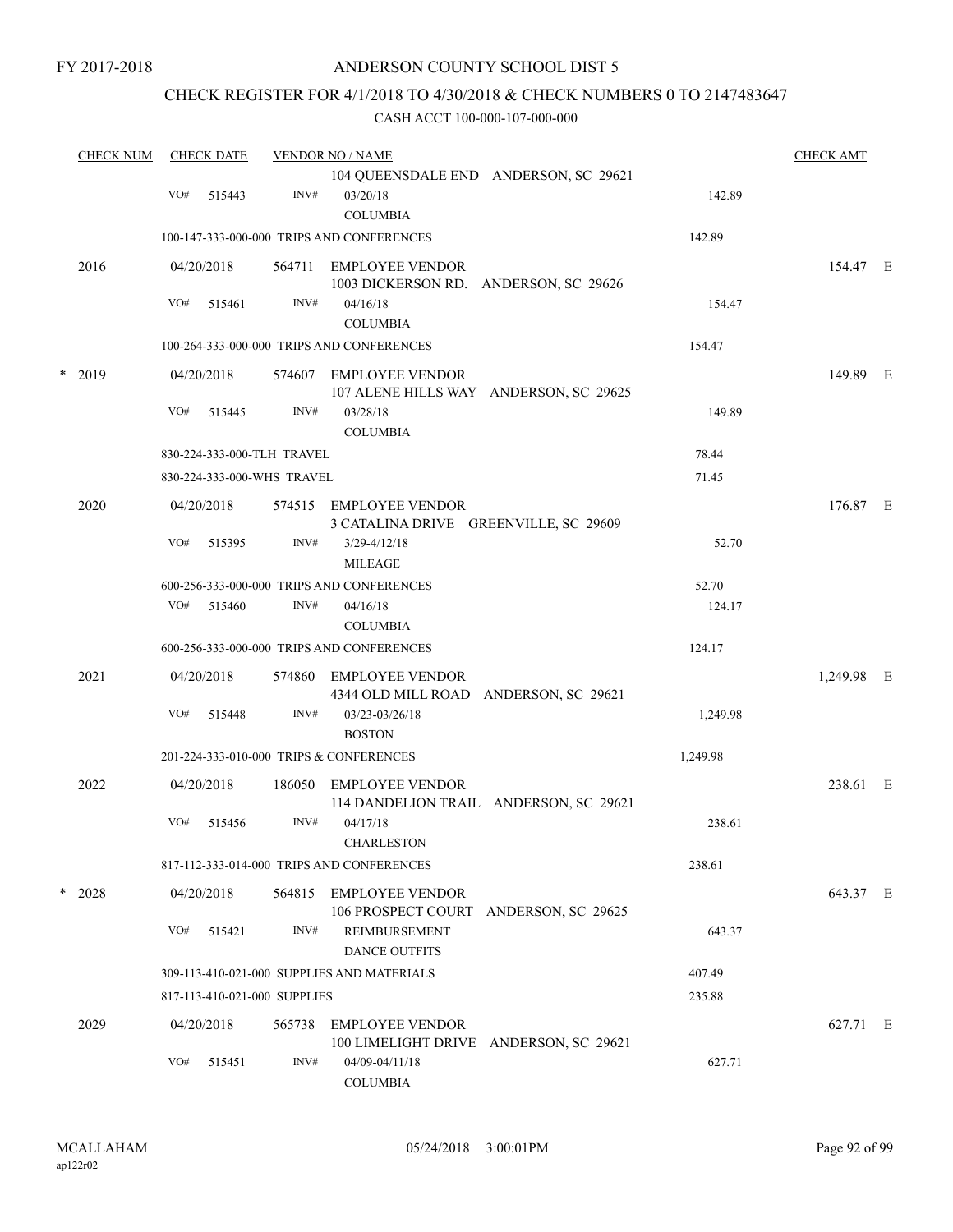# CHECK REGISTER FOR 4/1/2018 TO 4/30/2018 & CHECK NUMBERS 0 TO 2147483647

| <b>CHECK NUM</b> | <b>CHECK DATE</b> |               | <b>VENDOR NO / NAME</b>      |                                                                 |                                        | <b>CHECK AMT</b> |            |  |
|------------------|-------------------|---------------|------------------------------|-----------------------------------------------------------------|----------------------------------------|------------------|------------|--|
|                  |                   | VO#<br>515443 | INV#                         | 03/20/18<br><b>COLUMBIA</b>                                     | 104 QUEENSDALE END ANDERSON, SC 29621  | 142.89           |            |  |
|                  |                   |               |                              | 100-147-333-000-000 TRIPS AND CONFERENCES                       |                                        | 142.89           |            |  |
|                  | 2016              | 04/20/2018    |                              | 564711 EMPLOYEE VENDOR<br>1003 DICKERSON RD. ANDERSON, SC 29626 |                                        |                  | 154.47 E   |  |
|                  |                   | VO#<br>515461 | INV#                         | 04/16/18<br><b>COLUMBIA</b>                                     |                                        | 154.47           |            |  |
|                  |                   |               |                              | 100-264-333-000-000 TRIPS AND CONFERENCES                       |                                        | 154.47           |            |  |
| *                | 2019              | 04/20/2018    |                              | 574607 EMPLOYEE VENDOR                                          | 107 ALENE HILLS WAY ANDERSON, SC 29625 |                  | 149.89 E   |  |
|                  |                   | VO#<br>515445 | INV#                         | 03/28/18<br><b>COLUMBIA</b>                                     |                                        | 149.89           |            |  |
|                  |                   |               | 830-224-333-000-TLH TRAVEL   |                                                                 |                                        | 78.44            |            |  |
|                  |                   |               | 830-224-333-000-WHS TRAVEL   |                                                                 |                                        | 71.45            |            |  |
|                  | 2020              | 04/20/2018    |                              | 574515 EMPLOYEE VENDOR<br>3 CATALINA DRIVE GREENVILLE, SC 29609 |                                        |                  | 176.87 E   |  |
|                  |                   | VO#<br>515395 | INV#                         | $3/29 - 4/12/18$<br>MILEAGE                                     |                                        | 52.70            |            |  |
|                  |                   |               |                              | 600-256-333-000-000 TRIPS AND CONFERENCES                       |                                        | 52.70            |            |  |
|                  |                   | VO#<br>515460 | INV#                         | 04/16/18<br><b>COLUMBIA</b>                                     |                                        | 124.17           |            |  |
|                  |                   |               |                              | 600-256-333-000-000 TRIPS AND CONFERENCES                       |                                        | 124.17           |            |  |
|                  | 2021              | 04/20/2018    | 574860                       | EMPLOYEE VENDOR<br>4344 OLD MILL ROAD ANDERSON, SC 29621        |                                        |                  | 1,249.98 E |  |
|                  |                   | VO#<br>515448 | INV#                         | 03/23-03/26/18<br><b>BOSTON</b>                                 |                                        | 1,249.98         |            |  |
|                  |                   |               |                              | 201-224-333-010-000 TRIPS & CONFERENCES                         |                                        | 1,249.98         |            |  |
|                  | 2022              | 04/20/2018    |                              | 186050 EMPLOYEE VENDOR                                          | 114 DANDELION TRAIL ANDERSON, SC 29621 |                  | 238.61 E   |  |
|                  |                   | VO#<br>515456 | INV#                         | 04/17/18<br><b>CHARLESTON</b>                                   |                                        | 238.61           |            |  |
|                  |                   |               |                              | 817-112-333-014-000 TRIPS AND CONFERENCES                       |                                        | 238.61           |            |  |
|                  | $*$ 2028          | 04/20/2018    |                              | 564815 EMPLOYEE VENDOR<br>106 PROSPECT COURT ANDERSON, SC 29625 |                                        |                  | 643.37 E   |  |
|                  |                   | VO#<br>515421 | INV#                         | REIMBURSEMENT<br><b>DANCE OUTFITS</b>                           |                                        | 643.37           |            |  |
|                  |                   |               |                              | 309-113-410-021-000 SUPPLIES AND MATERIALS                      |                                        | 407.49           |            |  |
|                  |                   |               | 817-113-410-021-000 SUPPLIES |                                                                 |                                        | 235.88           |            |  |
|                  | 2029              | 04/20/2018    | 565738                       | <b>EMPLOYEE VENDOR</b>                                          | 100 LIMELIGHT DRIVE ANDERSON, SC 29621 |                  | 627.71 E   |  |
|                  |                   | VO#<br>515451 | INV#                         | 04/09-04/11/18<br><b>COLUMBIA</b>                               |                                        | 627.71           |            |  |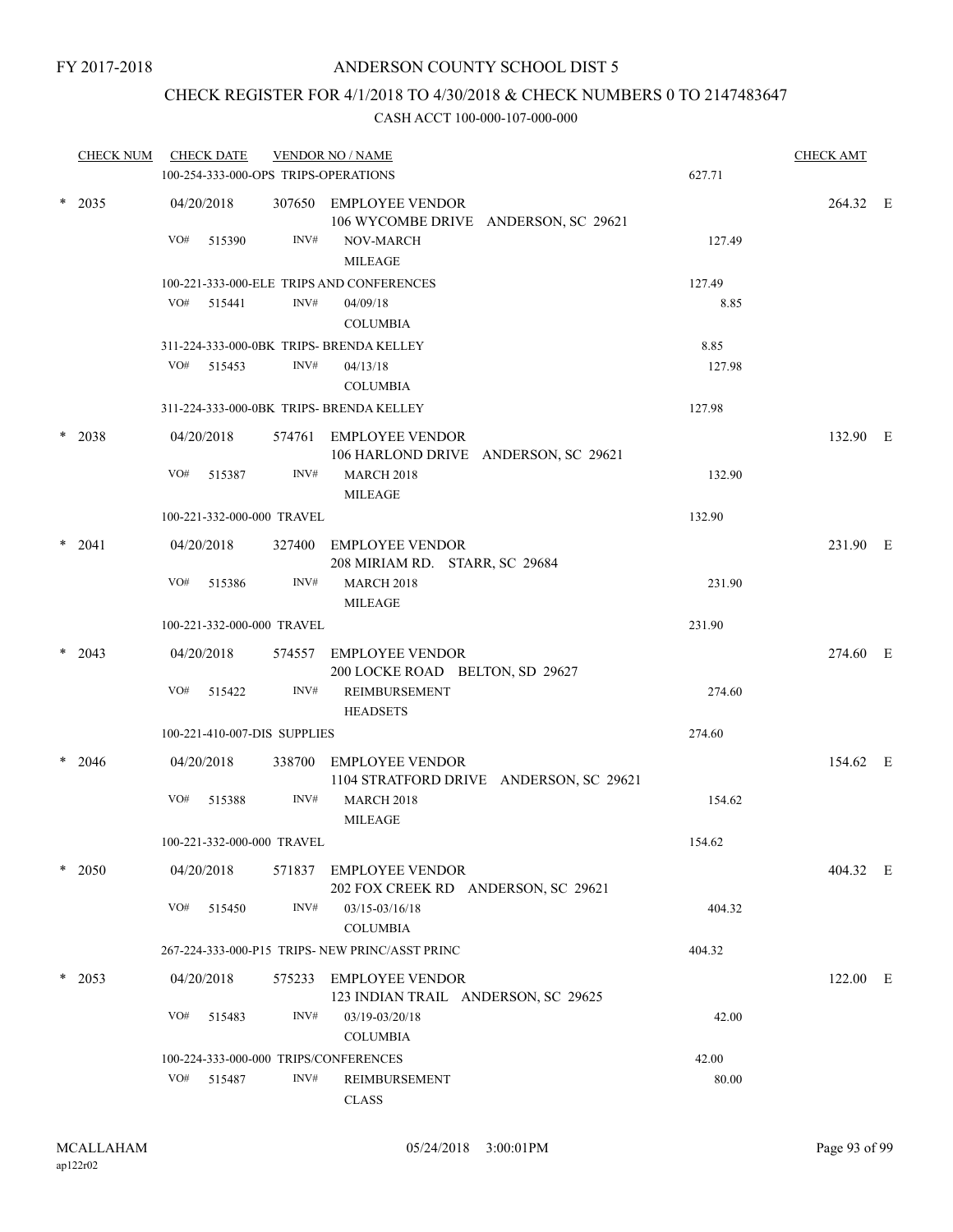# CHECK REGISTER FOR 4/1/2018 TO 4/30/2018 & CHECK NUMBERS 0 TO 2147483647

|        | <b>CHECK NUM</b> |            | <b>CHECK DATE</b> |                              | <b>VENDOR NO / NAME</b><br>100-254-333-000-OPS TRIPS-OPERATIONS   | 627.71 | <b>CHECK AMT</b> |  |
|--------|------------------|------------|-------------------|------------------------------|-------------------------------------------------------------------|--------|------------------|--|
|        | $*$ 2035         | 04/20/2018 |                   |                              | 307650 EMPLOYEE VENDOR<br>106 WYCOMBE DRIVE ANDERSON, SC 29621    |        | 264.32 E         |  |
|        |                  | VO#        | 515390            | INV#                         | NOV-MARCH<br><b>MILEAGE</b>                                       | 127.49 |                  |  |
|        |                  |            |                   |                              | 100-221-333-000-ELE TRIPS AND CONFERENCES                         | 127.49 |                  |  |
|        |                  |            | VO# 515441        | INV#                         | 04/09/18<br><b>COLUMBIA</b>                                       | 8.85   |                  |  |
|        |                  |            |                   |                              | 311-224-333-000-0BK TRIPS- BRENDA KELLEY                          | 8.85   |                  |  |
|        |                  |            | VO# 515453        | INV#                         | 04/13/18<br><b>COLUMBIA</b>                                       | 127.98 |                  |  |
|        |                  |            |                   |                              | 311-224-333-000-0BK TRIPS- BRENDA KELLEY                          | 127.98 |                  |  |
| $\ast$ | 2038             | 04/20/2018 |                   | 574761                       | <b>EMPLOYEE VENDOR</b><br>106 HARLOND DRIVE ANDERSON, SC 29621    |        | 132.90 E         |  |
|        |                  | VO#        | 515387            | INV#                         | <b>MARCH 2018</b><br><b>MILEAGE</b>                               | 132.90 |                  |  |
|        |                  |            |                   | 100-221-332-000-000 TRAVEL   |                                                                   | 132.90 |                  |  |
|        | $*$ 2041         | 04/20/2018 |                   |                              | 327400 EMPLOYEE VENDOR<br>208 MIRIAM RD. STARR, SC 29684          |        | 231.90 E         |  |
|        |                  | VO#        | 515386            | INV#                         | <b>MARCH 2018</b><br><b>MILEAGE</b>                               | 231.90 |                  |  |
|        |                  |            |                   | 100-221-332-000-000 TRAVEL   |                                                                   | 231.90 |                  |  |
|        | $*$ 2043         | 04/20/2018 |                   |                              | 574557 EMPLOYEE VENDOR<br>200 LOCKE ROAD BELTON, SD 29627         |        | 274.60 E         |  |
|        |                  | VO#        | 515422            | INV#                         | <b>REIMBURSEMENT</b><br><b>HEADSETS</b>                           | 274.60 |                  |  |
|        |                  |            |                   | 100-221-410-007-DIS SUPPLIES |                                                                   | 274.60 |                  |  |
| $\ast$ | 2046             | 04/20/2018 |                   |                              | 338700 EMPLOYEE VENDOR<br>1104 STRATFORD DRIVE ANDERSON, SC 29621 |        | 154.62 E         |  |
|        |                  | VO#        | 515388            | INV#                         | <b>MARCH 2018</b><br><b>MILEAGE</b>                               | 154.62 |                  |  |
|        |                  |            |                   | 100-221-332-000-000 TRAVEL   |                                                                   | 154.62 |                  |  |
|        | $*$ 2050         | 04/20/2018 |                   |                              | 571837 EMPLOYEE VENDOR<br>202 FOX CREEK RD ANDERSON, SC 29621     |        | 404.32 E         |  |
|        |                  | VO#        | 515450            | INV#                         | 03/15-03/16/18<br><b>COLUMBIA</b>                                 | 404.32 |                  |  |
|        |                  |            |                   |                              | 267-224-333-000-P15 TRIPS- NEW PRINC/ASST PRINC                   | 404.32 |                  |  |
|        | $*$ 2053         | 04/20/2018 |                   |                              | 575233 EMPLOYEE VENDOR<br>123 INDIAN TRAIL ANDERSON, SC 29625     |        | 122.00 E         |  |
|        |                  | VO#        | 515483            | INV#                         | 03/19-03/20/18<br><b>COLUMBIA</b>                                 | 42.00  |                  |  |
|        |                  |            |                   |                              | 100-224-333-000-000 TRIPS/CONFERENCES                             | 42.00  |                  |  |
|        |                  |            | VO# 515487        | INV#                         | REIMBURSEMENT<br>CLASS                                            | 80.00  |                  |  |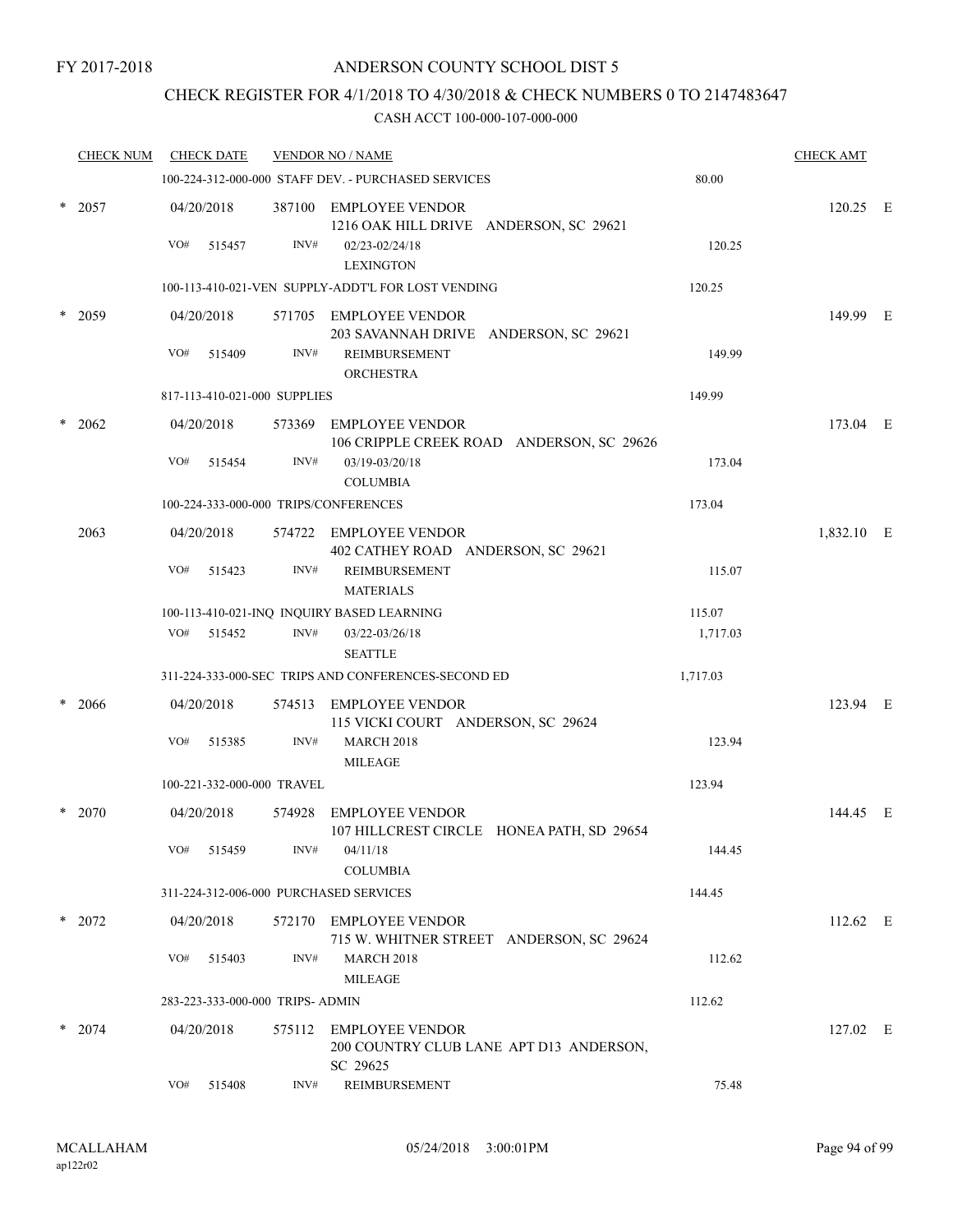# CHECK REGISTER FOR 4/1/2018 TO 4/30/2018 & CHECK NUMBERS 0 TO 2147483647

|        | <b>CHECK NUM</b> |     | <b>CHECK DATE</b> |                                  | <b>VENDOR NO / NAME</b>                                                       |          | <b>CHECK AMT</b> |  |
|--------|------------------|-----|-------------------|----------------------------------|-------------------------------------------------------------------------------|----------|------------------|--|
|        |                  |     |                   |                                  | 100-224-312-000-000 STAFF DEV. - PURCHASED SERVICES                           | 80.00    |                  |  |
| $\ast$ | 2057             |     | 04/20/2018        |                                  | 387100 EMPLOYEE VENDOR<br>1216 OAK HILL DRIVE ANDERSON, SC 29621              |          | 120.25 E         |  |
|        |                  | VO# | 515457            | INV#                             | 02/23-02/24/18<br><b>LEXINGTON</b>                                            | 120.25   |                  |  |
|        |                  |     |                   |                                  | 100-113-410-021-VEN SUPPLY-ADDT'L FOR LOST VENDING                            | 120.25   |                  |  |
|        | $*$ 2059         |     | 04/20/2018        |                                  | 571705 EMPLOYEE VENDOR<br>203 SAVANNAH DRIVE ANDERSON, SC 29621               |          | 149.99 E         |  |
|        |                  | VO# | 515409            | INV#                             | REIMBURSEMENT<br><b>ORCHESTRA</b>                                             | 149.99   |                  |  |
|        |                  |     |                   | 817-113-410-021-000 SUPPLIES     |                                                                               | 149.99   |                  |  |
|        | 2062             |     | 04/20/2018        |                                  | 573369 EMPLOYEE VENDOR<br>106 CRIPPLE CREEK ROAD ANDERSON, SC 29626           |          | 173.04 E         |  |
|        |                  | VO# | 515454            | INV#                             | 03/19-03/20/18<br><b>COLUMBIA</b>                                             | 173.04   |                  |  |
|        |                  |     |                   |                                  | 100-224-333-000-000 TRIPS/CONFERENCES                                         | 173.04   |                  |  |
|        | 2063             |     | 04/20/2018        |                                  | 574722 EMPLOYEE VENDOR<br>402 CATHEY ROAD ANDERSON, SC 29621                  |          | 1,832.10 E       |  |
|        |                  | VO# | 515423            | INV#                             | <b>REIMBURSEMENT</b><br><b>MATERIALS</b>                                      | 115.07   |                  |  |
|        |                  |     |                   |                                  | 100-113-410-021-INQ INQUIRY BASED LEARNING                                    | 115.07   |                  |  |
|        |                  | VO# | 515452            | INV#                             | 03/22-03/26/18<br><b>SEATTLE</b>                                              | 1,717.03 |                  |  |
|        |                  |     |                   |                                  | 311-224-333-000-SEC TRIPS AND CONFERENCES-SECOND ED                           | 1,717.03 |                  |  |
|        | 2066             |     | 04/20/2018        |                                  | 574513 EMPLOYEE VENDOR<br>115 VICKI COURT ANDERSON, SC 29624                  |          | 123.94 E         |  |
|        |                  | VO# | 515385            | INV#                             | <b>MARCH 2018</b><br><b>MILEAGE</b>                                           | 123.94   |                  |  |
|        |                  |     |                   | 100-221-332-000-000 TRAVEL       |                                                                               | 123.94   |                  |  |
| *      | 2070             |     | 04/20/2018        | 574928                           | <b>EMPLOYEE VENDOR</b><br>107 HILLCREST CIRCLE HONEA PATH, SD 29654           |          | 144.45 E         |  |
|        |                  | VO# | 515459            | INV#                             | 04/11/18<br><b>COLUMBIA</b>                                                   | 144.45   |                  |  |
|        |                  |     |                   |                                  | 311-224-312-006-000 PURCHASED SERVICES                                        | 144.45   |                  |  |
|        | $*$ 2072         |     | 04/20/2018        |                                  | 572170 EMPLOYEE VENDOR<br>715 W. WHITNER STREET ANDERSON, SC 29624            |          | 112.62 E         |  |
|        |                  | VO# | 515403            | INV#                             | <b>MARCH 2018</b><br><b>MILEAGE</b>                                           | 112.62   |                  |  |
|        |                  |     |                   | 283-223-333-000-000 TRIPS- ADMIN |                                                                               | 112.62   |                  |  |
|        | $*$ 2074         |     | 04/20/2018        | 575112                           | <b>EMPLOYEE VENDOR</b><br>200 COUNTRY CLUB LANE APT D13 ANDERSON,<br>SC 29625 |          | 127.02 E         |  |
|        |                  | VO# | 515408            | INV#                             | REIMBURSEMENT                                                                 | 75.48    |                  |  |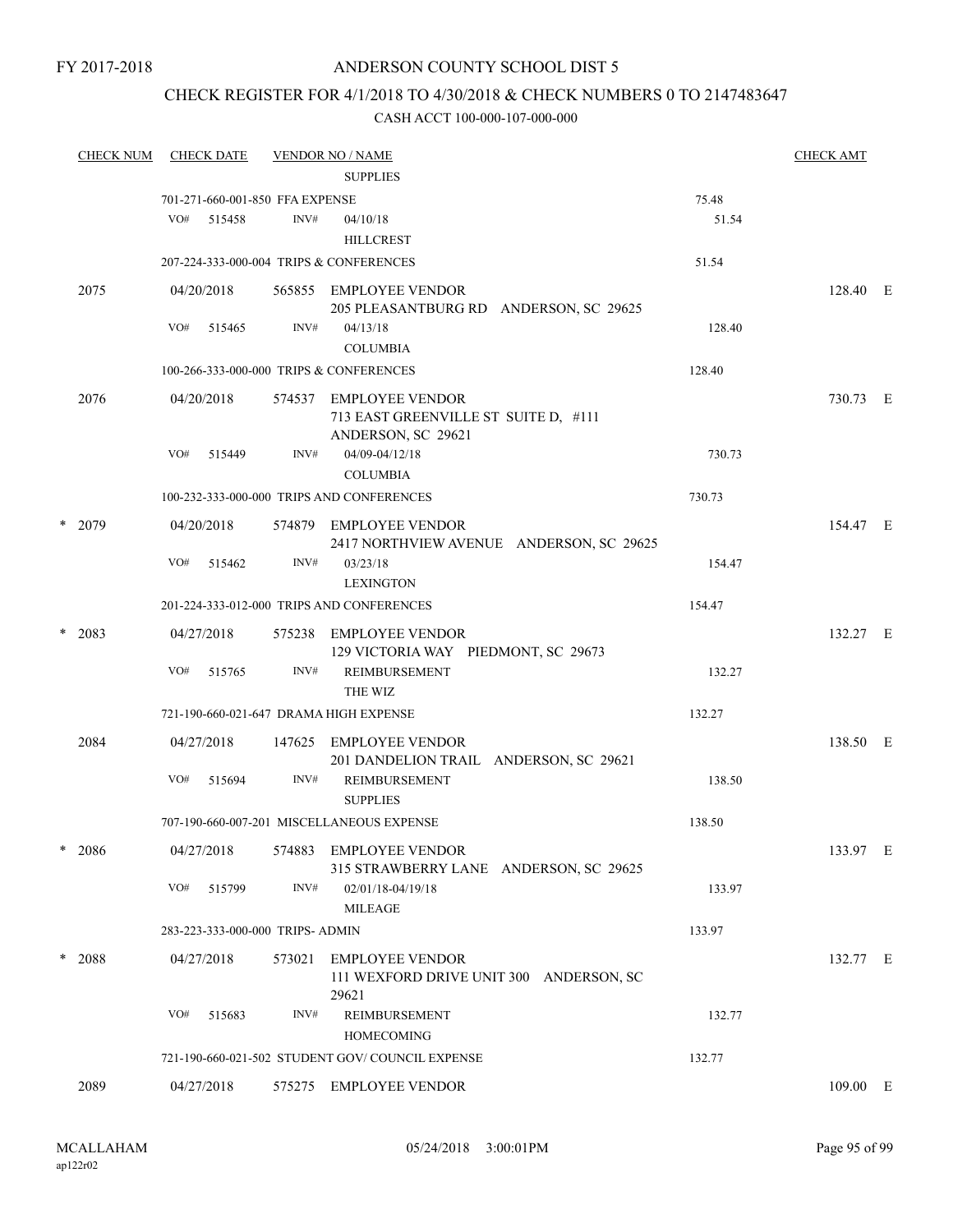#### FY 2017-2018

# ANDERSON COUNTY SCHOOL DIST 5

# CHECK REGISTER FOR 4/1/2018 TO 4/30/2018 & CHECK NUMBERS 0 TO 2147483647

|   | <b>CHECK NUM</b> | <b>CHECK DATE</b> |            |                                  | <b>VENDOR NO / NAME</b><br><b>SUPPLIES</b>                                           | <b>CHECK AMT</b> |          |  |
|---|------------------|-------------------|------------|----------------------------------|--------------------------------------------------------------------------------------|------------------|----------|--|
|   |                  |                   |            | 701-271-660-001-850 FFA EXPENSE  |                                                                                      | 75.48            |          |  |
|   |                  | VO#               | 515458     | INV#                             | 04/10/18<br><b>HILLCREST</b>                                                         | 51.54            |          |  |
|   |                  |                   |            |                                  | 207-224-333-000-004 TRIPS & CONFERENCES                                              | 51.54            |          |  |
|   | 2075             |                   | 04/20/2018 |                                  | 565855 EMPLOYEE VENDOR<br>205 PLEASANTBURG RD ANDERSON, SC 29625                     |                  | 128.40 E |  |
|   |                  | VO#               | 515465     | INV#                             | 04/13/18<br><b>COLUMBIA</b>                                                          | 128.40           |          |  |
|   |                  |                   |            |                                  | 100-266-333-000-000 TRIPS & CONFERENCES                                              | 128.40           |          |  |
|   | 2076             |                   | 04/20/2018 |                                  | 574537 EMPLOYEE VENDOR<br>713 EAST GREENVILLE ST SUITE D, #111<br>ANDERSON, SC 29621 |                  | 730.73 E |  |
|   |                  | VO#               | 515449     | INV#                             | 04/09-04/12/18<br><b>COLUMBIA</b>                                                    | 730.73           |          |  |
|   |                  |                   |            |                                  | 100-232-333-000-000 TRIPS AND CONFERENCES                                            | 730.73           |          |  |
| * | 2079             |                   | 04/20/2018 |                                  | 574879 EMPLOYEE VENDOR<br>2417 NORTHVIEW AVENUE ANDERSON, SC 29625                   |                  | 154.47 E |  |
|   |                  | VO#               | 515462     | INV#                             | 03/23/18<br><b>LEXINGTON</b>                                                         | 154.47           |          |  |
|   |                  |                   |            |                                  | 201-224-333-012-000 TRIPS AND CONFERENCES                                            | 154.47           |          |  |
| * | 2083             |                   | 04/27/2018 |                                  | 575238 EMPLOYEE VENDOR<br>129 VICTORIA WAY PIEDMONT, SC 29673                        |                  | 132.27 E |  |
|   |                  | VO#               | 515765     | INV#                             | REIMBURSEMENT<br>THE WIZ                                                             | 132.27           |          |  |
|   |                  |                   |            |                                  | 721-190-660-021-647 DRAMA HIGH EXPENSE                                               | 132.27           |          |  |
|   | 2084             |                   | 04/27/2018 |                                  | 147625 EMPLOYEE VENDOR<br>201 DANDELION TRAIL ANDERSON, SC 29621                     |                  | 138.50 E |  |
|   |                  | VO#               | 515694     | INV#                             | REIMBURSEMENT<br><b>SUPPLIES</b>                                                     | 138.50           |          |  |
|   |                  |                   |            |                                  | 707-190-660-007-201 MISCELLANEOUS EXPENSE                                            | 138.50           |          |  |
| * | 2086             |                   | 04/27/2018 |                                  | 574883 EMPLOYEE VENDOR<br>315 STRAWBERRY LANE ANDERSON, SC 29625                     |                  | 133.97 E |  |
|   |                  | VO#               | 515799     | INV#                             | 02/01/18-04/19/18<br>MILEAGE                                                         | 133.97           |          |  |
|   |                  |                   |            | 283-223-333-000-000 TRIPS- ADMIN |                                                                                      | 133.97           |          |  |
|   | * 2088           |                   | 04/27/2018 | 573021                           | <b>EMPLOYEE VENDOR</b><br>111 WEXFORD DRIVE UNIT 300 ANDERSON, SC<br>29621           |                  | 132.77 E |  |
|   |                  | VO#               | 515683     | INV#                             | <b>REIMBURSEMENT</b><br><b>HOMECOMING</b>                                            | 132.77           |          |  |
|   |                  |                   |            |                                  | 721-190-660-021-502 STUDENT GOV/COUNCIL EXPENSE                                      | 132.77           |          |  |
|   | 2089             |                   | 04/27/2018 |                                  | 575275 EMPLOYEE VENDOR                                                               |                  | 109.00 E |  |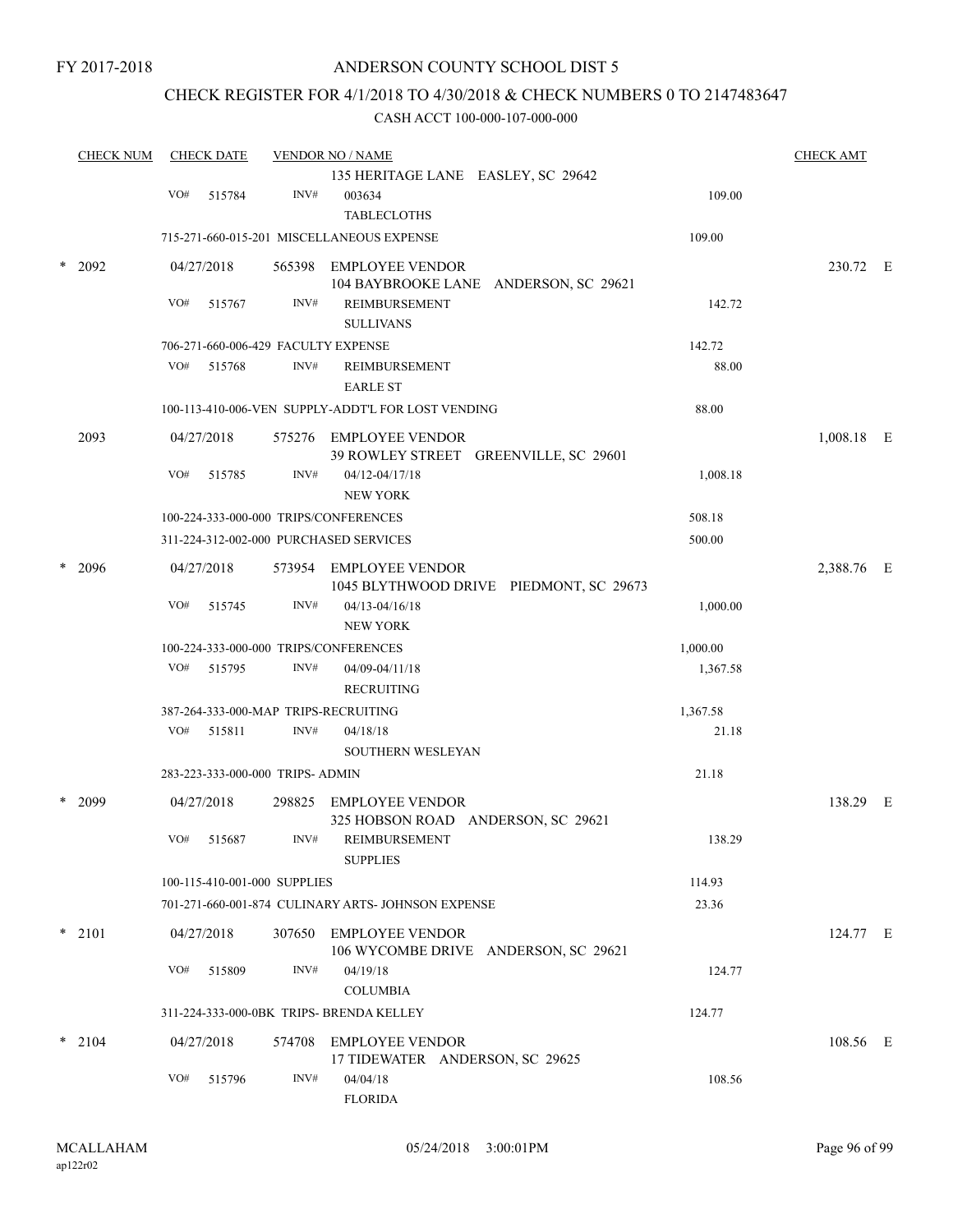# CHECK REGISTER FOR 4/1/2018 TO 4/30/2018 & CHECK NUMBERS 0 TO 2147483647

|        | <b>CHECK NUM</b> |     | <b>CHECK DATE</b> |                                  | <b>VENDOR NO / NAME</b>                            |                                         |          | <b>CHECK AMT</b> |  |
|--------|------------------|-----|-------------------|----------------------------------|----------------------------------------------------|-----------------------------------------|----------|------------------|--|
|        |                  |     |                   |                                  | 135 HERITAGE LANE EASLEY, SC 29642                 |                                         |          |                  |  |
|        |                  | VO# | 515784            | INV#                             | 003634                                             |                                         | 109.00   |                  |  |
|        |                  |     |                   |                                  | <b>TABLECLOTHS</b>                                 |                                         |          |                  |  |
|        |                  |     |                   |                                  | 715-271-660-015-201 MISCELLANEOUS EXPENSE          |                                         | 109.00   |                  |  |
| $\ast$ | 2092             |     | 04/27/2018        |                                  | 565398 EMPLOYEE VENDOR                             |                                         |          | 230.72 E         |  |
|        |                  | VO# | 515767            | INV#                             | REIMBURSEMENT                                      | 104 BAYBROOKE LANE ANDERSON, SC 29621   | 142.72   |                  |  |
|        |                  |     |                   |                                  | <b>SULLIVANS</b>                                   |                                         |          |                  |  |
|        |                  |     |                   |                                  | 706-271-660-006-429 FACULTY EXPENSE                |                                         | 142.72   |                  |  |
|        |                  | VO# | 515768            | INV#                             | REIMBURSEMENT                                      |                                         | 88.00    |                  |  |
|        |                  |     |                   |                                  | <b>EARLE ST</b>                                    |                                         |          |                  |  |
|        |                  |     |                   |                                  | 100-113-410-006-VEN SUPPLY-ADDT'L FOR LOST VENDING |                                         | 88.00    |                  |  |
|        | 2093             |     | 04/27/2018        |                                  | 575276 EMPLOYEE VENDOR                             |                                         |          | 1,008.18 E       |  |
|        |                  |     |                   |                                  | 39 ROWLEY STREET GREENVILLE, SC 29601              |                                         |          |                  |  |
|        |                  | VO# | 515785            | INV#                             | 04/12-04/17/18                                     |                                         | 1,008.18 |                  |  |
|        |                  |     |                   |                                  | <b>NEW YORK</b>                                    |                                         |          |                  |  |
|        |                  |     |                   |                                  | 100-224-333-000-000 TRIPS/CONFERENCES              |                                         | 508.18   |                  |  |
|        |                  |     |                   |                                  | 311-224-312-002-000 PURCHASED SERVICES             |                                         | 500.00   |                  |  |
|        | 2096             |     | 04/27/2018        |                                  | 573954 EMPLOYEE VENDOR                             |                                         |          | 2,388.76 E       |  |
|        |                  | VO# |                   | INV#                             |                                                    | 1045 BLYTHWOOD DRIVE PIEDMONT, SC 29673 |          |                  |  |
|        |                  |     | 515745            |                                  | $04/13 - 04/16/18$<br><b>NEW YORK</b>              |                                         | 1,000.00 |                  |  |
|        |                  |     |                   |                                  | 100-224-333-000-000 TRIPS/CONFERENCES              |                                         | 1,000.00 |                  |  |
|        |                  | VO# | 515795            | INV#                             | 04/09-04/11/18                                     |                                         | 1,367.58 |                  |  |
|        |                  |     |                   |                                  | <b>RECRUITING</b>                                  |                                         |          |                  |  |
|        |                  |     |                   |                                  | 387-264-333-000-MAP TRIPS-RECRUITING               |                                         | 1,367.58 |                  |  |
|        |                  | VO# | 515811            | INV#                             | 04/18/18                                           |                                         | 21.18    |                  |  |
|        |                  |     |                   |                                  | <b>SOUTHERN WESLEYAN</b>                           |                                         |          |                  |  |
|        |                  |     |                   | 283-223-333-000-000 TRIPS- ADMIN |                                                    |                                         | 21.18    |                  |  |
|        | 2099             |     | 04/27/2018        |                                  | 298825 EMPLOYEE VENDOR                             |                                         |          | 138.29 E         |  |
|        |                  |     |                   |                                  | 325 HOBSON ROAD ANDERSON, SC 29621                 |                                         |          |                  |  |
|        |                  | VO# | 515687            | INV#                             | REIMBURSEMENT                                      |                                         | 138.29   |                  |  |
|        |                  |     |                   |                                  | <b>SUPPLIES</b>                                    |                                         |          |                  |  |
|        |                  |     |                   | 100-115-410-001-000 SUPPLIES     |                                                    |                                         | 114.93   |                  |  |
|        |                  |     |                   |                                  | 701-271-660-001-874 CULINARY ARTS- JOHNSON EXPENSE |                                         | 23.36    |                  |  |
|        | $*$ 2101         |     | 04/27/2018        |                                  | 307650 EMPLOYEE VENDOR                             |                                         |          | 124.77 E         |  |
|        |                  |     |                   |                                  | 106 WYCOMBE DRIVE ANDERSON, SC 29621               |                                         |          |                  |  |
|        |                  | VO# | 515809            | INV#                             | 04/19/18                                           |                                         | 124.77   |                  |  |
|        |                  |     |                   |                                  | <b>COLUMBIA</b>                                    |                                         |          |                  |  |
|        |                  |     |                   |                                  | 311-224-333-000-0BK TRIPS- BRENDA KELLEY           |                                         | 124.77   |                  |  |
|        | $*$ 2104         |     | 04/27/2018        |                                  | 574708 EMPLOYEE VENDOR                             |                                         |          | 108.56 E         |  |
|        |                  |     |                   |                                  | 17 TIDEWATER ANDERSON, SC 29625                    |                                         |          |                  |  |
|        |                  | VO# | 515796            | INV#                             | 04/04/18                                           |                                         | 108.56   |                  |  |
|        |                  |     |                   |                                  | <b>FLORIDA</b>                                     |                                         |          |                  |  |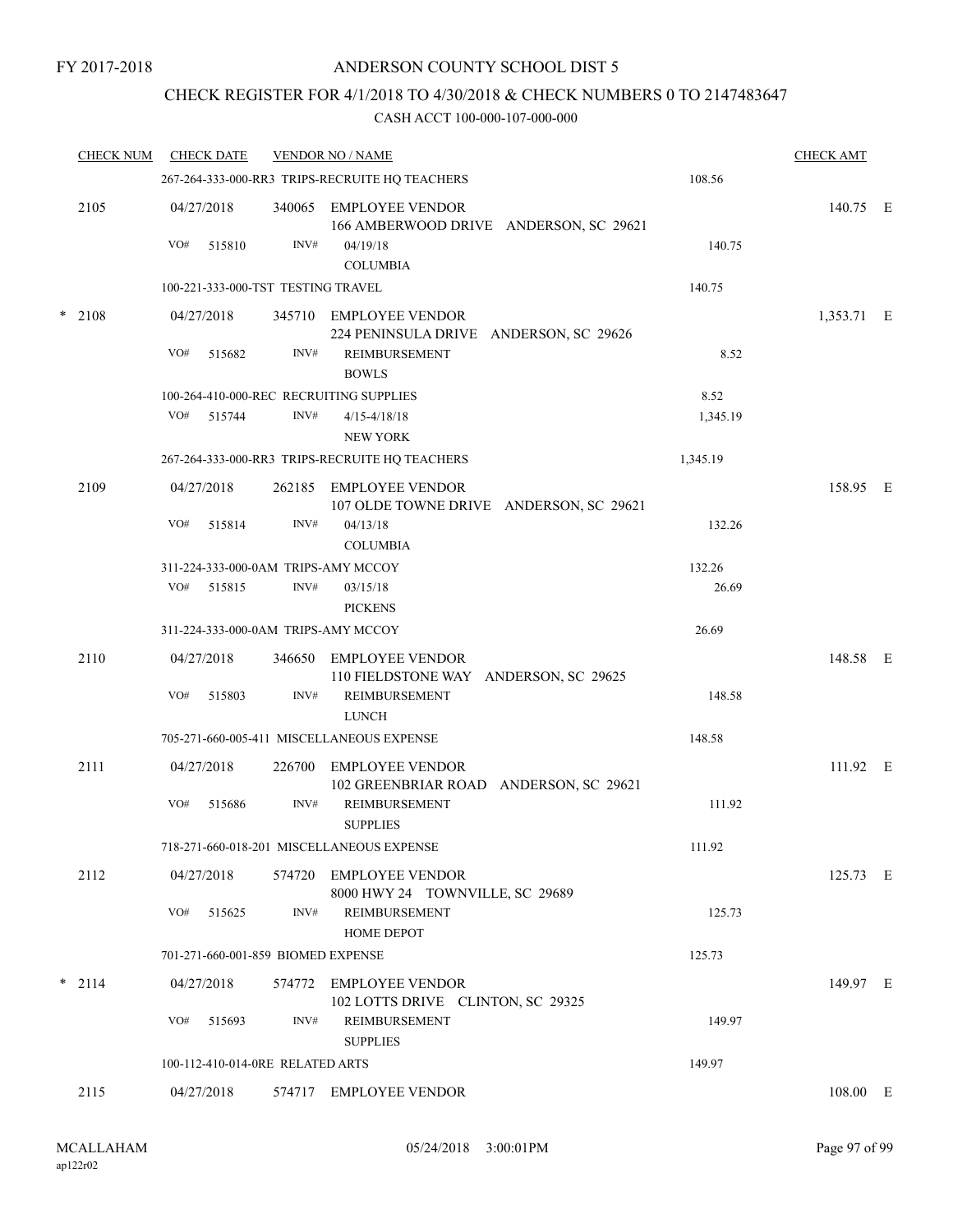# CHECK REGISTER FOR 4/1/2018 TO 4/30/2018 & CHECK NUMBERS 0 TO 2147483647

|        | <b>CHECK NUM</b> | <b>CHECK DATE</b>                                        |                                                | <b>VENDOR NO / NAME</b>                                           |          | <b>CHECK AMT</b> |  |
|--------|------------------|----------------------------------------------------------|------------------------------------------------|-------------------------------------------------------------------|----------|------------------|--|
|        |                  | 108.56<br>267-264-333-000-RR3 TRIPS-RECRUITE HQ TEACHERS |                                                |                                                                   |          |                  |  |
|        | 2105             | 04/27/2018                                               | 340065                                         | EMPLOYEE VENDOR<br>166 AMBERWOOD DRIVE ANDERSON, SC 29621         |          | 140.75 E         |  |
|        |                  | VO#<br>515810                                            | INV#                                           | 04/19/18<br><b>COLUMBIA</b>                                       | 140.75   |                  |  |
|        |                  |                                                          | 100-221-333-000-TST TESTING TRAVEL             |                                                                   | 140.75   |                  |  |
| $\ast$ | 2108             | 04/27/2018                                               |                                                | 345710 EMPLOYEE VENDOR<br>224 PENINSULA DRIVE ANDERSON, SC 29626  |          | 1,353.71 E       |  |
|        |                  | VO#<br>515682                                            | INV#                                           | <b>REIMBURSEMENT</b><br><b>BOWLS</b>                              | 8.52     |                  |  |
|        |                  |                                                          |                                                | 100-264-410-000-REC RECRUITING SUPPLIES                           | 8.52     |                  |  |
|        |                  | VO# 515744                                               | INV#                                           | $4/15 - 4/18/18$<br><b>NEW YORK</b>                               | 1,345.19 |                  |  |
|        |                  |                                                          | 267-264-333-000-RR3 TRIPS-RECRUITE HQ TEACHERS | 1,345.19                                                          |          |                  |  |
|        | 2109             | 04/27/2018                                               | 262185                                         | <b>EMPLOYEE VENDOR</b><br>107 OLDE TOWNE DRIVE ANDERSON, SC 29621 |          | 158.95 E         |  |
|        |                  | VO#<br>515814                                            | INV#                                           | 04/13/18<br><b>COLUMBIA</b>                                       | 132.26   |                  |  |
|        |                  |                                                          | 311-224-333-000-0AM TRIPS-AMY MCCOY            |                                                                   | 132.26   |                  |  |
|        |                  | VO#<br>515815                                            | INV#                                           | 03/15/18<br><b>PICKENS</b>                                        | 26.69    |                  |  |
|        |                  |                                                          | 311-224-333-000-0AM TRIPS-AMY MCCOY            |                                                                   | 26.69    |                  |  |
|        | 2110             | 04/27/2018                                               | 346650                                         | EMPLOYEE VENDOR<br>110 FIELDSTONE WAY ANDERSON, SC 29625          |          | 148.58 E         |  |
|        |                  | VO#<br>515803                                            | INV#                                           | REIMBURSEMENT<br><b>LUNCH</b>                                     | 148.58   |                  |  |
|        |                  |                                                          |                                                | 705-271-660-005-411 MISCELLANEOUS EXPENSE                         | 148.58   |                  |  |
|        | 2111             | 04/27/2018                                               | 226700                                         | <b>EMPLOYEE VENDOR</b><br>102 GREENBRIAR ROAD ANDERSON, SC 29621  |          | 111.92 E         |  |
|        |                  | VO#<br>515686                                            | INV#                                           | REIMBURSEMENT<br><b>SUPPLIES</b>                                  | 111.92   |                  |  |
|        |                  |                                                          |                                                | 718-271-660-018-201 MISCELLANEOUS EXPENSE                         | 111.92   |                  |  |
|        | 2112             | 04/27/2018                                               |                                                | 574720 EMPLOYEE VENDOR<br>8000 HWY 24 TOWNVILLE, SC 29689         |          | 125.73 E         |  |
|        |                  | VO#<br>515625                                            | INV#                                           | REIMBURSEMENT<br>HOME DEPOT                                       | 125.73   |                  |  |
|        |                  |                                                          | 701-271-660-001-859 BIOMED EXPENSE             |                                                                   | 125.73   |                  |  |
|        | $*$ 2114         | 04/27/2018                                               |                                                | 574772 EMPLOYEE VENDOR<br>102 LOTTS DRIVE CLINTON, SC 29325       |          | 149.97 E         |  |
|        |                  | VO#<br>515693                                            | INV#                                           | <b>REIMBURSEMENT</b><br><b>SUPPLIES</b>                           | 149.97   |                  |  |
|        |                  |                                                          | 100-112-410-014-0RE RELATED ARTS               |                                                                   | 149.97   |                  |  |
|        | 2115             | 04/27/2018                                               |                                                | 574717 EMPLOYEE VENDOR                                            |          | 108.00 E         |  |
|        |                  |                                                          |                                                |                                                                   |          |                  |  |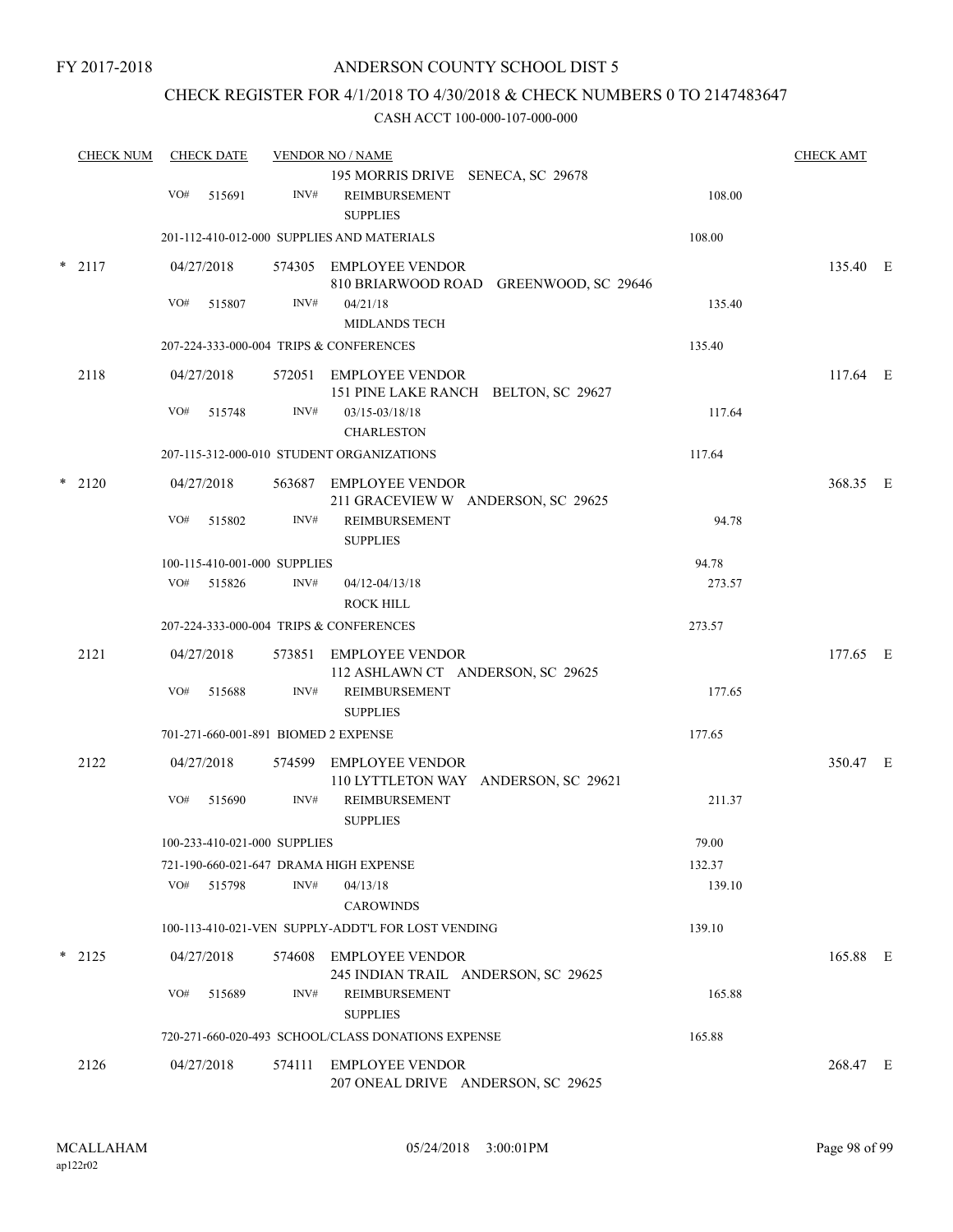# CHECK REGISTER FOR 4/1/2018 TO 4/30/2018 & CHECK NUMBERS 0 TO 2147483647

| <b>CHECK NUM</b> | <b>CHECK DATE</b>                       |                                      | <b>VENDOR NO / NAME</b>                |                                                                       |        | <b>CHECK AMT</b> |  |
|------------------|-----------------------------------------|--------------------------------------|----------------------------------------|-----------------------------------------------------------------------|--------|------------------|--|
|                  | VO#                                     | 515691                               | INV#                                   | 195 MORRIS DRIVE SENECA, SC 29678<br>REIMBURSEMENT<br><b>SUPPLIES</b> | 108.00 |                  |  |
|                  |                                         |                                      |                                        | 201-112-410-012-000 SUPPLIES AND MATERIALS                            | 108.00 |                  |  |
| $* 2117$         |                                         | 04/27/2018                           |                                        | 574305 EMPLOYEE VENDOR<br>810 BRIARWOOD ROAD GREENWOOD, SC 29646      |        | 135.40 E         |  |
|                  | VO#                                     | 515807                               | INV#                                   | 04/21/18<br><b>MIDLANDS TECH</b>                                      | 135.40 |                  |  |
|                  |                                         |                                      |                                        | 207-224-333-000-004 TRIPS & CONFERENCES                               | 135.40 |                  |  |
| 2118             |                                         | 04/27/2018                           |                                        | 572051 EMPLOYEE VENDOR<br>151 PINE LAKE RANCH BELTON, SC 29627        |        | $117.64$ E       |  |
|                  | VO#                                     | 515748                               | INV#                                   | 03/15-03/18/18<br><b>CHARLESTON</b>                                   | 117.64 |                  |  |
|                  |                                         |                                      |                                        | 207-115-312-000-010 STUDENT ORGANIZATIONS                             | 117.64 |                  |  |
| $*$ 2120         |                                         | 04/27/2018                           |                                        | 563687 EMPLOYEE VENDOR<br>211 GRACEVIEW W ANDERSON, SC 29625          |        | 368.35 E         |  |
|                  | VO#                                     | 515802                               | INV#                                   | REIMBURSEMENT<br><b>SUPPLIES</b>                                      | 94.78  |                  |  |
|                  |                                         |                                      | 100-115-410-001-000 SUPPLIES           |                                                                       | 94.78  |                  |  |
|                  |                                         | VO# 515826                           | INV#                                   | 04/12-04/13/18<br>ROCK HILL                                           | 273.57 |                  |  |
|                  | 207-224-333-000-004 TRIPS & CONFERENCES |                                      |                                        |                                                                       | 273.57 |                  |  |
| 2121             |                                         | 04/27/2018                           |                                        | 573851 EMPLOYEE VENDOR<br>112 ASHLAWN CT ANDERSON, SC 29625           |        | 177.65 E         |  |
|                  | VO#                                     | 515688                               | INV#                                   | <b>REIMBURSEMENT</b><br><b>SUPPLIES</b>                               | 177.65 |                  |  |
|                  |                                         | 701-271-660-001-891 BIOMED 2 EXPENSE | 177.65                                 |                                                                       |        |                  |  |
| 2122             |                                         | 04/27/2018                           |                                        | 574599 EMPLOYEE VENDOR<br>110 LYTTLETON WAY ANDERSON, SC 29621        |        | 350.47 E         |  |
|                  | VO#                                     | 515690                               | INV#                                   | REIMBURSEMENT<br><b>SUPPLIES</b>                                      | 211.37 |                  |  |
|                  | 100-233-410-021-000 SUPPLIES            |                                      |                                        |                                                                       | 79.00  |                  |  |
|                  |                                         |                                      | 721-190-660-021-647 DRAMA HIGH EXPENSE |                                                                       | 132.37 |                  |  |
|                  |                                         | VO# 515798                           | INV#                                   | 04/13/18<br><b>CAROWINDS</b>                                          | 139.10 |                  |  |
|                  |                                         |                                      |                                        | 100-113-410-021-VEN SUPPLY-ADDT'L FOR LOST VENDING                    | 139.10 |                  |  |
| $*$ 2125         |                                         | 04/27/2018                           |                                        | 574608 EMPLOYEE VENDOR<br>245 INDIAN TRAIL ANDERSON, SC 29625         |        | 165.88 E         |  |
|                  | VO#                                     | 515689                               | INV#                                   | REIMBURSEMENT<br><b>SUPPLIES</b>                                      | 165.88 |                  |  |
|                  |                                         |                                      |                                        | 720-271-660-020-493 SCHOOL/CLASS DONATIONS EXPENSE                    | 165.88 |                  |  |
| 2126             |                                         | 04/27/2018                           |                                        | 574111 EMPLOYEE VENDOR<br>207 ONEAL DRIVE ANDERSON, SC 29625          |        | 268.47 E         |  |